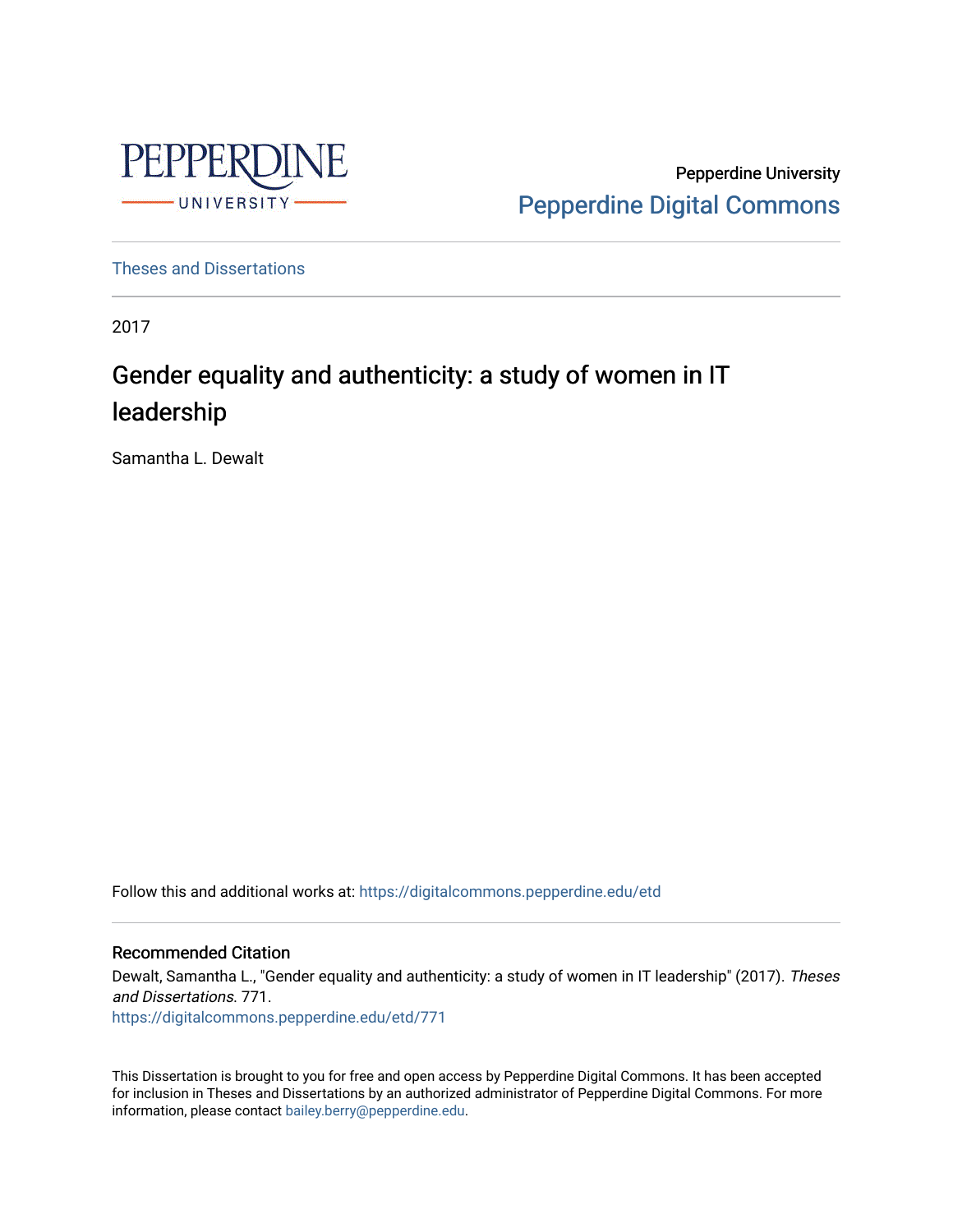

Pepperdine University [Pepperdine Digital Commons](https://digitalcommons.pepperdine.edu/) 

[Theses and Dissertations](https://digitalcommons.pepperdine.edu/etd)

2017

# Gender equality and authenticity: a study of women in IT leadership

Samantha L. Dewalt

Follow this and additional works at: [https://digitalcommons.pepperdine.edu/etd](https://digitalcommons.pepperdine.edu/etd?utm_source=digitalcommons.pepperdine.edu%2Fetd%2F771&utm_medium=PDF&utm_campaign=PDFCoverPages) 

## Recommended Citation

Dewalt, Samantha L., "Gender equality and authenticity: a study of women in IT leadership" (2017). Theses and Dissertations. 771. [https://digitalcommons.pepperdine.edu/etd/771](https://digitalcommons.pepperdine.edu/etd/771?utm_source=digitalcommons.pepperdine.edu%2Fetd%2F771&utm_medium=PDF&utm_campaign=PDFCoverPages) 

This Dissertation is brought to you for free and open access by Pepperdine Digital Commons. It has been accepted for inclusion in Theses and Dissertations by an authorized administrator of Pepperdine Digital Commons. For more information, please contact [bailey.berry@pepperdine.edu.](mailto:bailey.berry@pepperdine.edu)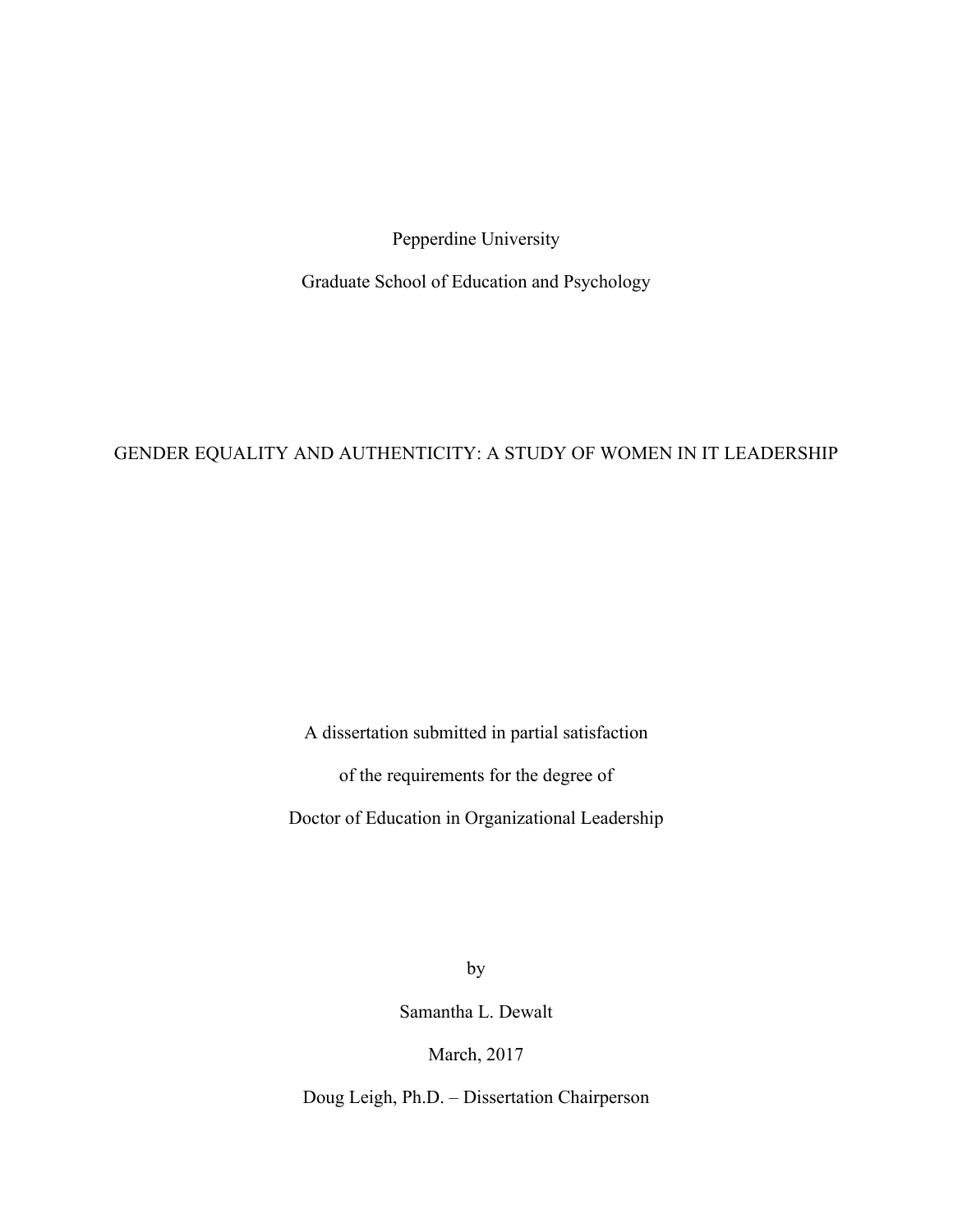Pepperdine University

Graduate School of Education and Psychology

# GENDER EQUALITY AND AUTHENTICITY: A STUDY OF WOMEN IN IT LEADERSHIP

A dissertation submitted in partial satisfaction

of the requirements for the degree of

Doctor of Education in Organizational Leadership

by

Samantha L. Dewalt

March, 2017

Doug Leigh, Ph.D. – Dissertation Chairperson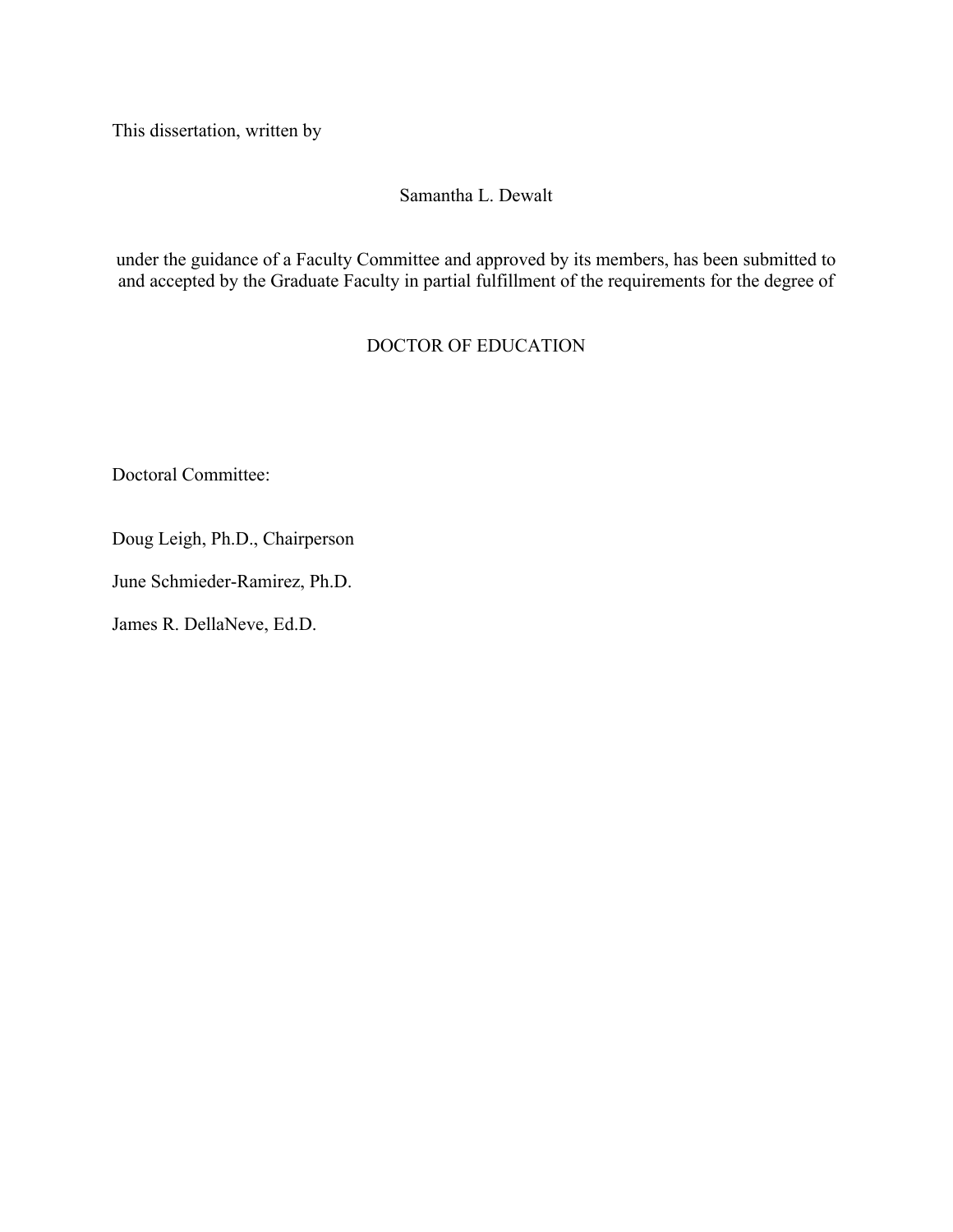This dissertation, written by

# Samantha L. Dewalt

under the guidance of a Faculty Committee and approved by its members, has been submitted to and accepted by the Graduate Faculty in partial fulfillment of the requirements for the degree of

# DOCTOR OF EDUCATION

Doctoral Committee:

Doug Leigh, Ph.D., Chairperson

June Schmieder-Ramirez, Ph.D.

James R. DellaNeve, Ed.D.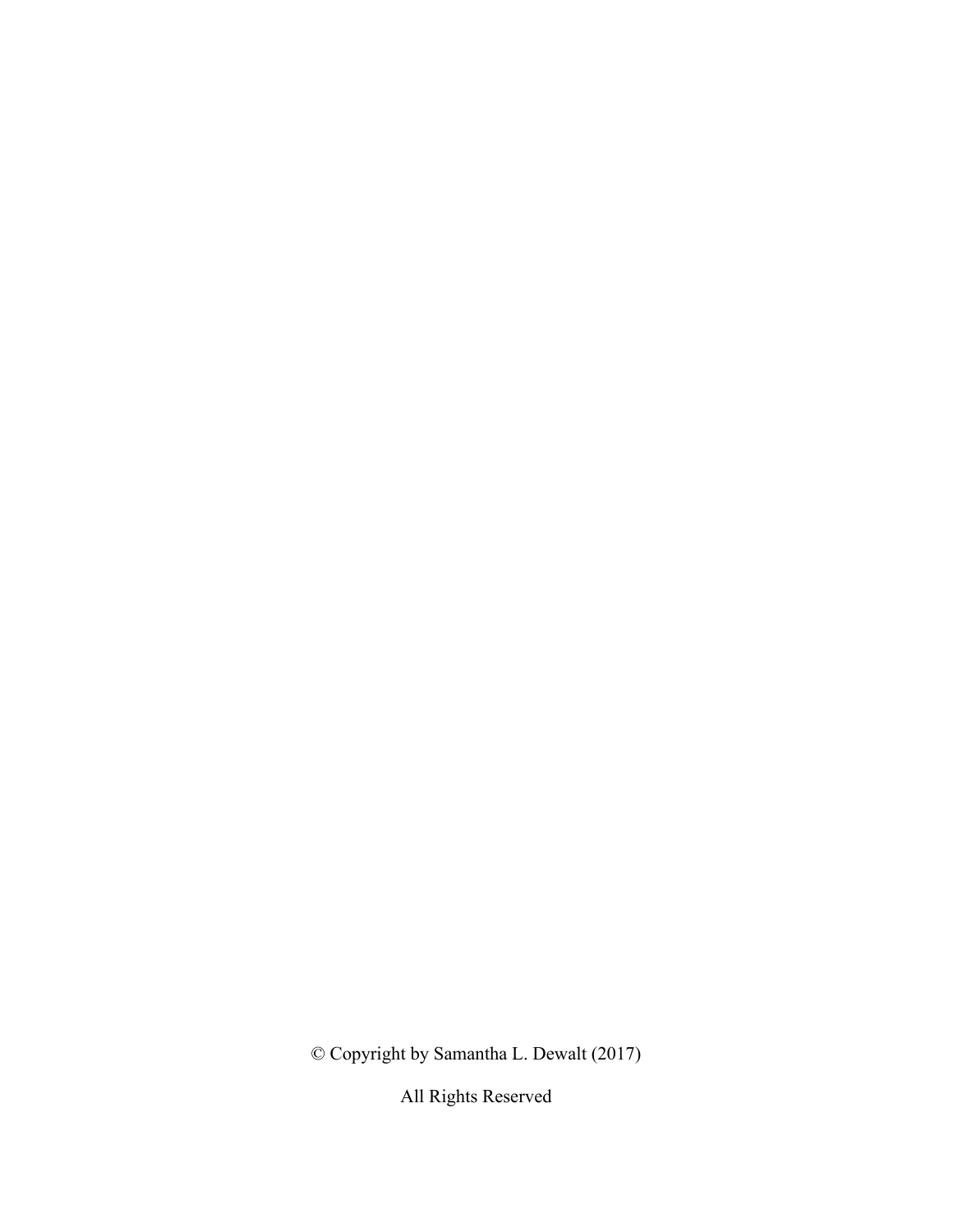© Copyright by Samantha L. Dewalt (2017)

All Rights Reserved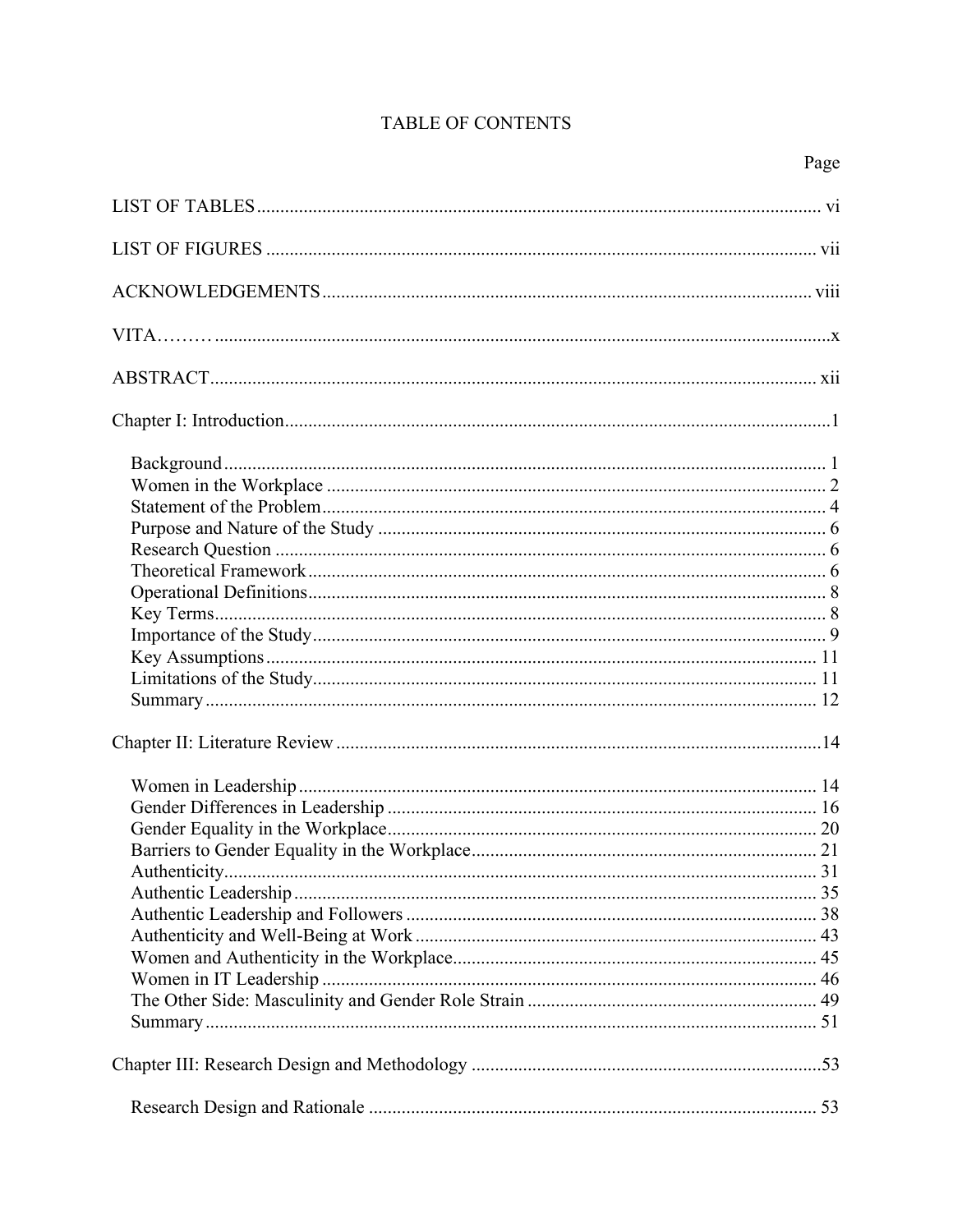# TABLE OF CONTENTS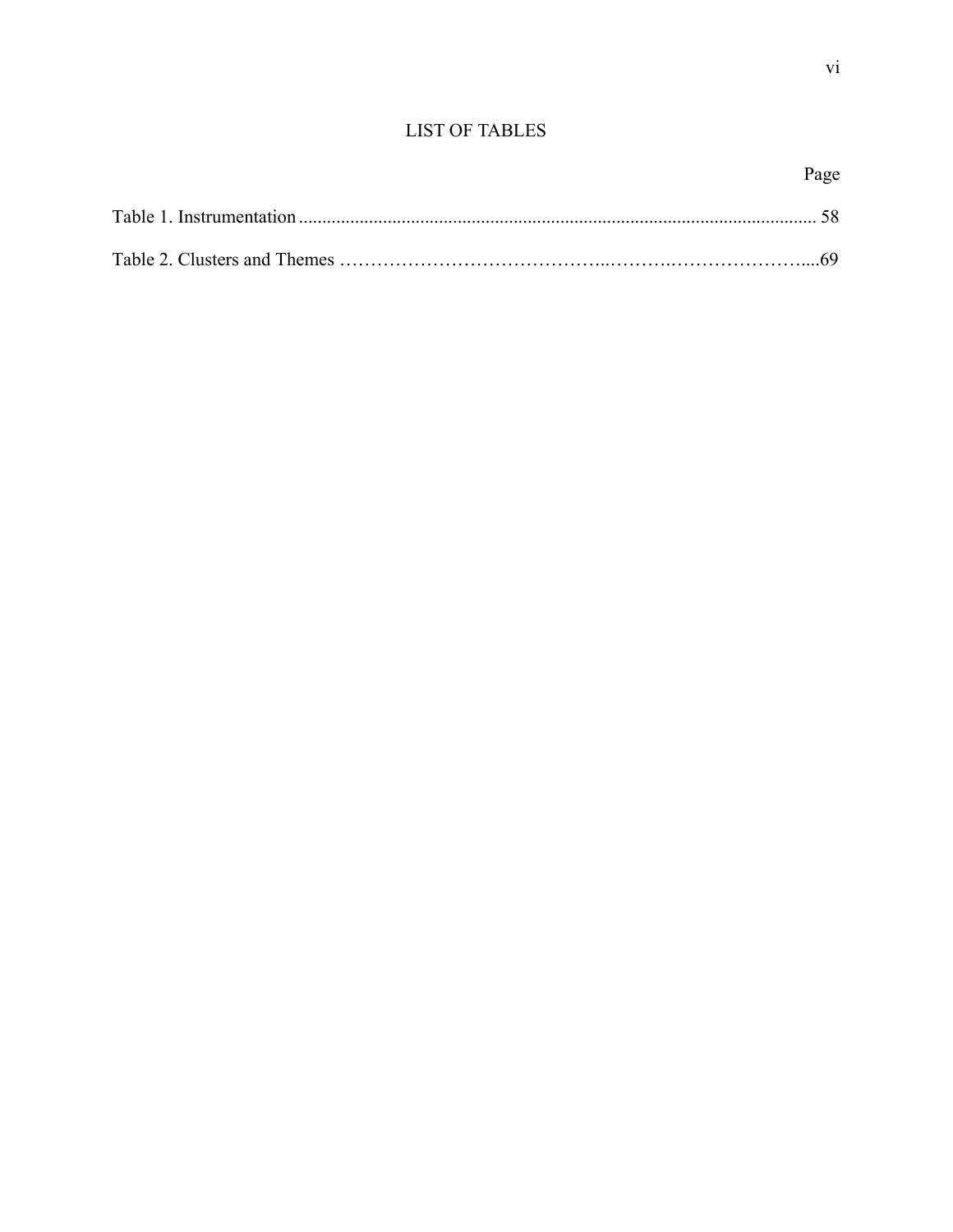# LIST OF TABLES

|--|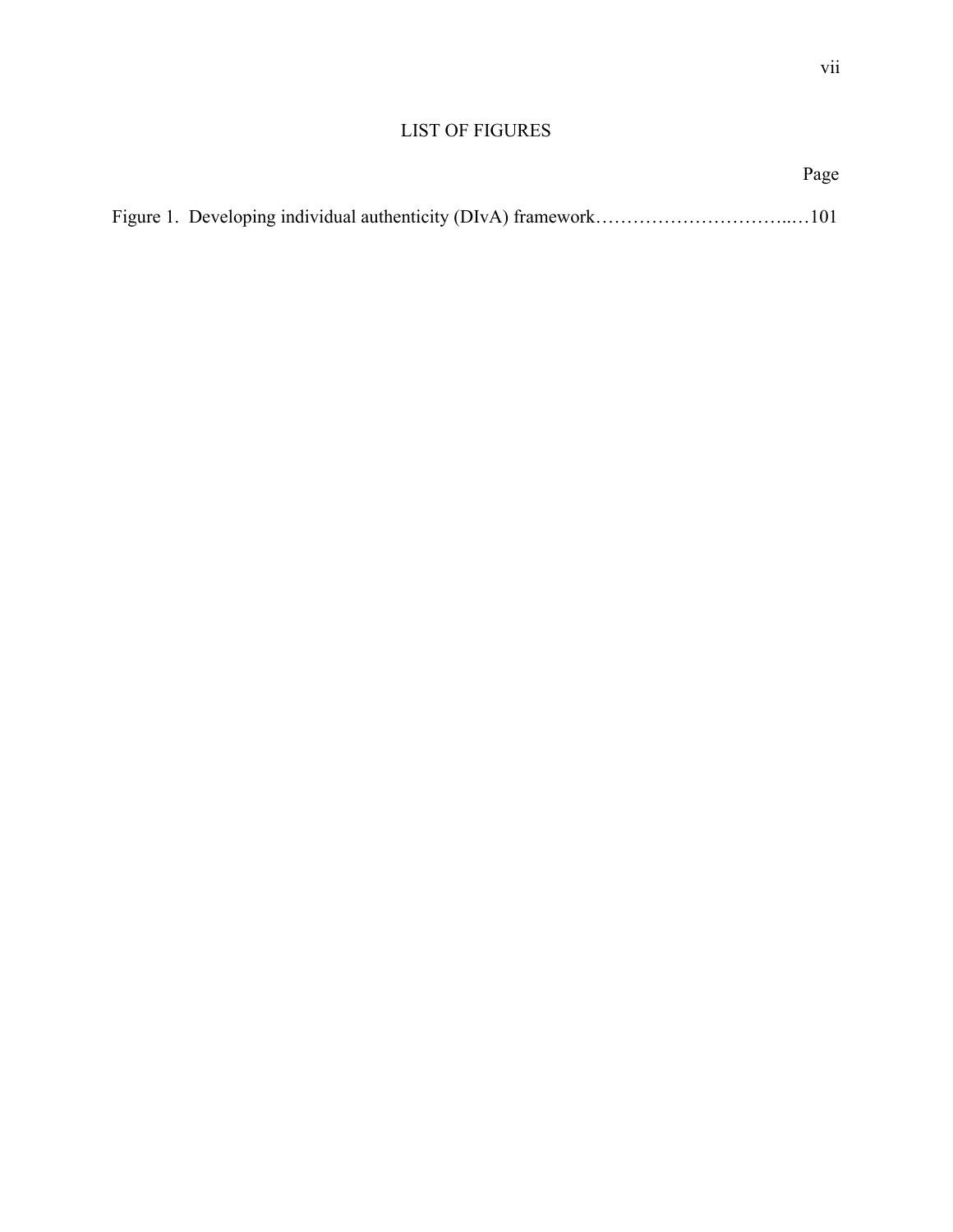# LIST OF FIGURES

|  | Page |
|--|------|
|  |      |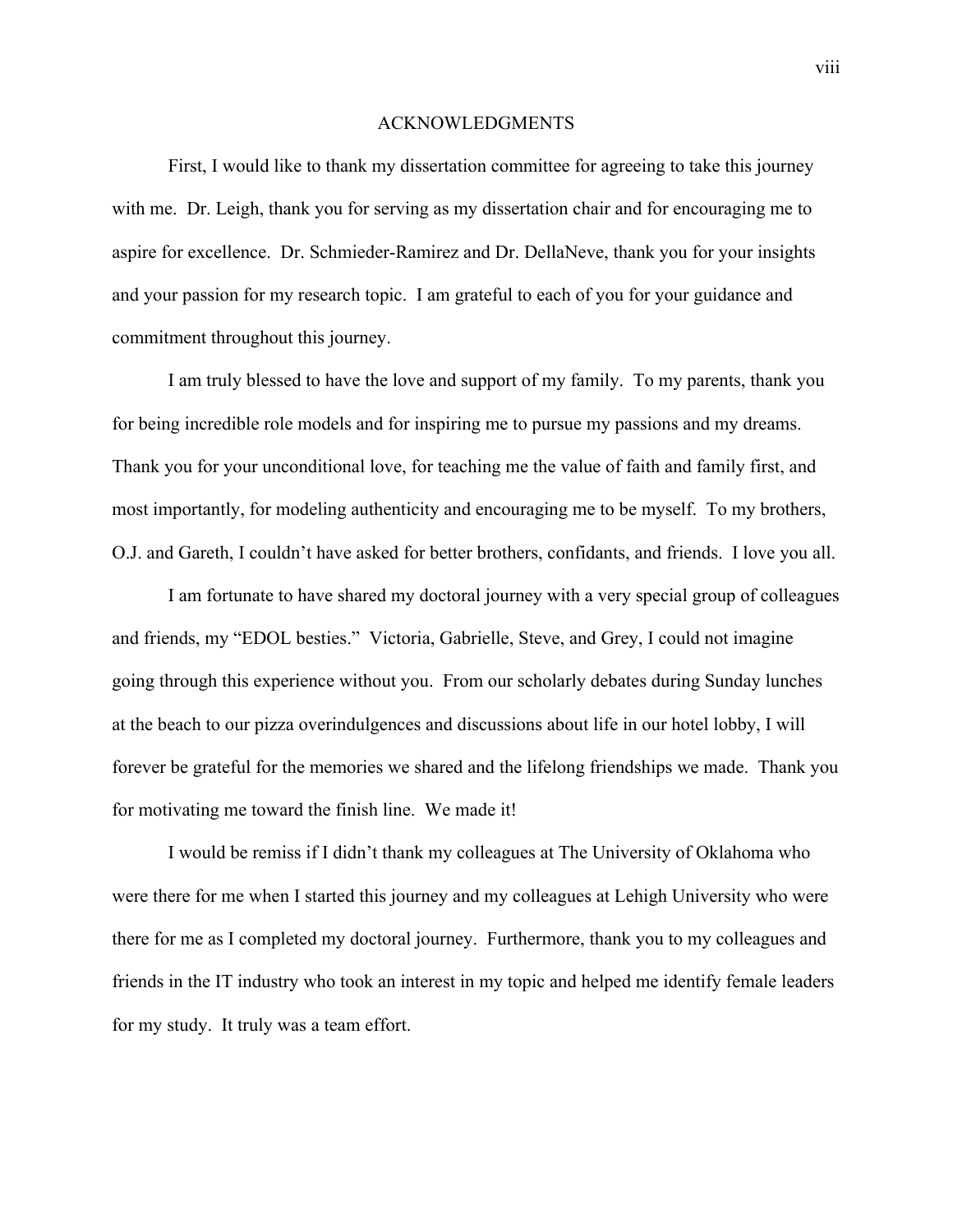#### ACKNOWLEDGMENTS

First, I would like to thank my dissertation committee for agreeing to take this journey with me. Dr. Leigh, thank you for serving as my dissertation chair and for encouraging me to aspire for excellence. Dr. Schmieder-Ramirez and Dr. DellaNeve, thank you for your insights and your passion for my research topic. I am grateful to each of you for your guidance and commitment throughout this journey.

I am truly blessed to have the love and support of my family. To my parents, thank you for being incredible role models and for inspiring me to pursue my passions and my dreams. Thank you for your unconditional love, for teaching me the value of faith and family first, and most importantly, for modeling authenticity and encouraging me to be myself. To my brothers, O.J. and Gareth, I couldn't have asked for better brothers, confidants, and friends. I love you all.

I am fortunate to have shared my doctoral journey with a very special group of colleagues and friends, my "EDOL besties." Victoria, Gabrielle, Steve, and Grey, I could not imagine going through this experience without you. From our scholarly debates during Sunday lunches at the beach to our pizza overindulgences and discussions about life in our hotel lobby, I will forever be grateful for the memories we shared and the lifelong friendships we made. Thank you for motivating me toward the finish line. We made it!

I would be remiss if I didn't thank my colleagues at The University of Oklahoma who were there for me when I started this journey and my colleagues at Lehigh University who were there for me as I completed my doctoral journey. Furthermore, thank you to my colleagues and friends in the IT industry who took an interest in my topic and helped me identify female leaders for my study. It truly was a team effort.

viii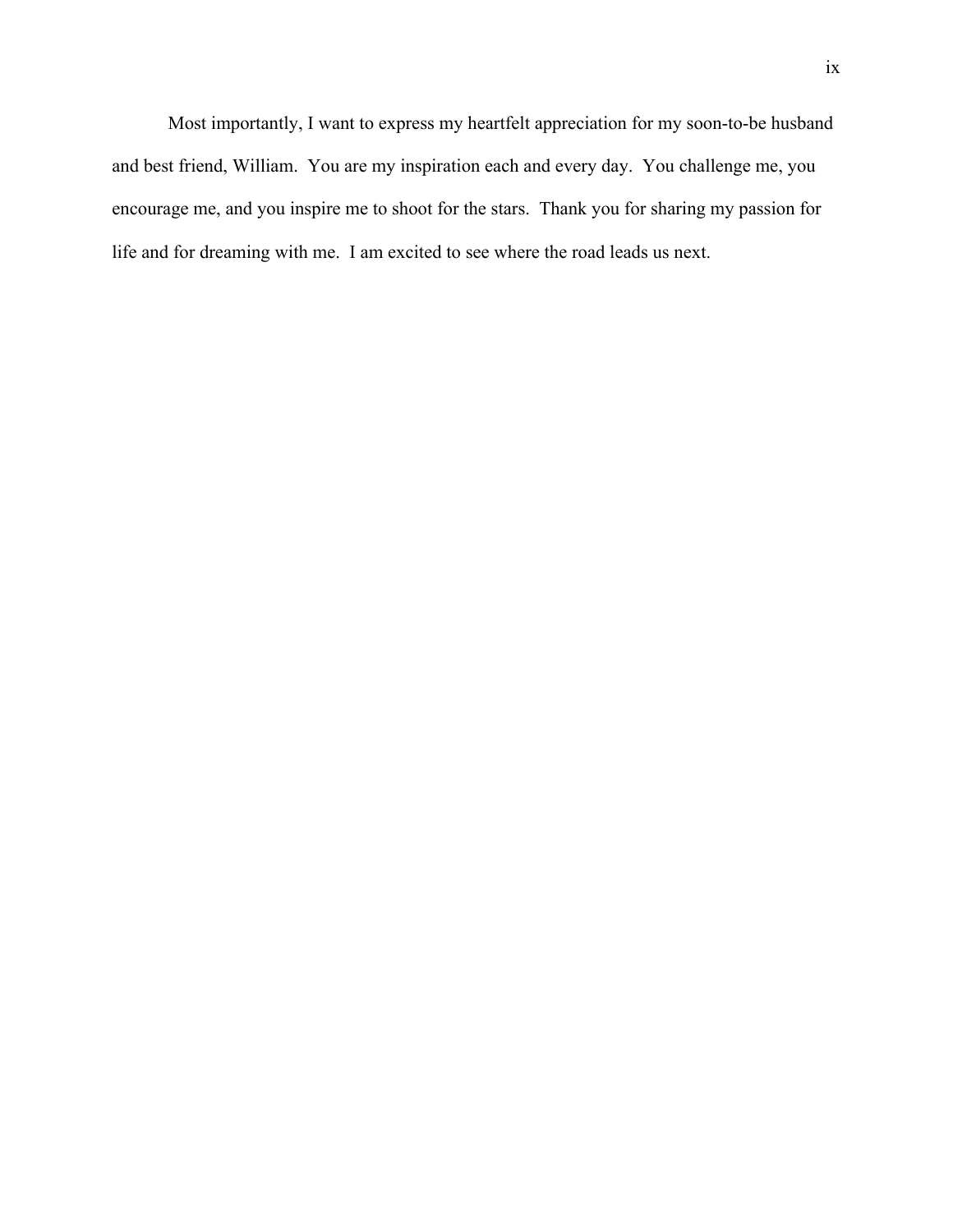Most importantly, I want to express my heartfelt appreciation for my soon-to-be husband and best friend, William. You are my inspiration each and every day. You challenge me, you encourage me, and you inspire me to shoot for the stars. Thank you for sharing my passion for life and for dreaming with me. I am excited to see where the road leads us next.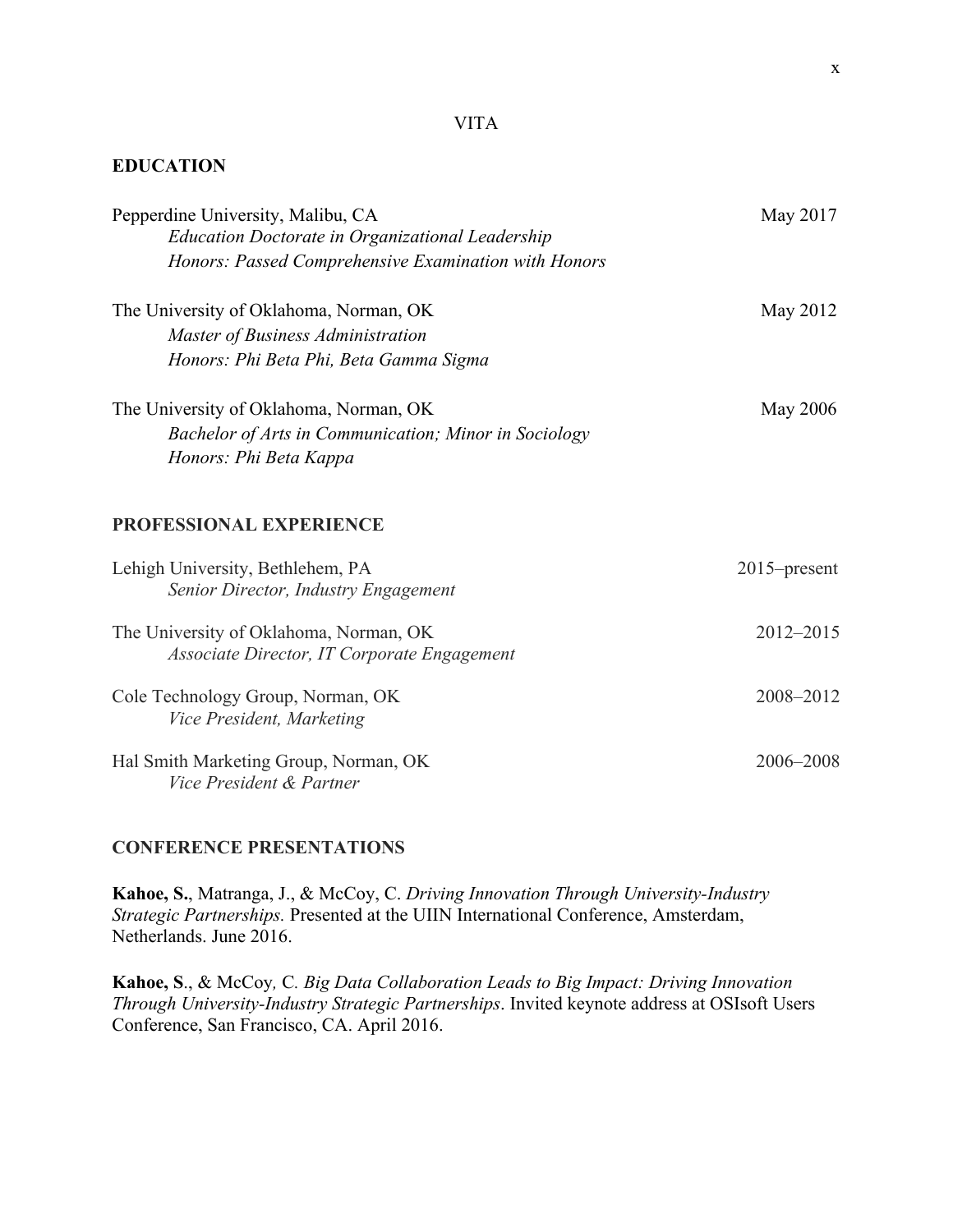# VITA

# **EDUCATION**

| Pepperdine University, Malibu, CA<br><b>Education Doctorate in Organizational Leadership</b><br>Honors: Passed Comprehensive Examination with Honors | May 2017        |
|------------------------------------------------------------------------------------------------------------------------------------------------------|-----------------|
| The University of Oklahoma, Norman, OK<br>Master of Business Administration<br>Honors: Phi Beta Phi, Beta Gamma Sigma                                | May 2012        |
| The University of Oklahoma, Norman, OK<br>Bachelor of Arts in Communication; Minor in Sociology<br>Honors: Phi Beta Kappa                            | May 2006        |
| PROFESSIONAL EXPERIENCE                                                                                                                              |                 |
| Lehigh University, Bethlehem, PA<br>Senior Director, Industry Engagement                                                                             | $2015$ -present |
| The University of Oklahoma, Norman, OK<br>Associate Director, IT Corporate Engagement                                                                | 2012-2015       |
| Cole Technology Group, Norman, OK<br>Vice President, Marketing                                                                                       | 2008-2012       |
| Hal Smith Marketing Group, Norman, OK<br>Vice President & Partner                                                                                    | 2006-2008       |

# **CONFERENCE PRESENTATIONS**

**Kahoe, S.**, Matranga, J., & McCoy, C. *Driving Innovation Through University-Industry Strategic Partnerships.* Presented at the UIIN International Conference, Amsterdam, Netherlands. June 2016.

**Kahoe, S**., & McCoy*,* C*. Big Data Collaboration Leads to Big Impact: Driving Innovation Through University-Industry Strategic Partnerships*. Invited keynote address at OSIsoft Users Conference, San Francisco, CA. April 2016.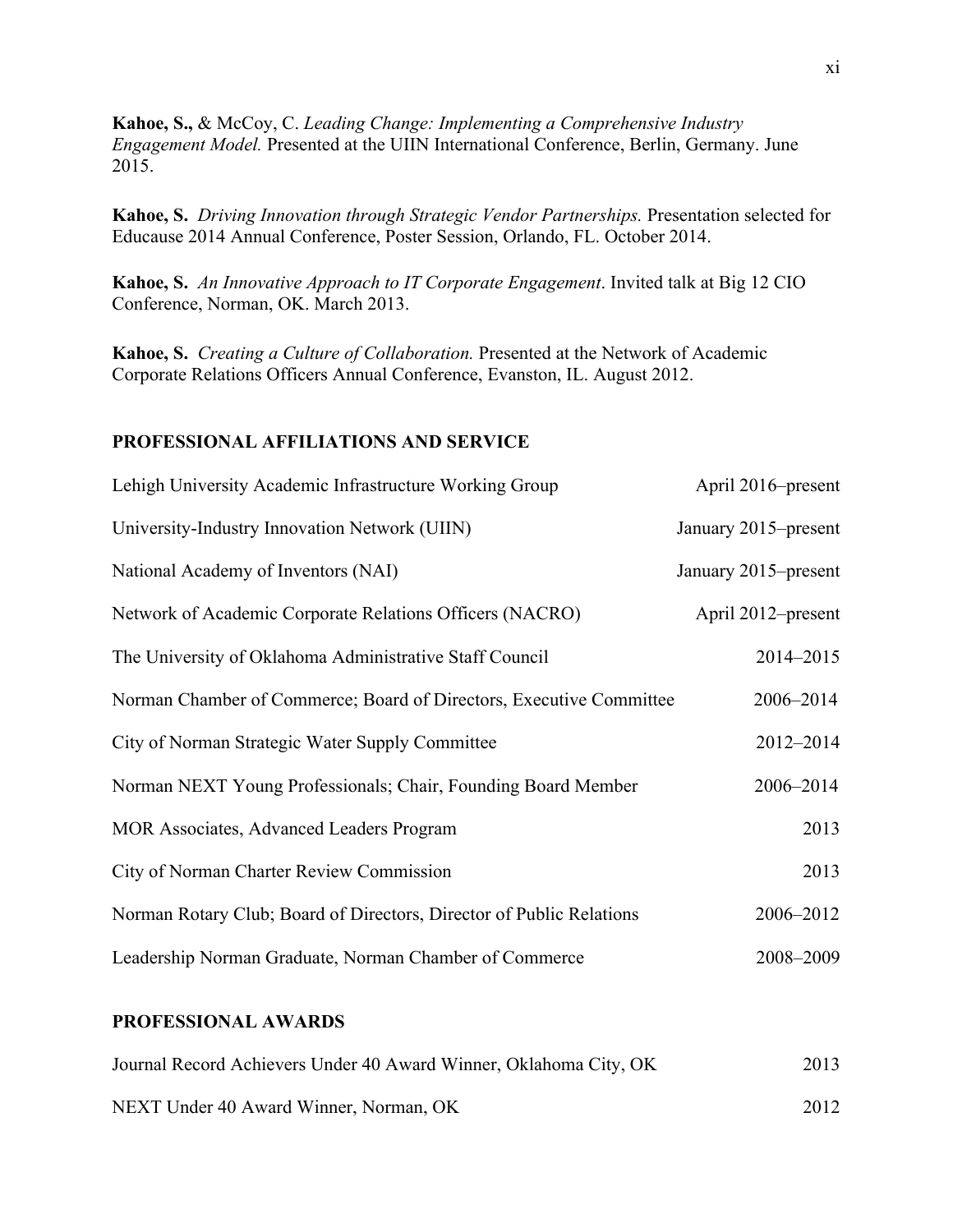**Kahoe, S.,** & McCoy, C. *Leading Change: Implementing a Comprehensive Industry Engagement Model.* Presented at the UIIN International Conference, Berlin, Germany. June 2015.

**Kahoe, S.** *Driving Innovation through Strategic Vendor Partnerships.* Presentation selected for Educause 2014 Annual Conference, Poster Session, Orlando, FL. October 2014.

**Kahoe, S.** *An Innovative Approach to IT Corporate Engagement*. Invited talk at Big 12 CIO Conference, Norman, OK. March 2013.

**Kahoe, S.** *Creating a Culture of Collaboration.* Presented at the Network of Academic Corporate Relations Officers Annual Conference, Evanston, IL. August 2012.

# **PROFESSIONAL AFFILIATIONS AND SERVICE**

| Lehigh University Academic Infrastructure Working Group              | April 2016–present   |
|----------------------------------------------------------------------|----------------------|
| University-Industry Innovation Network (UIIN)                        | January 2015–present |
| National Academy of Inventors (NAI)                                  | January 2015–present |
| Network of Academic Corporate Relations Officers (NACRO)             | April 2012–present   |
| The University of Oklahoma Administrative Staff Council              | 2014-2015            |
| Norman Chamber of Commerce; Board of Directors, Executive Committee  | 2006-2014            |
| City of Norman Strategic Water Supply Committee                      | 2012-2014            |
| Norman NEXT Young Professionals; Chair, Founding Board Member        | 2006-2014            |
| MOR Associates, Advanced Leaders Program                             | 2013                 |
| City of Norman Charter Review Commission                             | 2013                 |
| Norman Rotary Club; Board of Directors, Director of Public Relations | 2006-2012            |
| Leadership Norman Graduate, Norman Chamber of Commerce               | 2008-2009            |

# **PROFESSIONAL AWARDS**

| Journal Record Achievers Under 40 Award Winner, Oklahoma City, OK |      |
|-------------------------------------------------------------------|------|
| NEXT Under 40 Award Winner, Norman, OK                            | 2012 |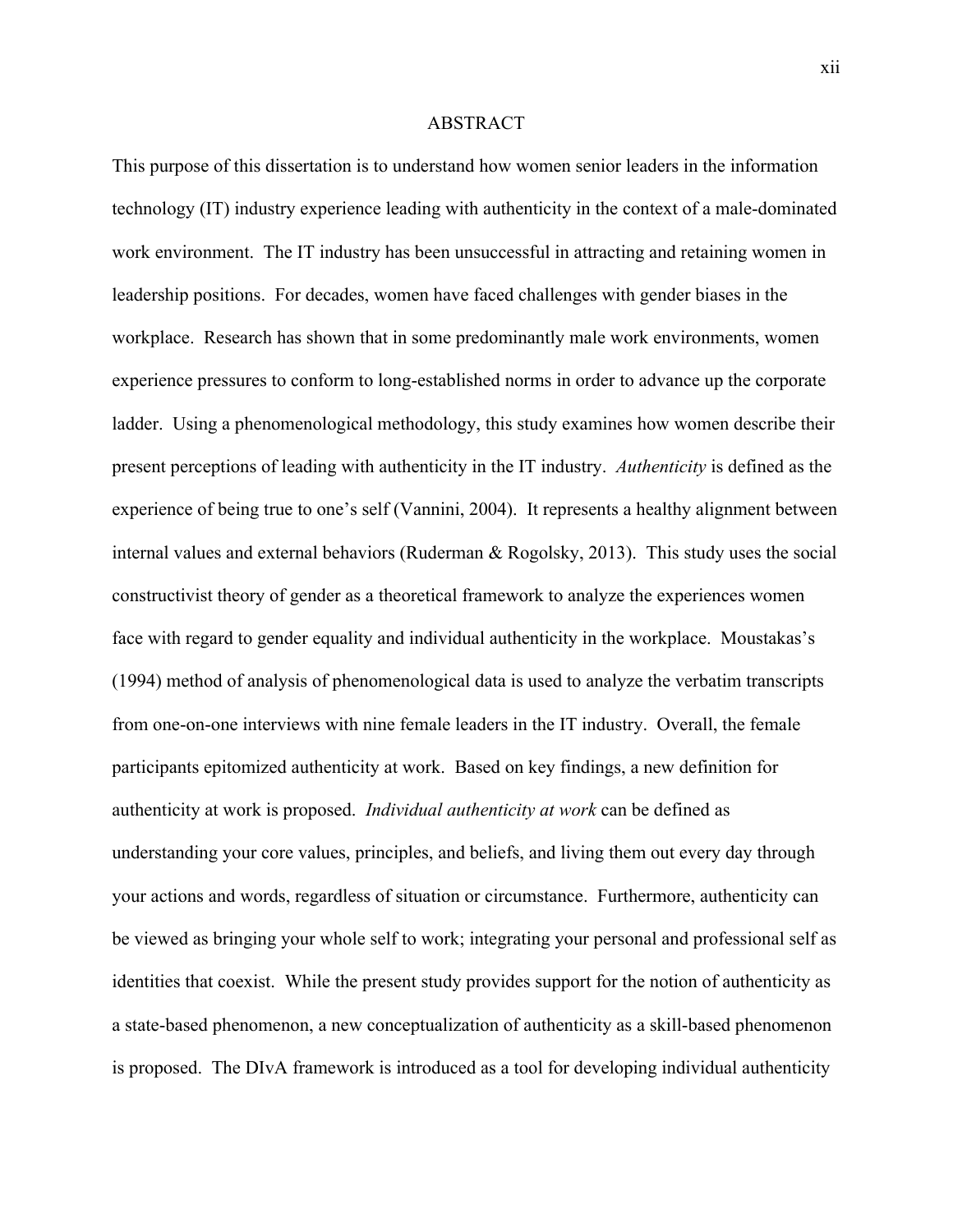#### ABSTRACT

This purpose of this dissertation is to understand how women senior leaders in the information technology (IT) industry experience leading with authenticity in the context of a male-dominated work environment. The IT industry has been unsuccessful in attracting and retaining women in leadership positions. For decades, women have faced challenges with gender biases in the workplace. Research has shown that in some predominantly male work environments, women experience pressures to conform to long-established norms in order to advance up the corporate ladder. Using a phenomenological methodology, this study examines how women describe their present perceptions of leading with authenticity in the IT industry. *Authenticity* is defined as the experience of being true to one's self (Vannini, 2004). It represents a healthy alignment between internal values and external behaviors (Ruderman  $\&$  Rogolsky, 2013). This study uses the social constructivist theory of gender as a theoretical framework to analyze the experiences women face with regard to gender equality and individual authenticity in the workplace. Moustakas's (1994) method of analysis of phenomenological data is used to analyze the verbatim transcripts from one-on-one interviews with nine female leaders in the IT industry. Overall, the female participants epitomized authenticity at work. Based on key findings, a new definition for authenticity at work is proposed. *Individual authenticity at work* can be defined as understanding your core values, principles, and beliefs, and living them out every day through your actions and words, regardless of situation or circumstance. Furthermore, authenticity can be viewed as bringing your whole self to work; integrating your personal and professional self as identities that coexist. While the present study provides support for the notion of authenticity as a state-based phenomenon, a new conceptualization of authenticity as a skill-based phenomenon is proposed. The DIvA framework is introduced as a tool for developing individual authenticity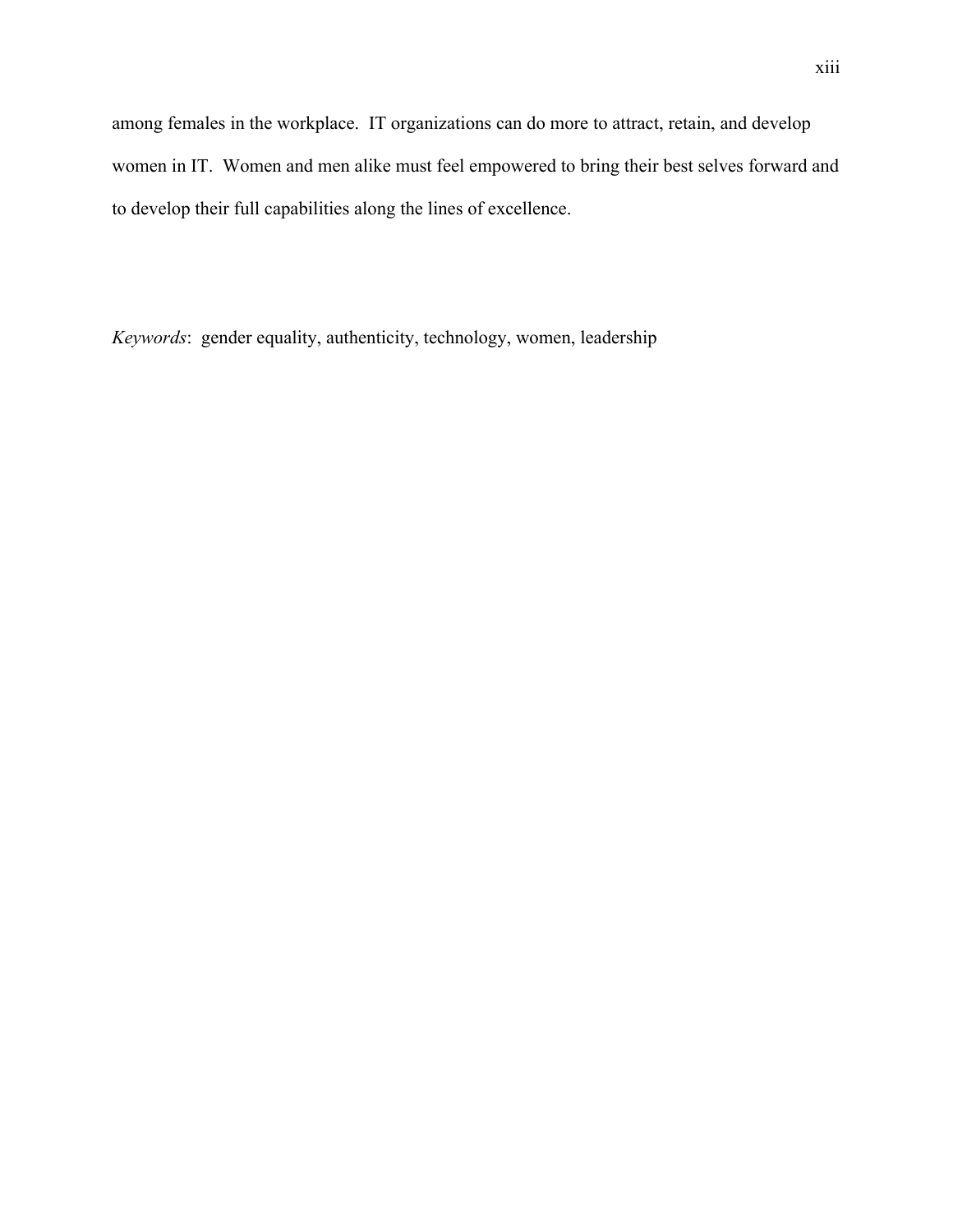among females in the workplace. IT organizations can do more to attract, retain, and develop women in IT. Women and men alike must feel empowered to bring their best selves forward and to develop their full capabilities along the lines of excellence.

*Keywords*: gender equality, authenticity, technology, women, leadership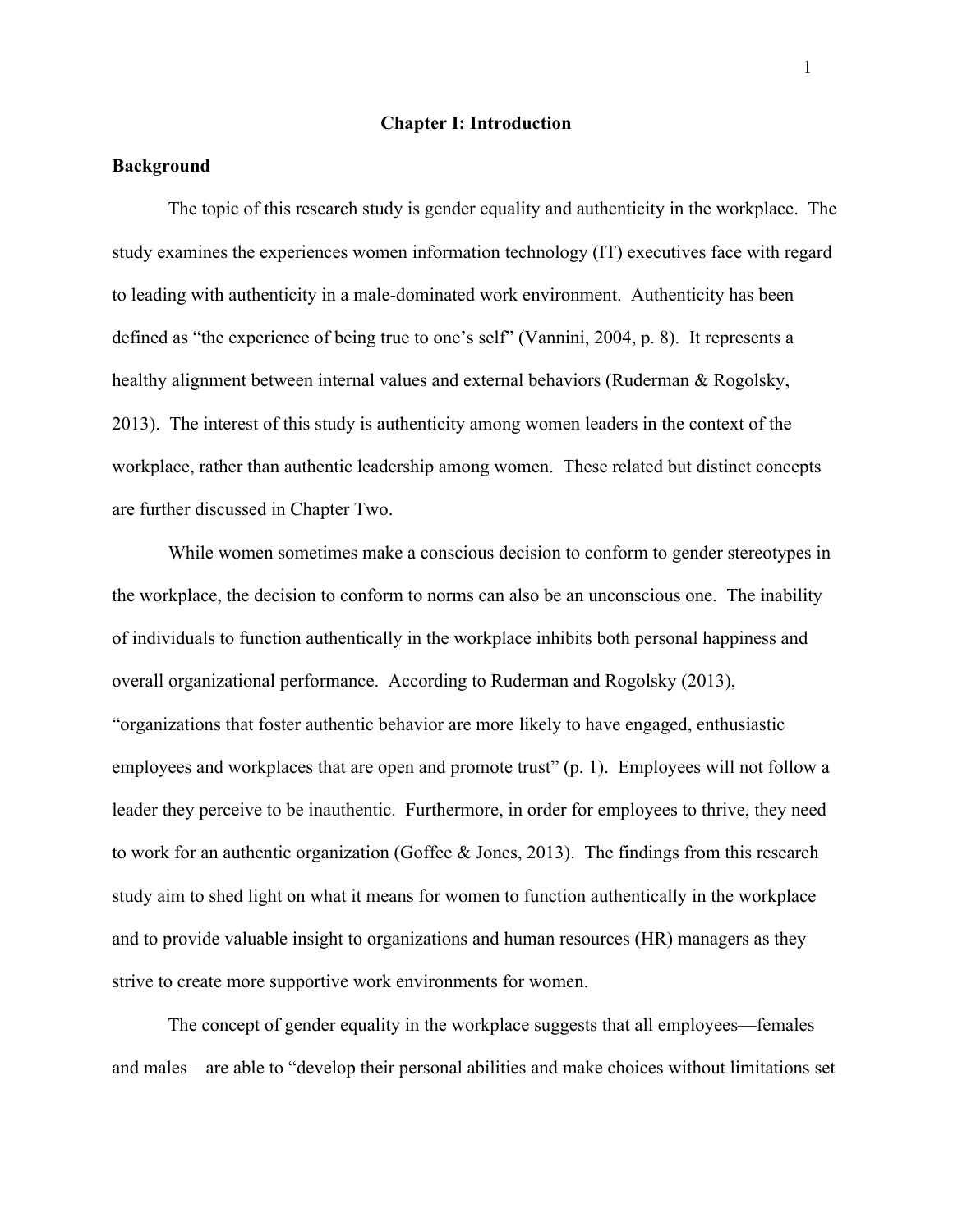## **Chapter I: Introduction**

## **Background**

The topic of this research study is gender equality and authenticity in the workplace. The study examines the experiences women information technology (IT) executives face with regard to leading with authenticity in a male-dominated work environment. Authenticity has been defined as "the experience of being true to one's self" (Vannini, 2004, p. 8). It represents a healthy alignment between internal values and external behaviors (Ruderman & Rogolsky, 2013). The interest of this study is authenticity among women leaders in the context of the workplace, rather than authentic leadership among women. These related but distinct concepts are further discussed in Chapter Two.

While women sometimes make a conscious decision to conform to gender stereotypes in the workplace, the decision to conform to norms can also be an unconscious one. The inability of individuals to function authentically in the workplace inhibits both personal happiness and overall organizational performance. According to Ruderman and Rogolsky (2013), "organizations that foster authentic behavior are more likely to have engaged, enthusiastic employees and workplaces that are open and promote trust" (p. 1). Employees will not follow a leader they perceive to be inauthentic. Furthermore, in order for employees to thrive, they need to work for an authentic organization (Goffee & Jones, 2013). The findings from this research study aim to shed light on what it means for women to function authentically in the workplace and to provide valuable insight to organizations and human resources (HR) managers as they strive to create more supportive work environments for women.

The concept of gender equality in the workplace suggests that all employees—females and males—are able to "develop their personal abilities and make choices without limitations set

1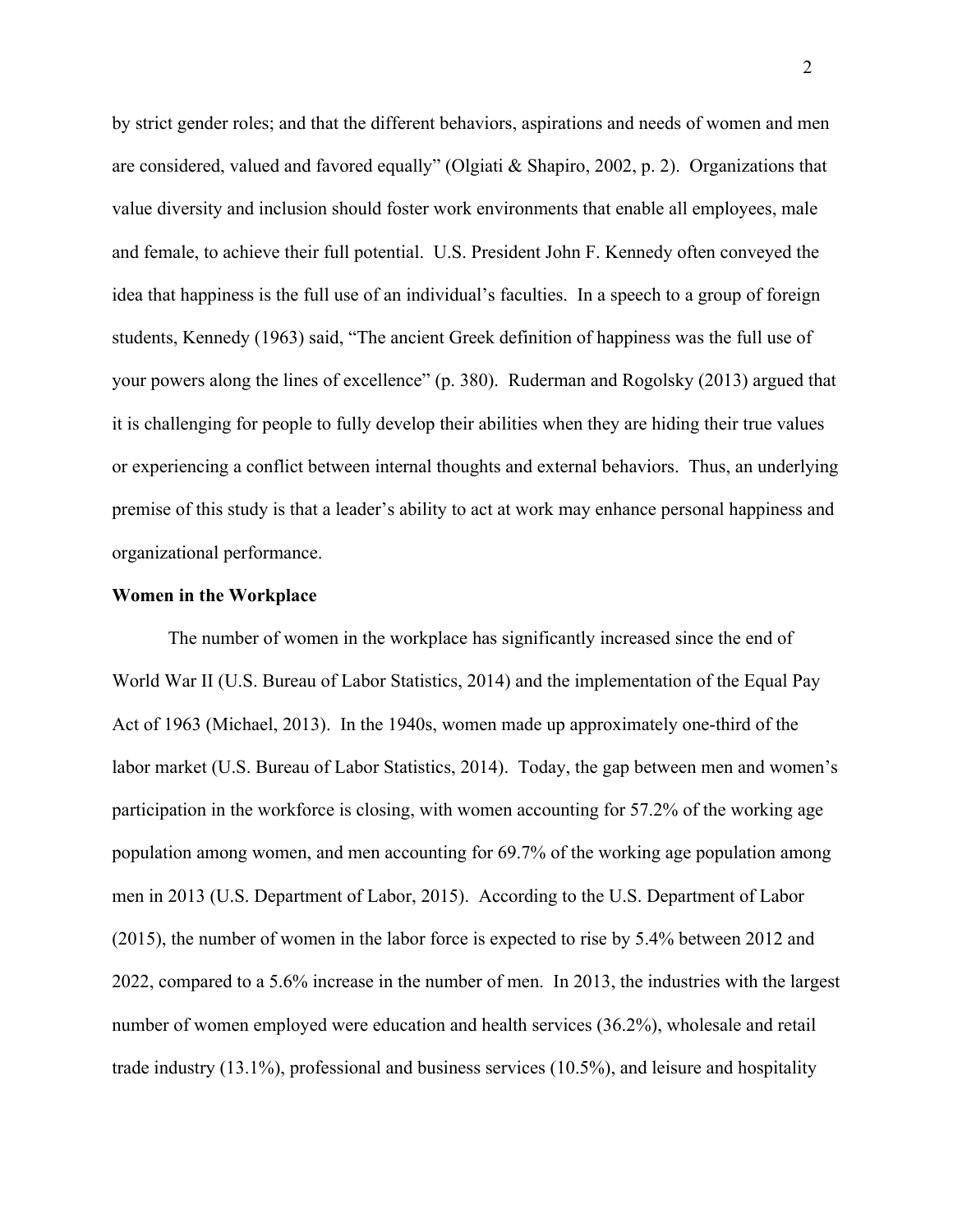by strict gender roles; and that the different behaviors, aspirations and needs of women and men are considered, valued and favored equally" (Olgiati & Shapiro, 2002, p. 2). Organizations that value diversity and inclusion should foster work environments that enable all employees, male and female, to achieve their full potential. U.S. President John F. Kennedy often conveyed the idea that happiness is the full use of an individual's faculties. In a speech to a group of foreign students, Kennedy (1963) said, "The ancient Greek definition of happiness was the full use of your powers along the lines of excellence" (p. 380). Ruderman and Rogolsky (2013) argued that it is challenging for people to fully develop their abilities when they are hiding their true values or experiencing a conflict between internal thoughts and external behaviors. Thus, an underlying premise of this study is that a leader's ability to act at work may enhance personal happiness and organizational performance.

## **Women in the Workplace**

The number of women in the workplace has significantly increased since the end of World War II (U.S. Bureau of Labor Statistics, 2014) and the implementation of the Equal Pay Act of 1963 (Michael, 2013). In the 1940s, women made up approximately one-third of the labor market (U.S. Bureau of Labor Statistics, 2014). Today, the gap between men and women's participation in the workforce is closing, with women accounting for 57.2% of the working age population among women, and men accounting for 69.7% of the working age population among men in 2013 (U.S. Department of Labor, 2015). According to the U.S. Department of Labor (2015), the number of women in the labor force is expected to rise by 5.4% between 2012 and 2022, compared to a 5.6% increase in the number of men. In 2013, the industries with the largest number of women employed were education and health services (36.2%), wholesale and retail trade industry (13.1%), professional and business services (10.5%), and leisure and hospitality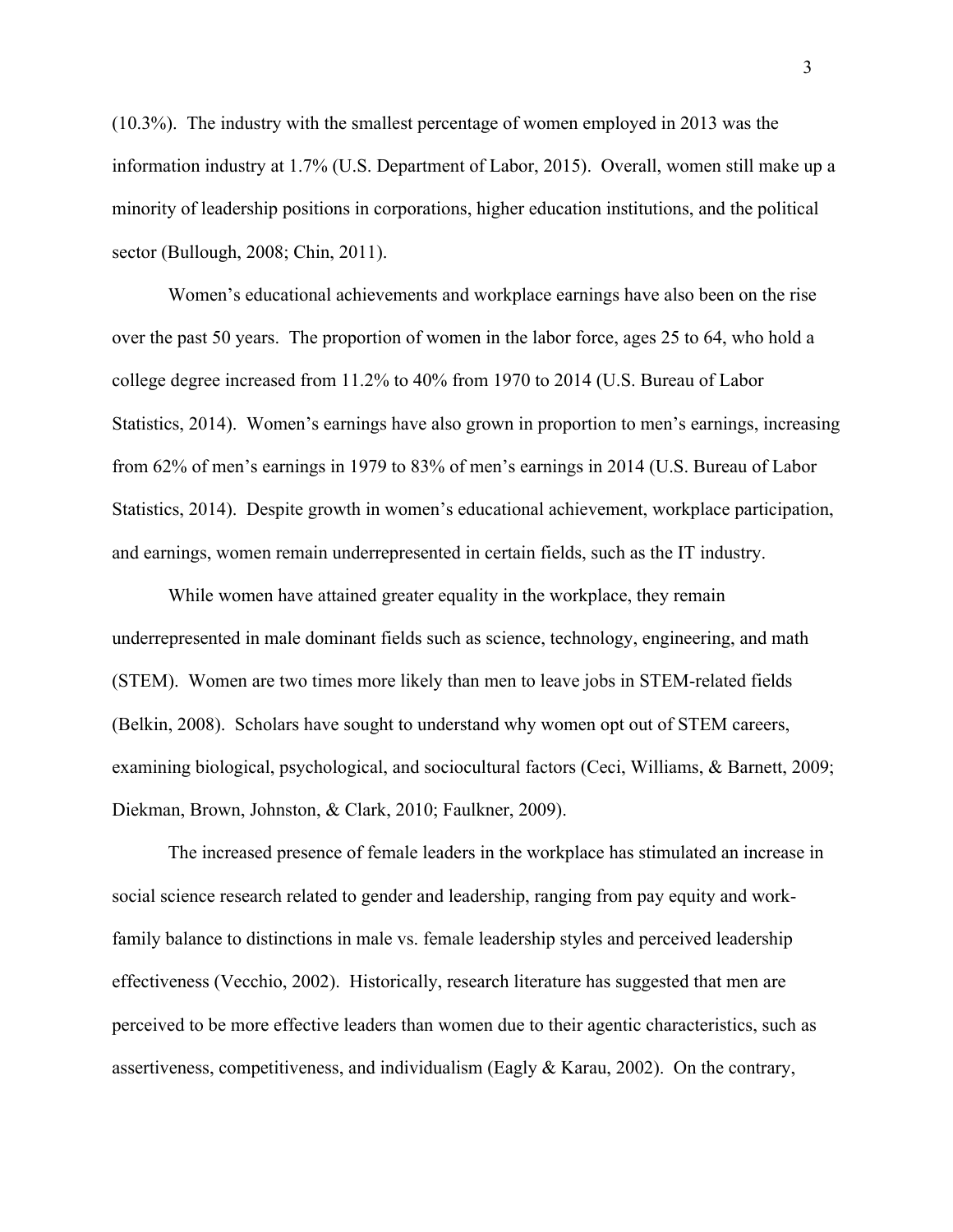(10.3%). The industry with the smallest percentage of women employed in 2013 was the information industry at 1.7% (U.S. Department of Labor, 2015). Overall, women still make up a minority of leadership positions in corporations, higher education institutions, and the political sector (Bullough, 2008; Chin, 2011).

Women's educational achievements and workplace earnings have also been on the rise over the past 50 years. The proportion of women in the labor force, ages 25 to 64, who hold a college degree increased from 11.2% to 40% from 1970 to 2014 (U.S. Bureau of Labor Statistics, 2014). Women's earnings have also grown in proportion to men's earnings, increasing from 62% of men's earnings in 1979 to 83% of men's earnings in 2014 (U.S. Bureau of Labor Statistics, 2014). Despite growth in women's educational achievement, workplace participation, and earnings, women remain underrepresented in certain fields, such as the IT industry.

While women have attained greater equality in the workplace, they remain underrepresented in male dominant fields such as science, technology, engineering, and math (STEM). Women are two times more likely than men to leave jobs in STEM-related fields (Belkin, 2008). Scholars have sought to understand why women opt out of STEM careers, examining biological, psychological, and sociocultural factors (Ceci, Williams, & Barnett, 2009; Diekman, Brown, Johnston, & Clark, 2010; Faulkner, 2009).

The increased presence of female leaders in the workplace has stimulated an increase in social science research related to gender and leadership, ranging from pay equity and workfamily balance to distinctions in male vs. female leadership styles and perceived leadership effectiveness (Vecchio, 2002). Historically, research literature has suggested that men are perceived to be more effective leaders than women due to their agentic characteristics, such as assertiveness, competitiveness, and individualism (Eagly & Karau, 2002). On the contrary,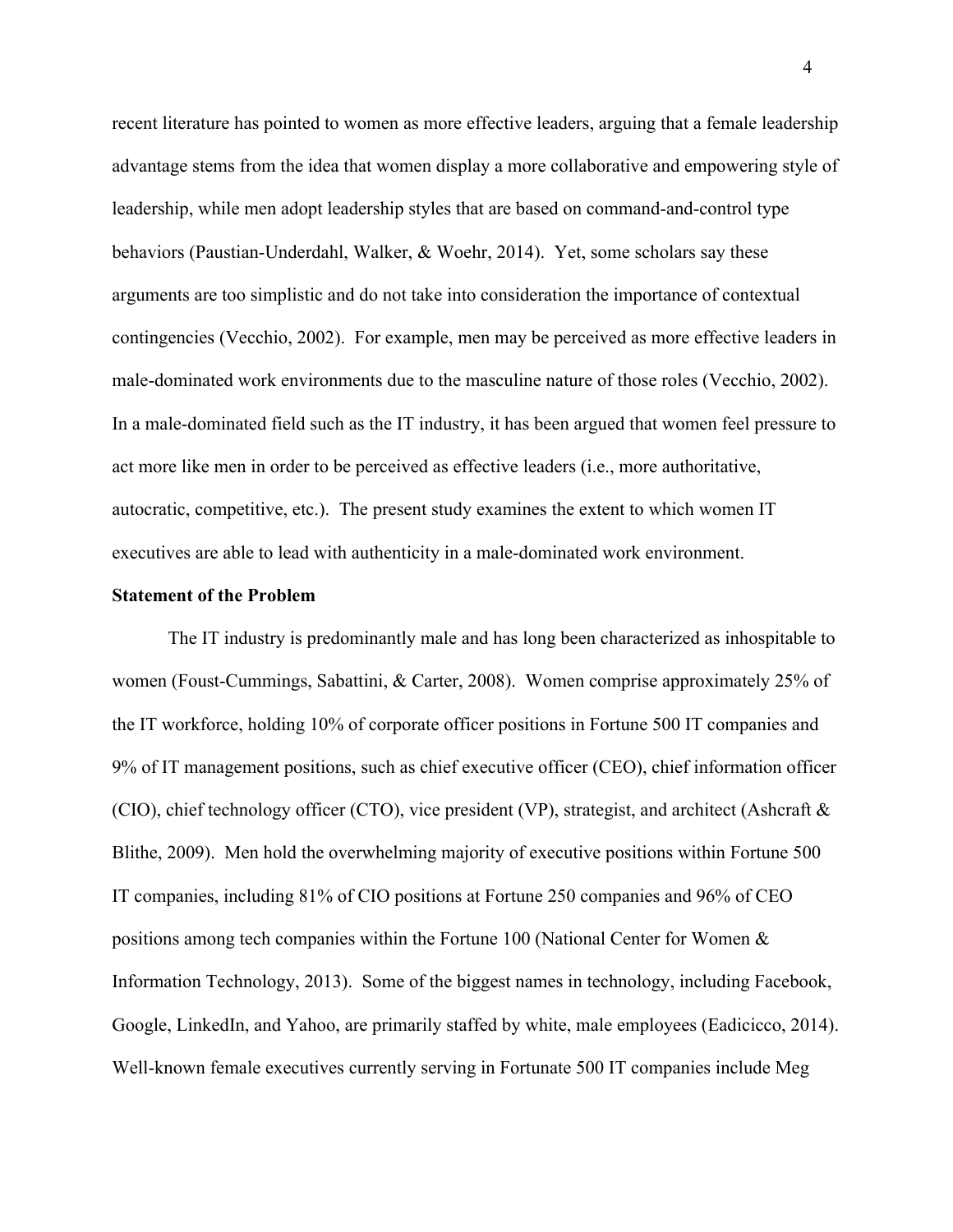recent literature has pointed to women as more effective leaders, arguing that a female leadership advantage stems from the idea that women display a more collaborative and empowering style of leadership, while men adopt leadership styles that are based on command-and-control type behaviors (Paustian-Underdahl, Walker, & Woehr, 2014). Yet, some scholars say these arguments are too simplistic and do not take into consideration the importance of contextual contingencies (Vecchio, 2002). For example, men may be perceived as more effective leaders in male-dominated work environments due to the masculine nature of those roles (Vecchio, 2002). In a male-dominated field such as the IT industry, it has been argued that women feel pressure to act more like men in order to be perceived as effective leaders (i.e., more authoritative, autocratic, competitive, etc.). The present study examines the extent to which women IT executives are able to lead with authenticity in a male-dominated work environment.

# **Statement of the Problem**

The IT industry is predominantly male and has long been characterized as inhospitable to women (Foust-Cummings, Sabattini, & Carter, 2008). Women comprise approximately 25% of the IT workforce, holding 10% of corporate officer positions in Fortune 500 IT companies and 9% of IT management positions, such as chief executive officer (CEO), chief information officer (CIO), chief technology officer (CTO), vice president (VP), strategist, and architect (Ashcraft  $\&$ Blithe, 2009). Men hold the overwhelming majority of executive positions within Fortune 500 IT companies, including 81% of CIO positions at Fortune 250 companies and 96% of CEO positions among tech companies within the Fortune 100 (National Center for Women & Information Technology, 2013). Some of the biggest names in technology, including Facebook, Google, LinkedIn, and Yahoo, are primarily staffed by white, male employees (Eadicicco, 2014). Well-known female executives currently serving in Fortunate 500 IT companies include Meg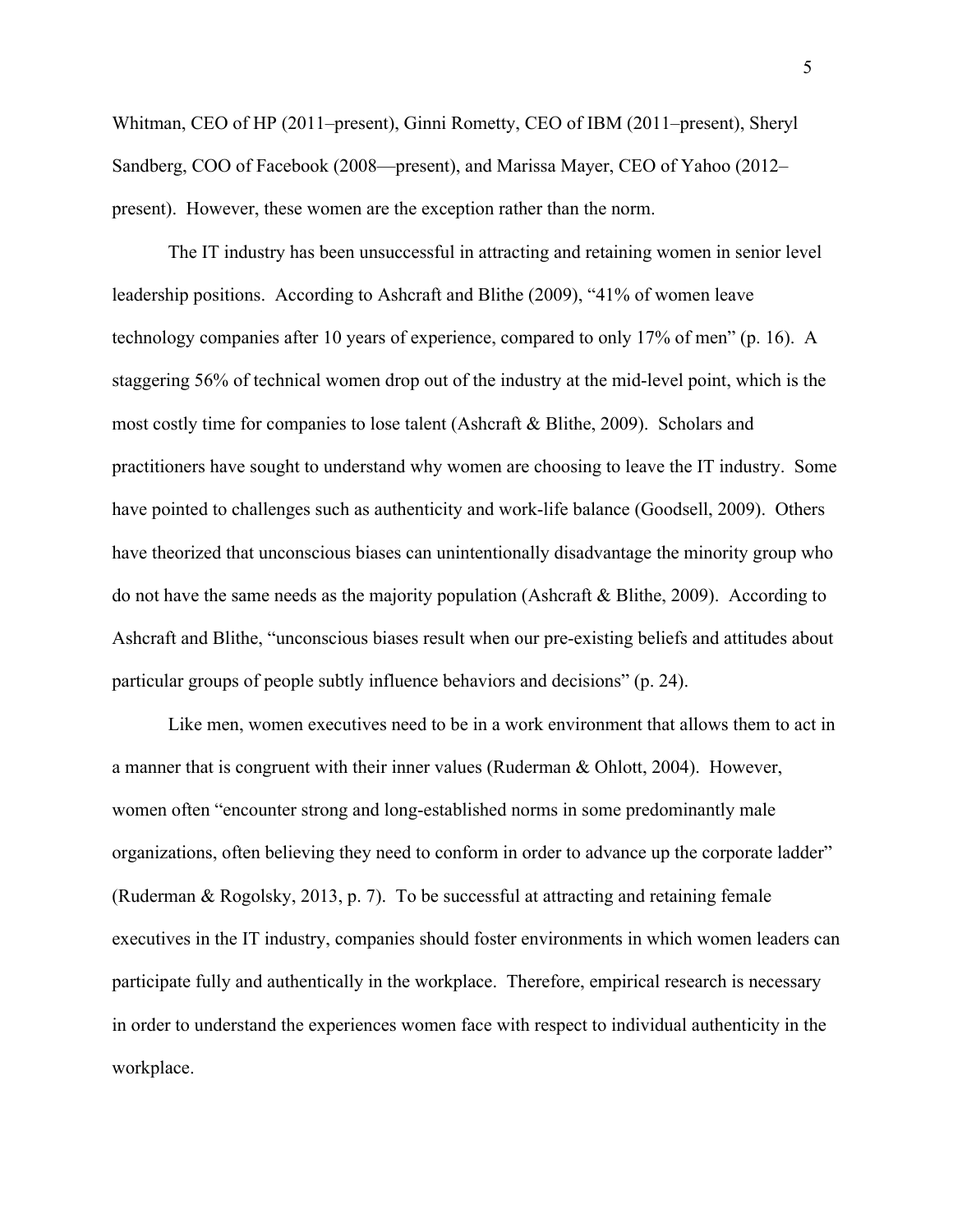Whitman, CEO of HP (2011–present), Ginni Rometty, CEO of IBM (2011–present), Sheryl Sandberg, COO of Facebook (2008—present), and Marissa Mayer, CEO of Yahoo (2012– present). However, these women are the exception rather than the norm.

The IT industry has been unsuccessful in attracting and retaining women in senior level leadership positions. According to Ashcraft and Blithe (2009), "41% of women leave technology companies after 10 years of experience, compared to only 17% of men" (p. 16). A staggering 56% of technical women drop out of the industry at the mid-level point, which is the most costly time for companies to lose talent (Ashcraft & Blithe, 2009). Scholars and practitioners have sought to understand why women are choosing to leave the IT industry. Some have pointed to challenges such as authenticity and work-life balance (Goodsell, 2009). Others have theorized that unconscious biases can unintentionally disadvantage the minority group who do not have the same needs as the majority population (Ashcraft  $\&$  Blithe, 2009). According to Ashcraft and Blithe, "unconscious biases result when our pre-existing beliefs and attitudes about particular groups of people subtly influence behaviors and decisions" (p. 24).

Like men, women executives need to be in a work environment that allows them to act in a manner that is congruent with their inner values (Ruderman & Ohlott, 2004). However, women often "encounter strong and long-established norms in some predominantly male organizations, often believing they need to conform in order to advance up the corporate ladder" (Ruderman & Rogolsky, 2013, p. 7). To be successful at attracting and retaining female executives in the IT industry, companies should foster environments in which women leaders can participate fully and authentically in the workplace. Therefore, empirical research is necessary in order to understand the experiences women face with respect to individual authenticity in the workplace.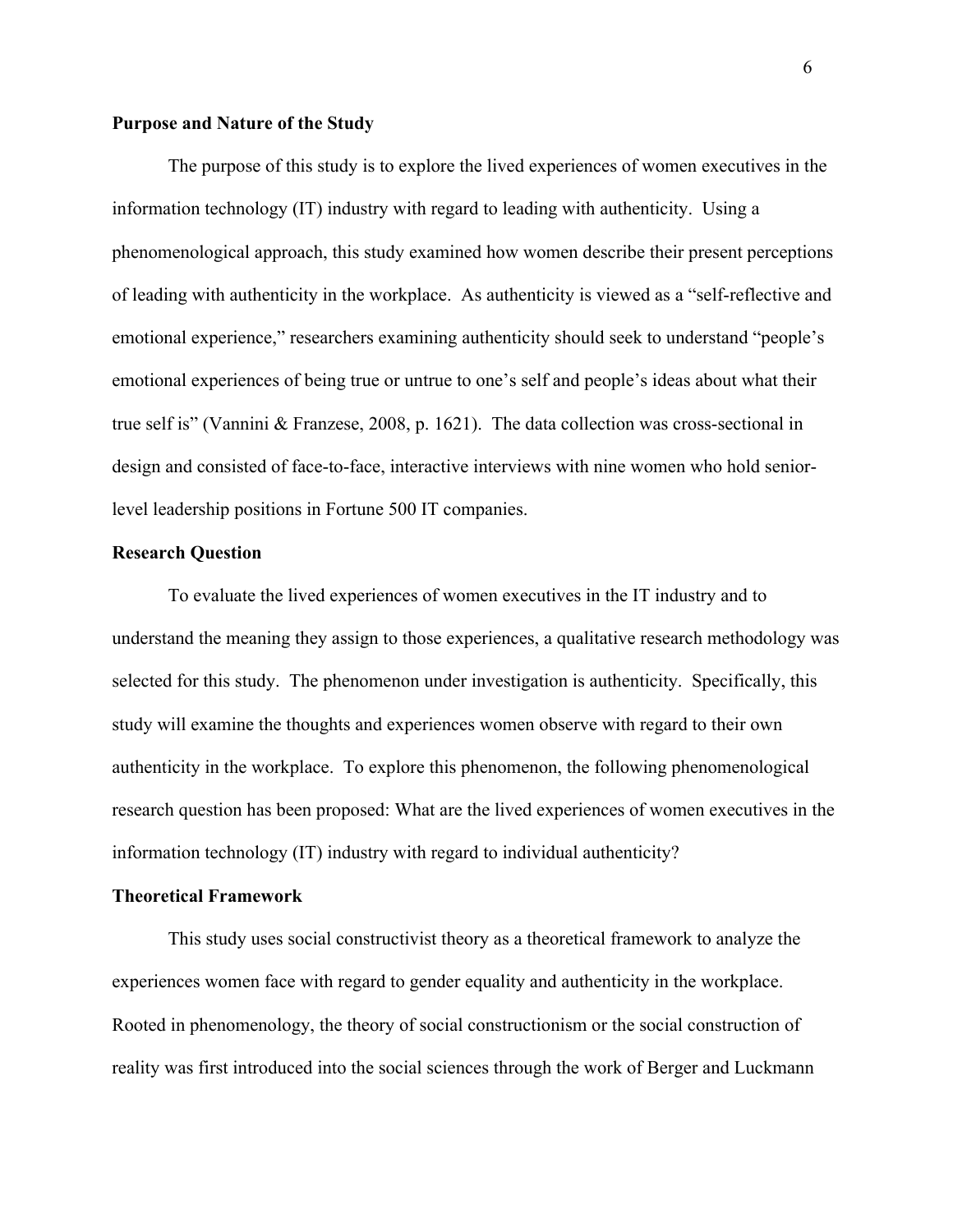# **Purpose and Nature of the Study**

The purpose of this study is to explore the lived experiences of women executives in the information technology (IT) industry with regard to leading with authenticity. Using a phenomenological approach, this study examined how women describe their present perceptions of leading with authenticity in the workplace. As authenticity is viewed as a "self-reflective and emotional experience," researchers examining authenticity should seek to understand "people's emotional experiences of being true or untrue to one's self and people's ideas about what their true self is" (Vannini & Franzese, 2008, p. 1621). The data collection was cross-sectional in design and consisted of face-to-face, interactive interviews with nine women who hold seniorlevel leadership positions in Fortune 500 IT companies.

## **Research Question**

To evaluate the lived experiences of women executives in the IT industry and to understand the meaning they assign to those experiences, a qualitative research methodology was selected for this study. The phenomenon under investigation is authenticity. Specifically, this study will examine the thoughts and experiences women observe with regard to their own authenticity in the workplace. To explore this phenomenon, the following phenomenological research question has been proposed: What are the lived experiences of women executives in the information technology (IT) industry with regard to individual authenticity?

#### **Theoretical Framework**

This study uses social constructivist theory as a theoretical framework to analyze the experiences women face with regard to gender equality and authenticity in the workplace. Rooted in phenomenology, the theory of social constructionism or the social construction of reality was first introduced into the social sciences through the work of Berger and Luckmann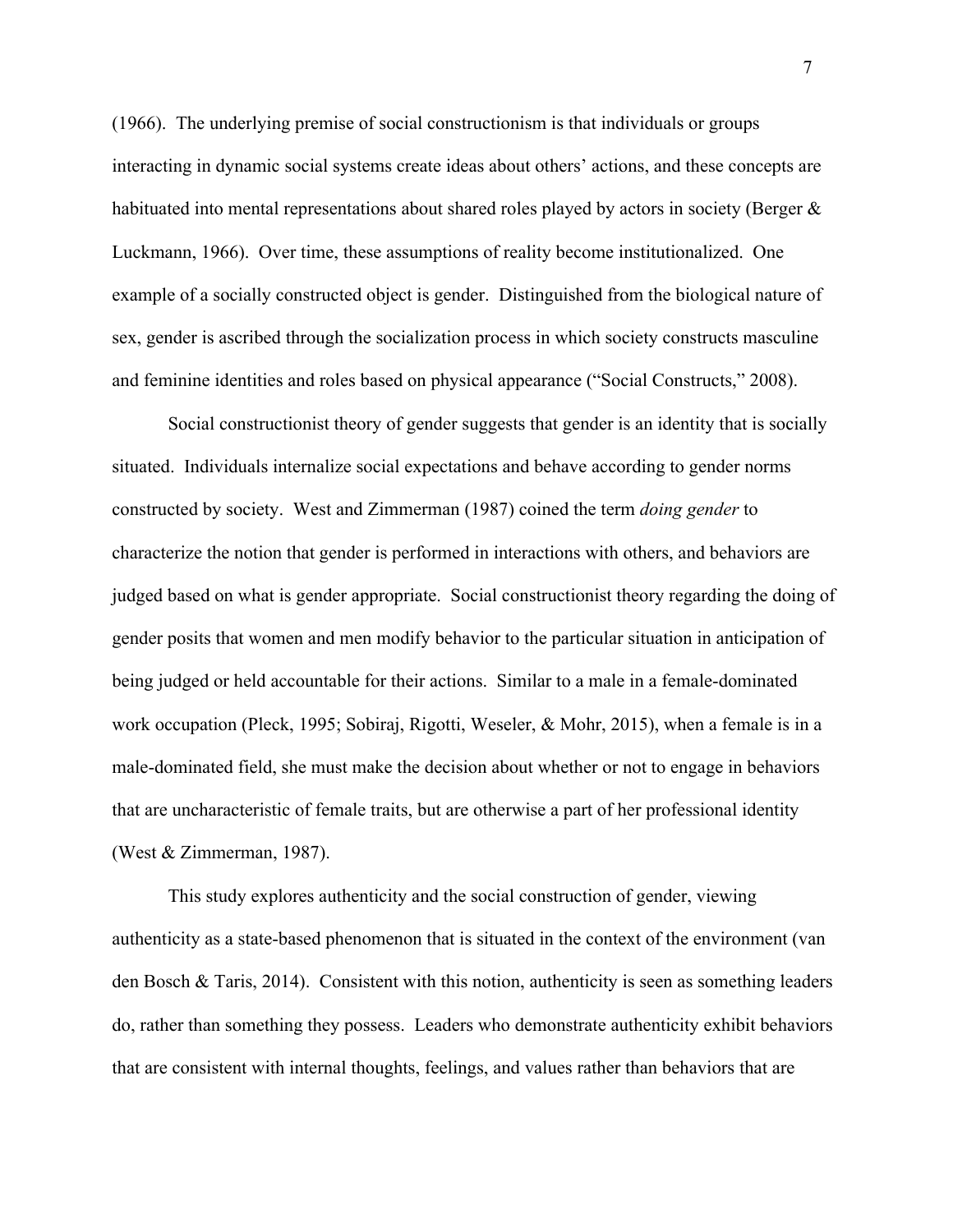(1966). The underlying premise of social constructionism is that individuals or groups interacting in dynamic social systems create ideas about others' actions, and these concepts are habituated into mental representations about shared roles played by actors in society (Berger & Luckmann, 1966). Over time, these assumptions of reality become institutionalized. One example of a socially constructed object is gender. Distinguished from the biological nature of sex, gender is ascribed through the socialization process in which society constructs masculine and feminine identities and roles based on physical appearance ("Social Constructs," 2008).

Social constructionist theory of gender suggests that gender is an identity that is socially situated. Individuals internalize social expectations and behave according to gender norms constructed by society. West and Zimmerman (1987) coined the term *doing gender* to characterize the notion that gender is performed in interactions with others, and behaviors are judged based on what is gender appropriate. Social constructionist theory regarding the doing of gender posits that women and men modify behavior to the particular situation in anticipation of being judged or held accountable for their actions. Similar to a male in a female-dominated work occupation (Pleck, 1995; Sobiraj, Rigotti, Weseler, & Mohr, 2015), when a female is in a male-dominated field, she must make the decision about whether or not to engage in behaviors that are uncharacteristic of female traits, but are otherwise a part of her professional identity (West & Zimmerman, 1987).

This study explores authenticity and the social construction of gender, viewing authenticity as a state-based phenomenon that is situated in the context of the environment (van den Bosch & Taris, 2014). Consistent with this notion, authenticity is seen as something leaders do, rather than something they possess. Leaders who demonstrate authenticity exhibit behaviors that are consistent with internal thoughts, feelings, and values rather than behaviors that are

7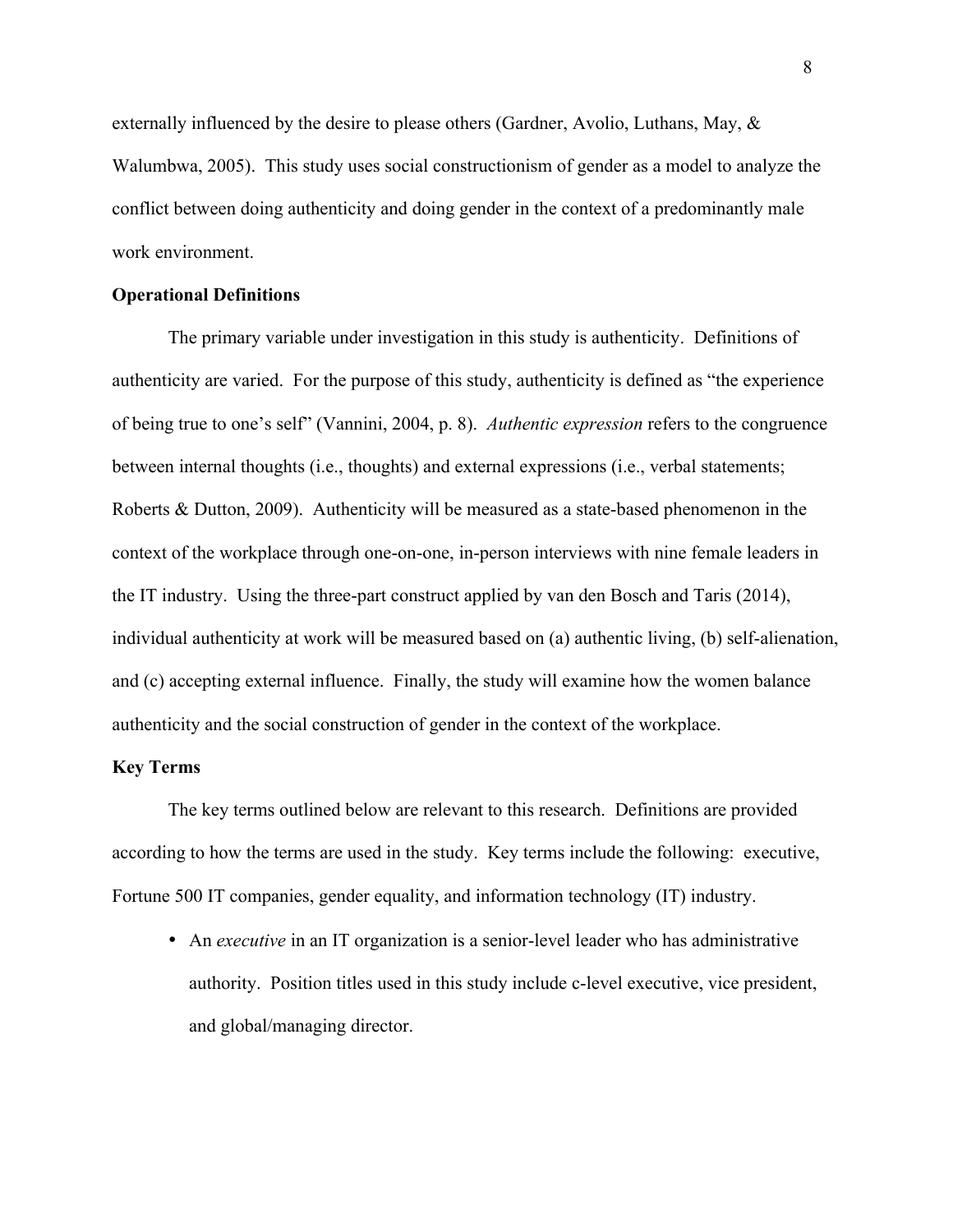externally influenced by the desire to please others (Gardner, Avolio, Luthans, May, & Walumbwa, 2005). This study uses social constructionism of gender as a model to analyze the conflict between doing authenticity and doing gender in the context of a predominantly male work environment.

## **Operational Definitions**

The primary variable under investigation in this study is authenticity. Definitions of authenticity are varied. For the purpose of this study, authenticity is defined as "the experience of being true to one's self" (Vannini, 2004, p. 8). *Authentic expression* refers to the congruence between internal thoughts (i.e., thoughts) and external expressions (i.e., verbal statements; Roberts & Dutton, 2009). Authenticity will be measured as a state-based phenomenon in the context of the workplace through one-on-one, in-person interviews with nine female leaders in the IT industry. Using the three-part construct applied by van den Bosch and Taris (2014), individual authenticity at work will be measured based on (a) authentic living, (b) self-alienation, and (c) accepting external influence. Finally, the study will examine how the women balance authenticity and the social construction of gender in the context of the workplace.

# **Key Terms**

The key terms outlined below are relevant to this research. Definitions are provided according to how the terms are used in the study. Key terms include the following: executive, Fortune 500 IT companies, gender equality, and information technology (IT) industry.

• An *executive* in an IT organization is a senior-level leader who has administrative authority. Position titles used in this study include c-level executive, vice president, and global/managing director.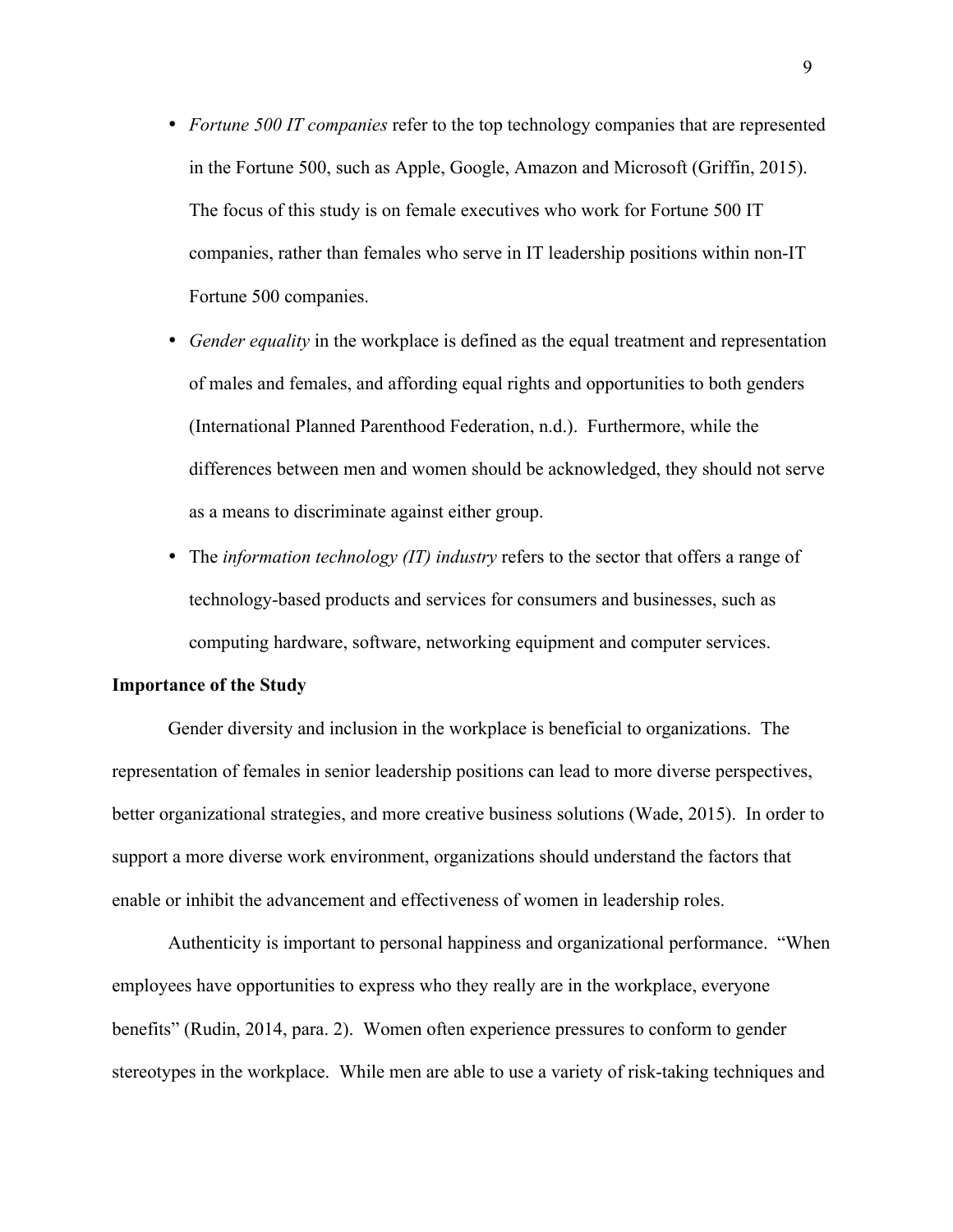- *Fortune 500 IT companies* refer to the top technology companies that are represented in the Fortune 500, such as Apple, Google, Amazon and Microsoft (Griffin, 2015). The focus of this study is on female executives who work for Fortune 500 IT companies, rather than females who serve in IT leadership positions within non-IT Fortune 500 companies.
- *Gender equality* in the workplace is defined as the equal treatment and representation of males and females, and affording equal rights and opportunities to both genders (International Planned Parenthood Federation, n.d.). Furthermore, while the differences between men and women should be acknowledged, they should not serve as a means to discriminate against either group.
- The *information technology (IT) industry* refers to the sector that offers a range of technology-based products and services for consumers and businesses, such as computing hardware, software, networking equipment and computer services.

## **Importance of the Study**

Gender diversity and inclusion in the workplace is beneficial to organizations. The representation of females in senior leadership positions can lead to more diverse perspectives, better organizational strategies, and more creative business solutions (Wade, 2015). In order to support a more diverse work environment, organizations should understand the factors that enable or inhibit the advancement and effectiveness of women in leadership roles.

Authenticity is important to personal happiness and organizational performance. "When employees have opportunities to express who they really are in the workplace, everyone benefits" (Rudin, 2014, para. 2). Women often experience pressures to conform to gender stereotypes in the workplace. While men are able to use a variety of risk-taking techniques and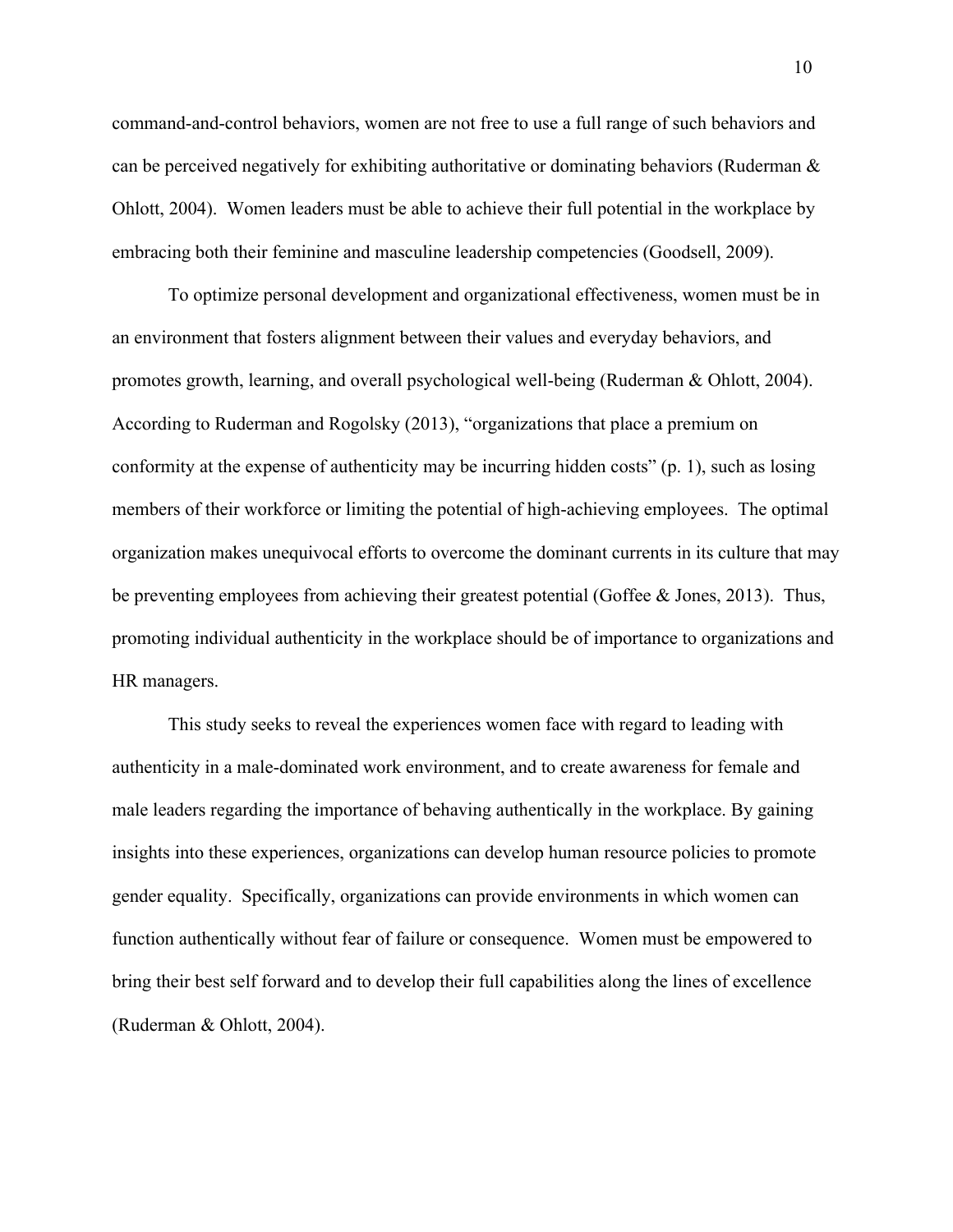command-and-control behaviors, women are not free to use a full range of such behaviors and can be perceived negatively for exhibiting authoritative or dominating behaviors (Ruderman & Ohlott, 2004). Women leaders must be able to achieve their full potential in the workplace by embracing both their feminine and masculine leadership competencies (Goodsell, 2009).

To optimize personal development and organizational effectiveness, women must be in an environment that fosters alignment between their values and everyday behaviors, and promotes growth, learning, and overall psychological well-being (Ruderman & Ohlott, 2004). According to Ruderman and Rogolsky (2013), "organizations that place a premium on conformity at the expense of authenticity may be incurring hidden costs" (p. 1), such as losing members of their workforce or limiting the potential of high-achieving employees. The optimal organization makes unequivocal efforts to overcome the dominant currents in its culture that may be preventing employees from achieving their greatest potential (Goffee & Jones, 2013). Thus, promoting individual authenticity in the workplace should be of importance to organizations and HR managers.

This study seeks to reveal the experiences women face with regard to leading with authenticity in a male-dominated work environment, and to create awareness for female and male leaders regarding the importance of behaving authentically in the workplace. By gaining insights into these experiences, organizations can develop human resource policies to promote gender equality. Specifically, organizations can provide environments in which women can function authentically without fear of failure or consequence. Women must be empowered to bring their best self forward and to develop their full capabilities along the lines of excellence (Ruderman & Ohlott, 2004).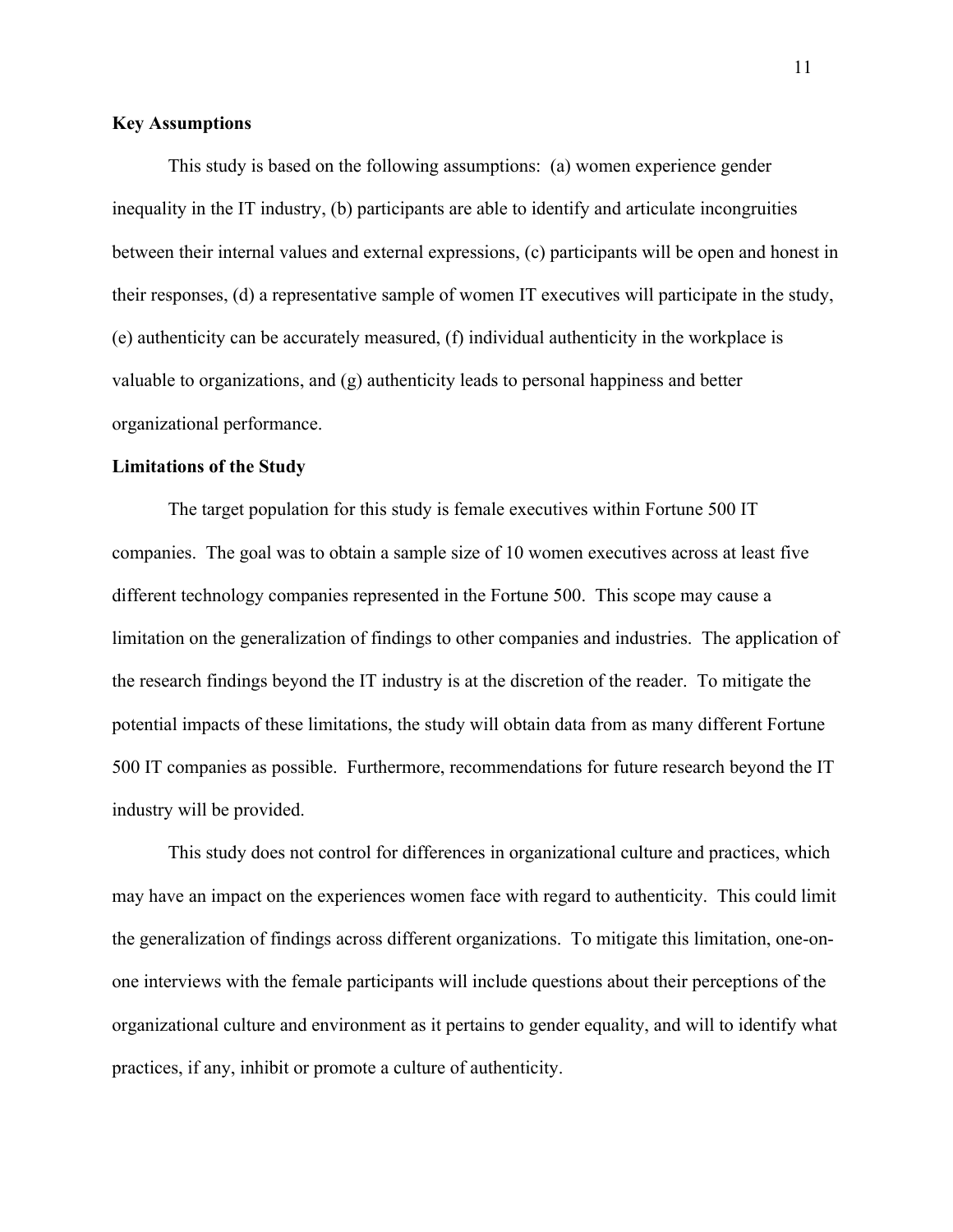# **Key Assumptions**

This study is based on the following assumptions: (a) women experience gender inequality in the IT industry, (b) participants are able to identify and articulate incongruities between their internal values and external expressions, (c) participants will be open and honest in their responses, (d) a representative sample of women IT executives will participate in the study, (e) authenticity can be accurately measured, (f) individual authenticity in the workplace is valuable to organizations, and (g) authenticity leads to personal happiness and better organizational performance.

## **Limitations of the Study**

The target population for this study is female executives within Fortune 500 IT companies. The goal was to obtain a sample size of 10 women executives across at least five different technology companies represented in the Fortune 500. This scope may cause a limitation on the generalization of findings to other companies and industries. The application of the research findings beyond the IT industry is at the discretion of the reader. To mitigate the potential impacts of these limitations, the study will obtain data from as many different Fortune 500 IT companies as possible. Furthermore, recommendations for future research beyond the IT industry will be provided.

This study does not control for differences in organizational culture and practices, which may have an impact on the experiences women face with regard to authenticity. This could limit the generalization of findings across different organizations. To mitigate this limitation, one-onone interviews with the female participants will include questions about their perceptions of the organizational culture and environment as it pertains to gender equality, and will to identify what practices, if any, inhibit or promote a culture of authenticity.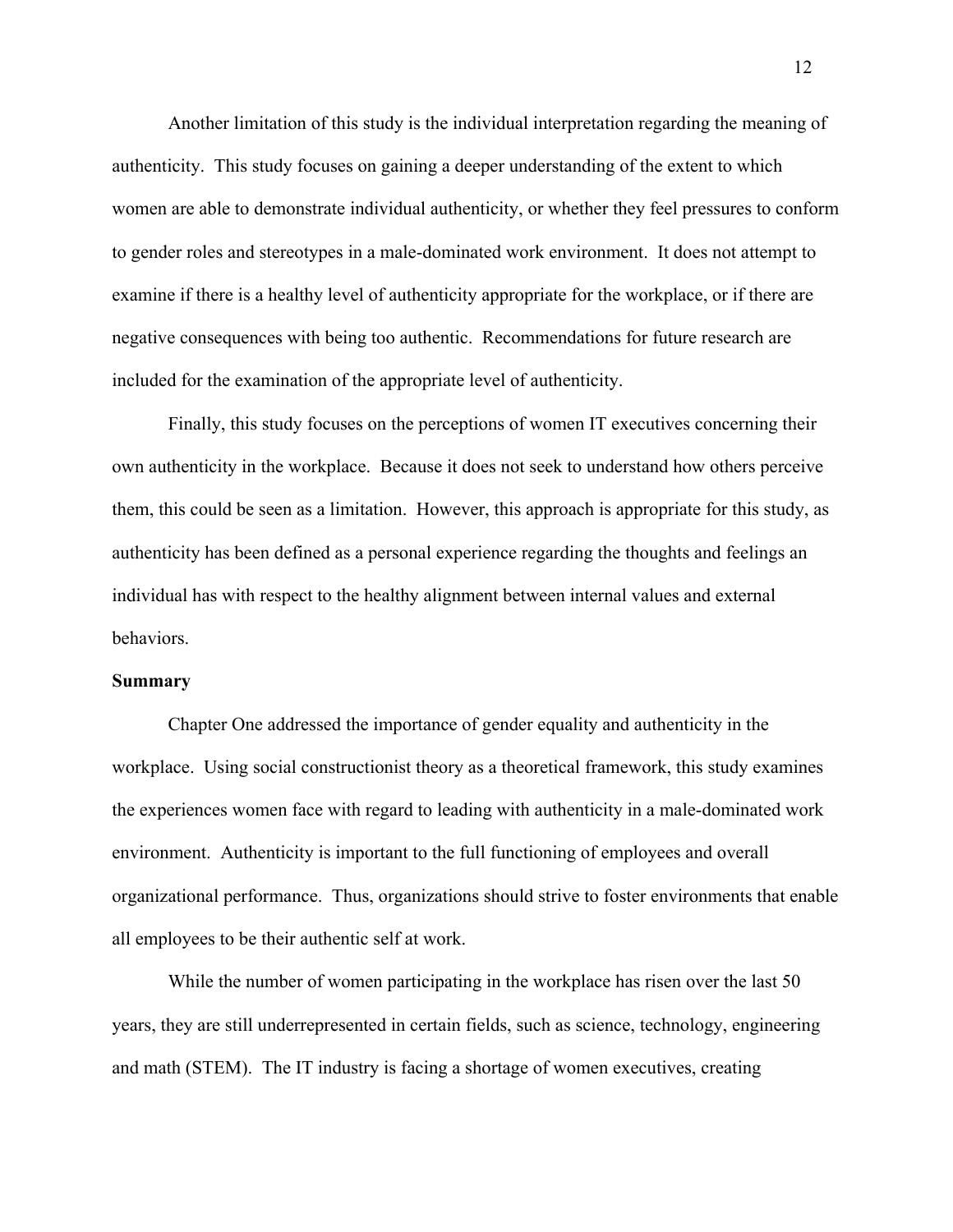Another limitation of this study is the individual interpretation regarding the meaning of authenticity. This study focuses on gaining a deeper understanding of the extent to which women are able to demonstrate individual authenticity, or whether they feel pressures to conform to gender roles and stereotypes in a male-dominated work environment. It does not attempt to examine if there is a healthy level of authenticity appropriate for the workplace, or if there are negative consequences with being too authentic. Recommendations for future research are included for the examination of the appropriate level of authenticity.

Finally, this study focuses on the perceptions of women IT executives concerning their own authenticity in the workplace. Because it does not seek to understand how others perceive them, this could be seen as a limitation. However, this approach is appropriate for this study, as authenticity has been defined as a personal experience regarding the thoughts and feelings an individual has with respect to the healthy alignment between internal values and external behaviors.

#### **Summary**

Chapter One addressed the importance of gender equality and authenticity in the workplace. Using social constructionist theory as a theoretical framework, this study examines the experiences women face with regard to leading with authenticity in a male-dominated work environment. Authenticity is important to the full functioning of employees and overall organizational performance. Thus, organizations should strive to foster environments that enable all employees to be their authentic self at work.

While the number of women participating in the workplace has risen over the last 50 years, they are still underrepresented in certain fields, such as science, technology, engineering and math (STEM). The IT industry is facing a shortage of women executives, creating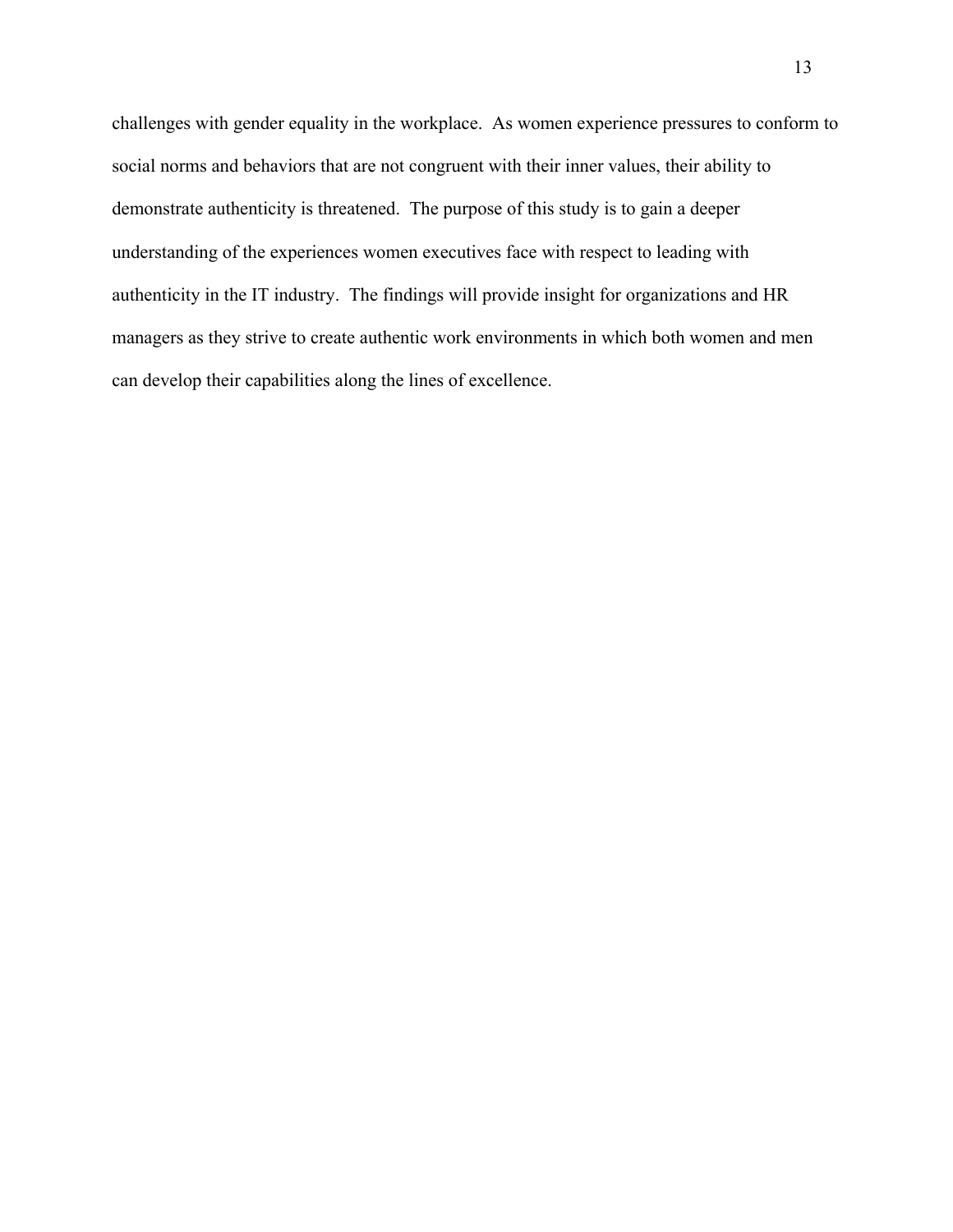challenges with gender equality in the workplace. As women experience pressures to conform to social norms and behaviors that are not congruent with their inner values, their ability to demonstrate authenticity is threatened. The purpose of this study is to gain a deeper understanding of the experiences women executives face with respect to leading with authenticity in the IT industry. The findings will provide insight for organizations and HR managers as they strive to create authentic work environments in which both women and men can develop their capabilities along the lines of excellence.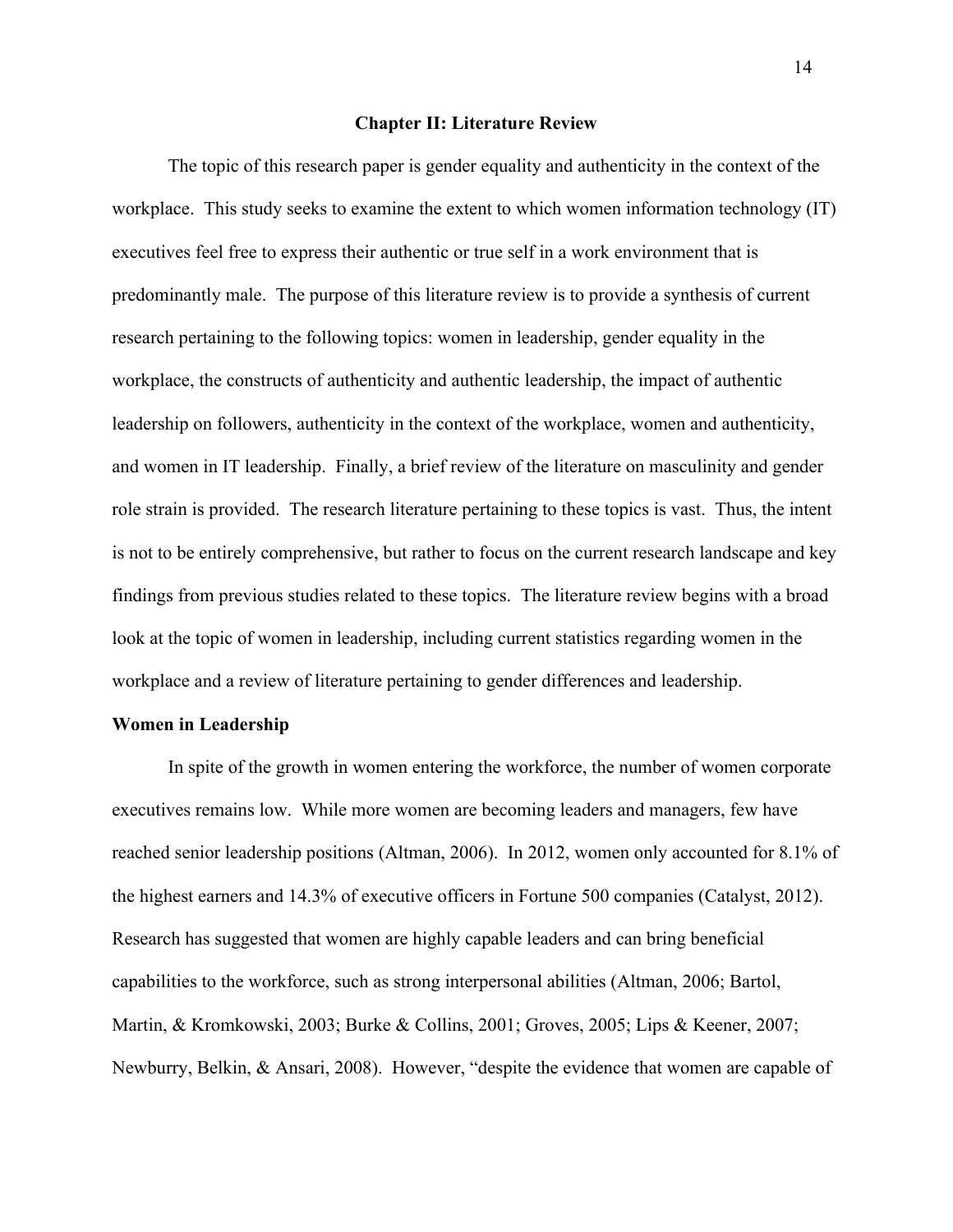#### **Chapter II: Literature Review**

The topic of this research paper is gender equality and authenticity in the context of the workplace. This study seeks to examine the extent to which women information technology (IT) executives feel free to express their authentic or true self in a work environment that is predominantly male. The purpose of this literature review is to provide a synthesis of current research pertaining to the following topics: women in leadership, gender equality in the workplace, the constructs of authenticity and authentic leadership, the impact of authentic leadership on followers, authenticity in the context of the workplace, women and authenticity, and women in IT leadership. Finally, a brief review of the literature on masculinity and gender role strain is provided. The research literature pertaining to these topics is vast. Thus, the intent is not to be entirely comprehensive, but rather to focus on the current research landscape and key findings from previous studies related to these topics. The literature review begins with a broad look at the topic of women in leadership, including current statistics regarding women in the workplace and a review of literature pertaining to gender differences and leadership.

## **Women in Leadership**

In spite of the growth in women entering the workforce, the number of women corporate executives remains low. While more women are becoming leaders and managers, few have reached senior leadership positions (Altman, 2006). In 2012, women only accounted for 8.1% of the highest earners and 14.3% of executive officers in Fortune 500 companies (Catalyst, 2012). Research has suggested that women are highly capable leaders and can bring beneficial capabilities to the workforce, such as strong interpersonal abilities (Altman, 2006; Bartol, Martin, & Kromkowski, 2003; Burke & Collins, 2001; Groves, 2005; Lips & Keener, 2007; Newburry, Belkin, & Ansari, 2008). However, "despite the evidence that women are capable of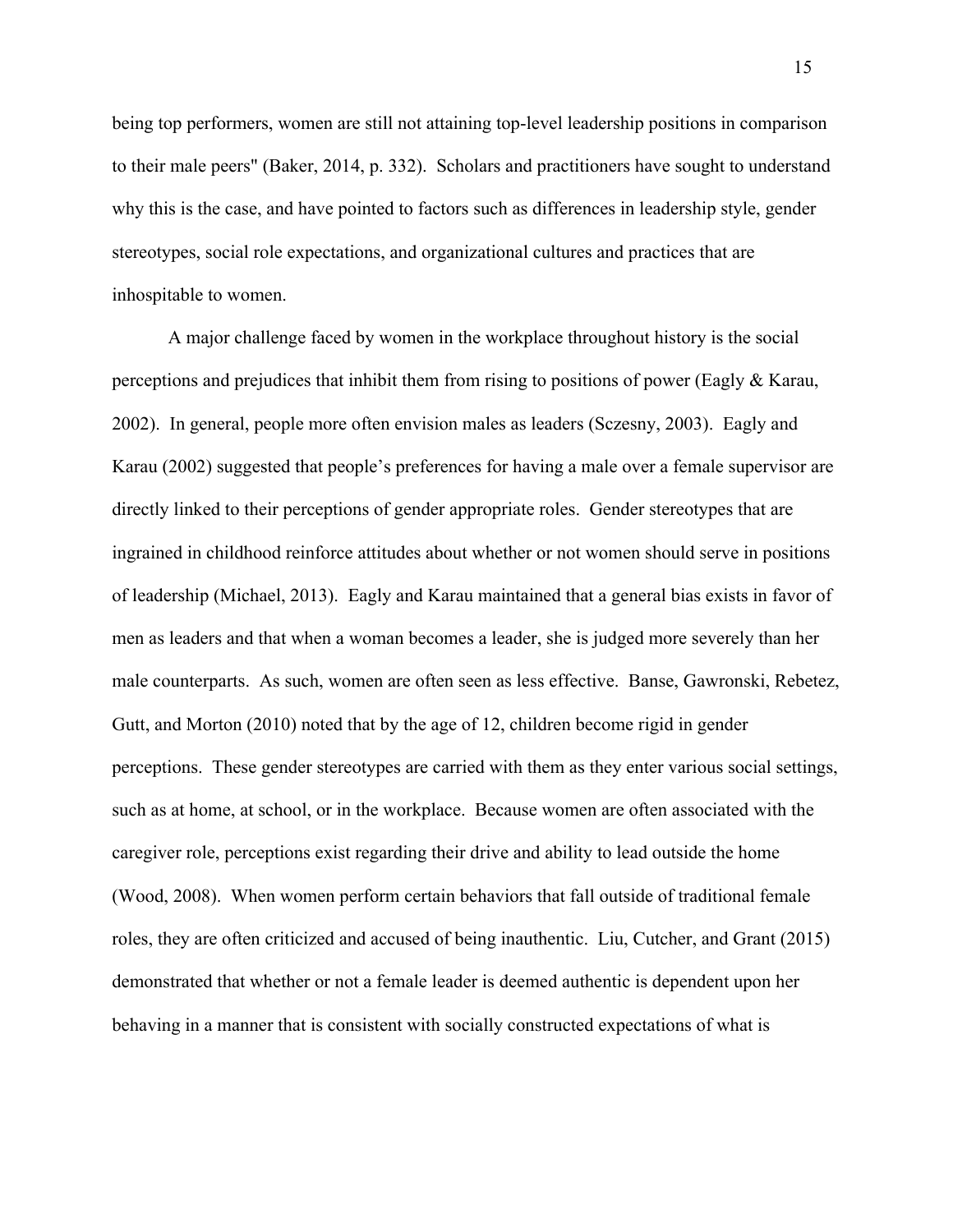being top performers, women are still not attaining top-level leadership positions in comparison to their male peers" (Baker, 2014, p. 332). Scholars and practitioners have sought to understand why this is the case, and have pointed to factors such as differences in leadership style, gender stereotypes, social role expectations, and organizational cultures and practices that are inhospitable to women.

A major challenge faced by women in the workplace throughout history is the social perceptions and prejudices that inhibit them from rising to positions of power (Eagly  $\&$  Karau, 2002). In general, people more often envision males as leaders (Sczesny, 2003). Eagly and Karau (2002) suggested that people's preferences for having a male over a female supervisor are directly linked to their perceptions of gender appropriate roles. Gender stereotypes that are ingrained in childhood reinforce attitudes about whether or not women should serve in positions of leadership (Michael, 2013). Eagly and Karau maintained that a general bias exists in favor of men as leaders and that when a woman becomes a leader, she is judged more severely than her male counterparts. As such, women are often seen as less effective. Banse, Gawronski, Rebetez, Gutt, and Morton (2010) noted that by the age of 12, children become rigid in gender perceptions. These gender stereotypes are carried with them as they enter various social settings, such as at home, at school, or in the workplace. Because women are often associated with the caregiver role, perceptions exist regarding their drive and ability to lead outside the home (Wood, 2008). When women perform certain behaviors that fall outside of traditional female roles, they are often criticized and accused of being inauthentic. Liu, Cutcher, and Grant (2015) demonstrated that whether or not a female leader is deemed authentic is dependent upon her behaving in a manner that is consistent with socially constructed expectations of what is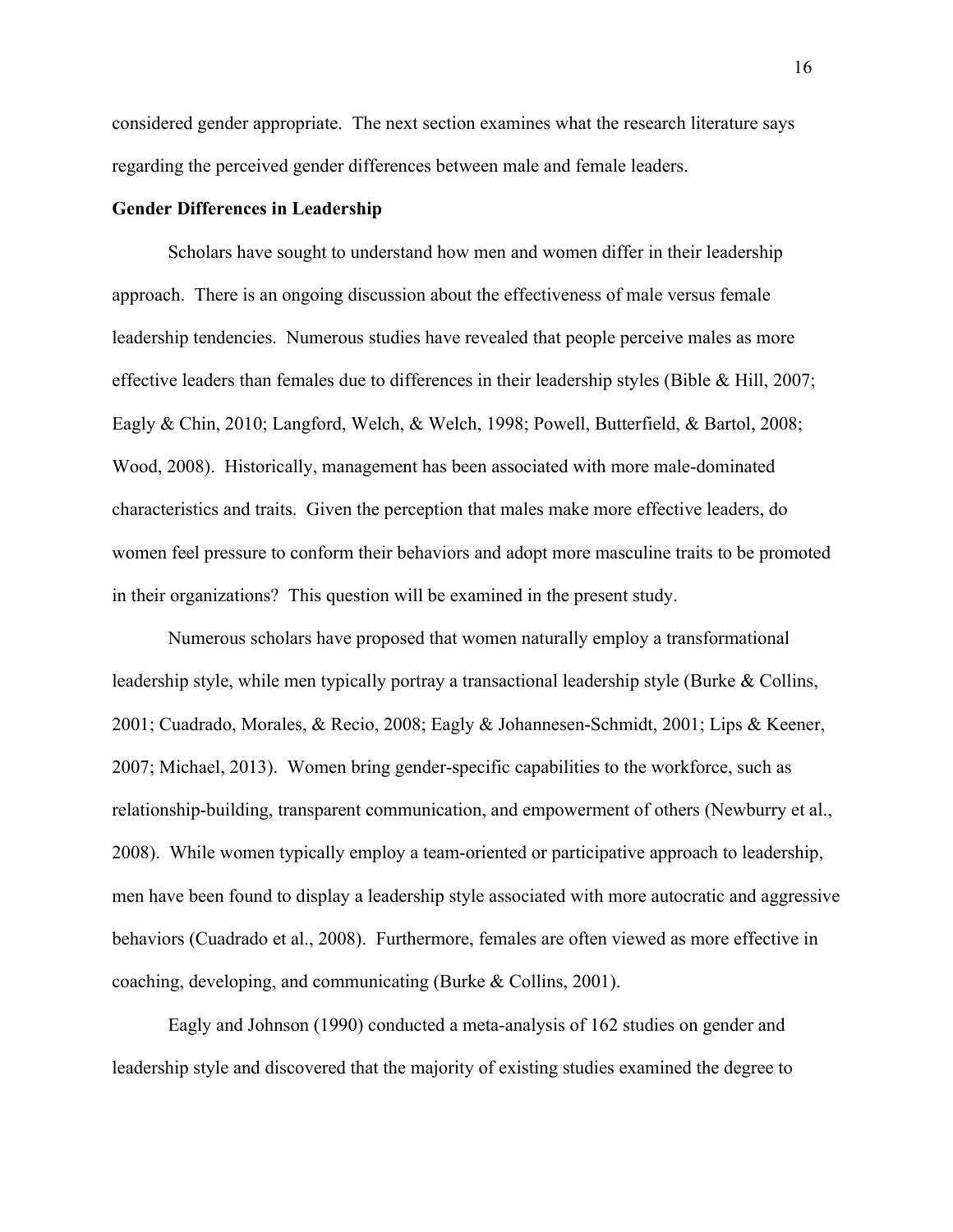considered gender appropriate. The next section examines what the research literature says regarding the perceived gender differences between male and female leaders.

# **Gender Differences in Leadership**

Scholars have sought to understand how men and women differ in their leadership approach. There is an ongoing discussion about the effectiveness of male versus female leadership tendencies. Numerous studies have revealed that people perceive males as more effective leaders than females due to differences in their leadership styles (Bible & Hill, 2007; Eagly & Chin, 2010; Langford, Welch, & Welch, 1998; Powell, Butterfield, & Bartol, 2008; Wood, 2008). Historically, management has been associated with more male-dominated characteristics and traits. Given the perception that males make more effective leaders, do women feel pressure to conform their behaviors and adopt more masculine traits to be promoted in their organizations? This question will be examined in the present study.

Numerous scholars have proposed that women naturally employ a transformational leadership style, while men typically portray a transactional leadership style (Burke & Collins, 2001; Cuadrado, Morales, & Recio, 2008; Eagly & Johannesen-Schmidt, 2001; Lips & Keener, 2007; Michael, 2013). Women bring gender-specific capabilities to the workforce, such as relationship-building, transparent communication, and empowerment of others (Newburry et al., 2008). While women typically employ a team-oriented or participative approach to leadership, men have been found to display a leadership style associated with more autocratic and aggressive behaviors (Cuadrado et al., 2008). Furthermore, females are often viewed as more effective in coaching, developing, and communicating (Burke & Collins, 2001).

Eagly and Johnson (1990) conducted a meta-analysis of 162 studies on gender and leadership style and discovered that the majority of existing studies examined the degree to

16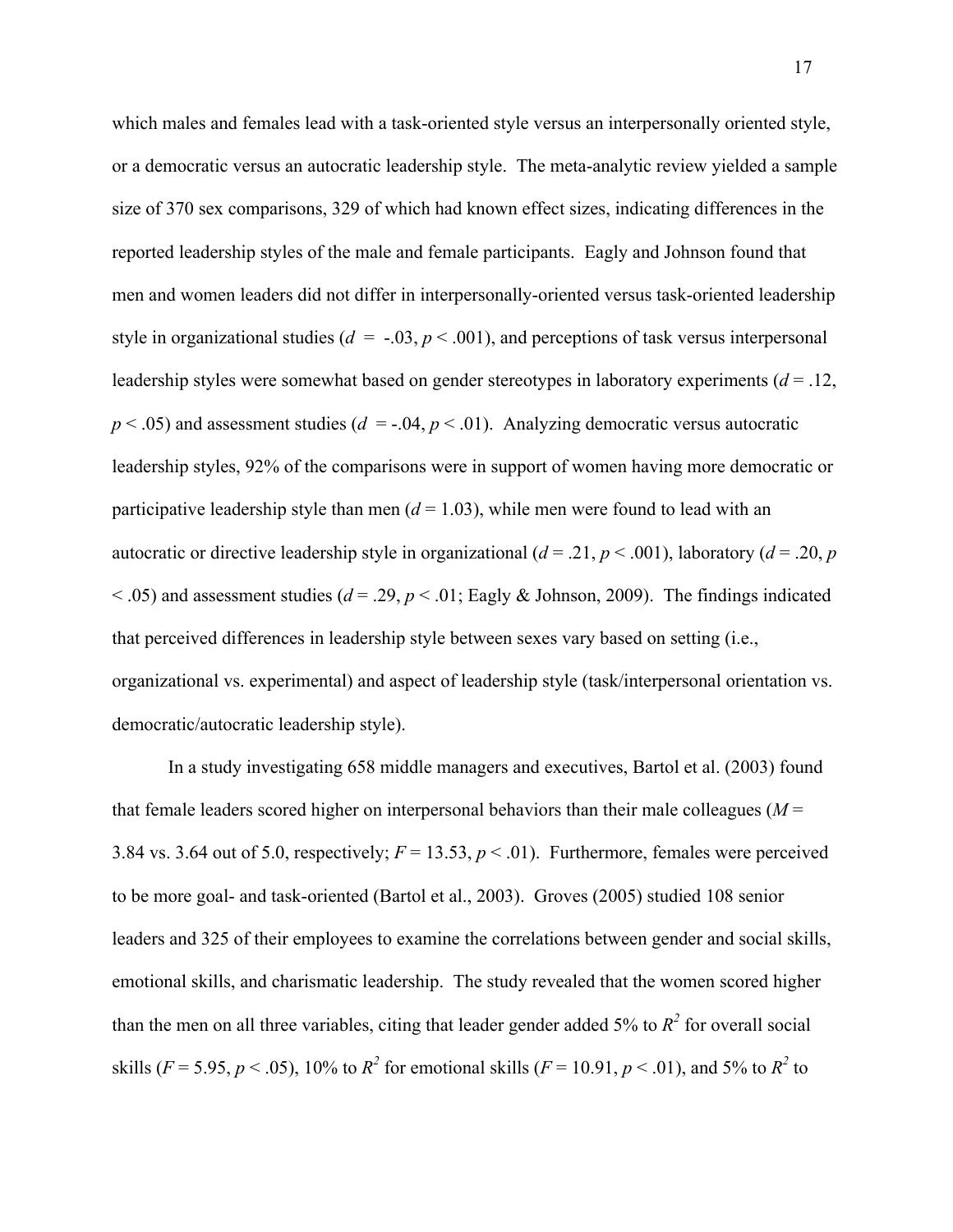which males and females lead with a task-oriented style versus an interpersonally oriented style, or a democratic versus an autocratic leadership style. The meta-analytic review yielded a sample size of 370 sex comparisons, 329 of which had known effect sizes, indicating differences in the reported leadership styles of the male and female participants. Eagly and Johnson found that men and women leaders did not differ in interpersonally-oriented versus task-oriented leadership style in organizational studies ( $d = -0.03$ ,  $p < 0.001$ ), and perceptions of task versus interpersonal leadership styles were somewhat based on gender stereotypes in laboratory experiments (*d* = .12,  $p < .05$ ) and assessment studies ( $d = -.04$ ,  $p < .01$ ). Analyzing democratic versus autocratic leadership styles, 92% of the comparisons were in support of women having more democratic or participative leadership style than men  $(d = 1.03)$ , while men were found to lead with an autocratic or directive leadership style in organizational ( $d = .21$ ,  $p < .001$ ), laboratory ( $d = .20$ , *p*  $<$  0.05) and assessment studies ( $d = 0.29$ ,  $p < 0.01$ ; Eagly & Johnson, 2009). The findings indicated that perceived differences in leadership style between sexes vary based on setting (i.e., organizational vs. experimental) and aspect of leadership style (task/interpersonal orientation vs. democratic/autocratic leadership style).

In a study investigating 658 middle managers and executives, Bartol et al. (2003) found that female leaders scored higher on interpersonal behaviors than their male colleagues (*M* = 3.84 vs. 3.64 out of 5.0, respectively;  $F = 13.53$ ,  $p < .01$ ). Furthermore, females were perceived to be more goal- and task-oriented (Bartol et al., 2003). Groves (2005) studied 108 senior leaders and 325 of their employees to examine the correlations between gender and social skills, emotional skills, and charismatic leadership. The study revealed that the women scored higher than the men on all three variables, citing that leader gender added 5% to  $R^2$  for overall social skills (*F* = 5.95, *p* < .05), 10% to  $R^2$  for emotional skills (*F* = 10.91, *p* < .01), and 5% to  $R^2$  to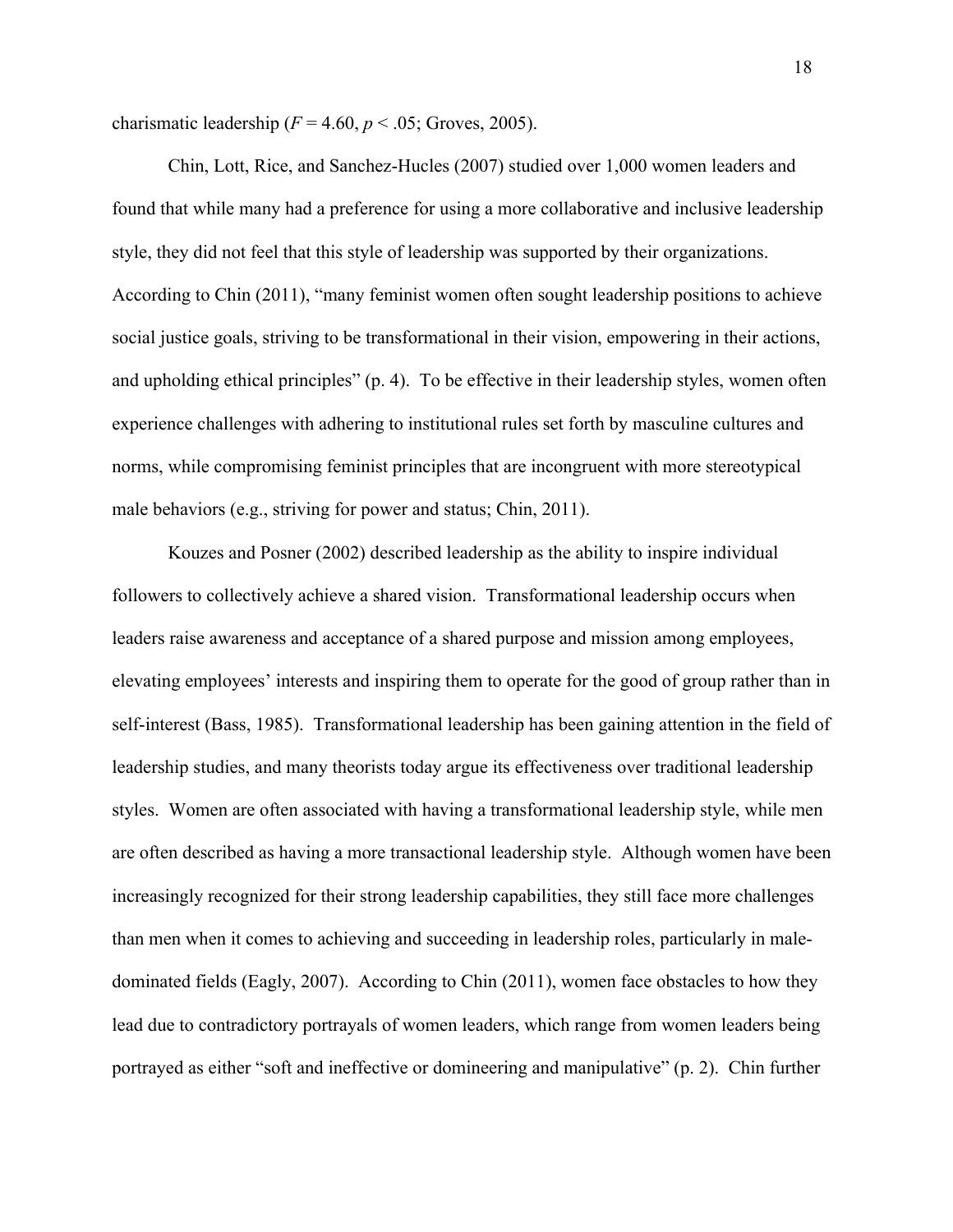charismatic leadership  $(F = 4.60, p < .05;$  Groves, 2005).

Chin, Lott, Rice, and Sanchez-Hucles (2007) studied over 1,000 women leaders and found that while many had a preference for using a more collaborative and inclusive leadership style, they did not feel that this style of leadership was supported by their organizations. According to Chin (2011), "many feminist women often sought leadership positions to achieve social justice goals, striving to be transformational in their vision, empowering in their actions, and upholding ethical principles" (p. 4). To be effective in their leadership styles, women often experience challenges with adhering to institutional rules set forth by masculine cultures and norms, while compromising feminist principles that are incongruent with more stereotypical male behaviors (e.g., striving for power and status; Chin, 2011).

Kouzes and Posner (2002) described leadership as the ability to inspire individual followers to collectively achieve a shared vision. Transformational leadership occurs when leaders raise awareness and acceptance of a shared purpose and mission among employees, elevating employees' interests and inspiring them to operate for the good of group rather than in self-interest (Bass, 1985). Transformational leadership has been gaining attention in the field of leadership studies, and many theorists today argue its effectiveness over traditional leadership styles. Women are often associated with having a transformational leadership style, while men are often described as having a more transactional leadership style. Although women have been increasingly recognized for their strong leadership capabilities, they still face more challenges than men when it comes to achieving and succeeding in leadership roles, particularly in maledominated fields (Eagly, 2007). According to Chin (2011), women face obstacles to how they lead due to contradictory portrayals of women leaders, which range from women leaders being portrayed as either "soft and ineffective or domineering and manipulative" (p. 2). Chin further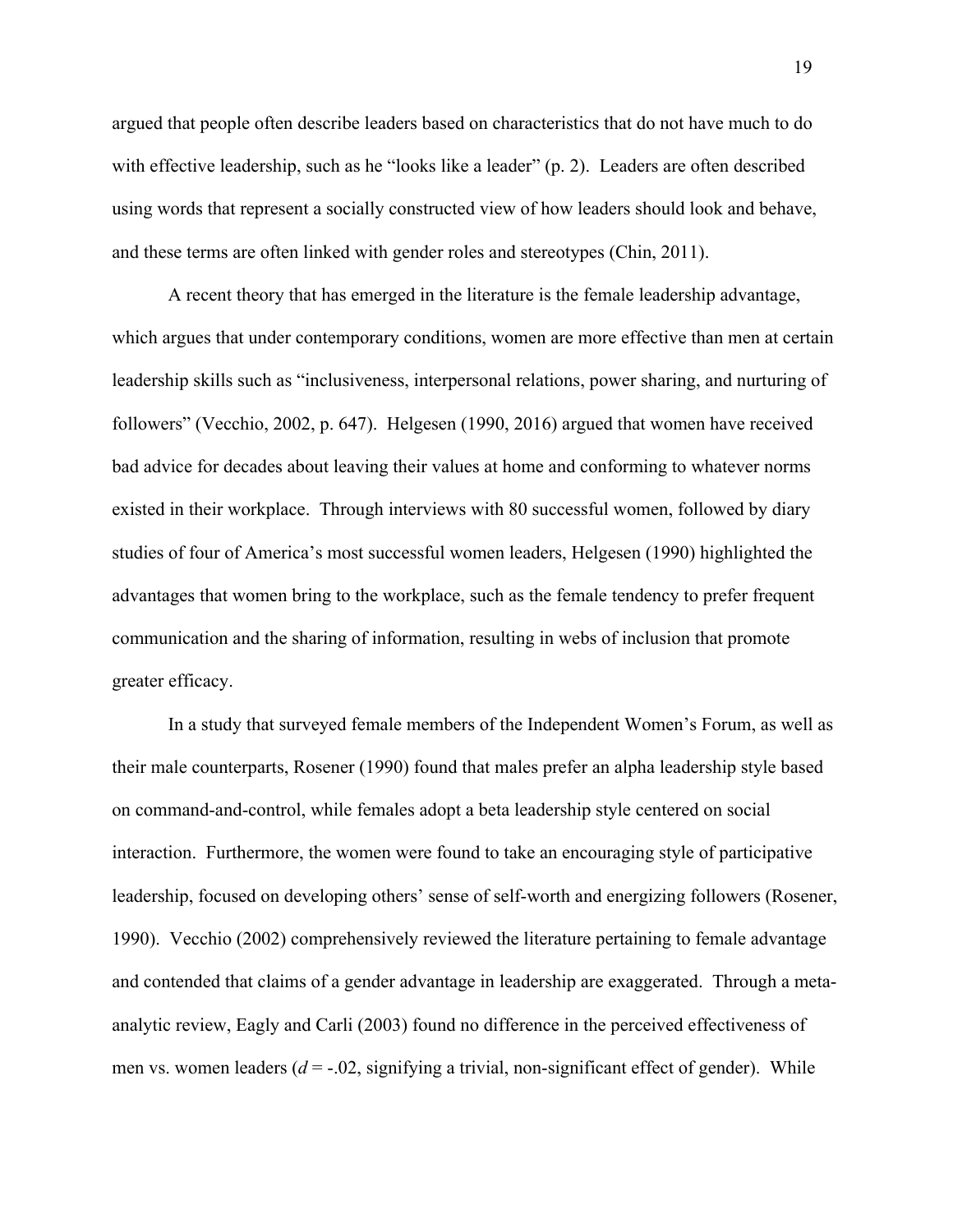argued that people often describe leaders based on characteristics that do not have much to do with effective leadership, such as he "looks like a leader" (p. 2). Leaders are often described using words that represent a socially constructed view of how leaders should look and behave, and these terms are often linked with gender roles and stereotypes (Chin, 2011).

A recent theory that has emerged in the literature is the female leadership advantage, which argues that under contemporary conditions, women are more effective than men at certain leadership skills such as "inclusiveness, interpersonal relations, power sharing, and nurturing of followers" (Vecchio, 2002, p. 647). Helgesen (1990, 2016) argued that women have received bad advice for decades about leaving their values at home and conforming to whatever norms existed in their workplace. Through interviews with 80 successful women, followed by diary studies of four of America's most successful women leaders, Helgesen (1990) highlighted the advantages that women bring to the workplace, such as the female tendency to prefer frequent communication and the sharing of information, resulting in webs of inclusion that promote greater efficacy.

In a study that surveyed female members of the Independent Women's Forum, as well as their male counterparts, Rosener (1990) found that males prefer an alpha leadership style based on command-and-control, while females adopt a beta leadership style centered on social interaction. Furthermore, the women were found to take an encouraging style of participative leadership, focused on developing others' sense of self-worth and energizing followers (Rosener, 1990). Vecchio (2002) comprehensively reviewed the literature pertaining to female advantage and contended that claims of a gender advantage in leadership are exaggerated. Through a metaanalytic review, Eagly and Carli (2003) found no difference in the perceived effectiveness of men vs. women leaders  $(d = -0.02)$ , signifying a trivial, non-significant effect of gender). While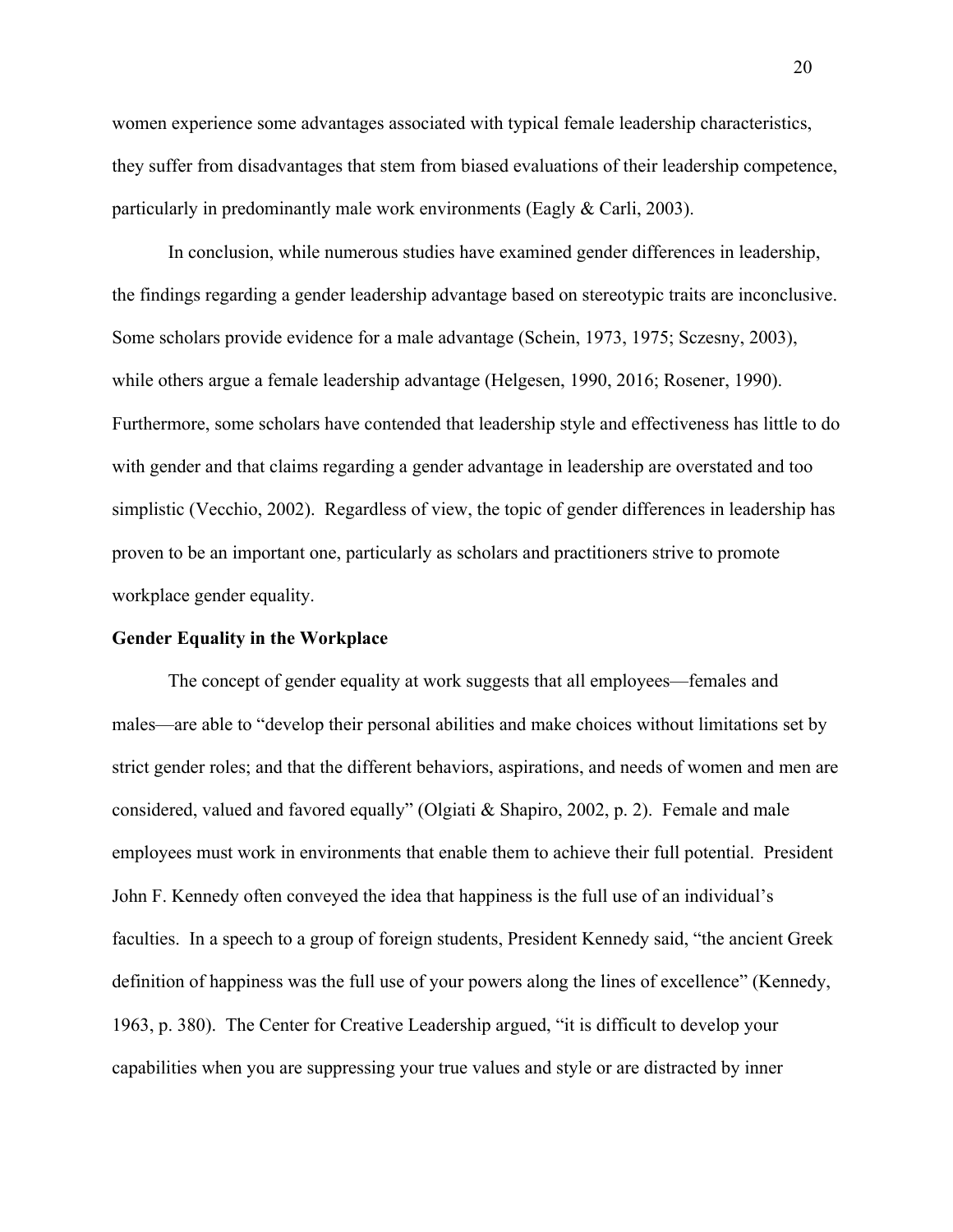women experience some advantages associated with typical female leadership characteristics, they suffer from disadvantages that stem from biased evaluations of their leadership competence, particularly in predominantly male work environments (Eagly & Carli, 2003).

In conclusion, while numerous studies have examined gender differences in leadership, the findings regarding a gender leadership advantage based on stereotypic traits are inconclusive. Some scholars provide evidence for a male advantage (Schein, 1973, 1975; Sczesny, 2003), while others argue a female leadership advantage (Helgesen, 1990, 2016; Rosener, 1990). Furthermore, some scholars have contended that leadership style and effectiveness has little to do with gender and that claims regarding a gender advantage in leadership are overstated and too simplistic (Vecchio, 2002). Regardless of view, the topic of gender differences in leadership has proven to be an important one, particularly as scholars and practitioners strive to promote workplace gender equality.

#### **Gender Equality in the Workplace**

The concept of gender equality at work suggests that all employees—females and males—are able to "develop their personal abilities and make choices without limitations set by strict gender roles; and that the different behaviors, aspirations, and needs of women and men are considered, valued and favored equally" (Olgiati & Shapiro, 2002, p. 2). Female and male employees must work in environments that enable them to achieve their full potential. President John F. Kennedy often conveyed the idea that happiness is the full use of an individual's faculties. In a speech to a group of foreign students, President Kennedy said, "the ancient Greek definition of happiness was the full use of your powers along the lines of excellence" (Kennedy, 1963, p. 380). The Center for Creative Leadership argued, "it is difficult to develop your capabilities when you are suppressing your true values and style or are distracted by inner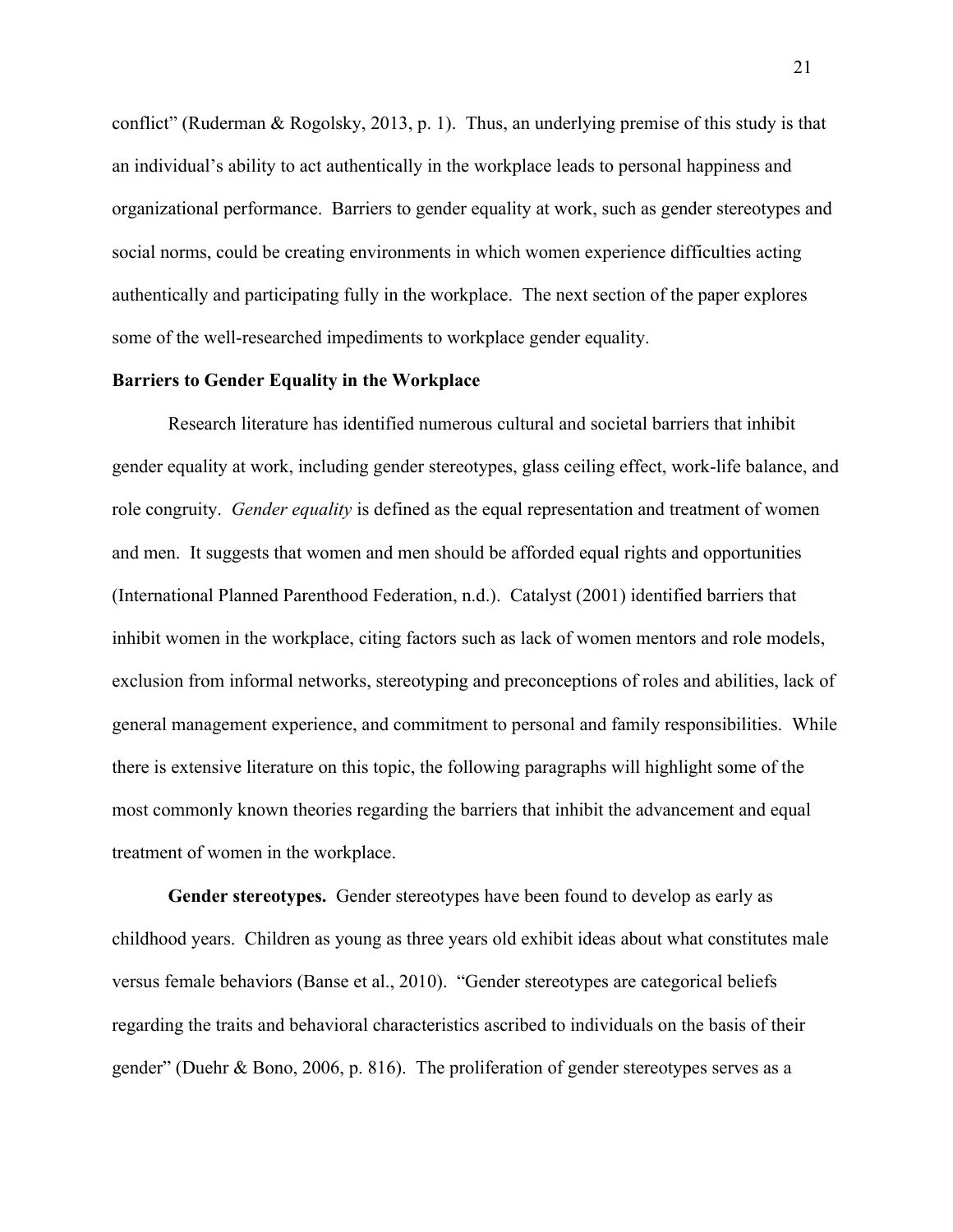conflict" (Ruderman & Rogolsky, 2013, p. 1). Thus, an underlying premise of this study is that an individual's ability to act authentically in the workplace leads to personal happiness and organizational performance. Barriers to gender equality at work, such as gender stereotypes and social norms, could be creating environments in which women experience difficulties acting authentically and participating fully in the workplace. The next section of the paper explores some of the well-researched impediments to workplace gender equality.

#### **Barriers to Gender Equality in the Workplace**

Research literature has identified numerous cultural and societal barriers that inhibit gender equality at work, including gender stereotypes, glass ceiling effect, work-life balance, and role congruity. *Gender equality* is defined as the equal representation and treatment of women and men. It suggests that women and men should be afforded equal rights and opportunities (International Planned Parenthood Federation, n.d.). Catalyst (2001) identified barriers that inhibit women in the workplace, citing factors such as lack of women mentors and role models, exclusion from informal networks, stereotyping and preconceptions of roles and abilities, lack of general management experience, and commitment to personal and family responsibilities. While there is extensive literature on this topic, the following paragraphs will highlight some of the most commonly known theories regarding the barriers that inhibit the advancement and equal treatment of women in the workplace.

**Gender stereotypes.** Gender stereotypes have been found to develop as early as childhood years. Children as young as three years old exhibit ideas about what constitutes male versus female behaviors (Banse et al., 2010). "Gender stereotypes are categorical beliefs regarding the traits and behavioral characteristics ascribed to individuals on the basis of their gender" (Duehr & Bono, 2006, p. 816). The proliferation of gender stereotypes serves as a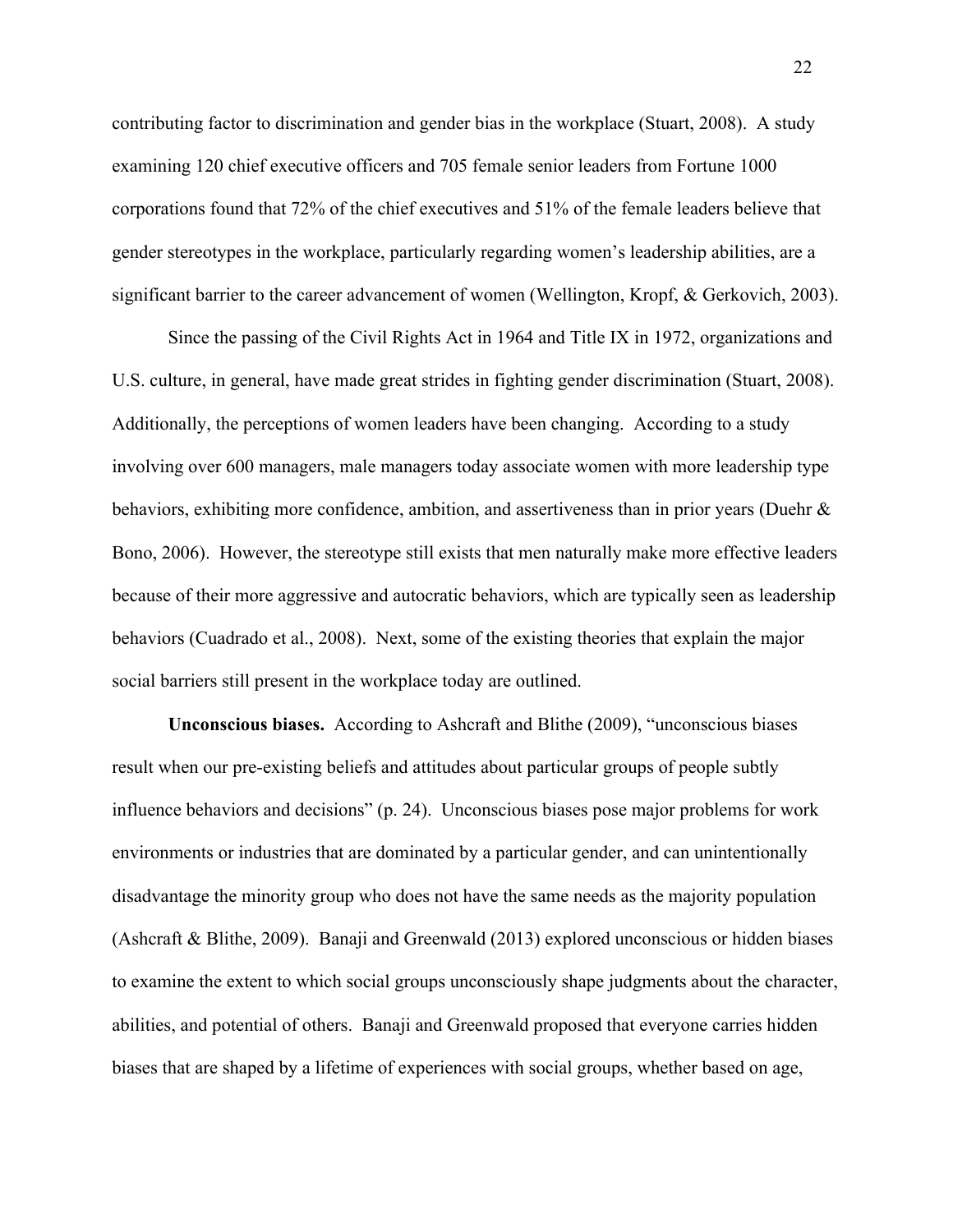contributing factor to discrimination and gender bias in the workplace (Stuart, 2008). A study examining 120 chief executive officers and 705 female senior leaders from Fortune 1000 corporations found that 72% of the chief executives and 51% of the female leaders believe that gender stereotypes in the workplace, particularly regarding women's leadership abilities, are a significant barrier to the career advancement of women (Wellington, Kropf, & Gerkovich, 2003).

Since the passing of the Civil Rights Act in 1964 and Title IX in 1972, organizations and U.S. culture, in general, have made great strides in fighting gender discrimination (Stuart, 2008). Additionally, the perceptions of women leaders have been changing. According to a study involving over 600 managers, male managers today associate women with more leadership type behaviors, exhibiting more confidence, ambition, and assertiveness than in prior years (Duehr & Bono, 2006). However, the stereotype still exists that men naturally make more effective leaders because of their more aggressive and autocratic behaviors, which are typically seen as leadership behaviors (Cuadrado et al., 2008). Next, some of the existing theories that explain the major social barriers still present in the workplace today are outlined.

**Unconscious biases.** According to Ashcraft and Blithe (2009), "unconscious biases result when our pre-existing beliefs and attitudes about particular groups of people subtly influence behaviors and decisions" (p. 24). Unconscious biases pose major problems for work environments or industries that are dominated by a particular gender, and can unintentionally disadvantage the minority group who does not have the same needs as the majority population (Ashcraft & Blithe, 2009). Banaji and Greenwald (2013) explored unconscious or hidden biases to examine the extent to which social groups unconsciously shape judgments about the character, abilities, and potential of others. Banaji and Greenwald proposed that everyone carries hidden biases that are shaped by a lifetime of experiences with social groups, whether based on age,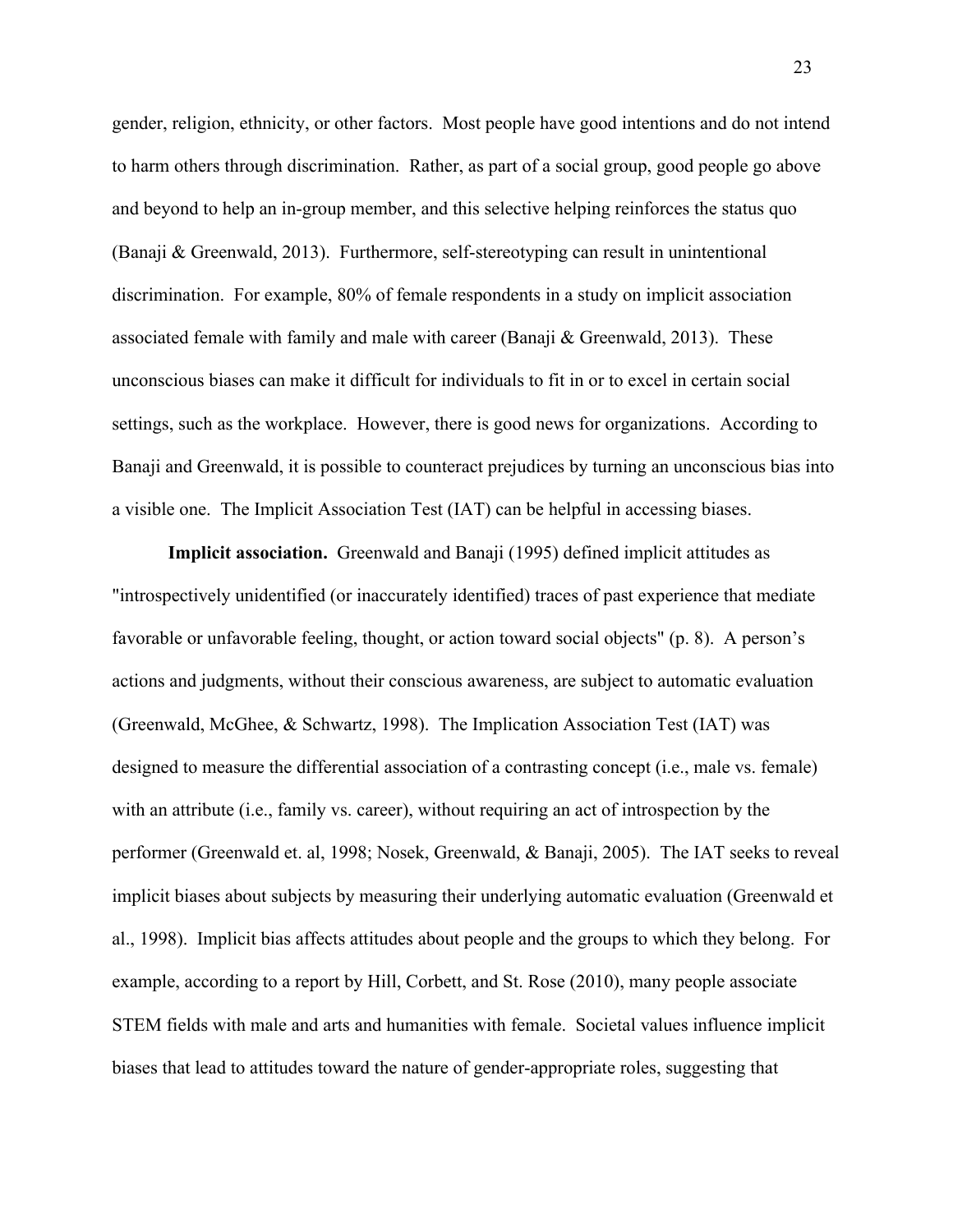gender, religion, ethnicity, or other factors. Most people have good intentions and do not intend to harm others through discrimination. Rather, as part of a social group, good people go above and beyond to help an in-group member, and this selective helping reinforces the status quo (Banaji & Greenwald, 2013). Furthermore, self-stereotyping can result in unintentional discrimination. For example, 80% of female respondents in a study on implicit association associated female with family and male with career (Banaji & Greenwald, 2013). These unconscious biases can make it difficult for individuals to fit in or to excel in certain social settings, such as the workplace. However, there is good news for organizations. According to Banaji and Greenwald, it is possible to counteract prejudices by turning an unconscious bias into a visible one. The Implicit Association Test (IAT) can be helpful in accessing biases.

**Implicit association.** Greenwald and Banaji (1995) defined implicit attitudes as "introspectively unidentified (or inaccurately identified) traces of past experience that mediate favorable or unfavorable feeling, thought, or action toward social objects" (p. 8). A person's actions and judgments, without their conscious awareness, are subject to automatic evaluation (Greenwald, McGhee, & Schwartz, 1998). The Implication Association Test (IAT) was designed to measure the differential association of a contrasting concept (i.e., male vs. female) with an attribute (i.e., family vs. career), without requiring an act of introspection by the performer (Greenwald et. al, 1998; Nosek, Greenwald, & Banaji, 2005). The IAT seeks to reveal implicit biases about subjects by measuring their underlying automatic evaluation (Greenwald et al., 1998). Implicit bias affects attitudes about people and the groups to which they belong. For example, according to a report by Hill, Corbett, and St. Rose (2010), many people associate STEM fields with male and arts and humanities with female. Societal values influence implicit biases that lead to attitudes toward the nature of gender-appropriate roles, suggesting that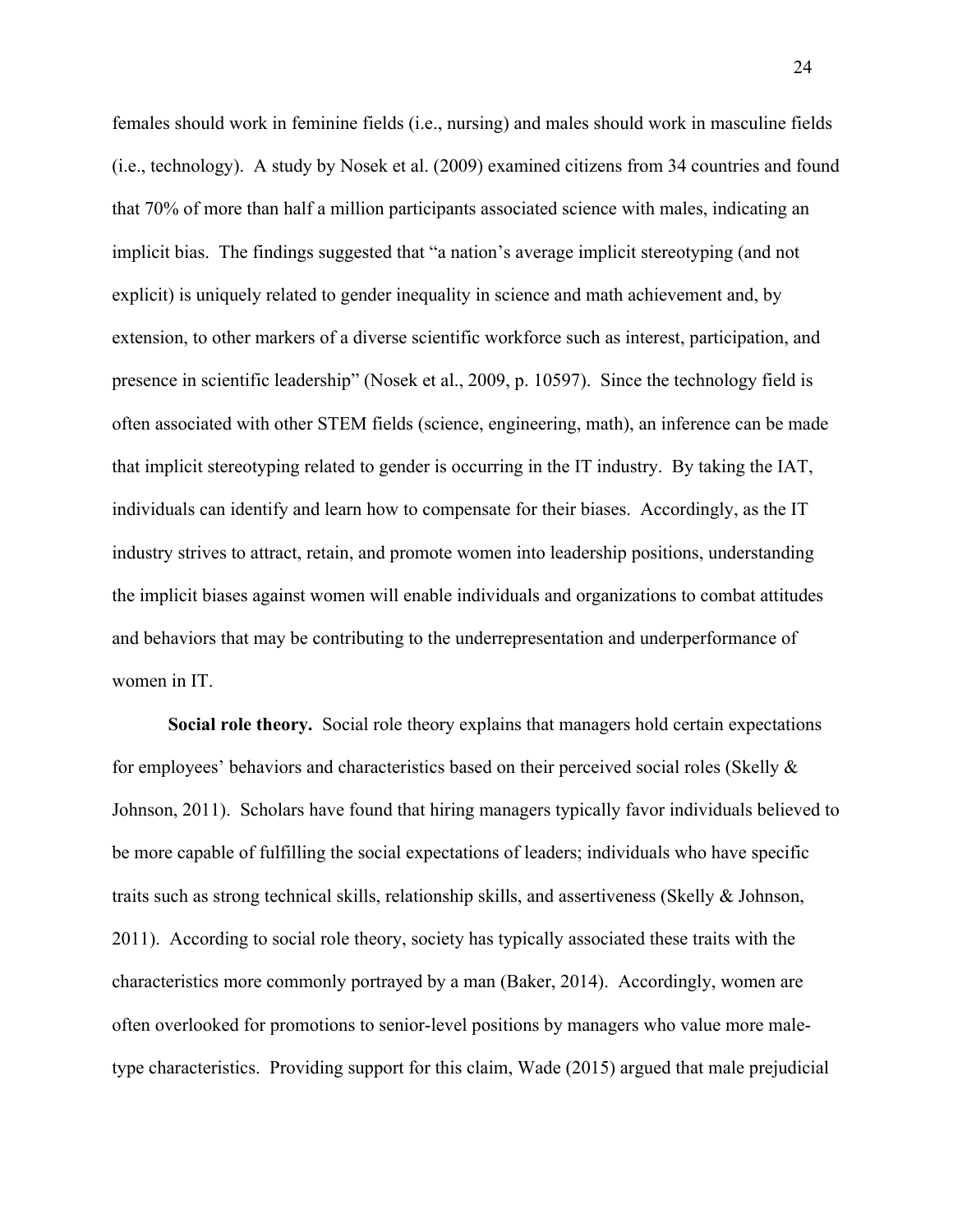females should work in feminine fields (i.e., nursing) and males should work in masculine fields (i.e., technology). A study by Nosek et al. (2009) examined citizens from 34 countries and found that 70% of more than half a million participants associated science with males, indicating an implicit bias. The findings suggested that "a nation's average implicit stereotyping (and not explicit) is uniquely related to gender inequality in science and math achievement and, by extension, to other markers of a diverse scientific workforce such as interest, participation, and presence in scientific leadership" (Nosek et al., 2009, p. 10597). Since the technology field is often associated with other STEM fields (science, engineering, math), an inference can be made that implicit stereotyping related to gender is occurring in the IT industry. By taking the IAT, individuals can identify and learn how to compensate for their biases. Accordingly, as the IT industry strives to attract, retain, and promote women into leadership positions, understanding the implicit biases against women will enable individuals and organizations to combat attitudes and behaviors that may be contributing to the underrepresentation and underperformance of women in IT.

**Social role theory.** Social role theory explains that managers hold certain expectations for employees' behaviors and characteristics based on their perceived social roles (Skelly & Johnson, 2011). Scholars have found that hiring managers typically favor individuals believed to be more capable of fulfilling the social expectations of leaders; individuals who have specific traits such as strong technical skills, relationship skills, and assertiveness (Skelly & Johnson, 2011). According to social role theory, society has typically associated these traits with the characteristics more commonly portrayed by a man (Baker, 2014). Accordingly, women are often overlooked for promotions to senior-level positions by managers who value more maletype characteristics. Providing support for this claim, Wade (2015) argued that male prejudicial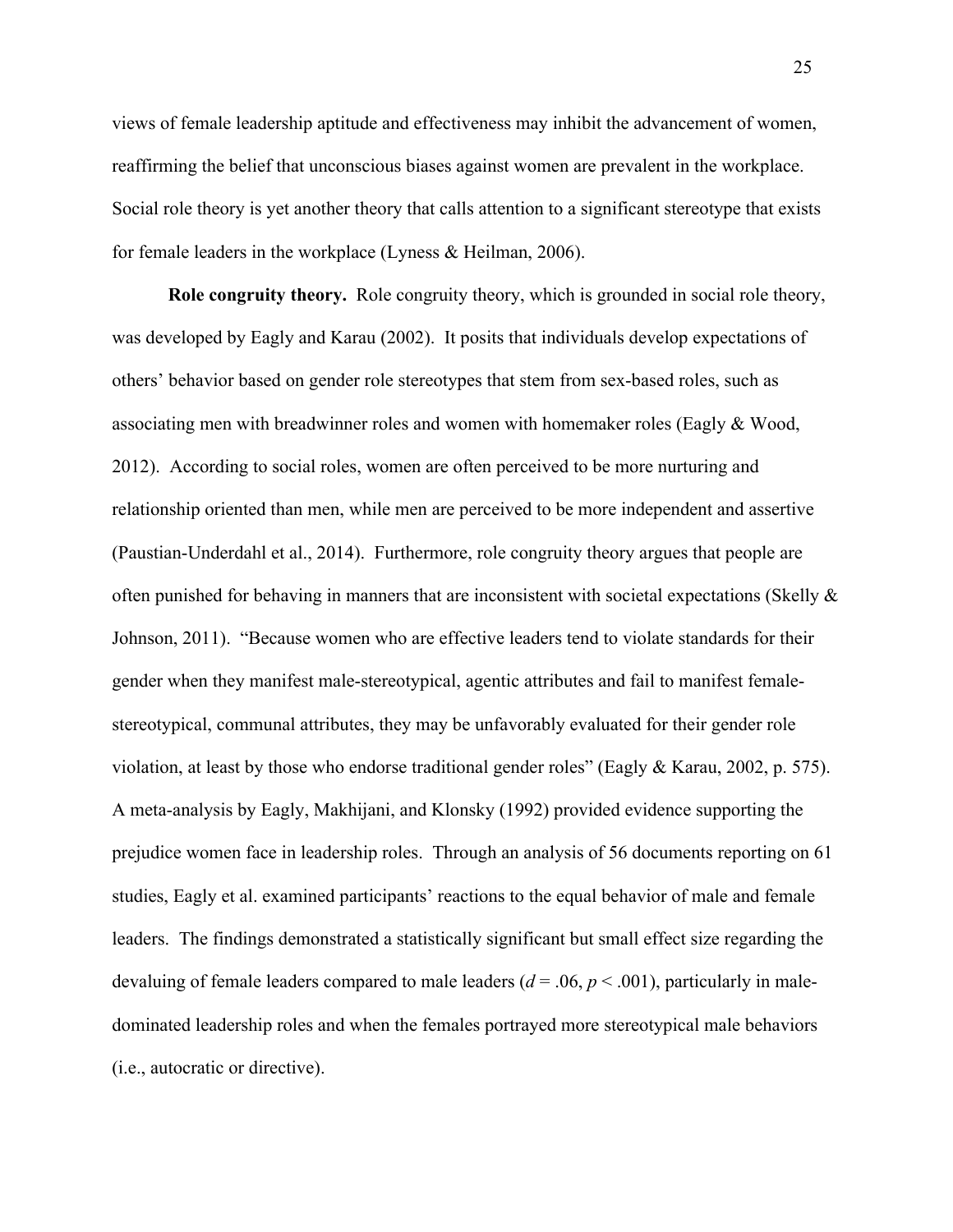views of female leadership aptitude and effectiveness may inhibit the advancement of women, reaffirming the belief that unconscious biases against women are prevalent in the workplace. Social role theory is yet another theory that calls attention to a significant stereotype that exists for female leaders in the workplace (Lyness & Heilman, 2006).

**Role congruity theory.** Role congruity theory, which is grounded in social role theory, was developed by Eagly and Karau (2002). It posits that individuals develop expectations of others' behavior based on gender role stereotypes that stem from sex-based roles, such as associating men with breadwinner roles and women with homemaker roles (Eagly & Wood, 2012). According to social roles, women are often perceived to be more nurturing and relationship oriented than men, while men are perceived to be more independent and assertive (Paustian-Underdahl et al., 2014). Furthermore, role congruity theory argues that people are often punished for behaving in manners that are inconsistent with societal expectations (Skelly  $\&$ Johnson, 2011). "Because women who are effective leaders tend to violate standards for their gender when they manifest male-stereotypical, agentic attributes and fail to manifest femalestereotypical, communal attributes, they may be unfavorably evaluated for their gender role violation, at least by those who endorse traditional gender roles" (Eagly & Karau, 2002, p. 575). A meta-analysis by Eagly, Makhijani, and Klonsky (1992) provided evidence supporting the prejudice women face in leadership roles. Through an analysis of 56 documents reporting on 61 studies, Eagly et al. examined participants' reactions to the equal behavior of male and female leaders. The findings demonstrated a statistically significant but small effect size regarding the devaluing of female leaders compared to male leaders  $(d = .06, p < .001)$ , particularly in maledominated leadership roles and when the females portrayed more stereotypical male behaviors (i.e., autocratic or directive).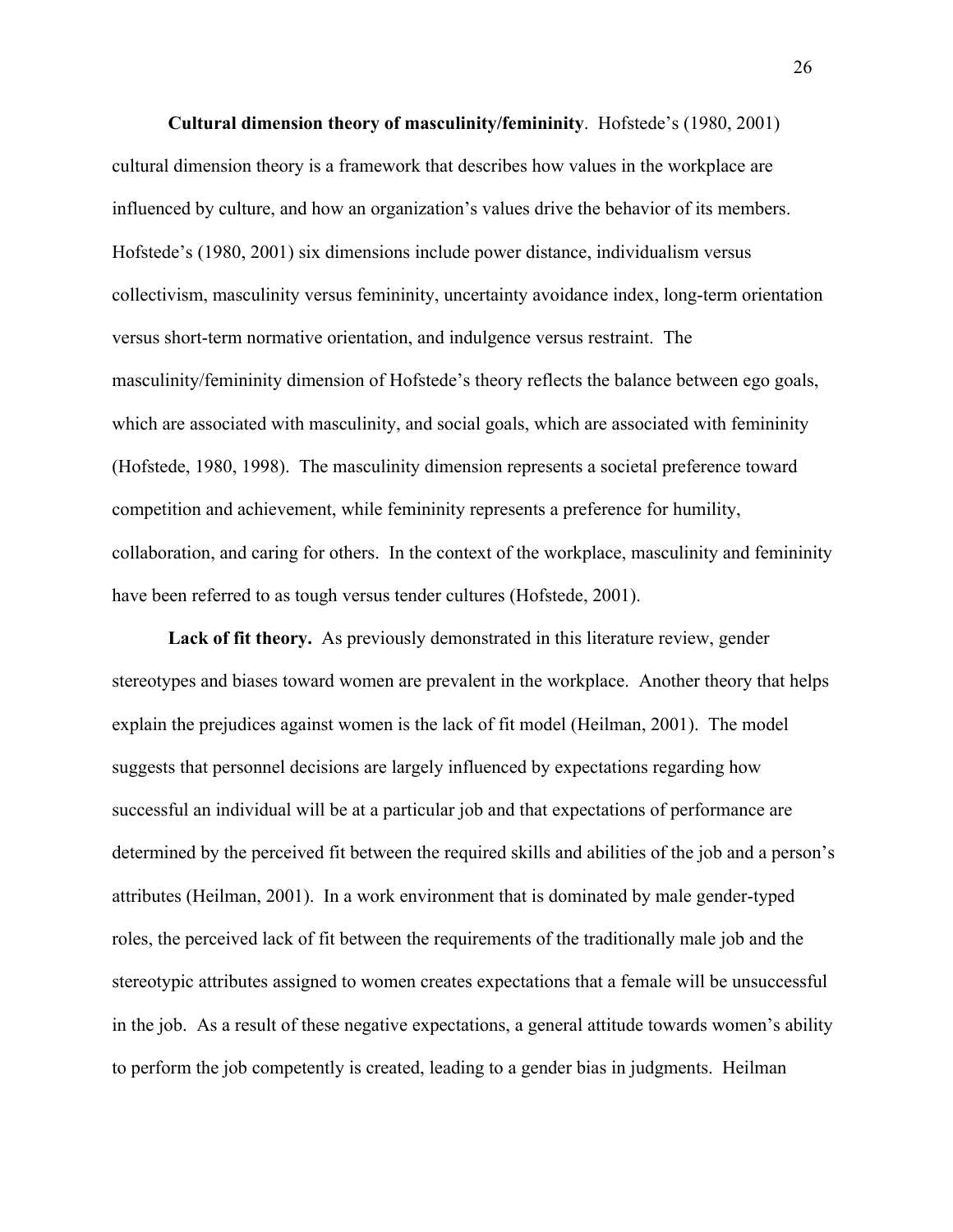**Cultural dimension theory of masculinity/femininity**. Hofstede's (1980, 2001) cultural dimension theory is a framework that describes how values in the workplace are influenced by culture, and how an organization's values drive the behavior of its members. Hofstede's (1980, 2001) six dimensions include power distance, individualism versus collectivism, masculinity versus femininity, uncertainty avoidance index, long-term orientation versus short-term normative orientation, and indulgence versus restraint. The masculinity/femininity dimension of Hofstede's theory reflects the balance between ego goals, which are associated with masculinity, and social goals, which are associated with femininity (Hofstede, 1980, 1998). The masculinity dimension represents a societal preference toward competition and achievement, while femininity represents a preference for humility, collaboration, and caring for others. In the context of the workplace, masculinity and femininity have been referred to as tough versus tender cultures (Hofstede, 2001).

**Lack of fit theory.** As previously demonstrated in this literature review, gender stereotypes and biases toward women are prevalent in the workplace. Another theory that helps explain the prejudices against women is the lack of fit model (Heilman, 2001). The model suggests that personnel decisions are largely influenced by expectations regarding how successful an individual will be at a particular job and that expectations of performance are determined by the perceived fit between the required skills and abilities of the job and a person's attributes (Heilman, 2001). In a work environment that is dominated by male gender-typed roles, the perceived lack of fit between the requirements of the traditionally male job and the stereotypic attributes assigned to women creates expectations that a female will be unsuccessful in the job. As a result of these negative expectations, a general attitude towards women's ability to perform the job competently is created, leading to a gender bias in judgments. Heilman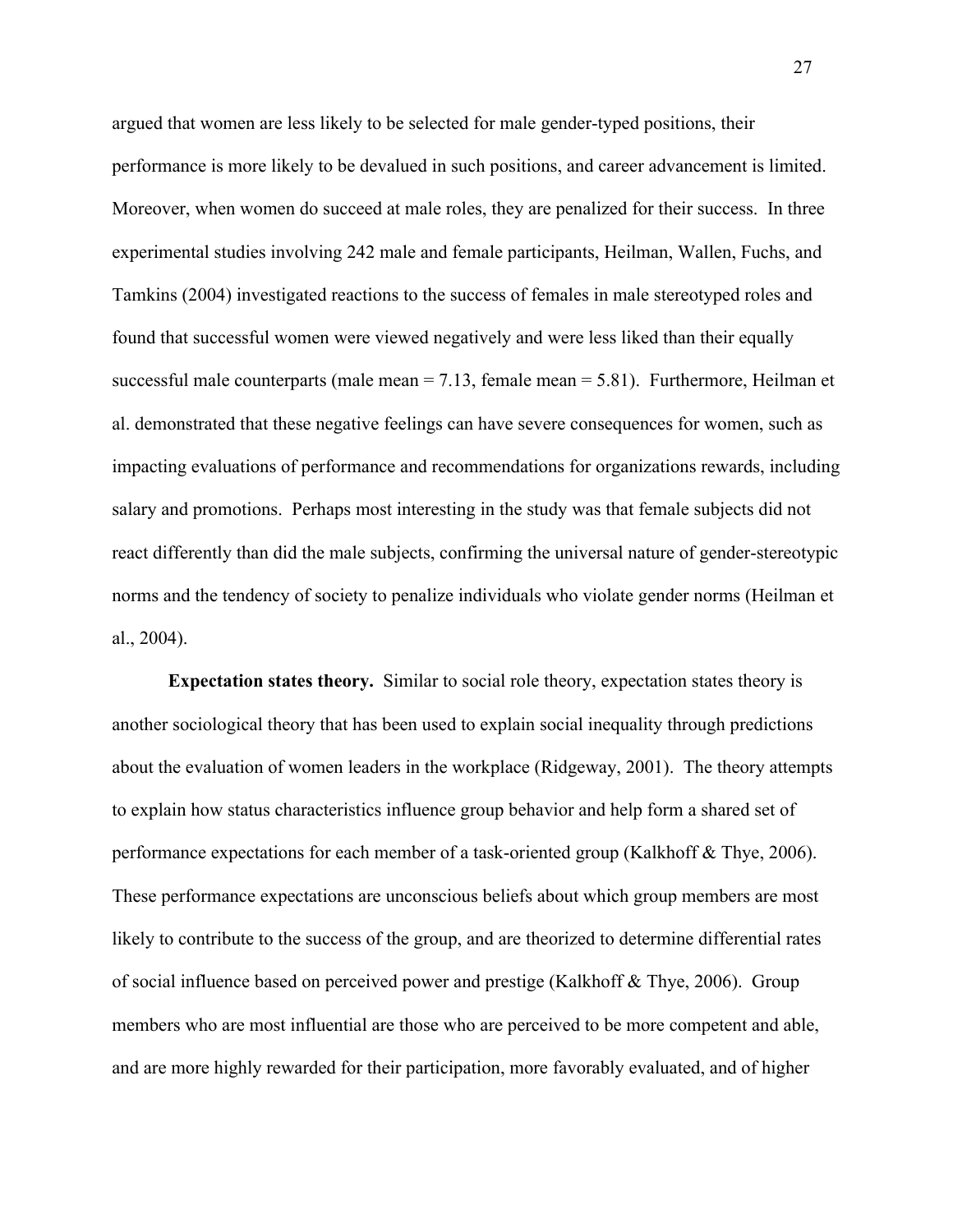argued that women are less likely to be selected for male gender-typed positions, their performance is more likely to be devalued in such positions, and career advancement is limited. Moreover, when women do succeed at male roles, they are penalized for their success. In three experimental studies involving 242 male and female participants, Heilman, Wallen, Fuchs, and Tamkins (2004) investigated reactions to the success of females in male stereotyped roles and found that successful women were viewed negatively and were less liked than their equally successful male counterparts (male mean  $= 7.13$ , female mean  $= 5.81$ ). Furthermore, Heilman et al. demonstrated that these negative feelings can have severe consequences for women, such as impacting evaluations of performance and recommendations for organizations rewards, including salary and promotions. Perhaps most interesting in the study was that female subjects did not react differently than did the male subjects, confirming the universal nature of gender-stereotypic norms and the tendency of society to penalize individuals who violate gender norms (Heilman et al., 2004).

**Expectation states theory.** Similar to social role theory, expectation states theory is another sociological theory that has been used to explain social inequality through predictions about the evaluation of women leaders in the workplace (Ridgeway, 2001). The theory attempts to explain how status characteristics influence group behavior and help form a shared set of performance expectations for each member of a task-oriented group (Kalkhoff & Thye, 2006). These performance expectations are unconscious beliefs about which group members are most likely to contribute to the success of the group, and are theorized to determine differential rates of social influence based on perceived power and prestige (Kalkhoff & Thye, 2006). Group members who are most influential are those who are perceived to be more competent and able, and are more highly rewarded for their participation, more favorably evaluated, and of higher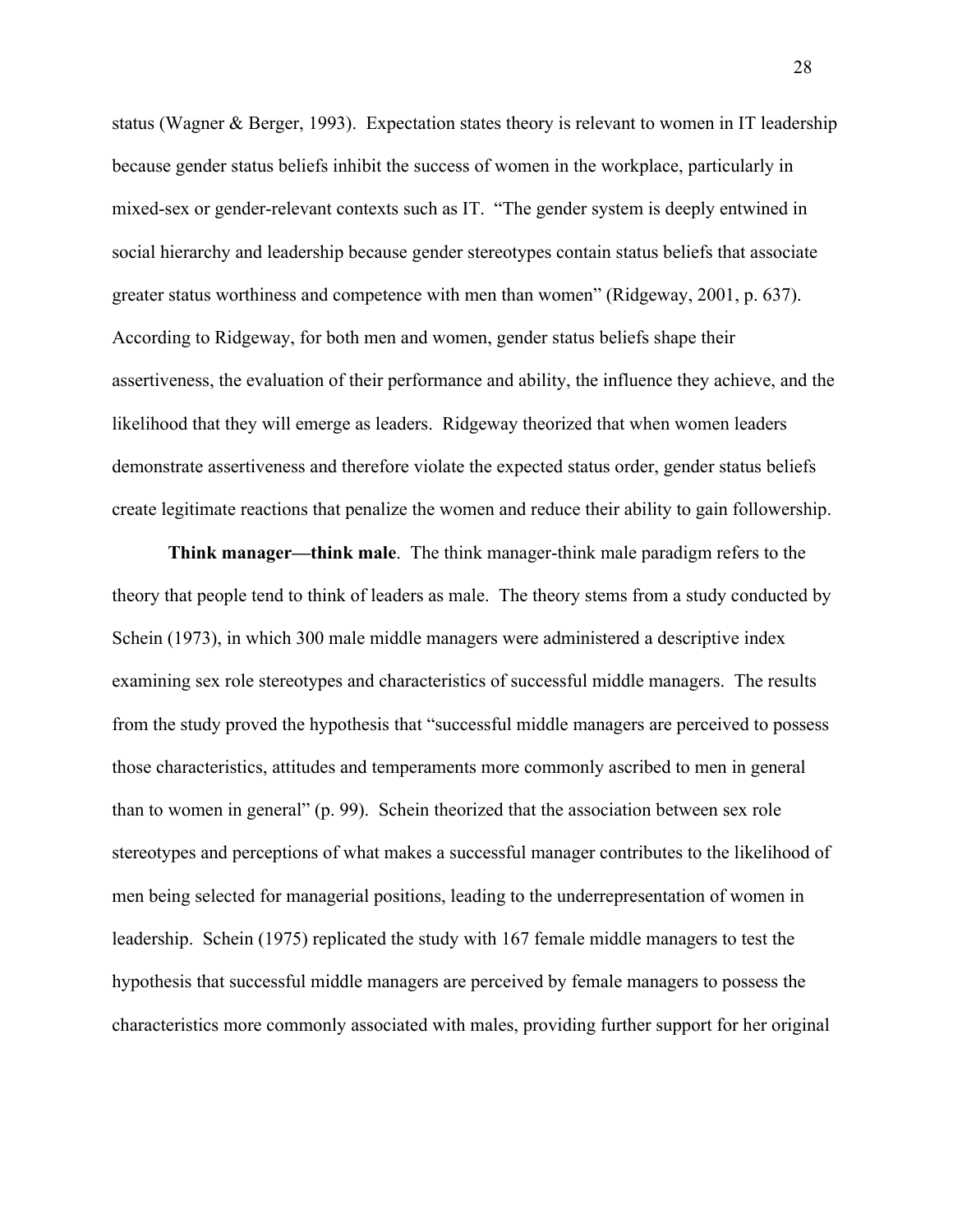status (Wagner & Berger, 1993). Expectation states theory is relevant to women in IT leadership because gender status beliefs inhibit the success of women in the workplace, particularly in mixed-sex or gender-relevant contexts such as IT. "The gender system is deeply entwined in social hierarchy and leadership because gender stereotypes contain status beliefs that associate greater status worthiness and competence with men than women" (Ridgeway, 2001, p. 637). According to Ridgeway, for both men and women, gender status beliefs shape their assertiveness, the evaluation of their performance and ability, the influence they achieve, and the likelihood that they will emerge as leaders. Ridgeway theorized that when women leaders demonstrate assertiveness and therefore violate the expected status order, gender status beliefs create legitimate reactions that penalize the women and reduce their ability to gain followership.

**Think manager—think male**. The think manager-think male paradigm refers to the theory that people tend to think of leaders as male. The theory stems from a study conducted by Schein (1973), in which 300 male middle managers were administered a descriptive index examining sex role stereotypes and characteristics of successful middle managers. The results from the study proved the hypothesis that "successful middle managers are perceived to possess those characteristics, attitudes and temperaments more commonly ascribed to men in general than to women in general" (p. 99). Schein theorized that the association between sex role stereotypes and perceptions of what makes a successful manager contributes to the likelihood of men being selected for managerial positions, leading to the underrepresentation of women in leadership. Schein (1975) replicated the study with 167 female middle managers to test the hypothesis that successful middle managers are perceived by female managers to possess the characteristics more commonly associated with males, providing further support for her original

28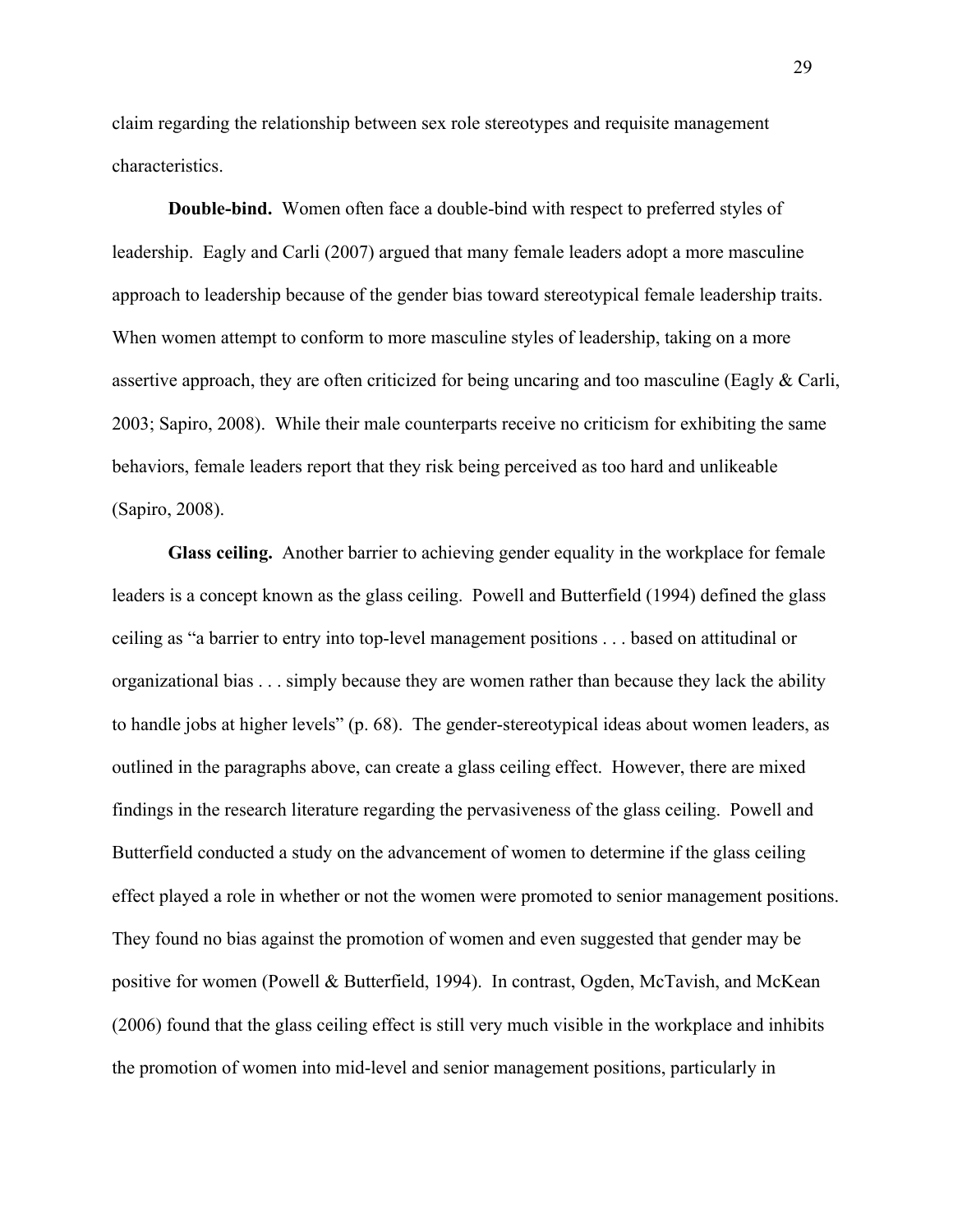claim regarding the relationship between sex role stereotypes and requisite management characteristics.

**Double-bind.** Women often face a double-bind with respect to preferred styles of leadership. Eagly and Carli (2007) argued that many female leaders adopt a more masculine approach to leadership because of the gender bias toward stereotypical female leadership traits. When women attempt to conform to more masculine styles of leadership, taking on a more assertive approach, they are often criticized for being uncaring and too masculine (Eagly & Carli, 2003; Sapiro, 2008). While their male counterparts receive no criticism for exhibiting the same behaviors, female leaders report that they risk being perceived as too hard and unlikeable (Sapiro, 2008).

**Glass ceiling.** Another barrier to achieving gender equality in the workplace for female leaders is a concept known as the glass ceiling. Powell and Butterfield (1994) defined the glass ceiling as "a barrier to entry into top-level management positions . . . based on attitudinal or organizational bias . . . simply because they are women rather than because they lack the ability to handle jobs at higher levels" (p. 68). The gender-stereotypical ideas about women leaders, as outlined in the paragraphs above, can create a glass ceiling effect. However, there are mixed findings in the research literature regarding the pervasiveness of the glass ceiling. Powell and Butterfield conducted a study on the advancement of women to determine if the glass ceiling effect played a role in whether or not the women were promoted to senior management positions. They found no bias against the promotion of women and even suggested that gender may be positive for women (Powell & Butterfield, 1994). In contrast, Ogden, McTavish, and McKean (2006) found that the glass ceiling effect is still very much visible in the workplace and inhibits the promotion of women into mid-level and senior management positions, particularly in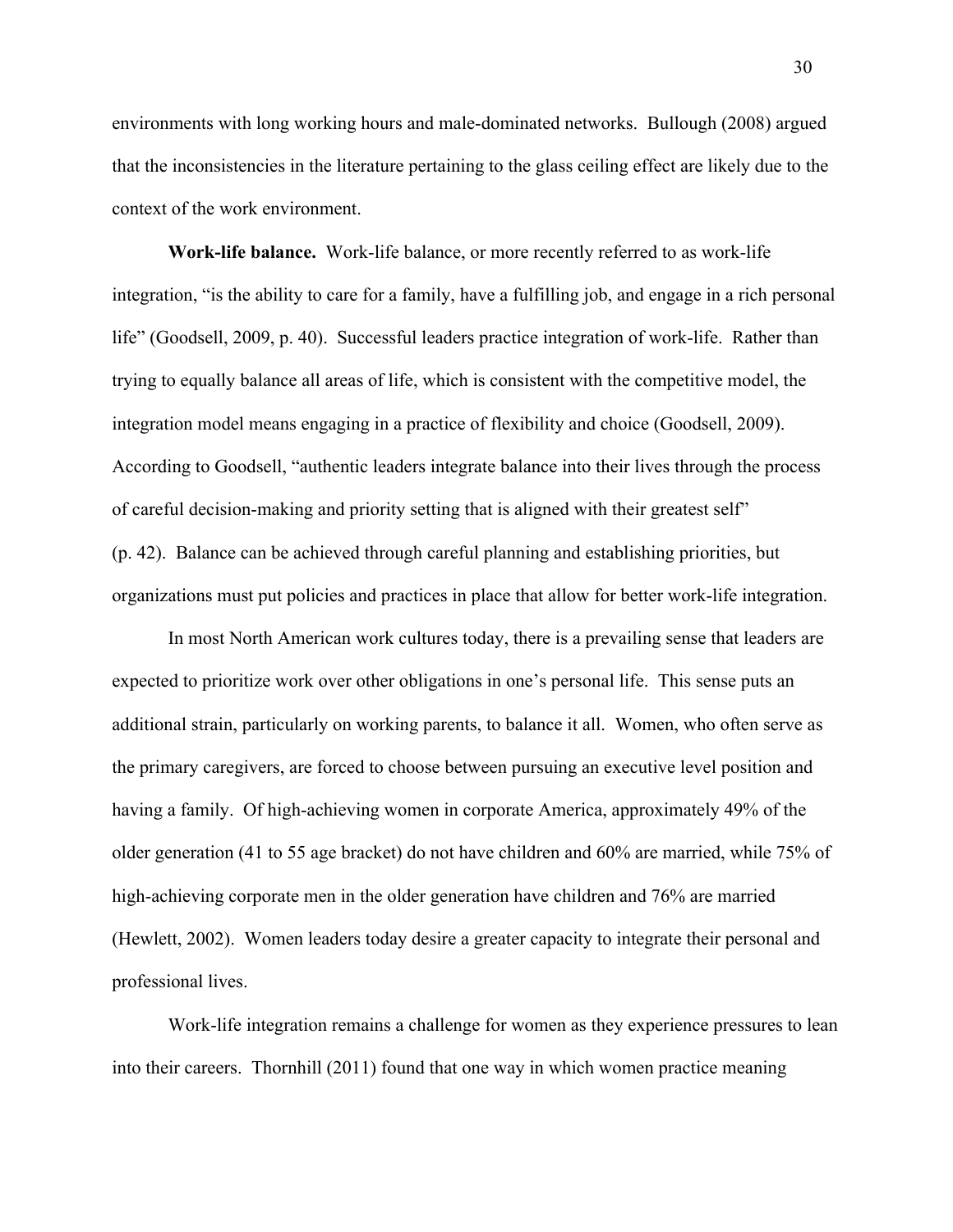environments with long working hours and male-dominated networks. Bullough (2008) argued that the inconsistencies in the literature pertaining to the glass ceiling effect are likely due to the context of the work environment.

**Work-life balance.** Work-life balance, or more recently referred to as work-life integration, "is the ability to care for a family, have a fulfilling job, and engage in a rich personal life" (Goodsell, 2009, p. 40). Successful leaders practice integration of work-life. Rather than trying to equally balance all areas of life, which is consistent with the competitive model, the integration model means engaging in a practice of flexibility and choice (Goodsell, 2009). According to Goodsell, "authentic leaders integrate balance into their lives through the process of careful decision-making and priority setting that is aligned with their greatest self" (p. 42). Balance can be achieved through careful planning and establishing priorities, but organizations must put policies and practices in place that allow for better work-life integration.

In most North American work cultures today, there is a prevailing sense that leaders are expected to prioritize work over other obligations in one's personal life. This sense puts an additional strain, particularly on working parents, to balance it all. Women, who often serve as the primary caregivers, are forced to choose between pursuing an executive level position and having a family. Of high-achieving women in corporate America, approximately 49% of the older generation (41 to 55 age bracket) do not have children and 60% are married, while 75% of high-achieving corporate men in the older generation have children and 76% are married (Hewlett, 2002). Women leaders today desire a greater capacity to integrate their personal and professional lives.

Work-life integration remains a challenge for women as they experience pressures to lean into their careers. Thornhill (2011) found that one way in which women practice meaning

30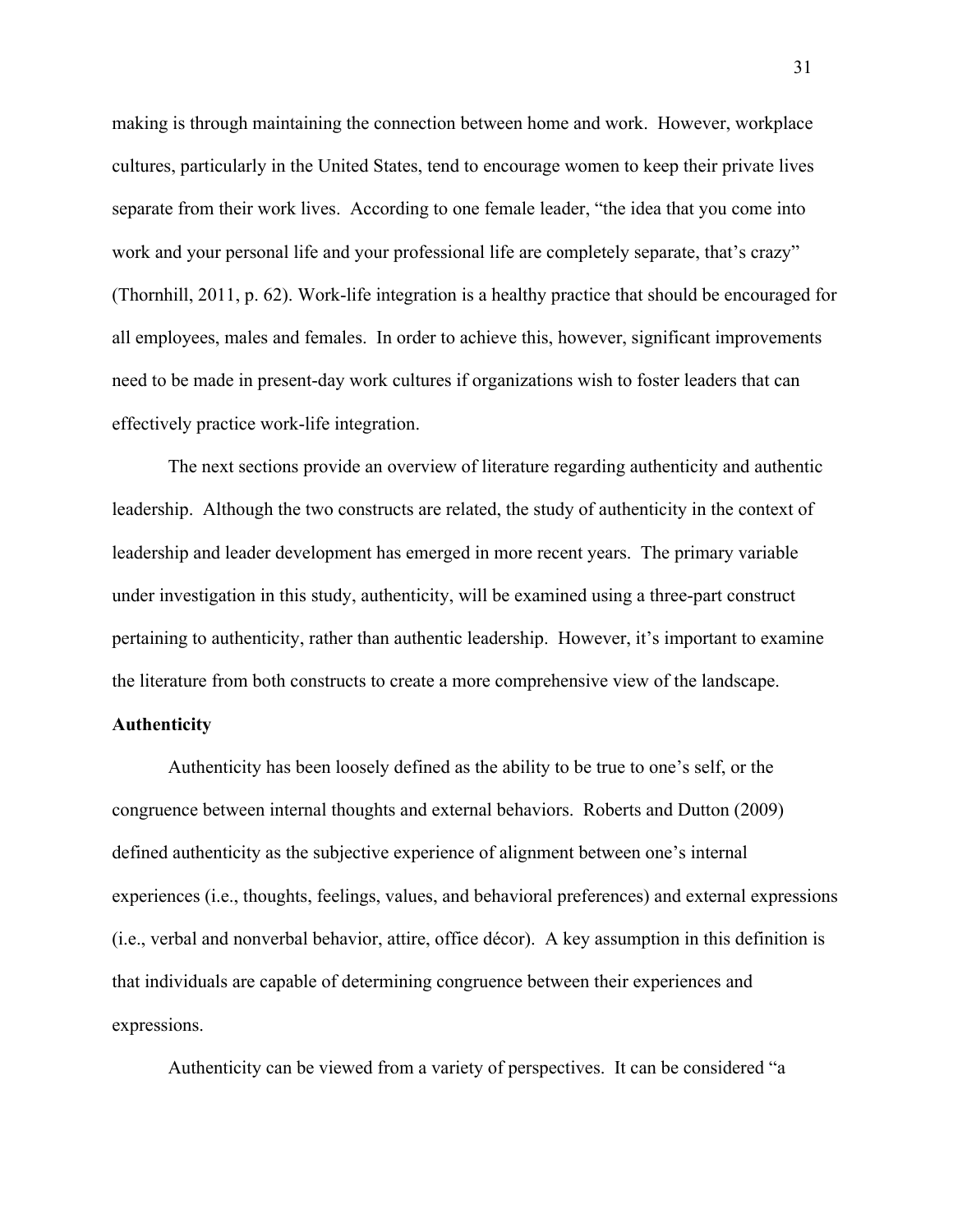making is through maintaining the connection between home and work. However, workplace cultures, particularly in the United States, tend to encourage women to keep their private lives separate from their work lives. According to one female leader, "the idea that you come into work and your personal life and your professional life are completely separate, that's crazy" (Thornhill, 2011, p. 62). Work-life integration is a healthy practice that should be encouraged for all employees, males and females. In order to achieve this, however, significant improvements need to be made in present-day work cultures if organizations wish to foster leaders that can effectively practice work-life integration.

The next sections provide an overview of literature regarding authenticity and authentic leadership. Although the two constructs are related, the study of authenticity in the context of leadership and leader development has emerged in more recent years. The primary variable under investigation in this study, authenticity, will be examined using a three-part construct pertaining to authenticity, rather than authentic leadership. However, it's important to examine the literature from both constructs to create a more comprehensive view of the landscape.

# **Authenticity**

Authenticity has been loosely defined as the ability to be true to one's self, or the congruence between internal thoughts and external behaviors. Roberts and Dutton (2009) defined authenticity as the subjective experience of alignment between one's internal experiences (i.e., thoughts, feelings, values, and behavioral preferences) and external expressions (i.e., verbal and nonverbal behavior, attire, office décor). A key assumption in this definition is that individuals are capable of determining congruence between their experiences and expressions.

Authenticity can be viewed from a variety of perspectives. It can be considered "a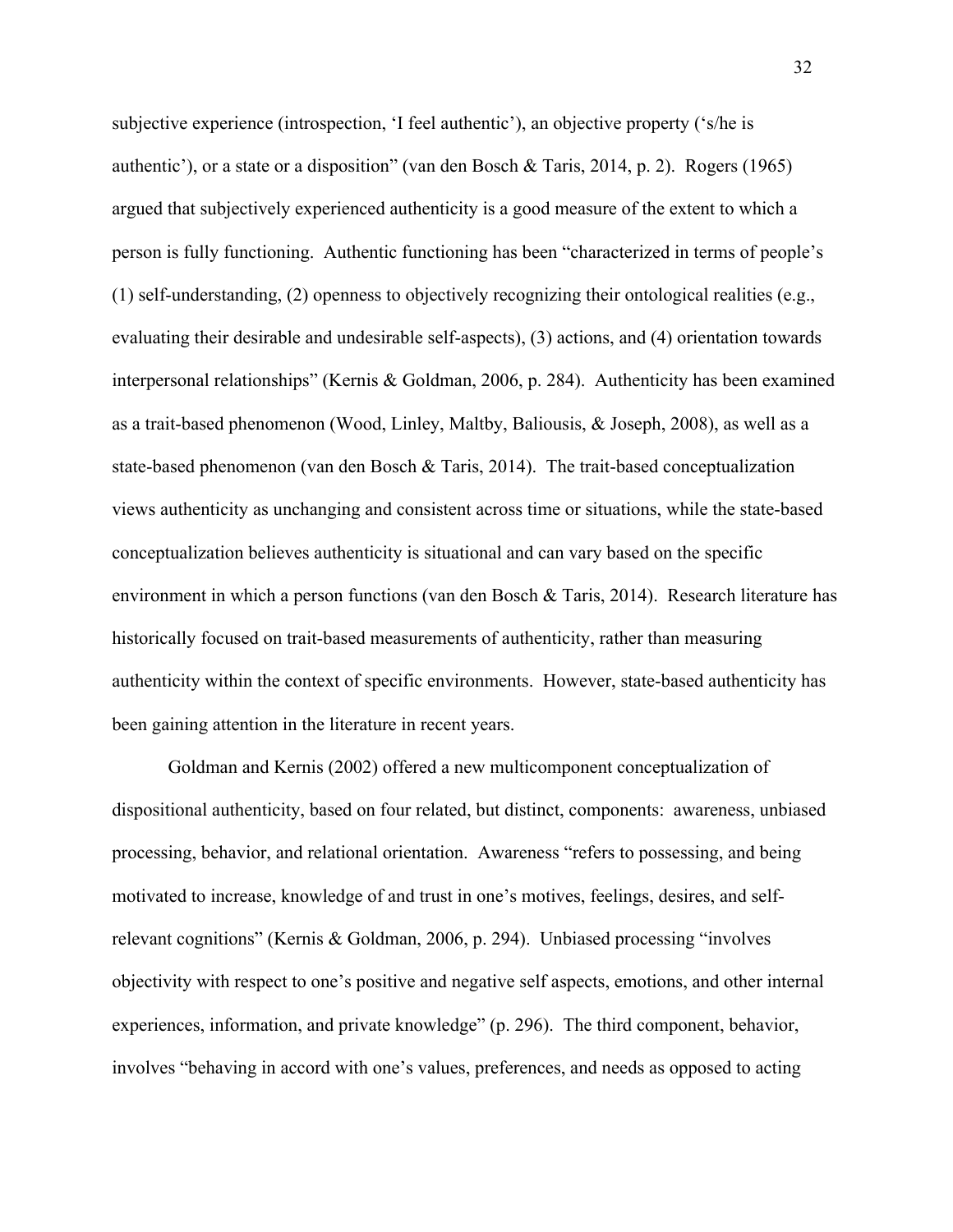subjective experience (introspection, 'I feel authentic'), an objective property ('s/he is authentic'), or a state or a disposition" (van den Bosch & Taris, 2014, p. 2). Rogers (1965) argued that subjectively experienced authenticity is a good measure of the extent to which a person is fully functioning. Authentic functioning has been "characterized in terms of people's (1) self-understanding, (2) openness to objectively recognizing their ontological realities (e.g., evaluating their desirable and undesirable self-aspects), (3) actions, and (4) orientation towards interpersonal relationships" (Kernis & Goldman, 2006, p. 284). Authenticity has been examined as a trait-based phenomenon (Wood, Linley, Maltby, Baliousis, & Joseph, 2008), as well as a state-based phenomenon (van den Bosch & Taris, 2014). The trait-based conceptualization views authenticity as unchanging and consistent across time or situations, while the state-based conceptualization believes authenticity is situational and can vary based on the specific environment in which a person functions (van den Bosch & Taris, 2014). Research literature has historically focused on trait-based measurements of authenticity, rather than measuring authenticity within the context of specific environments. However, state-based authenticity has been gaining attention in the literature in recent years.

Goldman and Kernis (2002) offered a new multicomponent conceptualization of dispositional authenticity, based on four related, but distinct, components: awareness, unbiased processing, behavior, and relational orientation. Awareness "refers to possessing, and being motivated to increase, knowledge of and trust in one's motives, feelings, desires, and selfrelevant cognitions" (Kernis & Goldman, 2006, p. 294). Unbiased processing "involves objectivity with respect to one's positive and negative self aspects, emotions, and other internal experiences, information, and private knowledge" (p. 296). The third component, behavior, involves "behaving in accord with one's values, preferences, and needs as opposed to acting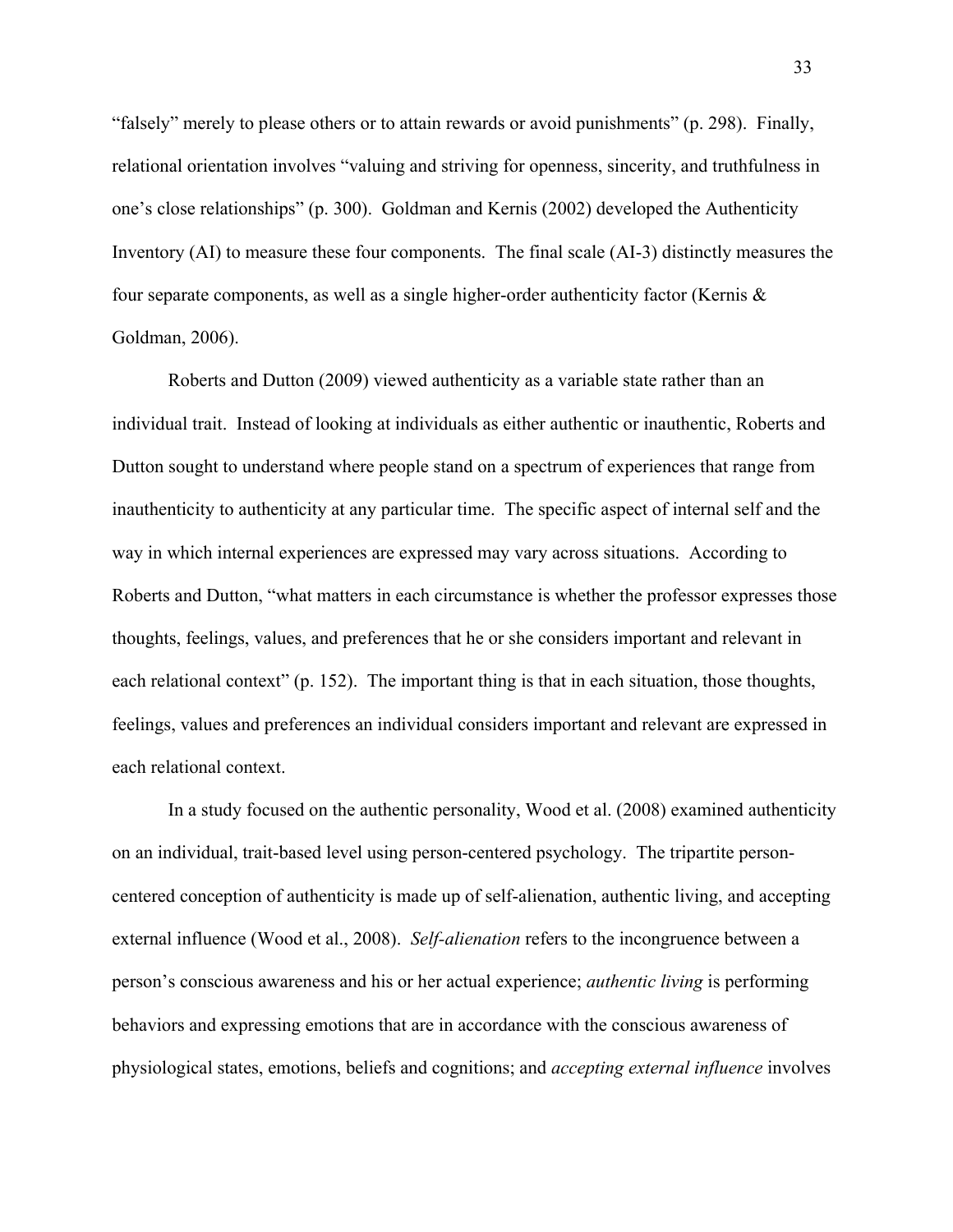"falsely" merely to please others or to attain rewards or avoid punishments" (p. 298). Finally, relational orientation involves "valuing and striving for openness, sincerity, and truthfulness in one's close relationships" (p. 300). Goldman and Kernis (2002) developed the Authenticity Inventory (AI) to measure these four components. The final scale (AI-3) distinctly measures the four separate components, as well as a single higher-order authenticity factor (Kernis & Goldman, 2006).

Roberts and Dutton (2009) viewed authenticity as a variable state rather than an individual trait. Instead of looking at individuals as either authentic or inauthentic, Roberts and Dutton sought to understand where people stand on a spectrum of experiences that range from inauthenticity to authenticity at any particular time. The specific aspect of internal self and the way in which internal experiences are expressed may vary across situations. According to Roberts and Dutton, "what matters in each circumstance is whether the professor expresses those thoughts, feelings, values, and preferences that he or she considers important and relevant in each relational context" (p. 152). The important thing is that in each situation, those thoughts, feelings, values and preferences an individual considers important and relevant are expressed in each relational context.

In a study focused on the authentic personality, Wood et al. (2008) examined authenticity on an individual, trait-based level using person-centered psychology. The tripartite personcentered conception of authenticity is made up of self-alienation, authentic living, and accepting external influence (Wood et al., 2008). *Self-alienation* refers to the incongruence between a person's conscious awareness and his or her actual experience; *authentic living* is performing behaviors and expressing emotions that are in accordance with the conscious awareness of physiological states, emotions, beliefs and cognitions; and *accepting external influence* involves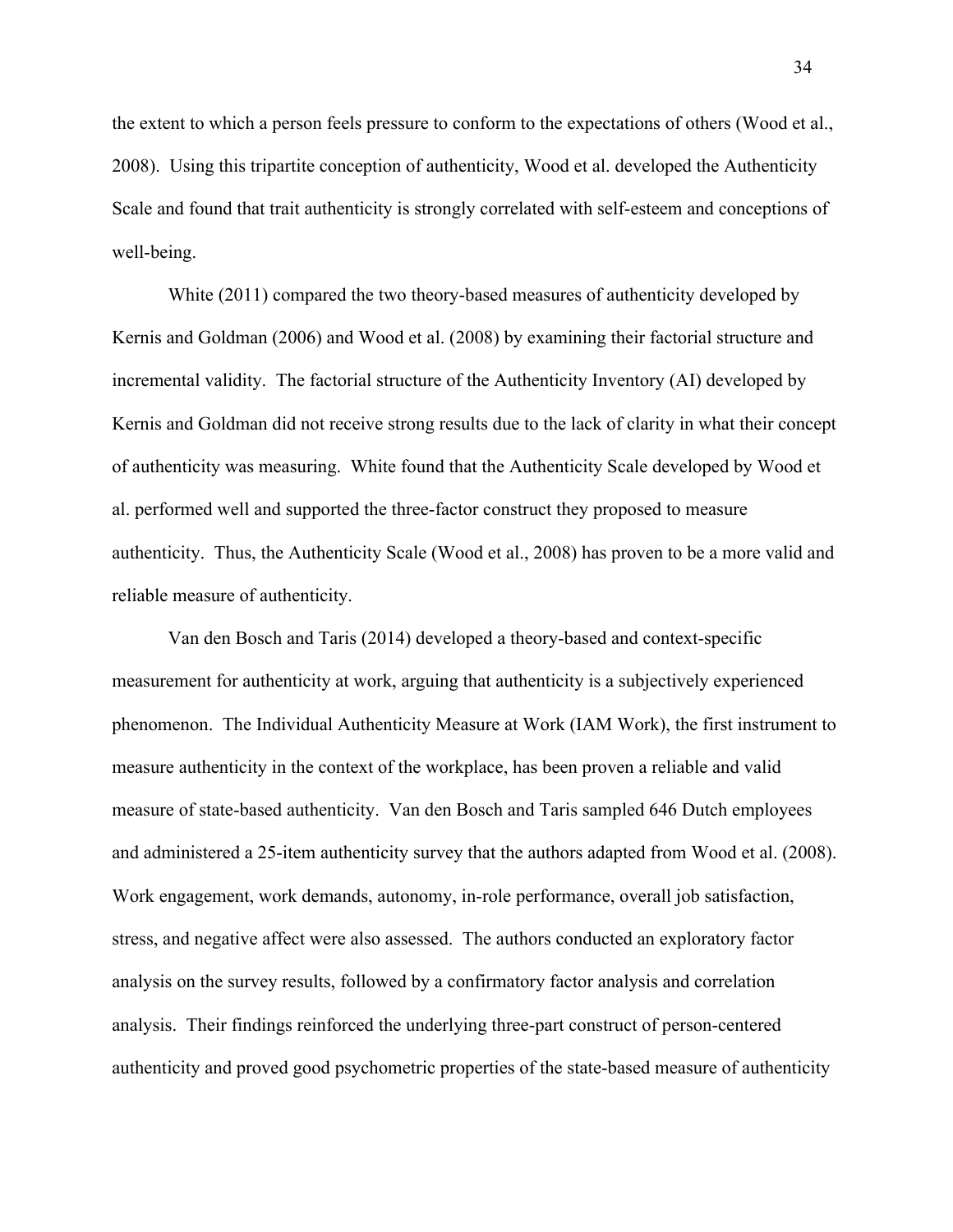the extent to which a person feels pressure to conform to the expectations of others (Wood et al., 2008). Using this tripartite conception of authenticity, Wood et al. developed the Authenticity Scale and found that trait authenticity is strongly correlated with self-esteem and conceptions of well-being.

White (2011) compared the two theory-based measures of authenticity developed by Kernis and Goldman (2006) and Wood et al. (2008) by examining their factorial structure and incremental validity. The factorial structure of the Authenticity Inventory (AI) developed by Kernis and Goldman did not receive strong results due to the lack of clarity in what their concept of authenticity was measuring. White found that the Authenticity Scale developed by Wood et al. performed well and supported the three-factor construct they proposed to measure authenticity. Thus, the Authenticity Scale (Wood et al., 2008) has proven to be a more valid and reliable measure of authenticity.

Van den Bosch and Taris (2014) developed a theory-based and context-specific measurement for authenticity at work, arguing that authenticity is a subjectively experienced phenomenon. The Individual Authenticity Measure at Work (IAM Work), the first instrument to measure authenticity in the context of the workplace, has been proven a reliable and valid measure of state-based authenticity. Van den Bosch and Taris sampled 646 Dutch employees and administered a 25-item authenticity survey that the authors adapted from Wood et al. (2008). Work engagement, work demands, autonomy, in-role performance, overall job satisfaction, stress, and negative affect were also assessed. The authors conducted an exploratory factor analysis on the survey results, followed by a confirmatory factor analysis and correlation analysis. Their findings reinforced the underlying three-part construct of person-centered authenticity and proved good psychometric properties of the state-based measure of authenticity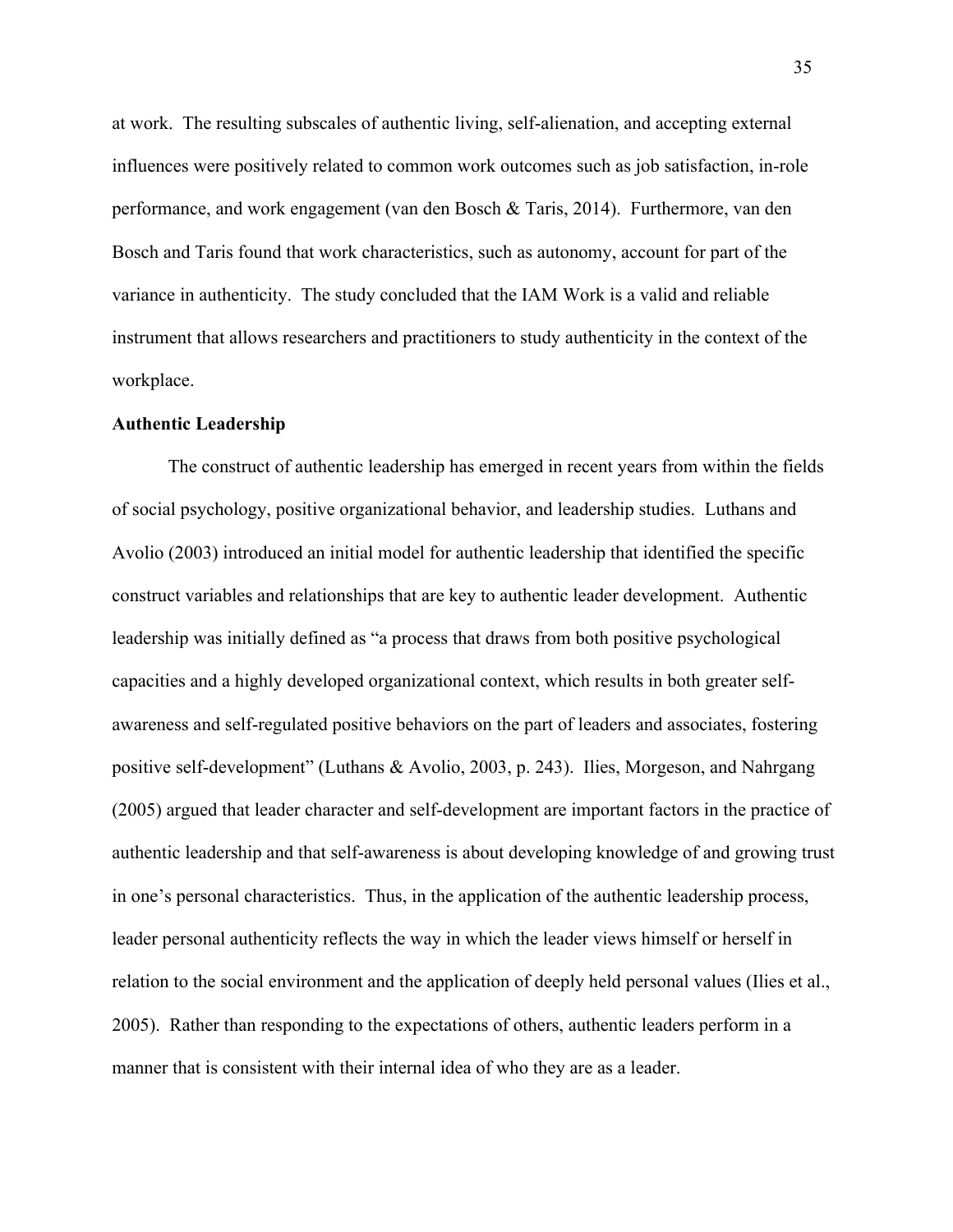at work. The resulting subscales of authentic living, self-alienation, and accepting external influences were positively related to common work outcomes such as job satisfaction, in-role performance, and work engagement (van den Bosch & Taris, 2014). Furthermore, van den Bosch and Taris found that work characteristics, such as autonomy, account for part of the variance in authenticity. The study concluded that the IAM Work is a valid and reliable instrument that allows researchers and practitioners to study authenticity in the context of the workplace.

### **Authentic Leadership**

The construct of authentic leadership has emerged in recent years from within the fields of social psychology, positive organizational behavior, and leadership studies. Luthans and Avolio (2003) introduced an initial model for authentic leadership that identified the specific construct variables and relationships that are key to authentic leader development. Authentic leadership was initially defined as "a process that draws from both positive psychological capacities and a highly developed organizational context, which results in both greater selfawareness and self-regulated positive behaviors on the part of leaders and associates, fostering positive self-development" (Luthans & Avolio, 2003, p. 243). Ilies, Morgeson, and Nahrgang (2005) argued that leader character and self-development are important factors in the practice of authentic leadership and that self-awareness is about developing knowledge of and growing trust in one's personal characteristics. Thus, in the application of the authentic leadership process, leader personal authenticity reflects the way in which the leader views himself or herself in relation to the social environment and the application of deeply held personal values (Ilies et al., 2005). Rather than responding to the expectations of others, authentic leaders perform in a manner that is consistent with their internal idea of who they are as a leader.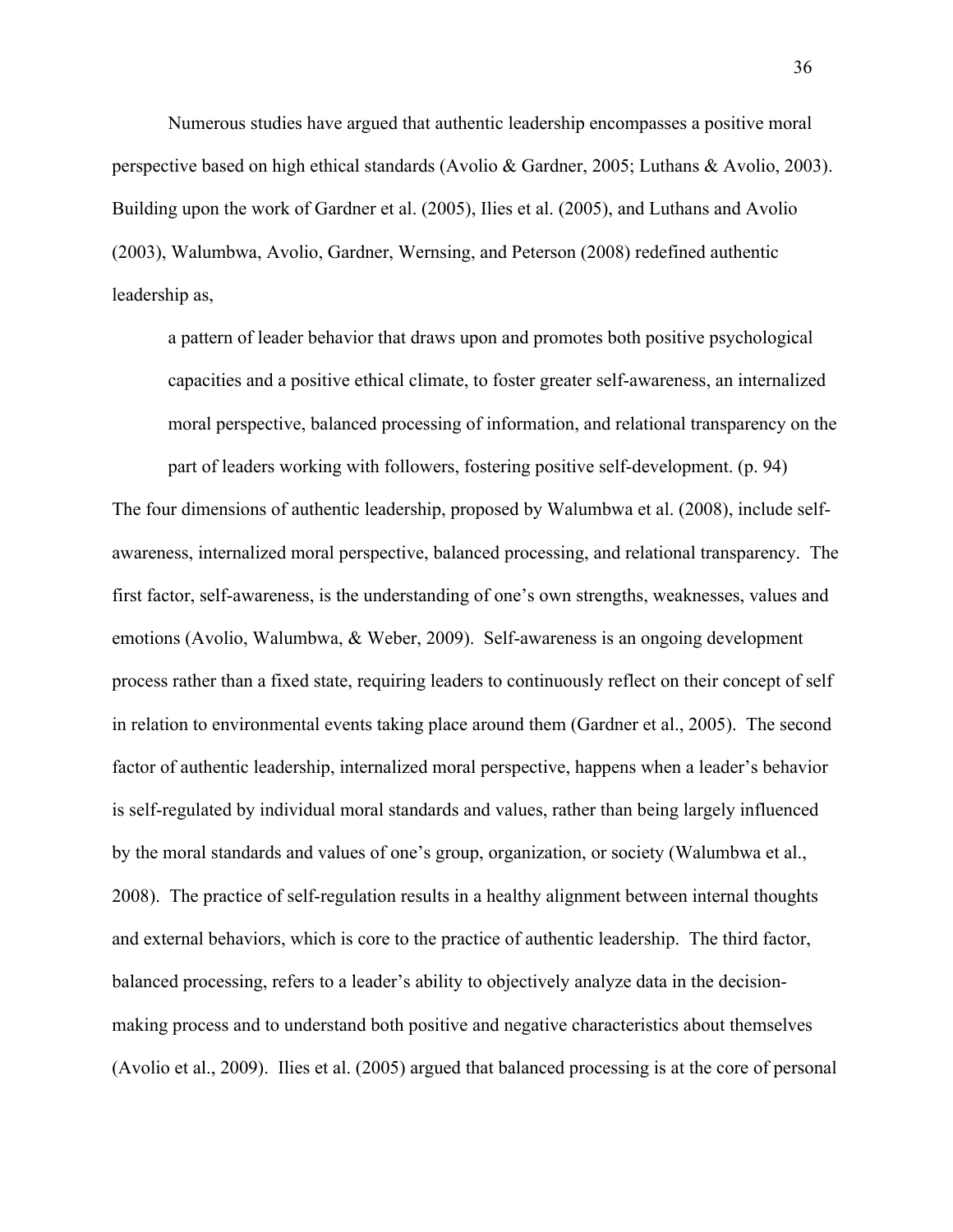Numerous studies have argued that authentic leadership encompasses a positive moral perspective based on high ethical standards (Avolio & Gardner, 2005; Luthans & Avolio, 2003). Building upon the work of Gardner et al. (2005), Ilies et al. (2005), and Luthans and Avolio (2003), Walumbwa, Avolio, Gardner, Wernsing, and Peterson (2008) redefined authentic leadership as,

a pattern of leader behavior that draws upon and promotes both positive psychological capacities and a positive ethical climate, to foster greater self-awareness, an internalized moral perspective, balanced processing of information, and relational transparency on the

part of leaders working with followers, fostering positive self-development. (p. 94) The four dimensions of authentic leadership, proposed by Walumbwa et al. (2008), include selfawareness, internalized moral perspective, balanced processing, and relational transparency. The first factor, self-awareness, is the understanding of one's own strengths, weaknesses, values and emotions (Avolio, Walumbwa, & Weber, 2009). Self-awareness is an ongoing development process rather than a fixed state, requiring leaders to continuously reflect on their concept of self in relation to environmental events taking place around them (Gardner et al., 2005). The second factor of authentic leadership, internalized moral perspective, happens when a leader's behavior is self-regulated by individual moral standards and values, rather than being largely influenced by the moral standards and values of one's group, organization, or society (Walumbwa et al., 2008). The practice of self-regulation results in a healthy alignment between internal thoughts and external behaviors, which is core to the practice of authentic leadership. The third factor, balanced processing, refers to a leader's ability to objectively analyze data in the decisionmaking process and to understand both positive and negative characteristics about themselves (Avolio et al., 2009). Ilies et al. (2005) argued that balanced processing is at the core of personal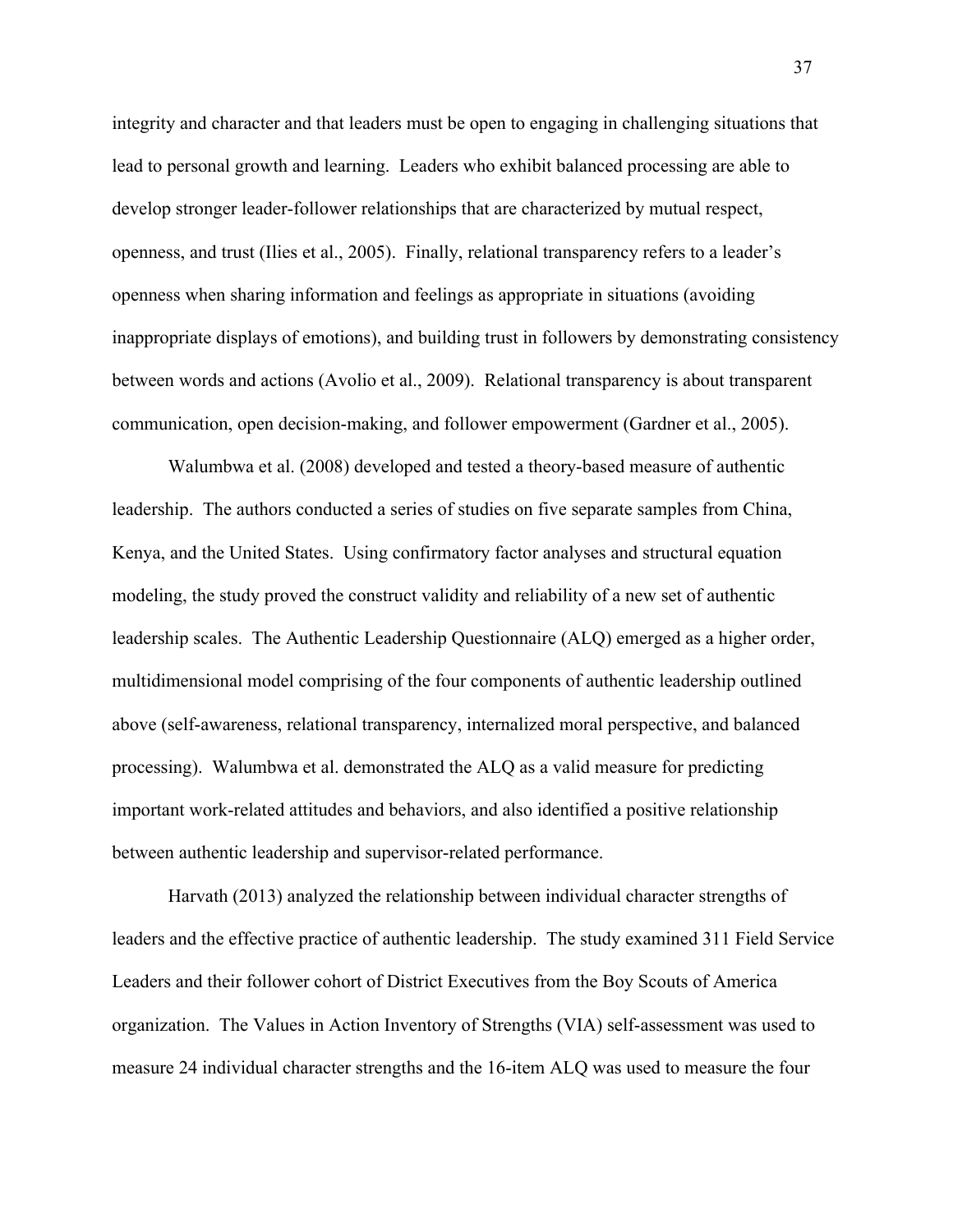integrity and character and that leaders must be open to engaging in challenging situations that lead to personal growth and learning. Leaders who exhibit balanced processing are able to develop stronger leader-follower relationships that are characterized by mutual respect, openness, and trust (Ilies et al., 2005). Finally, relational transparency refers to a leader's openness when sharing information and feelings as appropriate in situations (avoiding inappropriate displays of emotions), and building trust in followers by demonstrating consistency between words and actions (Avolio et al., 2009). Relational transparency is about transparent communication, open decision-making, and follower empowerment (Gardner et al., 2005).

Walumbwa et al. (2008) developed and tested a theory-based measure of authentic leadership. The authors conducted a series of studies on five separate samples from China, Kenya, and the United States. Using confirmatory factor analyses and structural equation modeling, the study proved the construct validity and reliability of a new set of authentic leadership scales. The Authentic Leadership Questionnaire (ALQ) emerged as a higher order, multidimensional model comprising of the four components of authentic leadership outlined above (self-awareness, relational transparency, internalized moral perspective, and balanced processing). Walumbwa et al. demonstrated the ALQ as a valid measure for predicting important work-related attitudes and behaviors, and also identified a positive relationship between authentic leadership and supervisor-related performance.

Harvath (2013) analyzed the relationship between individual character strengths of leaders and the effective practice of authentic leadership. The study examined 311 Field Service Leaders and their follower cohort of District Executives from the Boy Scouts of America organization. The Values in Action Inventory of Strengths (VIA) self-assessment was used to measure 24 individual character strengths and the 16-item ALQ was used to measure the four

37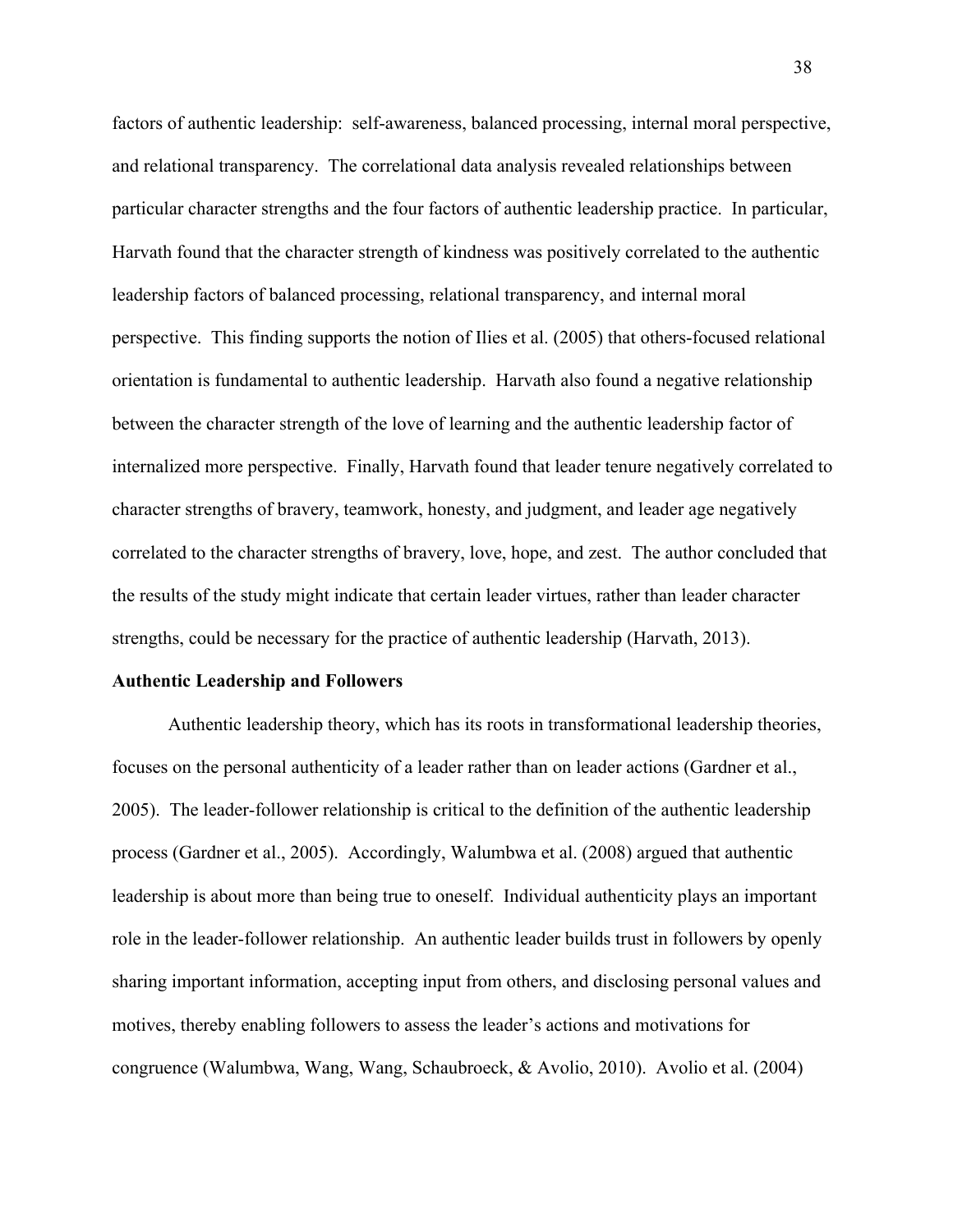factors of authentic leadership: self-awareness, balanced processing, internal moral perspective, and relational transparency. The correlational data analysis revealed relationships between particular character strengths and the four factors of authentic leadership practice. In particular, Harvath found that the character strength of kindness was positively correlated to the authentic leadership factors of balanced processing, relational transparency, and internal moral perspective. This finding supports the notion of Ilies et al. (2005) that others-focused relational orientation is fundamental to authentic leadership. Harvath also found a negative relationship between the character strength of the love of learning and the authentic leadership factor of internalized more perspective. Finally, Harvath found that leader tenure negatively correlated to character strengths of bravery, teamwork, honesty, and judgment, and leader age negatively correlated to the character strengths of bravery, love, hope, and zest. The author concluded that the results of the study might indicate that certain leader virtues, rather than leader character strengths, could be necessary for the practice of authentic leadership (Harvath, 2013).

#### **Authentic Leadership and Followers**

Authentic leadership theory, which has its roots in transformational leadership theories, focuses on the personal authenticity of a leader rather than on leader actions (Gardner et al., 2005). The leader-follower relationship is critical to the definition of the authentic leadership process (Gardner et al., 2005). Accordingly, Walumbwa et al. (2008) argued that authentic leadership is about more than being true to oneself. Individual authenticity plays an important role in the leader-follower relationship. An authentic leader builds trust in followers by openly sharing important information, accepting input from others, and disclosing personal values and motives, thereby enabling followers to assess the leader's actions and motivations for congruence (Walumbwa, Wang, Wang, Schaubroeck, & Avolio, 2010). Avolio et al. (2004)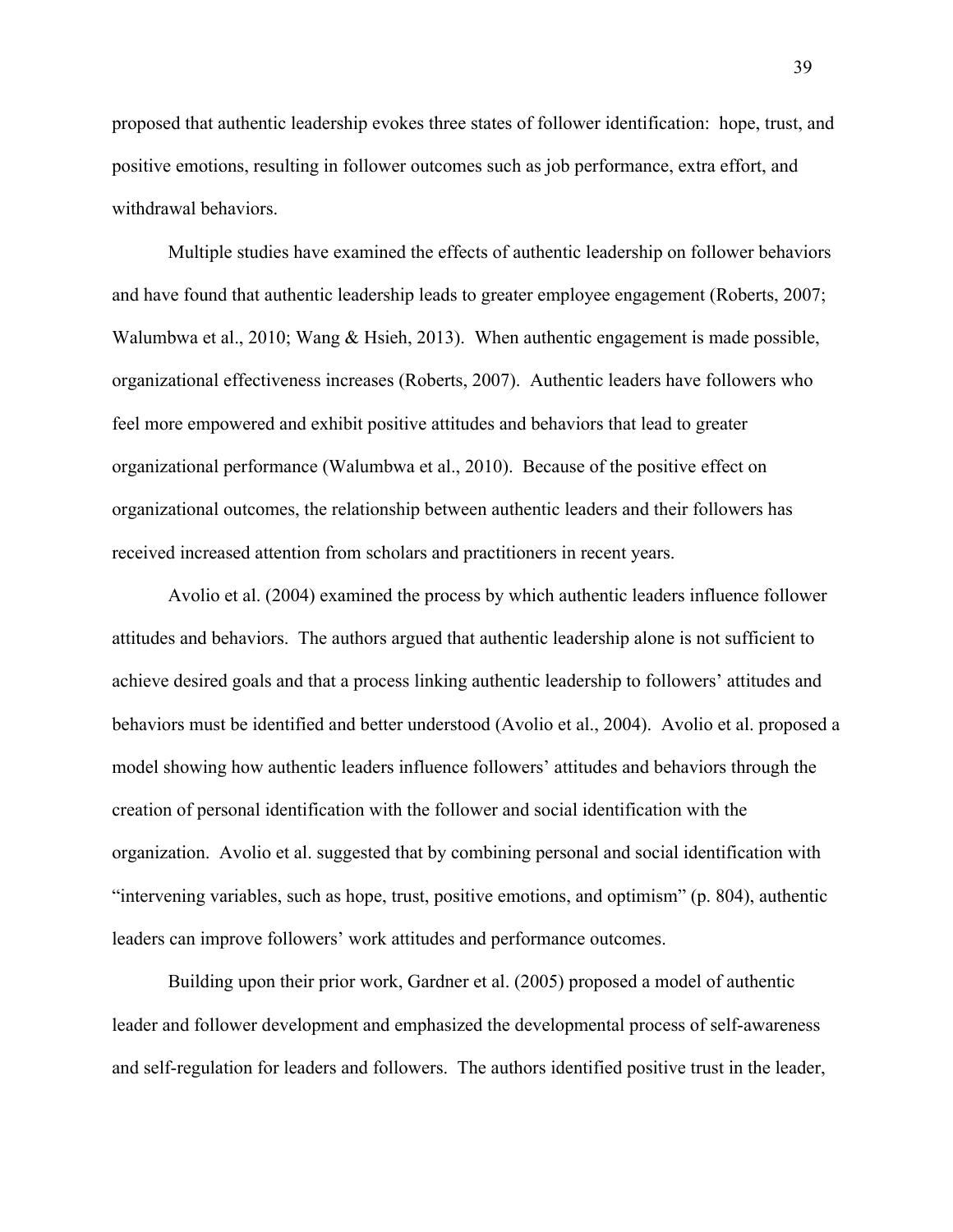proposed that authentic leadership evokes three states of follower identification: hope, trust, and positive emotions, resulting in follower outcomes such as job performance, extra effort, and withdrawal behaviors.

Multiple studies have examined the effects of authentic leadership on follower behaviors and have found that authentic leadership leads to greater employee engagement (Roberts, 2007; Walumbwa et al., 2010; Wang & Hsieh, 2013). When authentic engagement is made possible, organizational effectiveness increases (Roberts, 2007). Authentic leaders have followers who feel more empowered and exhibit positive attitudes and behaviors that lead to greater organizational performance (Walumbwa et al., 2010). Because of the positive effect on organizational outcomes, the relationship between authentic leaders and their followers has received increased attention from scholars and practitioners in recent years.

Avolio et al. (2004) examined the process by which authentic leaders influence follower attitudes and behaviors. The authors argued that authentic leadership alone is not sufficient to achieve desired goals and that a process linking authentic leadership to followers' attitudes and behaviors must be identified and better understood (Avolio et al., 2004). Avolio et al. proposed a model showing how authentic leaders influence followers' attitudes and behaviors through the creation of personal identification with the follower and social identification with the organization. Avolio et al. suggested that by combining personal and social identification with "intervening variables, such as hope, trust, positive emotions, and optimism" (p. 804), authentic leaders can improve followers' work attitudes and performance outcomes.

Building upon their prior work, Gardner et al. (2005) proposed a model of authentic leader and follower development and emphasized the developmental process of self-awareness and self-regulation for leaders and followers. The authors identified positive trust in the leader,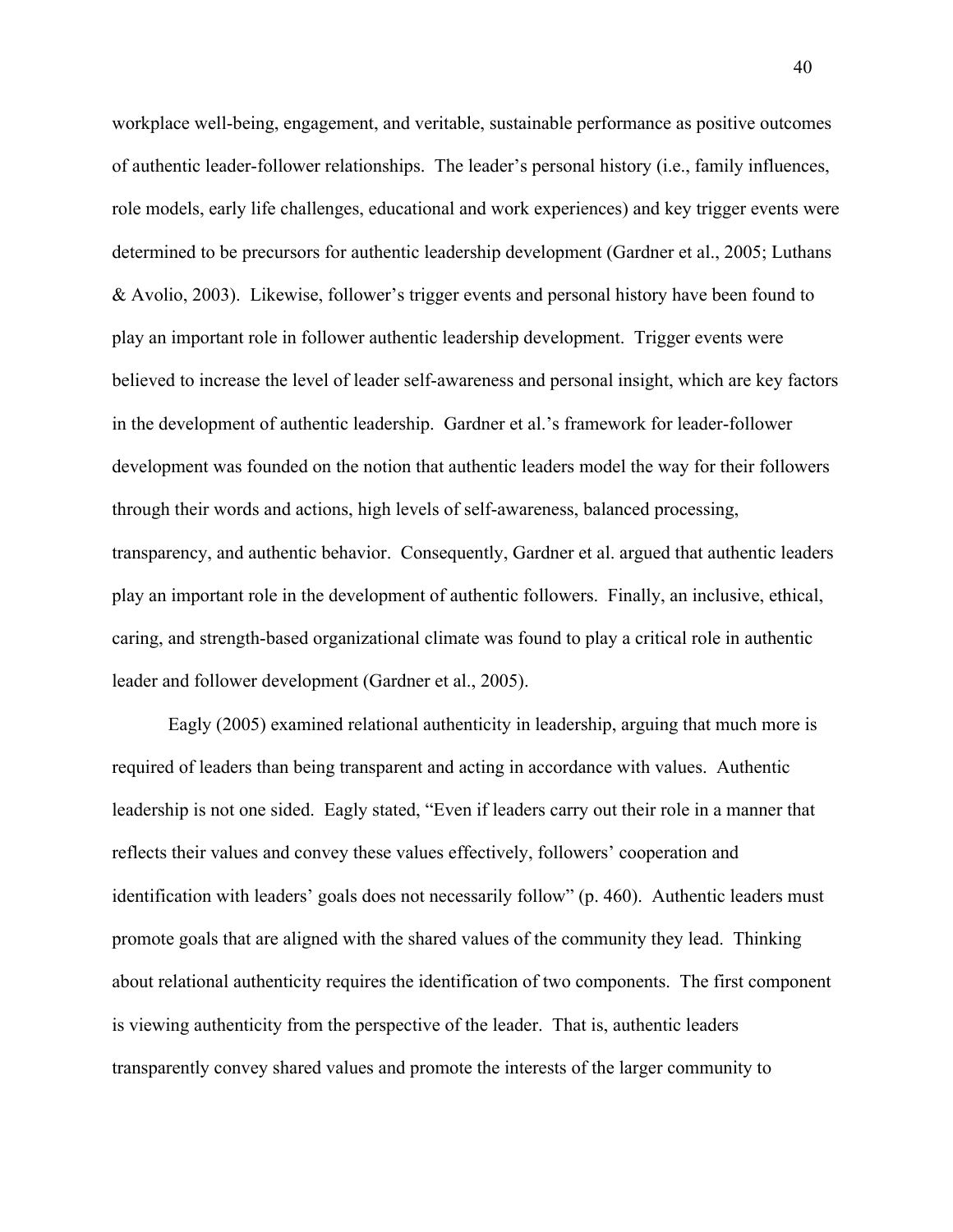workplace well-being, engagement, and veritable, sustainable performance as positive outcomes of authentic leader-follower relationships. The leader's personal history (i.e., family influences, role models, early life challenges, educational and work experiences) and key trigger events were determined to be precursors for authentic leadership development (Gardner et al., 2005; Luthans & Avolio, 2003). Likewise, follower's trigger events and personal history have been found to play an important role in follower authentic leadership development. Trigger events were believed to increase the level of leader self-awareness and personal insight, which are key factors in the development of authentic leadership. Gardner et al.'s framework for leader-follower development was founded on the notion that authentic leaders model the way for their followers through their words and actions, high levels of self-awareness, balanced processing, transparency, and authentic behavior. Consequently, Gardner et al. argued that authentic leaders play an important role in the development of authentic followers. Finally, an inclusive, ethical, caring, and strength-based organizational climate was found to play a critical role in authentic leader and follower development (Gardner et al., 2005).

Eagly (2005) examined relational authenticity in leadership, arguing that much more is required of leaders than being transparent and acting in accordance with values. Authentic leadership is not one sided. Eagly stated, "Even if leaders carry out their role in a manner that reflects their values and convey these values effectively, followers' cooperation and identification with leaders' goals does not necessarily follow" (p. 460). Authentic leaders must promote goals that are aligned with the shared values of the community they lead. Thinking about relational authenticity requires the identification of two components. The first component is viewing authenticity from the perspective of the leader. That is, authentic leaders transparently convey shared values and promote the interests of the larger community to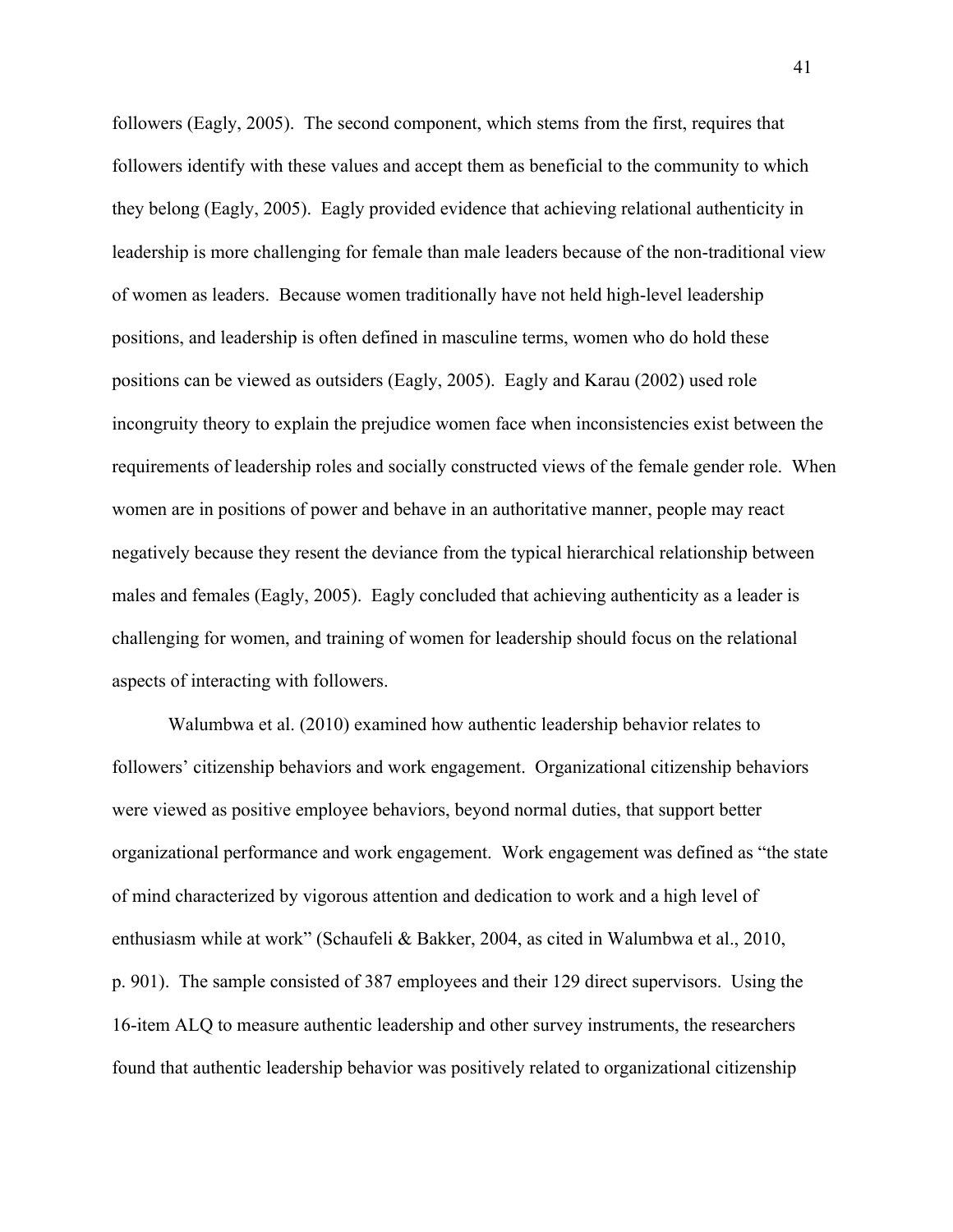followers (Eagly, 2005). The second component, which stems from the first, requires that followers identify with these values and accept them as beneficial to the community to which they belong (Eagly, 2005). Eagly provided evidence that achieving relational authenticity in leadership is more challenging for female than male leaders because of the non-traditional view of women as leaders. Because women traditionally have not held high-level leadership positions, and leadership is often defined in masculine terms, women who do hold these positions can be viewed as outsiders (Eagly, 2005). Eagly and Karau (2002) used role incongruity theory to explain the prejudice women face when inconsistencies exist between the requirements of leadership roles and socially constructed views of the female gender role. When women are in positions of power and behave in an authoritative manner, people may react negatively because they resent the deviance from the typical hierarchical relationship between males and females (Eagly, 2005). Eagly concluded that achieving authenticity as a leader is challenging for women, and training of women for leadership should focus on the relational aspects of interacting with followers.

Walumbwa et al. (2010) examined how authentic leadership behavior relates to followers' citizenship behaviors and work engagement. Organizational citizenship behaviors were viewed as positive employee behaviors, beyond normal duties, that support better organizational performance and work engagement. Work engagement was defined as "the state of mind characterized by vigorous attention and dedication to work and a high level of enthusiasm while at work" (Schaufeli & Bakker, 2004, as cited in Walumbwa et al., 2010, p. 901). The sample consisted of 387 employees and their 129 direct supervisors. Using the 16-item ALQ to measure authentic leadership and other survey instruments, the researchers found that authentic leadership behavior was positively related to organizational citizenship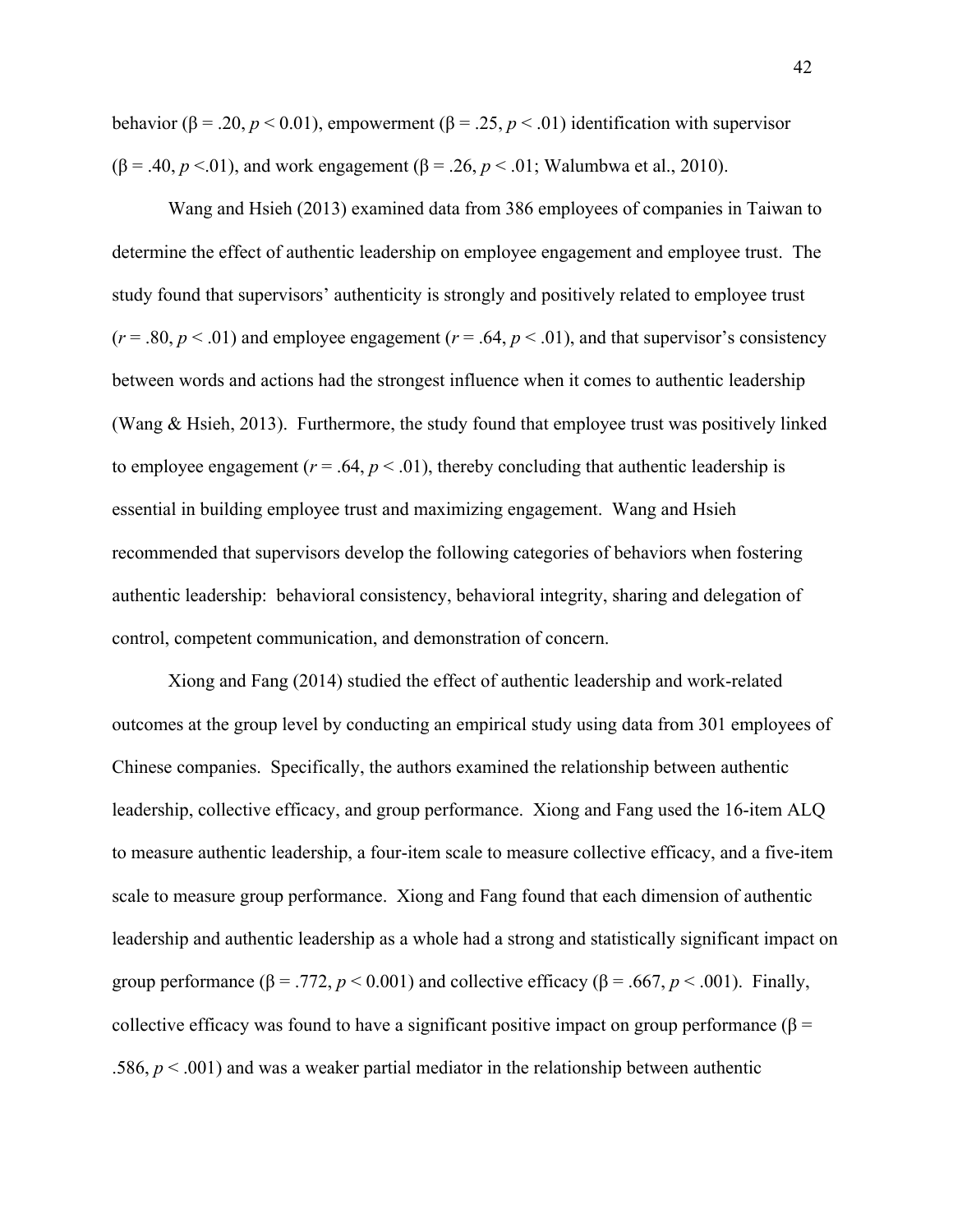behavior ( $\beta$  = .20,  $p$  < 0.01), empowerment ( $\beta$  = .25,  $p$  < .01) identification with supervisor ( $\beta$  = .40, *p* <.01), and work engagement ( $\beta$  = .26, *p* < .01; Walumbwa et al., 2010).

Wang and Hsieh (2013) examined data from 386 employees of companies in Taiwan to determine the effect of authentic leadership on employee engagement and employee trust. The study found that supervisors' authenticity is strongly and positively related to employee trust  $(r = .80, p < .01)$  and employee engagement  $(r = .64, p < .01)$ , and that supervisor's consistency between words and actions had the strongest influence when it comes to authentic leadership (Wang & Hsieh, 2013). Furthermore, the study found that employee trust was positively linked to employee engagement ( $r = .64$ ,  $p < .01$ ), thereby concluding that authentic leadership is essential in building employee trust and maximizing engagement. Wang and Hsieh recommended that supervisors develop the following categories of behaviors when fostering authentic leadership: behavioral consistency, behavioral integrity, sharing and delegation of control, competent communication, and demonstration of concern.

Xiong and Fang (2014) studied the effect of authentic leadership and work-related outcomes at the group level by conducting an empirical study using data from 301 employees of Chinese companies. Specifically, the authors examined the relationship between authentic leadership, collective efficacy, and group performance. Xiong and Fang used the 16-item ALQ to measure authentic leadership, a four-item scale to measure collective efficacy, and a five-item scale to measure group performance. Xiong and Fang found that each dimension of authentic leadership and authentic leadership as a whole had a strong and statistically significant impact on group performance ( $\beta$  = .772,  $p$  < 0.001) and collective efficacy ( $\beta$  = .667,  $p$  < .001). Finally, collective efficacy was found to have a significant positive impact on group performance ( $\beta$  = .586,  $p < .001$ ) and was a weaker partial mediator in the relationship between authentic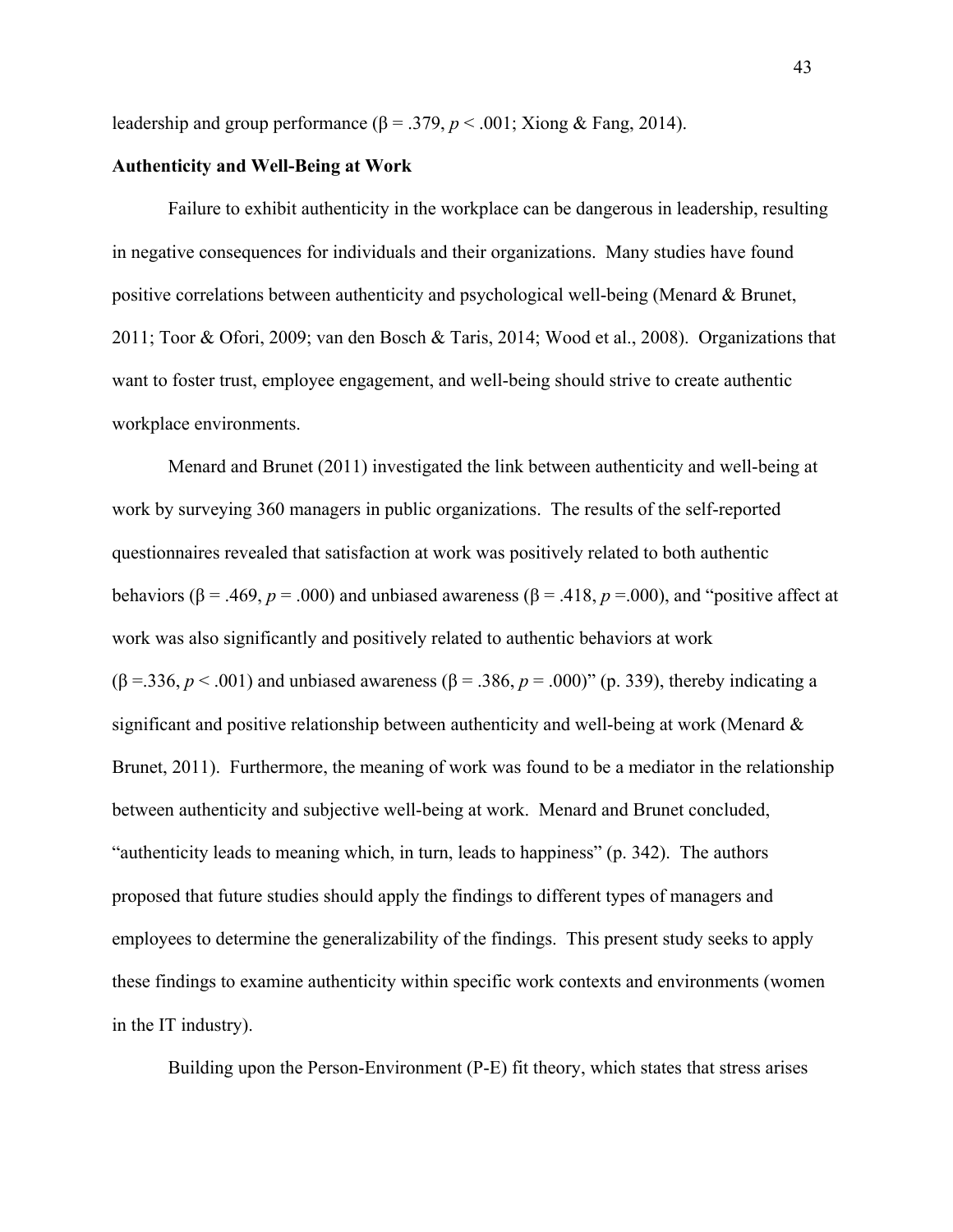leadership and group performance ( $\beta$  = .379,  $p$  < .001; Xiong & Fang, 2014).

## **Authenticity and Well-Being at Work**

Failure to exhibit authenticity in the workplace can be dangerous in leadership, resulting in negative consequences for individuals and their organizations. Many studies have found positive correlations between authenticity and psychological well-being (Menard & Brunet, 2011; Toor & Ofori, 2009; van den Bosch & Taris, 2014; Wood et al., 2008). Organizations that want to foster trust, employee engagement, and well-being should strive to create authentic workplace environments.

Menard and Brunet (2011) investigated the link between authenticity and well-being at work by surveying 360 managers in public organizations. The results of the self-reported questionnaires revealed that satisfaction at work was positively related to both authentic behaviors ( $\beta$  = .469, *p* = .000) and unbiased awareness ( $\beta$  = .418, *p* = .000), and "positive affect at work was also significantly and positively related to authentic behaviors at work (β =.336, *p* < .001) and unbiased awareness (β = .386, *p* = .000)" (p. 339), thereby indicating a significant and positive relationship between authenticity and well-being at work (Menard & Brunet, 2011). Furthermore, the meaning of work was found to be a mediator in the relationship between authenticity and subjective well-being at work. Menard and Brunet concluded, "authenticity leads to meaning which, in turn, leads to happiness" (p. 342). The authors proposed that future studies should apply the findings to different types of managers and employees to determine the generalizability of the findings. This present study seeks to apply these findings to examine authenticity within specific work contexts and environments (women in the IT industry).

Building upon the Person-Environment (P-E) fit theory, which states that stress arises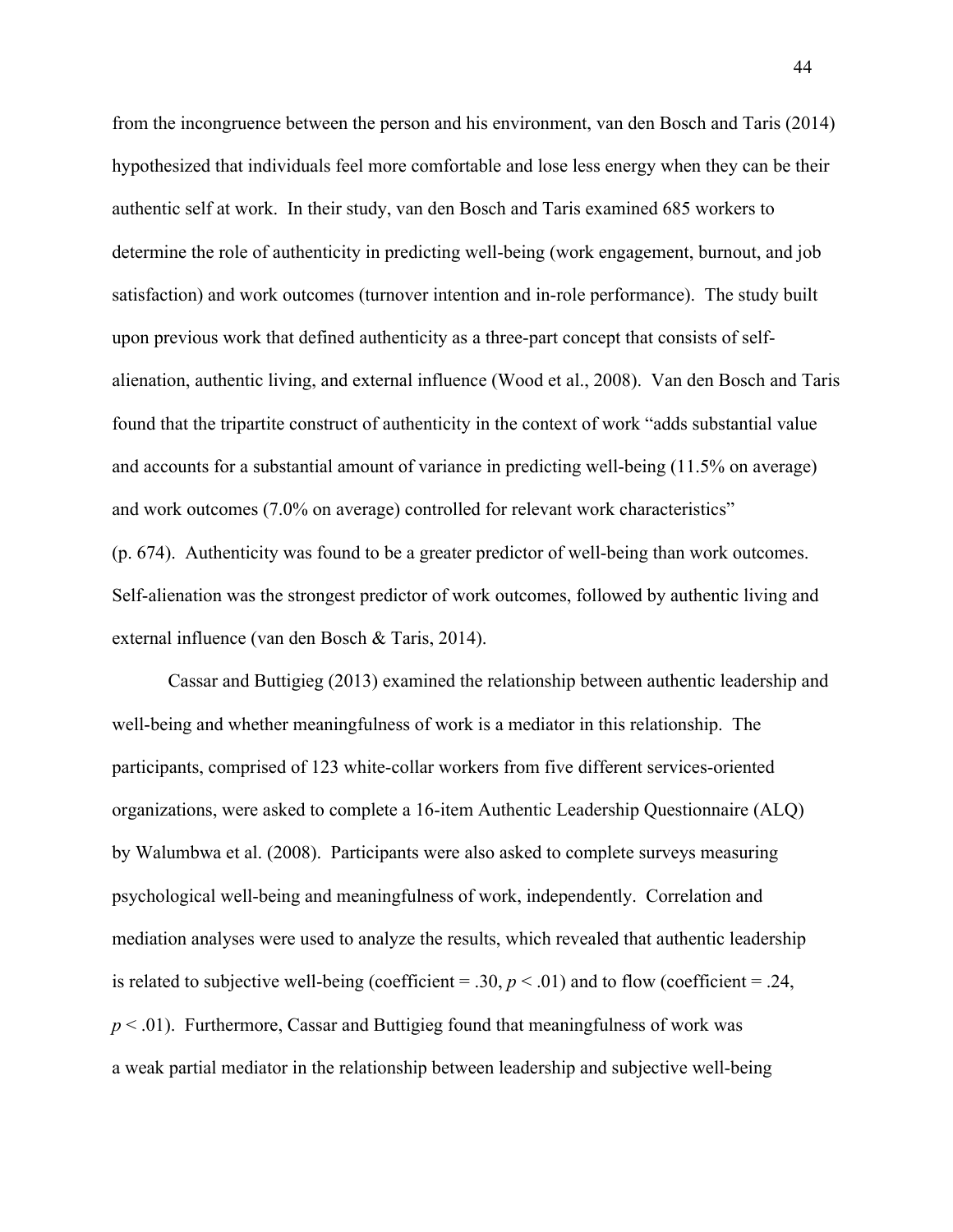from the incongruence between the person and his environment, van den Bosch and Taris (2014) hypothesized that individuals feel more comfortable and lose less energy when they can be their authentic self at work. In their study, van den Bosch and Taris examined 685 workers to determine the role of authenticity in predicting well-being (work engagement, burnout, and job satisfaction) and work outcomes (turnover intention and in-role performance). The study built upon previous work that defined authenticity as a three-part concept that consists of selfalienation, authentic living, and external influence (Wood et al., 2008). Van den Bosch and Taris found that the tripartite construct of authenticity in the context of work "adds substantial value and accounts for a substantial amount of variance in predicting well-being (11.5% on average) and work outcomes (7.0% on average) controlled for relevant work characteristics" (p. 674). Authenticity was found to be a greater predictor of well-being than work outcomes. Self-alienation was the strongest predictor of work outcomes, followed by authentic living and external influence (van den Bosch & Taris, 2014).

Cassar and Buttigieg (2013) examined the relationship between authentic leadership and well-being and whether meaningfulness of work is a mediator in this relationship. The participants, comprised of 123 white-collar workers from five different services-oriented organizations, were asked to complete a 16-item Authentic Leadership Questionnaire (ALQ) by Walumbwa et al. (2008). Participants were also asked to complete surveys measuring psychological well-being and meaningfulness of work, independently. Correlation and mediation analyses were used to analyze the results, which revealed that authentic leadership is related to subjective well-being (coefficient  $= .30, p < .01$ ) and to flow (coefficient  $= .24,$  $p < .01$ ). Furthermore, Cassar and Buttigieg found that meaningfulness of work was a weak partial mediator in the relationship between leadership and subjective well-being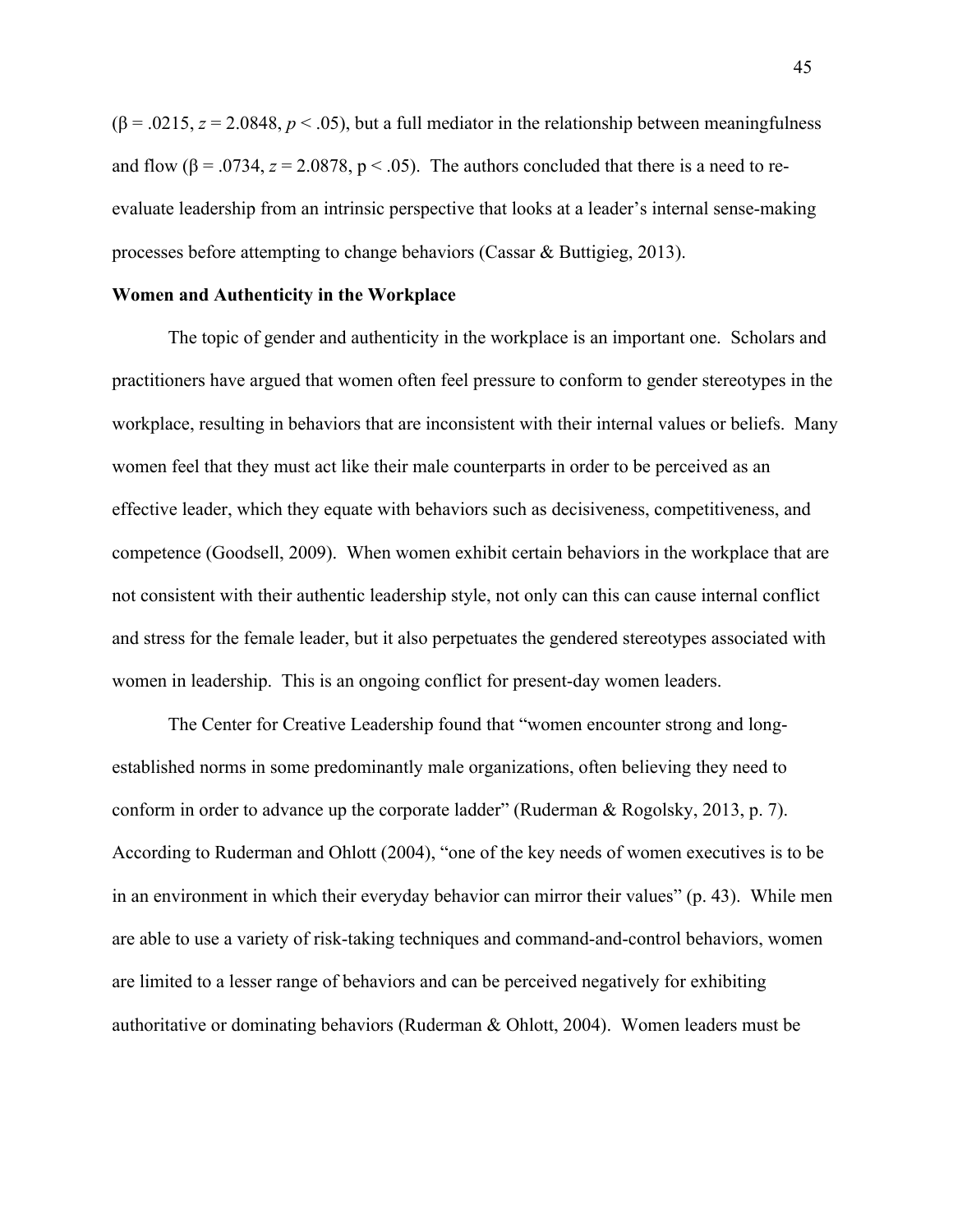$(\beta = .0215, z = 2.0848, p < .05)$ , but a full mediator in the relationship between meaningfulness and flow  $(\beta = .0734, z = 2.0878, p < .05)$ . The authors concluded that there is a need to reevaluate leadership from an intrinsic perspective that looks at a leader's internal sense-making processes before attempting to change behaviors (Cassar & Buttigieg, 2013).

### **Women and Authenticity in the Workplace**

The topic of gender and authenticity in the workplace is an important one. Scholars and practitioners have argued that women often feel pressure to conform to gender stereotypes in the workplace, resulting in behaviors that are inconsistent with their internal values or beliefs. Many women feel that they must act like their male counterparts in order to be perceived as an effective leader, which they equate with behaviors such as decisiveness, competitiveness, and competence (Goodsell, 2009). When women exhibit certain behaviors in the workplace that are not consistent with their authentic leadership style, not only can this can cause internal conflict and stress for the female leader, but it also perpetuates the gendered stereotypes associated with women in leadership. This is an ongoing conflict for present-day women leaders.

The Center for Creative Leadership found that "women encounter strong and longestablished norms in some predominantly male organizations, often believing they need to conform in order to advance up the corporate ladder" (Ruderman & Rogolsky, 2013, p. 7). According to Ruderman and Ohlott (2004), "one of the key needs of women executives is to be in an environment in which their everyday behavior can mirror their values" (p. 43). While men are able to use a variety of risk-taking techniques and command-and-control behaviors, women are limited to a lesser range of behaviors and can be perceived negatively for exhibiting authoritative or dominating behaviors (Ruderman  $\&$  Ohlott, 2004). Women leaders must be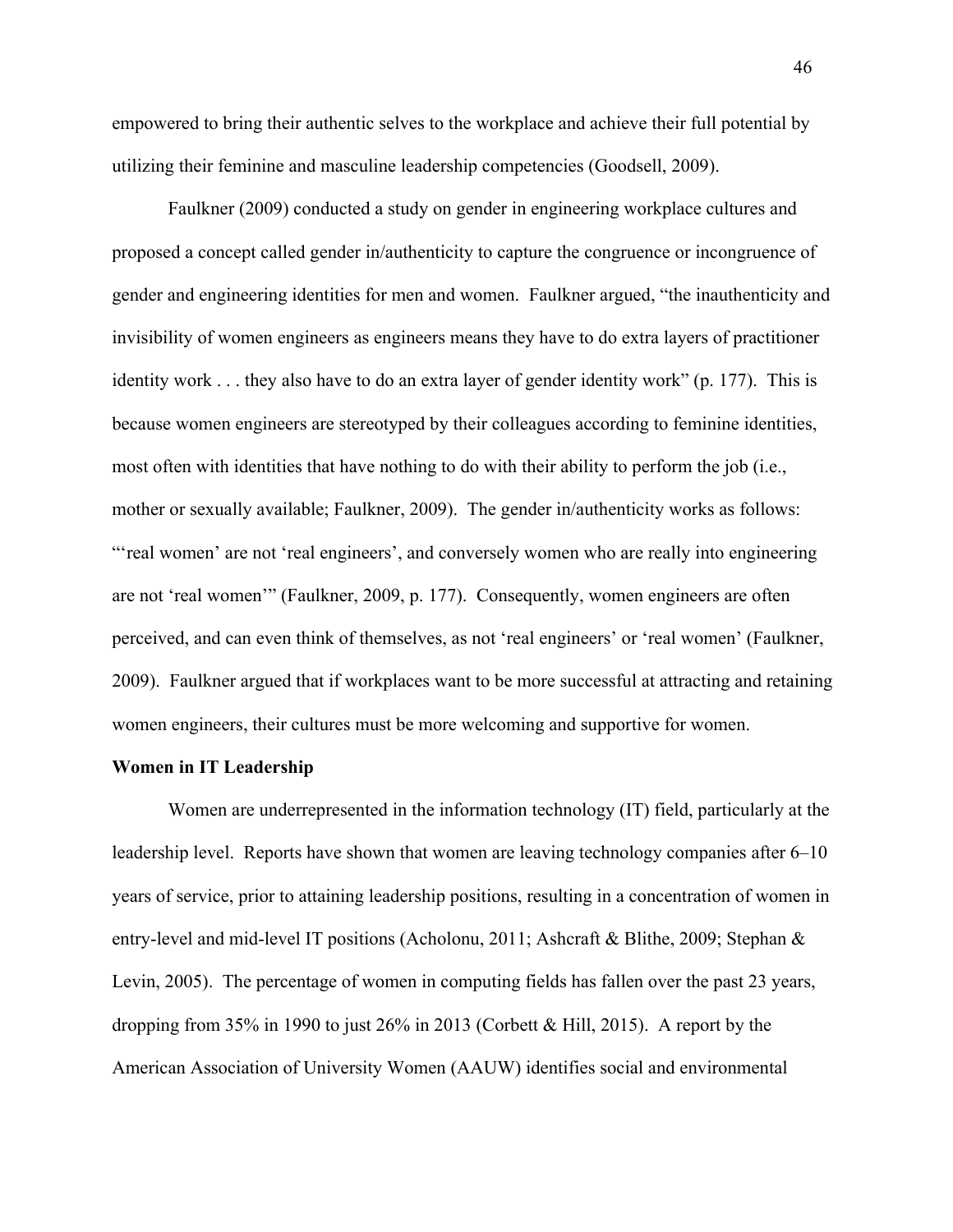empowered to bring their authentic selves to the workplace and achieve their full potential by utilizing their feminine and masculine leadership competencies (Goodsell, 2009).

Faulkner (2009) conducted a study on gender in engineering workplace cultures and proposed a concept called gender in/authenticity to capture the congruence or incongruence of gender and engineering identities for men and women. Faulkner argued, "the inauthenticity and invisibility of women engineers as engineers means they have to do extra layers of practitioner identity work . . . they also have to do an extra layer of gender identity work" (p. 177). This is because women engineers are stereotyped by their colleagues according to feminine identities, most often with identities that have nothing to do with their ability to perform the job (i.e., mother or sexually available; Faulkner, 2009). The gender in/authenticity works as follows: "'real women' are not 'real engineers', and conversely women who are really into engineering are not 'real women'" (Faulkner, 2009, p. 177). Consequently, women engineers are often perceived, and can even think of themselves, as not 'real engineers' or 'real women' (Faulkner, 2009). Faulkner argued that if workplaces want to be more successful at attracting and retaining women engineers, their cultures must be more welcoming and supportive for women.

## **Women in IT Leadership**

Women are underrepresented in the information technology (IT) field, particularly at the leadership level. Reports have shown that women are leaving technology companies after 6–10 years of service, prior to attaining leadership positions, resulting in a concentration of women in entry-level and mid-level IT positions (Acholonu, 2011; Ashcraft & Blithe, 2009; Stephan & Levin, 2005). The percentage of women in computing fields has fallen over the past 23 years, dropping from 35% in 1990 to just 26% in 2013 (Corbett & Hill, 2015). A report by the American Association of University Women (AAUW) identifies social and environmental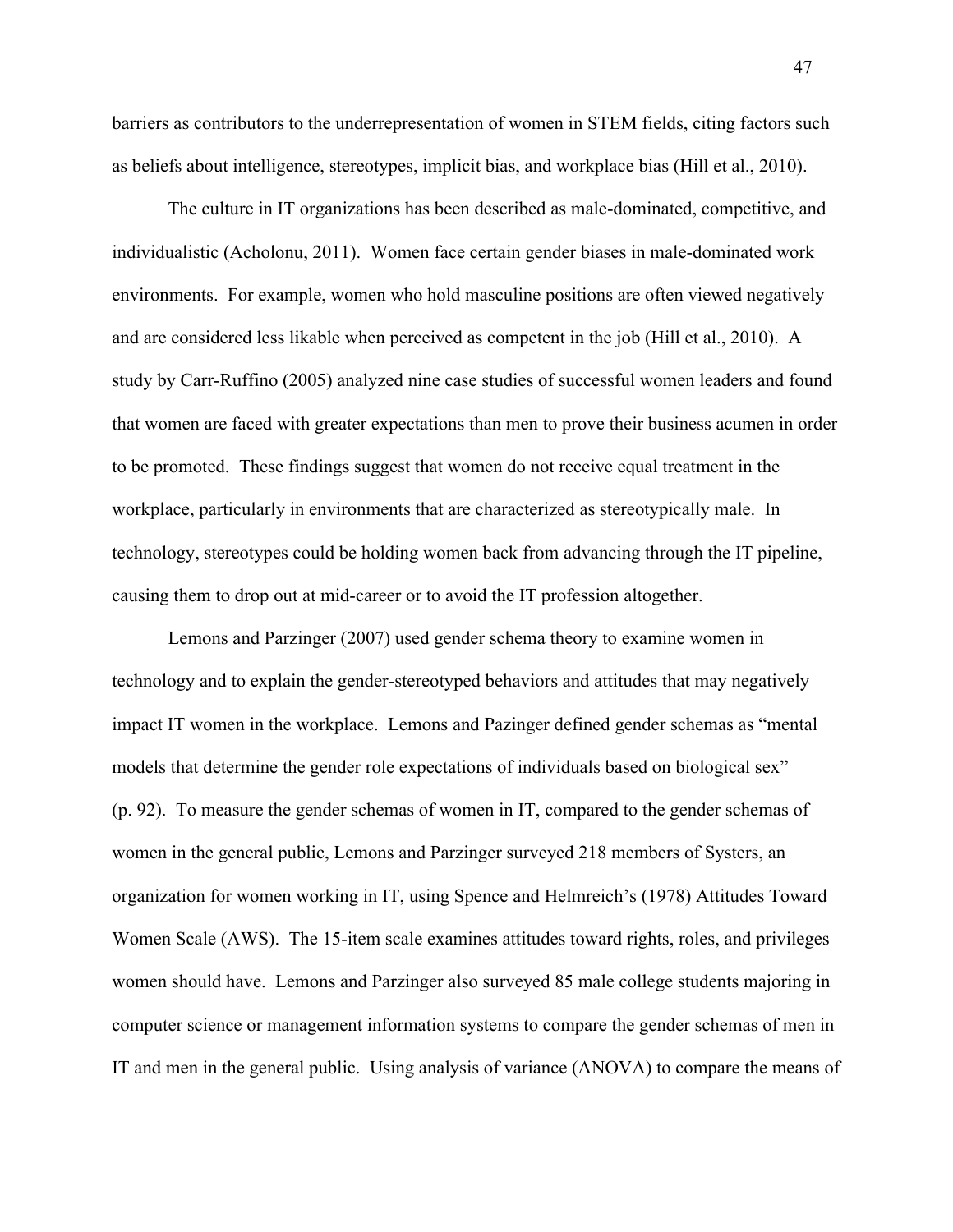barriers as contributors to the underrepresentation of women in STEM fields, citing factors such as beliefs about intelligence, stereotypes, implicit bias, and workplace bias (Hill et al., 2010).

The culture in IT organizations has been described as male-dominated, competitive, and individualistic (Acholonu, 2011). Women face certain gender biases in male-dominated work environments. For example, women who hold masculine positions are often viewed negatively and are considered less likable when perceived as competent in the job (Hill et al., 2010). A study by Carr-Ruffino (2005) analyzed nine case studies of successful women leaders and found that women are faced with greater expectations than men to prove their business acumen in order to be promoted. These findings suggest that women do not receive equal treatment in the workplace, particularly in environments that are characterized as stereotypically male. In technology, stereotypes could be holding women back from advancing through the IT pipeline, causing them to drop out at mid-career or to avoid the IT profession altogether.

Lemons and Parzinger (2007) used gender schema theory to examine women in technology and to explain the gender-stereotyped behaviors and attitudes that may negatively impact IT women in the workplace. Lemons and Pazinger defined gender schemas as "mental models that determine the gender role expectations of individuals based on biological sex" (p. 92). To measure the gender schemas of women in IT, compared to the gender schemas of women in the general public, Lemons and Parzinger surveyed 218 members of Systers, an organization for women working in IT, using Spence and Helmreich's (1978) Attitudes Toward Women Scale (AWS). The 15-item scale examines attitudes toward rights, roles, and privileges women should have. Lemons and Parzinger also surveyed 85 male college students majoring in computer science or management information systems to compare the gender schemas of men in IT and men in the general public. Using analysis of variance (ANOVA) to compare the means of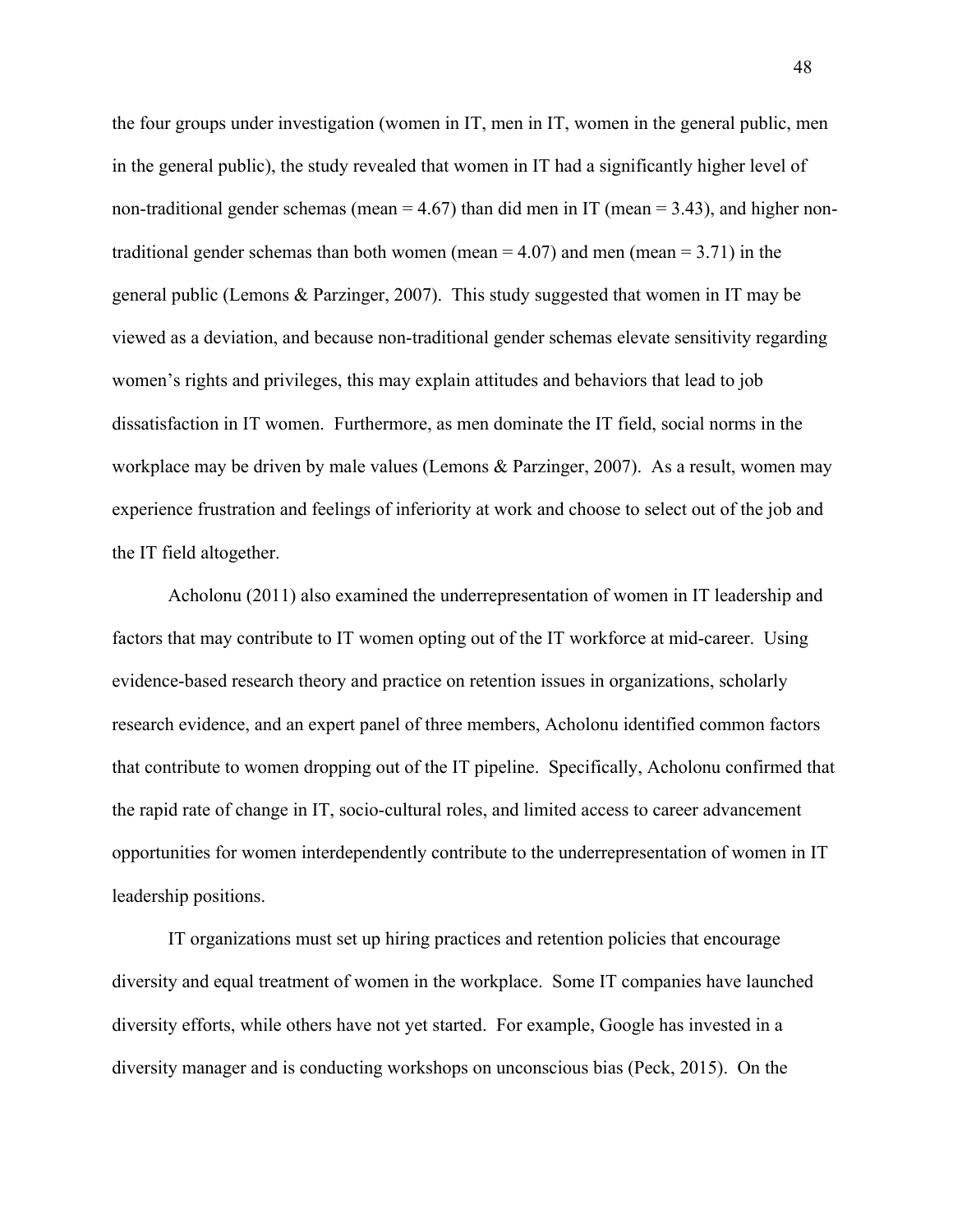the four groups under investigation (women in IT, men in IT, women in the general public, men in the general public), the study revealed that women in IT had a significantly higher level of non-traditional gender schemas (mean  $= 4.67$ ) than did men in IT (mean  $= 3.43$ ), and higher nontraditional gender schemas than both women (mean  $= 4.07$ ) and men (mean  $= 3.71$ ) in the general public (Lemons & Parzinger, 2007). This study suggested that women in IT may be viewed as a deviation, and because non-traditional gender schemas elevate sensitivity regarding women's rights and privileges, this may explain attitudes and behaviors that lead to job dissatisfaction in IT women. Furthermore, as men dominate the IT field, social norms in the workplace may be driven by male values (Lemons & Parzinger, 2007). As a result, women may experience frustration and feelings of inferiority at work and choose to select out of the job and the IT field altogether.

Acholonu (2011) also examined the underrepresentation of women in IT leadership and factors that may contribute to IT women opting out of the IT workforce at mid-career. Using evidence-based research theory and practice on retention issues in organizations, scholarly research evidence, and an expert panel of three members, Acholonu identified common factors that contribute to women dropping out of the IT pipeline. Specifically, Acholonu confirmed that the rapid rate of change in IT, socio-cultural roles, and limited access to career advancement opportunities for women interdependently contribute to the underrepresentation of women in IT leadership positions.

IT organizations must set up hiring practices and retention policies that encourage diversity and equal treatment of women in the workplace. Some IT companies have launched diversity efforts, while others have not yet started. For example, Google has invested in a diversity manager and is conducting workshops on unconscious bias (Peck, 2015). On the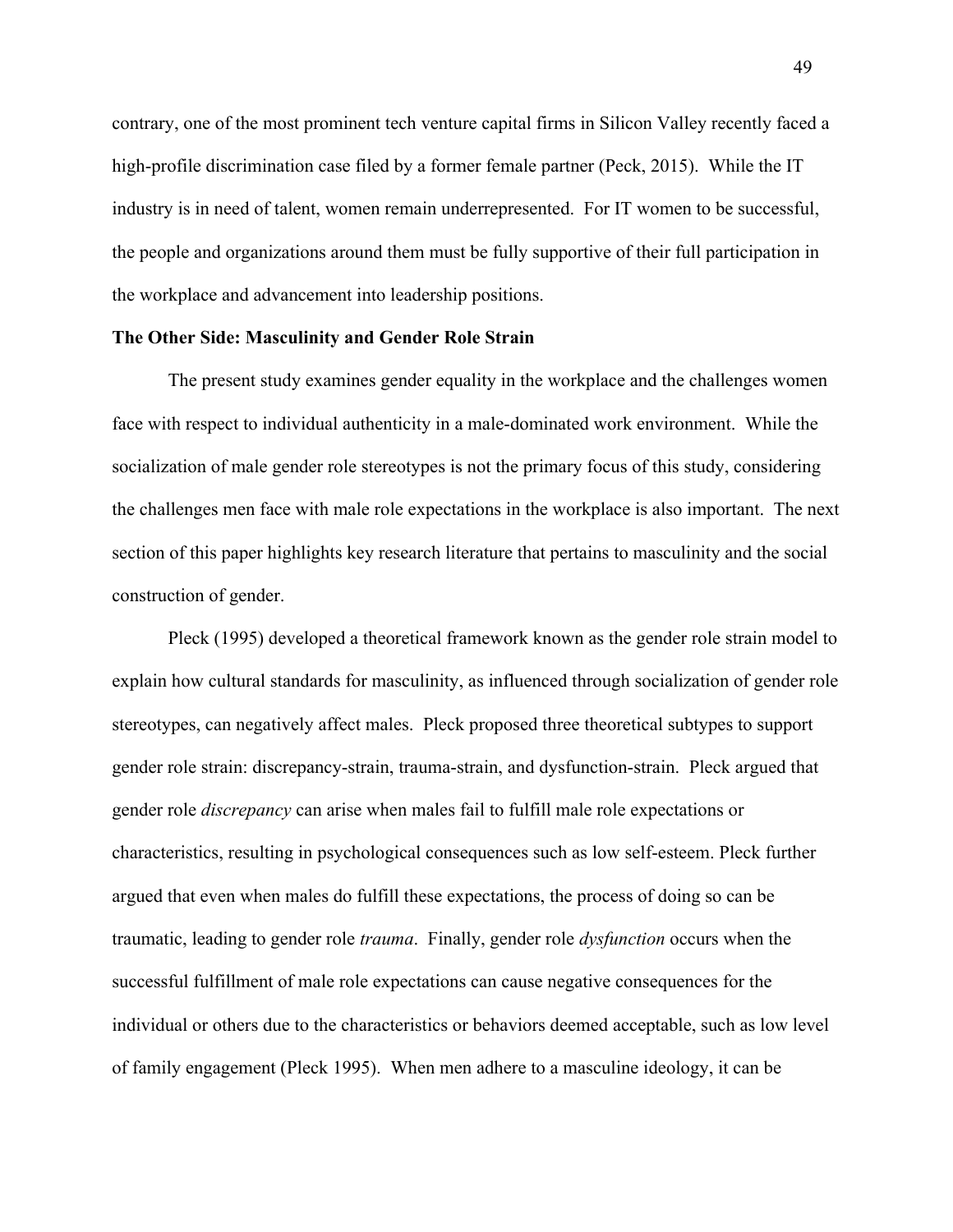contrary, one of the most prominent tech venture capital firms in Silicon Valley recently faced a high-profile discrimination case filed by a former female partner (Peck, 2015). While the IT industry is in need of talent, women remain underrepresented. For IT women to be successful, the people and organizations around them must be fully supportive of their full participation in the workplace and advancement into leadership positions.

### **The Other Side: Masculinity and Gender Role Strain**

The present study examines gender equality in the workplace and the challenges women face with respect to individual authenticity in a male-dominated work environment. While the socialization of male gender role stereotypes is not the primary focus of this study, considering the challenges men face with male role expectations in the workplace is also important. The next section of this paper highlights key research literature that pertains to masculinity and the social construction of gender.

Pleck (1995) developed a theoretical framework known as the gender role strain model to explain how cultural standards for masculinity, as influenced through socialization of gender role stereotypes, can negatively affect males. Pleck proposed three theoretical subtypes to support gender role strain: discrepancy-strain, trauma-strain, and dysfunction-strain. Pleck argued that gender role *discrepancy* can arise when males fail to fulfill male role expectations or characteristics, resulting in psychological consequences such as low self-esteem. Pleck further argued that even when males do fulfill these expectations, the process of doing so can be traumatic, leading to gender role *trauma*. Finally, gender role *dysfunction* occurs when the successful fulfillment of male role expectations can cause negative consequences for the individual or others due to the characteristics or behaviors deemed acceptable, such as low level of family engagement (Pleck 1995). When men adhere to a masculine ideology, it can be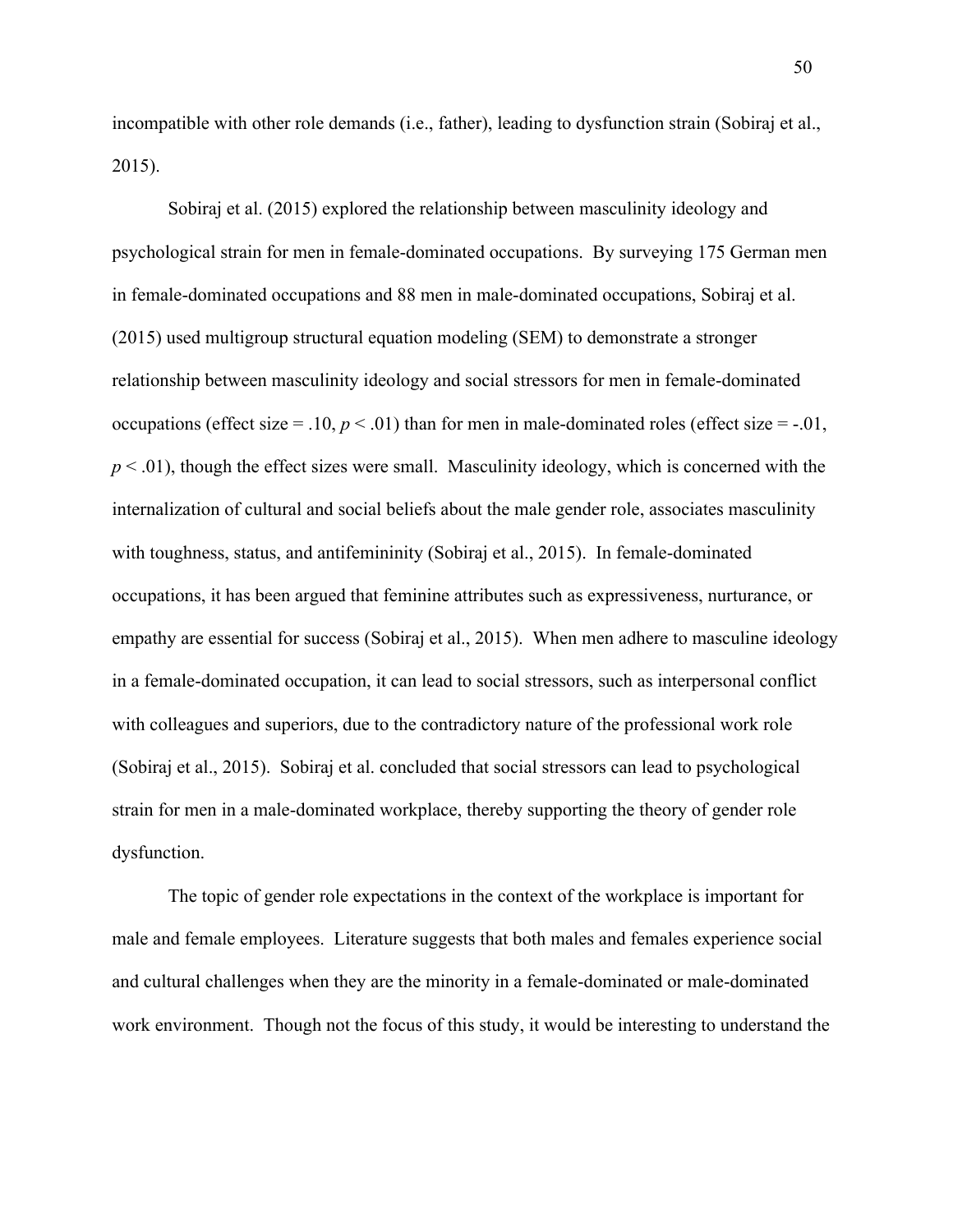incompatible with other role demands (i.e., father), leading to dysfunction strain (Sobiraj et al., 2015).

Sobiraj et al. (2015) explored the relationship between masculinity ideology and psychological strain for men in female-dominated occupations. By surveying 175 German men in female-dominated occupations and 88 men in male-dominated occupations, Sobiraj et al. (2015) used multigroup structural equation modeling (SEM) to demonstrate a stronger relationship between masculinity ideology and social stressors for men in female-dominated occupations (effect size = .10,  $p < .01$ ) than for men in male-dominated roles (effect size = -.01,  $p < .01$ ), though the effect sizes were small. Masculinity ideology, which is concerned with the internalization of cultural and social beliefs about the male gender role, associates masculinity with toughness, status, and antifemininity (Sobiraj et al., 2015). In female-dominated occupations, it has been argued that feminine attributes such as expressiveness, nurturance, or empathy are essential for success (Sobiraj et al., 2015). When men adhere to masculine ideology in a female-dominated occupation, it can lead to social stressors, such as interpersonal conflict with colleagues and superiors, due to the contradictory nature of the professional work role (Sobiraj et al., 2015). Sobiraj et al. concluded that social stressors can lead to psychological strain for men in a male-dominated workplace, thereby supporting the theory of gender role dysfunction.

The topic of gender role expectations in the context of the workplace is important for male and female employees. Literature suggests that both males and females experience social and cultural challenges when they are the minority in a female-dominated or male-dominated work environment. Though not the focus of this study, it would be interesting to understand the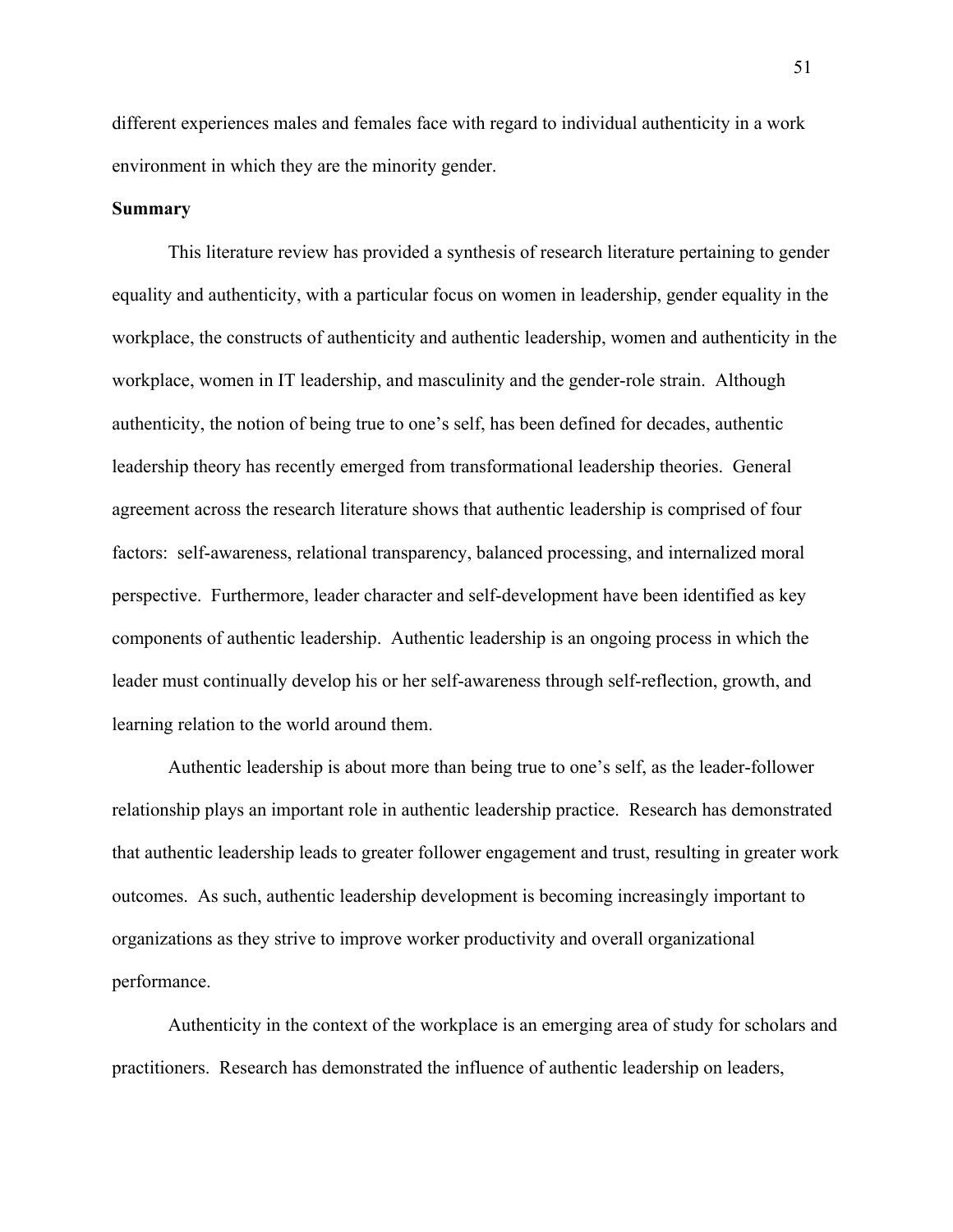different experiences males and females face with regard to individual authenticity in a work environment in which they are the minority gender.

### **Summary**

This literature review has provided a synthesis of research literature pertaining to gender equality and authenticity, with a particular focus on women in leadership, gender equality in the workplace, the constructs of authenticity and authentic leadership, women and authenticity in the workplace, women in IT leadership, and masculinity and the gender-role strain. Although authenticity, the notion of being true to one's self, has been defined for decades, authentic leadership theory has recently emerged from transformational leadership theories. General agreement across the research literature shows that authentic leadership is comprised of four factors: self-awareness, relational transparency, balanced processing, and internalized moral perspective. Furthermore, leader character and self-development have been identified as key components of authentic leadership. Authentic leadership is an ongoing process in which the leader must continually develop his or her self-awareness through self-reflection, growth, and learning relation to the world around them.

Authentic leadership is about more than being true to one's self, as the leader-follower relationship plays an important role in authentic leadership practice. Research has demonstrated that authentic leadership leads to greater follower engagement and trust, resulting in greater work outcomes. As such, authentic leadership development is becoming increasingly important to organizations as they strive to improve worker productivity and overall organizational performance.

Authenticity in the context of the workplace is an emerging area of study for scholars and practitioners. Research has demonstrated the influence of authentic leadership on leaders,

51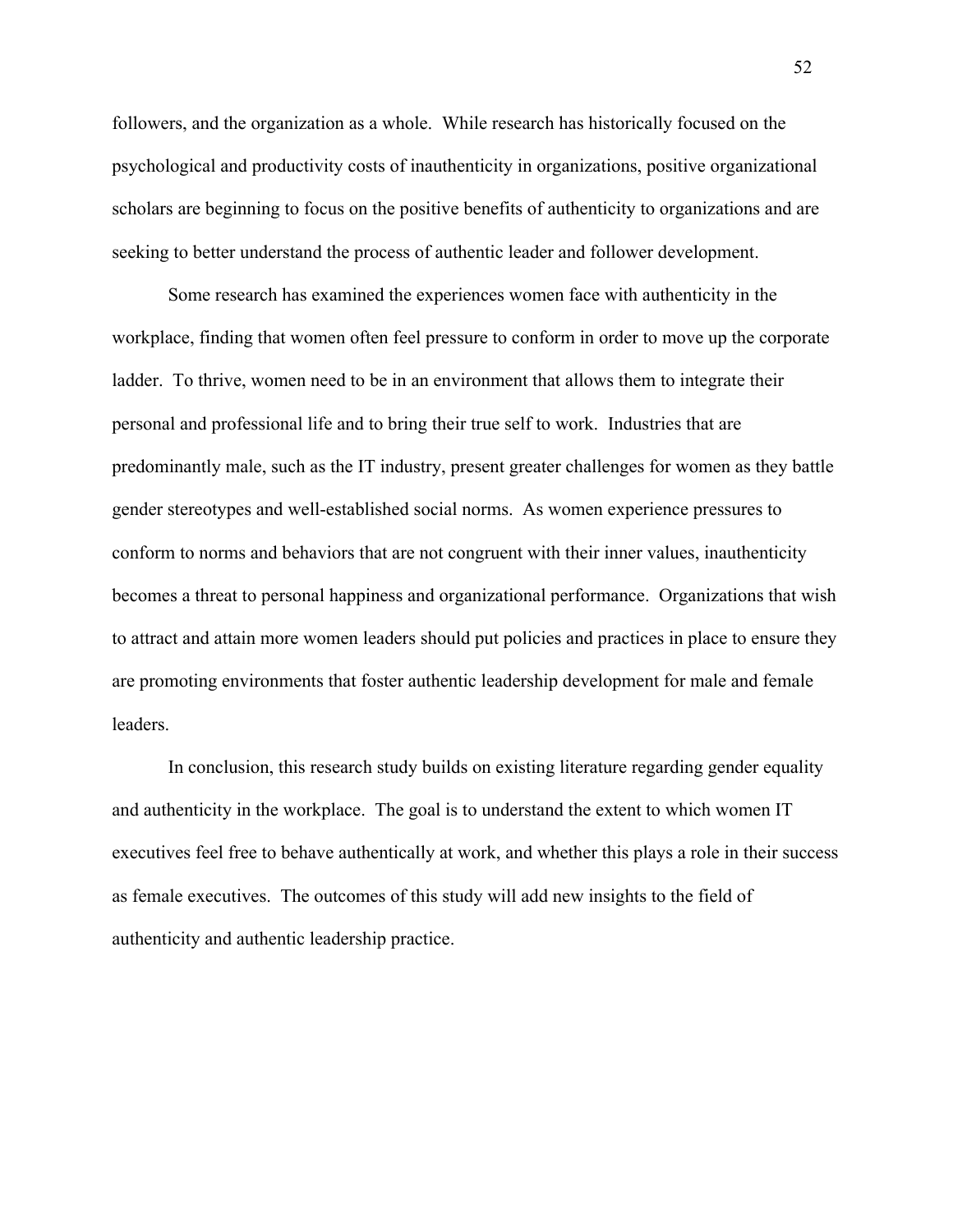followers, and the organization as a whole. While research has historically focused on the psychological and productivity costs of inauthenticity in organizations, positive organizational scholars are beginning to focus on the positive benefits of authenticity to organizations and are seeking to better understand the process of authentic leader and follower development.

Some research has examined the experiences women face with authenticity in the workplace, finding that women often feel pressure to conform in order to move up the corporate ladder. To thrive, women need to be in an environment that allows them to integrate their personal and professional life and to bring their true self to work. Industries that are predominantly male, such as the IT industry, present greater challenges for women as they battle gender stereotypes and well-established social norms. As women experience pressures to conform to norms and behaviors that are not congruent with their inner values, inauthenticity becomes a threat to personal happiness and organizational performance.Organizations that wish to attract and attain more women leaders should put policies and practices in place to ensure they are promoting environments that foster authentic leadership development for male and female leaders.

In conclusion, this research study builds on existing literature regarding gender equality and authenticity in the workplace. The goal is to understand the extent to which women IT executives feel free to behave authentically at work, and whether this plays a role in their success as female executives. The outcomes of this study will add new insights to the field of authenticity and authentic leadership practice.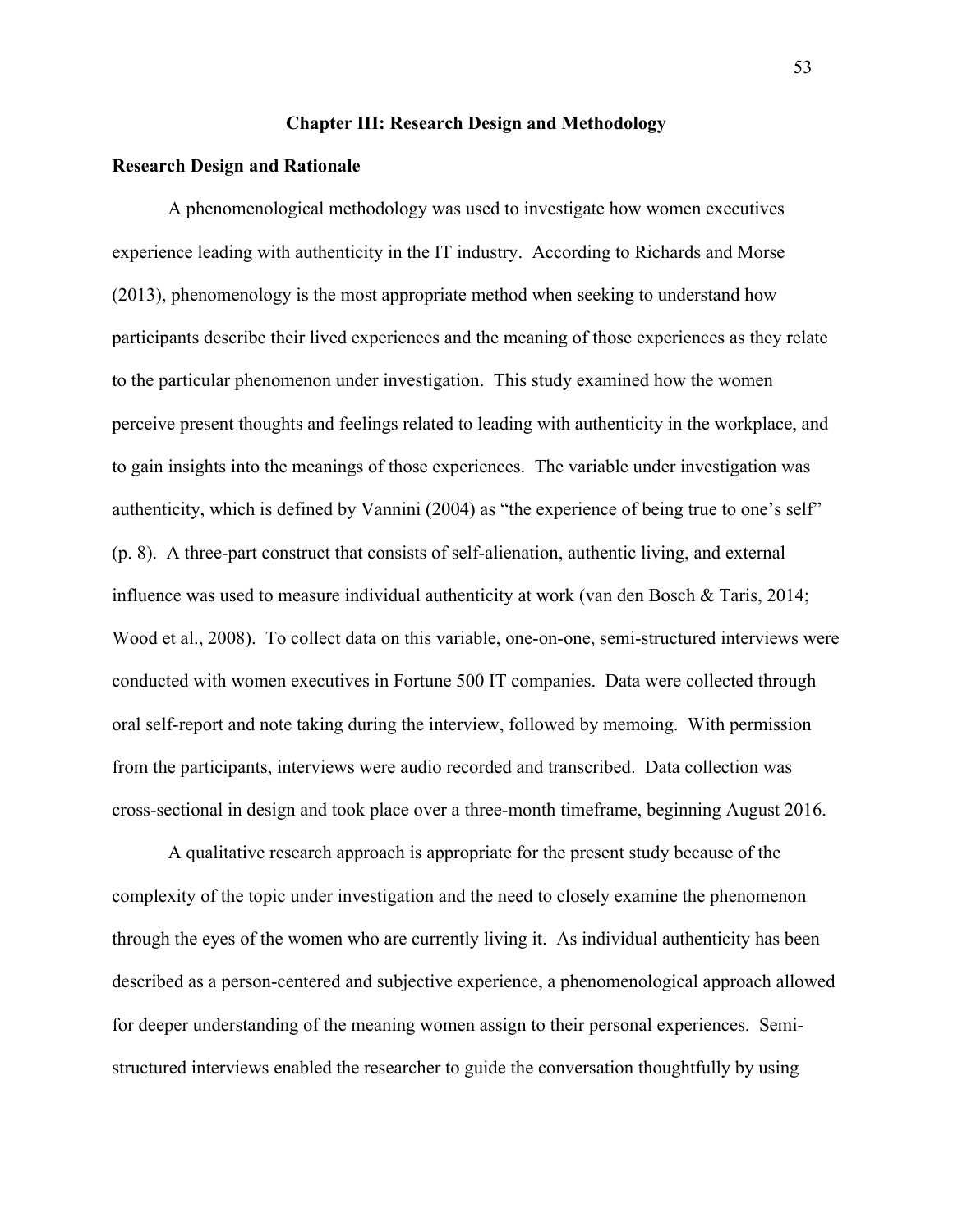## **Chapter III: Research Design and Methodology**

### **Research Design and Rationale**

A phenomenological methodology was used to investigate how women executives experience leading with authenticity in the IT industry. According to Richards and Morse (2013), phenomenology is the most appropriate method when seeking to understand how participants describe their lived experiences and the meaning of those experiences as they relate to the particular phenomenon under investigation. This study examined how the women perceive present thoughts and feelings related to leading with authenticity in the workplace, and to gain insights into the meanings of those experiences. The variable under investigation was authenticity, which is defined by Vannini (2004) as "the experience of being true to one's self" (p. 8). A three-part construct that consists of self-alienation, authentic living, and external influence was used to measure individual authenticity at work (van den Bosch & Taris, 2014; Wood et al., 2008). To collect data on this variable, one-on-one, semi-structured interviews were conducted with women executives in Fortune 500 IT companies. Data were collected through oral self-report and note taking during the interview, followed by memoing. With permission from the participants, interviews were audio recorded and transcribed. Data collection was cross-sectional in design and took place over a three-month timeframe, beginning August 2016.

A qualitative research approach is appropriate for the present study because of the complexity of the topic under investigation and the need to closely examine the phenomenon through the eyes of the women who are currently living it. As individual authenticity has been described as a person-centered and subjective experience, a phenomenological approach allowed for deeper understanding of the meaning women assign to their personal experiences. Semistructured interviews enabled the researcher to guide the conversation thoughtfully by using

53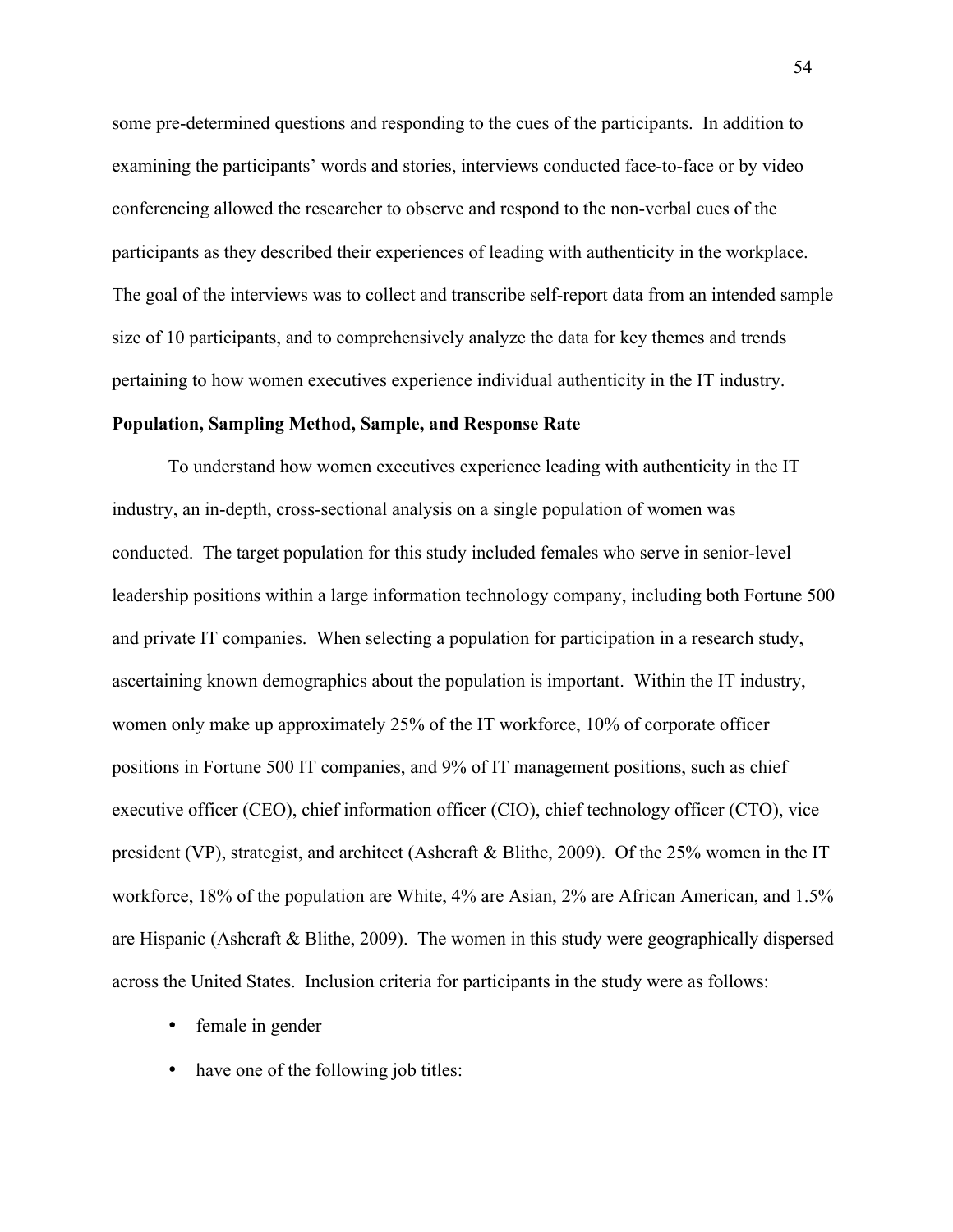some pre-determined questions and responding to the cues of the participants. In addition to examining the participants' words and stories, interviews conducted face-to-face or by video conferencing allowed the researcher to observe and respond to the non-verbal cues of the participants as they described their experiences of leading with authenticity in the workplace. The goal of the interviews was to collect and transcribe self-report data from an intended sample size of 10 participants, and to comprehensively analyze the data for key themes and trends pertaining to how women executives experience individual authenticity in the IT industry.

### **Population, Sampling Method, Sample, and Response Rate**

To understand how women executives experience leading with authenticity in the IT industry, an in-depth, cross-sectional analysis on a single population of women was conducted. The target population for this study included females who serve in senior-level leadership positions within a large information technology company, including both Fortune 500 and private IT companies. When selecting a population for participation in a research study, ascertaining known demographics about the population is important. Within the IT industry, women only make up approximately 25% of the IT workforce, 10% of corporate officer positions in Fortune 500 IT companies, and 9% of IT management positions, such as chief executive officer (CEO), chief information officer (CIO), chief technology officer (CTO), vice president (VP), strategist, and architect (Ashcraft & Blithe, 2009). Of the 25% women in the IT workforce, 18% of the population are White, 4% are Asian, 2% are African American, and 1.5% are Hispanic (Ashcraft & Blithe, 2009). The women in this study were geographically dispersed across the United States. Inclusion criteria for participants in the study were as follows:

- female in gender
- have one of the following job titles:

54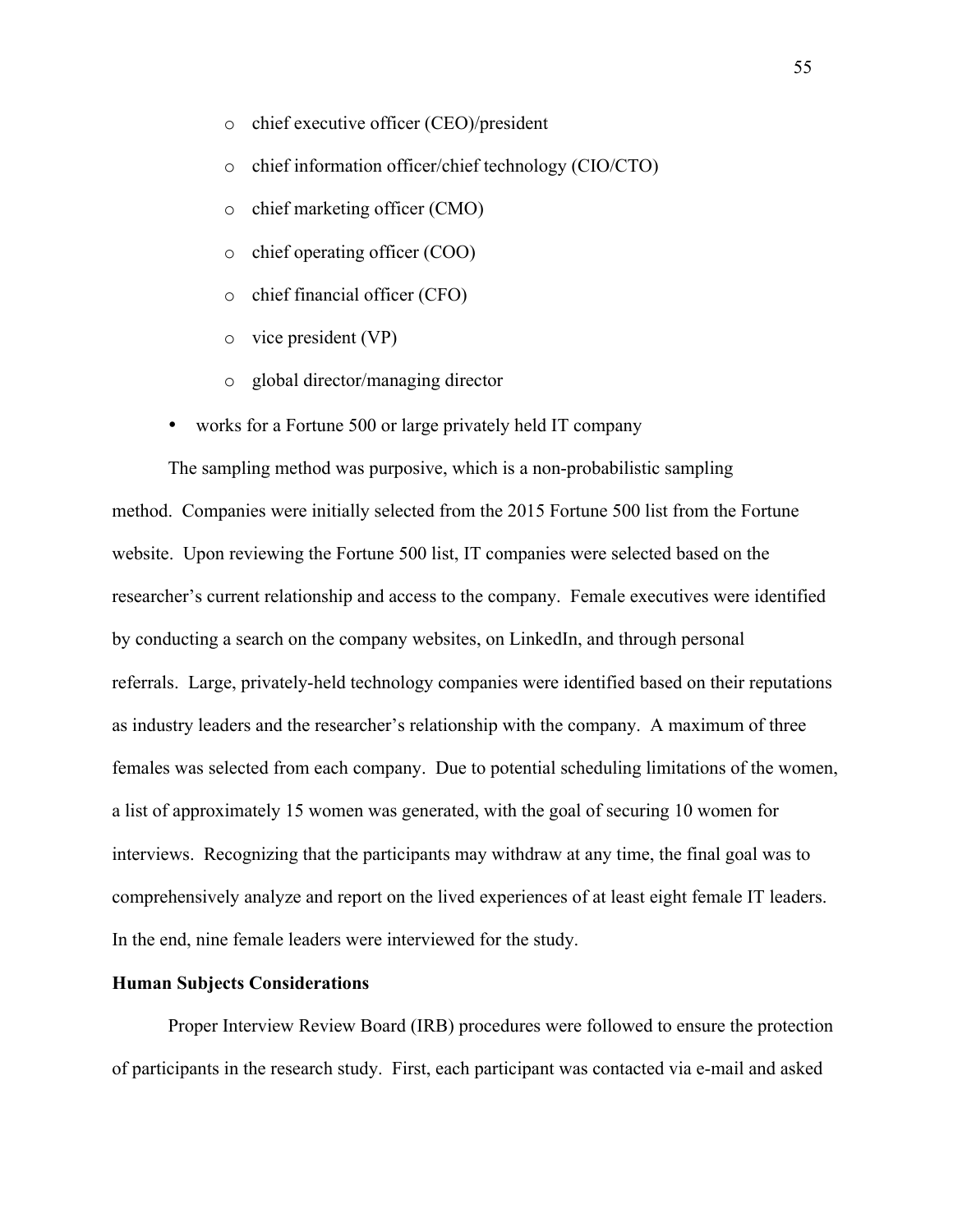- o chief executive officer (CEO)/president
- o chief information officer/chief technology (CIO/CTO)
- o chief marketing officer (CMO)
- o chief operating officer (COO)
- o chief financial officer (CFO)
- o vice president (VP)
- o global director/managing director
- works for a Fortune 500 or large privately held IT company

The sampling method was purposive, which is a non-probabilistic sampling method. Companies were initially selected from the 2015 Fortune 500 list from the Fortune website. Upon reviewing the Fortune 500 list, IT companies were selected based on the researcher's current relationship and access to the company. Female executives were identified by conducting a search on the company websites, on LinkedIn, and through personal referrals. Large, privately-held technology companies were identified based on their reputations as industry leaders and the researcher's relationship with the company. A maximum of three females was selected from each company. Due to potential scheduling limitations of the women, a list of approximately 15 women was generated, with the goal of securing 10 women for interviews. Recognizing that the participants may withdraw at any time, the final goal was to comprehensively analyze and report on the lived experiences of at least eight female IT leaders. In the end, nine female leaders were interviewed for the study.

## **Human Subjects Considerations**

Proper Interview Review Board (IRB) procedures were followed to ensure the protection of participants in the research study. First, each participant was contacted via e-mail and asked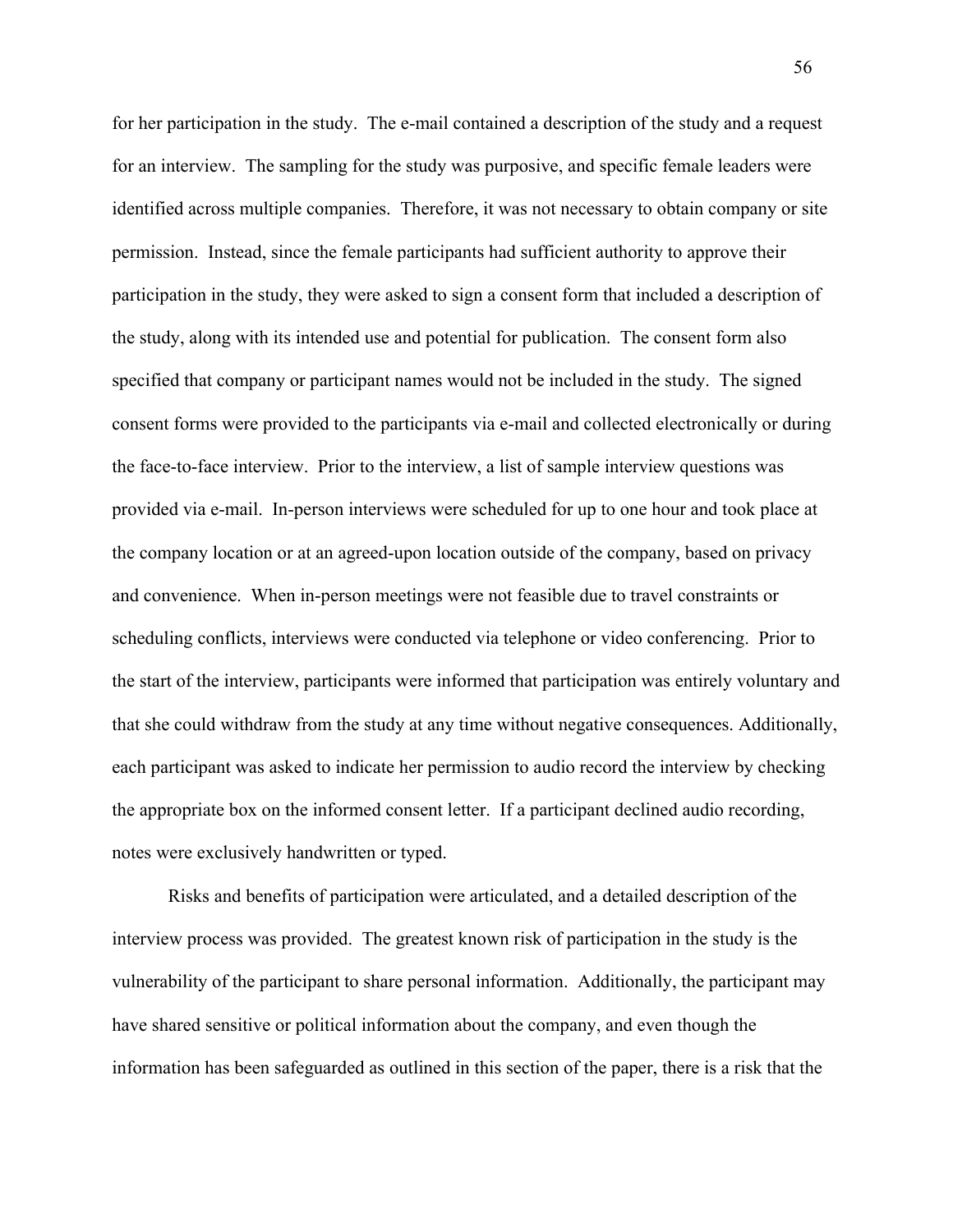for her participation in the study. The e-mail contained a description of the study and a request for an interview. The sampling for the study was purposive, and specific female leaders were identified across multiple companies. Therefore, it was not necessary to obtain company or site permission. Instead, since the female participants had sufficient authority to approve their participation in the study, they were asked to sign a consent form that included a description of the study, along with its intended use and potential for publication. The consent form also specified that company or participant names would not be included in the study. The signed consent forms were provided to the participants via e-mail and collected electronically or during the face-to-face interview. Prior to the interview, a list of sample interview questions was provided via e-mail. In-person interviews were scheduled for up to one hour and took place at the company location or at an agreed-upon location outside of the company, based on privacy and convenience. When in-person meetings were not feasible due to travel constraints or scheduling conflicts, interviews were conducted via telephone or video conferencing. Prior to the start of the interview, participants were informed that participation was entirely voluntary and that she could withdraw from the study at any time without negative consequences. Additionally, each participant was asked to indicate her permission to audio record the interview by checking the appropriate box on the informed consent letter. If a participant declined audio recording, notes were exclusively handwritten or typed.

Risks and benefits of participation were articulated, and a detailed description of the interview process was provided. The greatest known risk of participation in the study is the vulnerability of the participant to share personal information. Additionally, the participant may have shared sensitive or political information about the company, and even though the information has been safeguarded as outlined in this section of the paper, there is a risk that the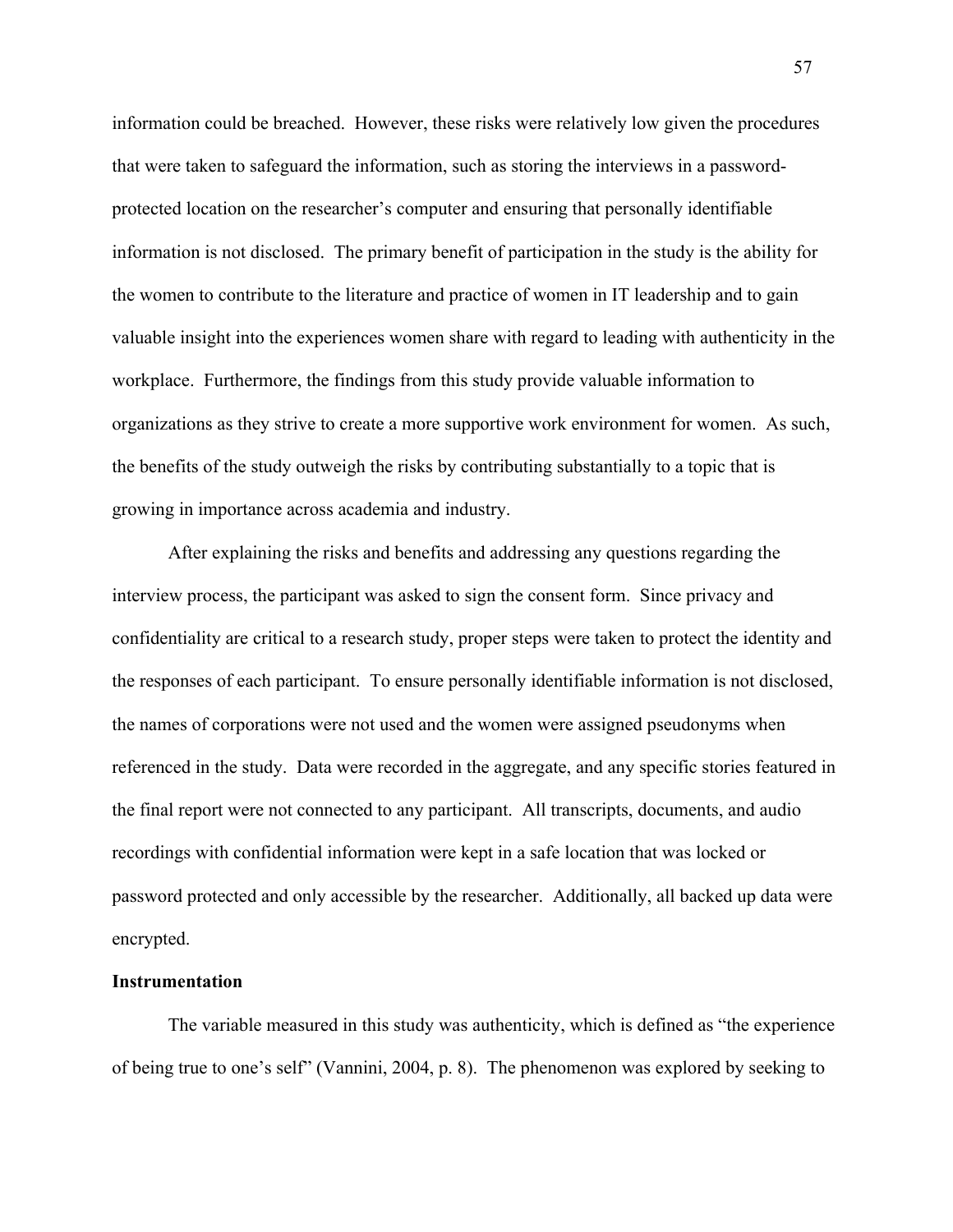information could be breached. However, these risks were relatively low given the procedures that were taken to safeguard the information, such as storing the interviews in a passwordprotected location on the researcher's computer and ensuring that personally identifiable information is not disclosed. The primary benefit of participation in the study is the ability for the women to contribute to the literature and practice of women in IT leadership and to gain valuable insight into the experiences women share with regard to leading with authenticity in the workplace. Furthermore, the findings from this study provide valuable information to organizations as they strive to create a more supportive work environment for women. As such, the benefits of the study outweigh the risks by contributing substantially to a topic that is growing in importance across academia and industry.

After explaining the risks and benefits and addressing any questions regarding the interview process, the participant was asked to sign the consent form. Since privacy and confidentiality are critical to a research study, proper steps were taken to protect the identity and the responses of each participant. To ensure personally identifiable information is not disclosed, the names of corporations were not used and the women were assigned pseudonyms when referenced in the study. Data were recorded in the aggregate, and any specific stories featured in the final report were not connected to any participant. All transcripts, documents, and audio recordings with confidential information were kept in a safe location that was locked or password protected and only accessible by the researcher. Additionally, all backed up data were encrypted.

## **Instrumentation**

The variable measured in this study was authenticity, which is defined as "the experience of being true to one's self" (Vannini, 2004, p. 8). The phenomenon was explored by seeking to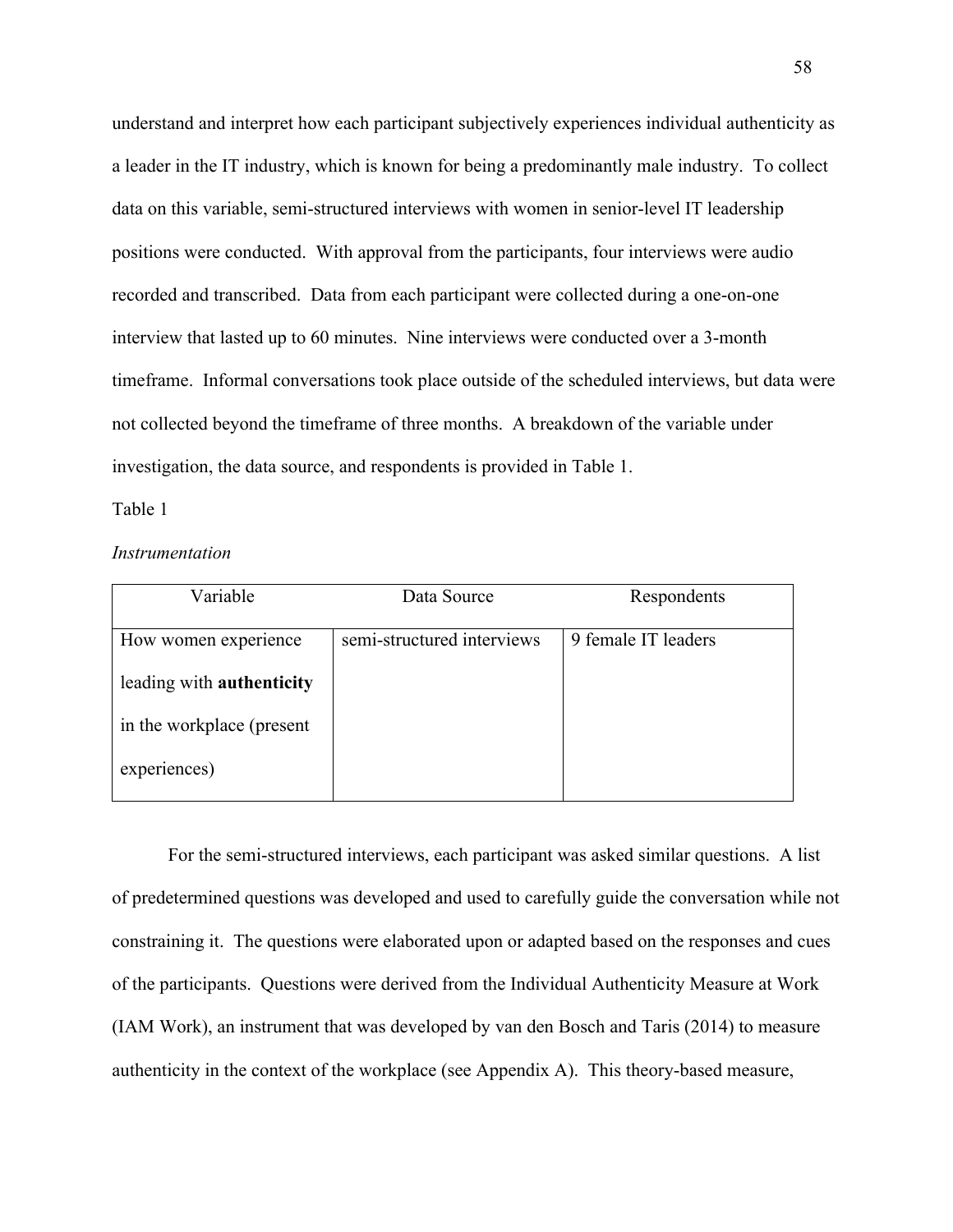understand and interpret how each participant subjectively experiences individual authenticity as a leader in the IT industry, which is known for being a predominantly male industry. To collect data on this variable, semi-structured interviews with women in senior-level IT leadership positions were conducted. With approval from the participants, four interviews were audio recorded and transcribed. Data from each participant were collected during a one-on-one interview that lasted up to 60 minutes. Nine interviews were conducted over a 3-month timeframe. Informal conversations took place outside of the scheduled interviews, but data were not collected beyond the timeframe of three months. A breakdown of the variable under investigation, the data source, and respondents is provided in Table 1.

# Table 1

|  | Instrumentation |
|--|-----------------|
|--|-----------------|

| Variable                         | Data Source                | Respondents         |
|----------------------------------|----------------------------|---------------------|
|                                  |                            |                     |
| How women experience             | semi-structured interviews | 9 female IT leaders |
|                                  |                            |                     |
| leading with <b>authenticity</b> |                            |                     |
|                                  |                            |                     |
| in the workplace (present        |                            |                     |
|                                  |                            |                     |
| experiences)                     |                            |                     |
|                                  |                            |                     |

For the semi-structured interviews, each participant was asked similar questions. A list of predetermined questions was developed and used to carefully guide the conversation while not constraining it. The questions were elaborated upon or adapted based on the responses and cues of the participants. Questions were derived from the Individual Authenticity Measure at Work (IAM Work), an instrument that was developed by van den Bosch and Taris (2014) to measure authenticity in the context of the workplace (see Appendix A). This theory-based measure,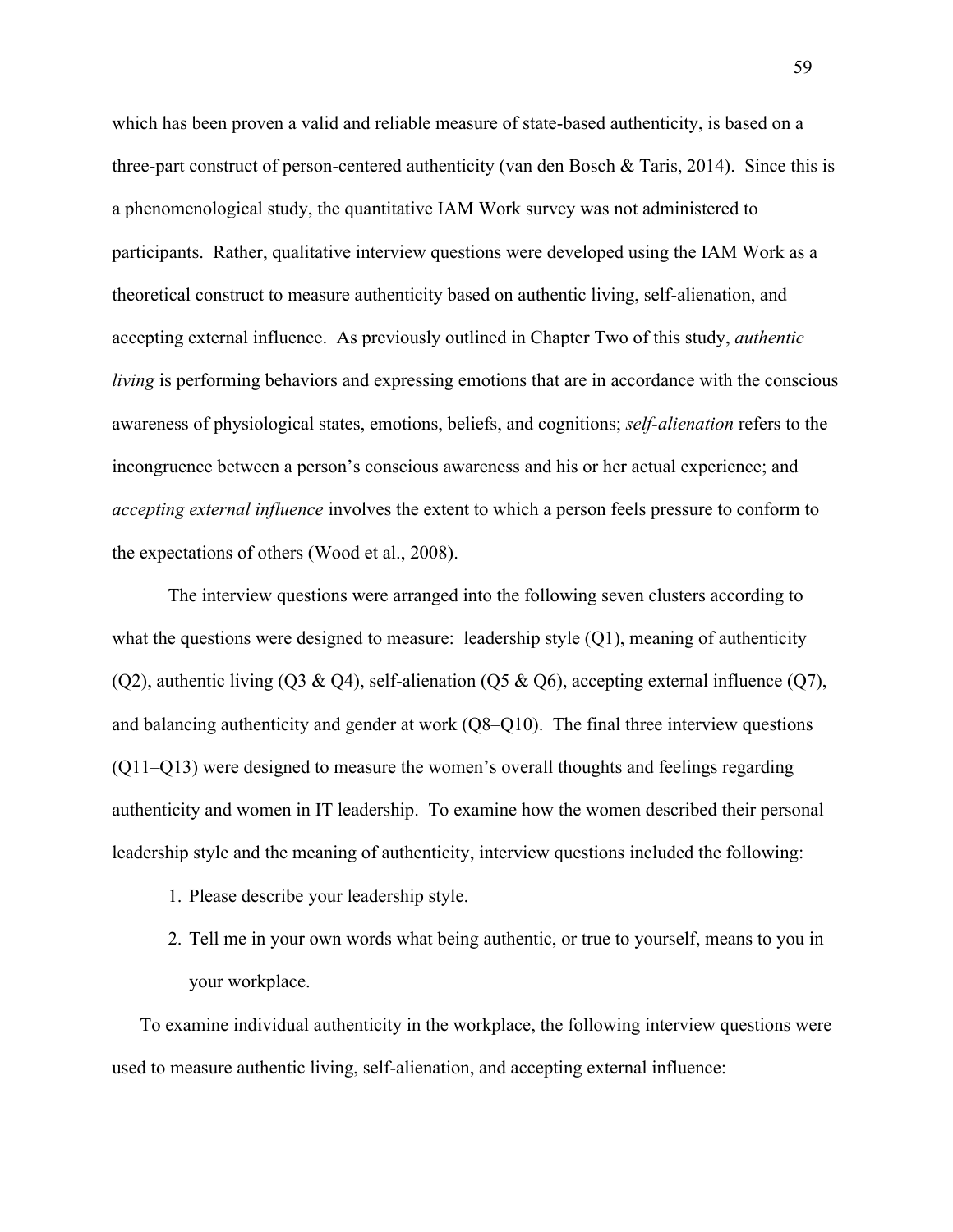which has been proven a valid and reliable measure of state-based authenticity, is based on a three-part construct of person-centered authenticity (van den Bosch & Taris, 2014). Since this is a phenomenological study, the quantitative IAM Work survey was not administered to participants. Rather, qualitative interview questions were developed using the IAM Work as a theoretical construct to measure authenticity based on authentic living, self-alienation, and accepting external influence. As previously outlined in Chapter Two of this study, *authentic living* is performing behaviors and expressing emotions that are in accordance with the conscious awareness of physiological states, emotions, beliefs, and cognitions; *self-alienation* refers to the incongruence between a person's conscious awareness and his or her actual experience; and *accepting external influence* involves the extent to which a person feels pressure to conform to the expectations of others (Wood et al., 2008).

The interview questions were arranged into the following seven clusters according to what the questions were designed to measure: leadership style (Q1), meaning of authenticity (Q2), authentic living (Q3 & Q4), self-alienation (Q5 & Q6), accepting external influence (Q7), and balancing authenticity and gender at work (Q8–Q10). The final three interview questions (Q11–Q13) were designed to measure the women's overall thoughts and feelings regarding authenticity and women in IT leadership. To examine how the women described their personal leadership style and the meaning of authenticity, interview questions included the following:

- 1. Please describe your leadership style.
- 2. Tell me in your own words what being authentic, or true to yourself, means to you in your workplace.

To examine individual authenticity in the workplace, the following interview questions were used to measure authentic living, self-alienation, and accepting external influence: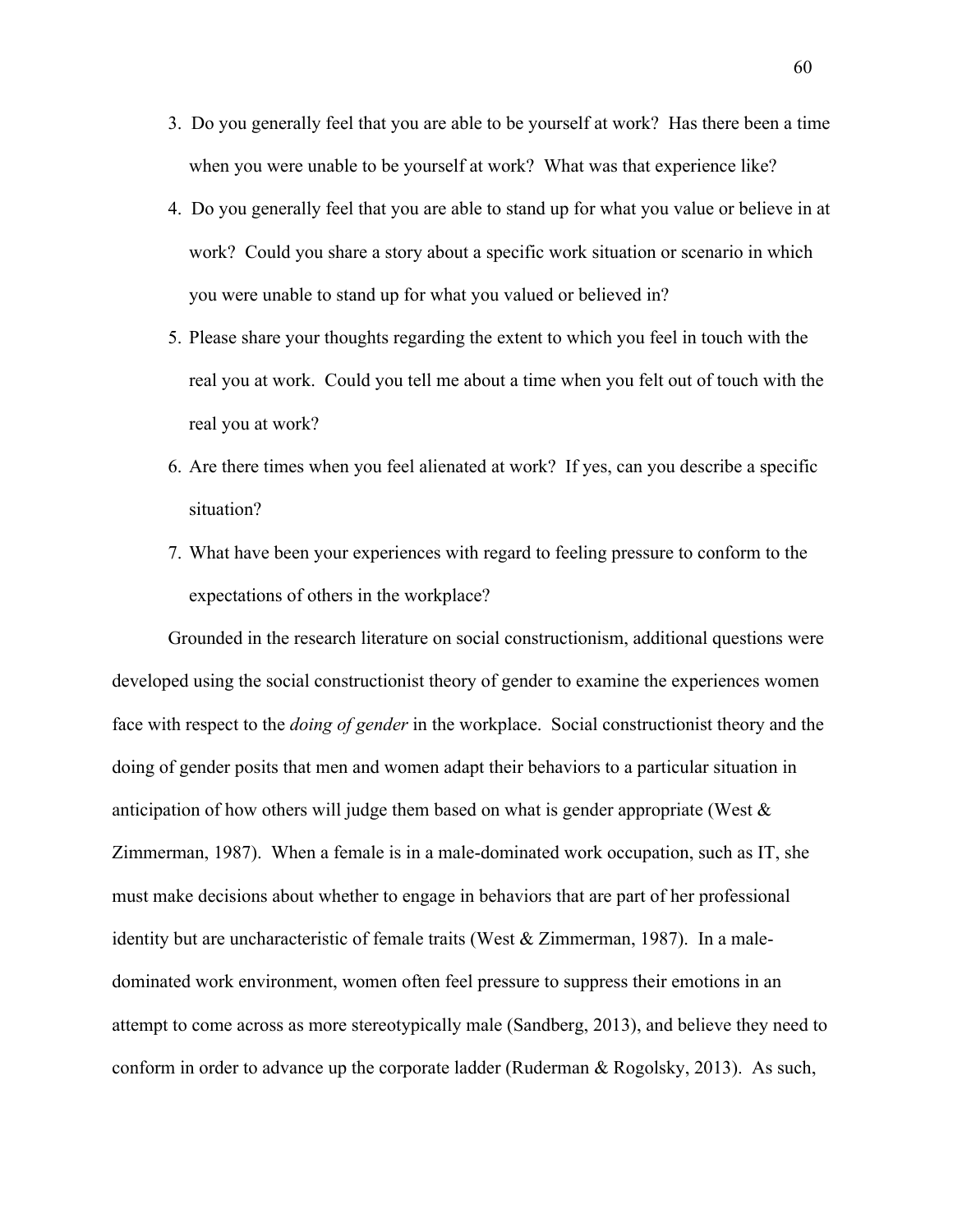- 3. Do you generally feel that you are able to be yourself at work? Has there been a time when you were unable to be yourself at work? What was that experience like?
- 4. Do you generally feel that you are able to stand up for what you value or believe in at work? Could you share a story about a specific work situation or scenario in which you were unable to stand up for what you valued or believed in?
- 5. Please share your thoughts regarding the extent to which you feel in touch with the real you at work. Could you tell me about a time when you felt out of touch with the real you at work?
- 6. Are there times when you feel alienated at work? If yes, can you describe a specific situation?
- 7. What have been your experiences with regard to feeling pressure to conform to the expectations of others in the workplace?

Grounded in the research literature on social constructionism, additional questions were developed using the social constructionist theory of gender to examine the experiences women face with respect to the *doing of gender* in the workplace. Social constructionist theory and the doing of gender posits that men and women adapt their behaviors to a particular situation in anticipation of how others will judge them based on what is gender appropriate (West & Zimmerman, 1987). When a female is in a male-dominated work occupation, such as IT, she must make decisions about whether to engage in behaviors that are part of her professional identity but are uncharacteristic of female traits (West  $& Zimmerman$ , 1987). In a maledominated work environment, women often feel pressure to suppress their emotions in an attempt to come across as more stereotypically male (Sandberg, 2013), and believe they need to conform in order to advance up the corporate ladder (Ruderman & Rogolsky, 2013). As such,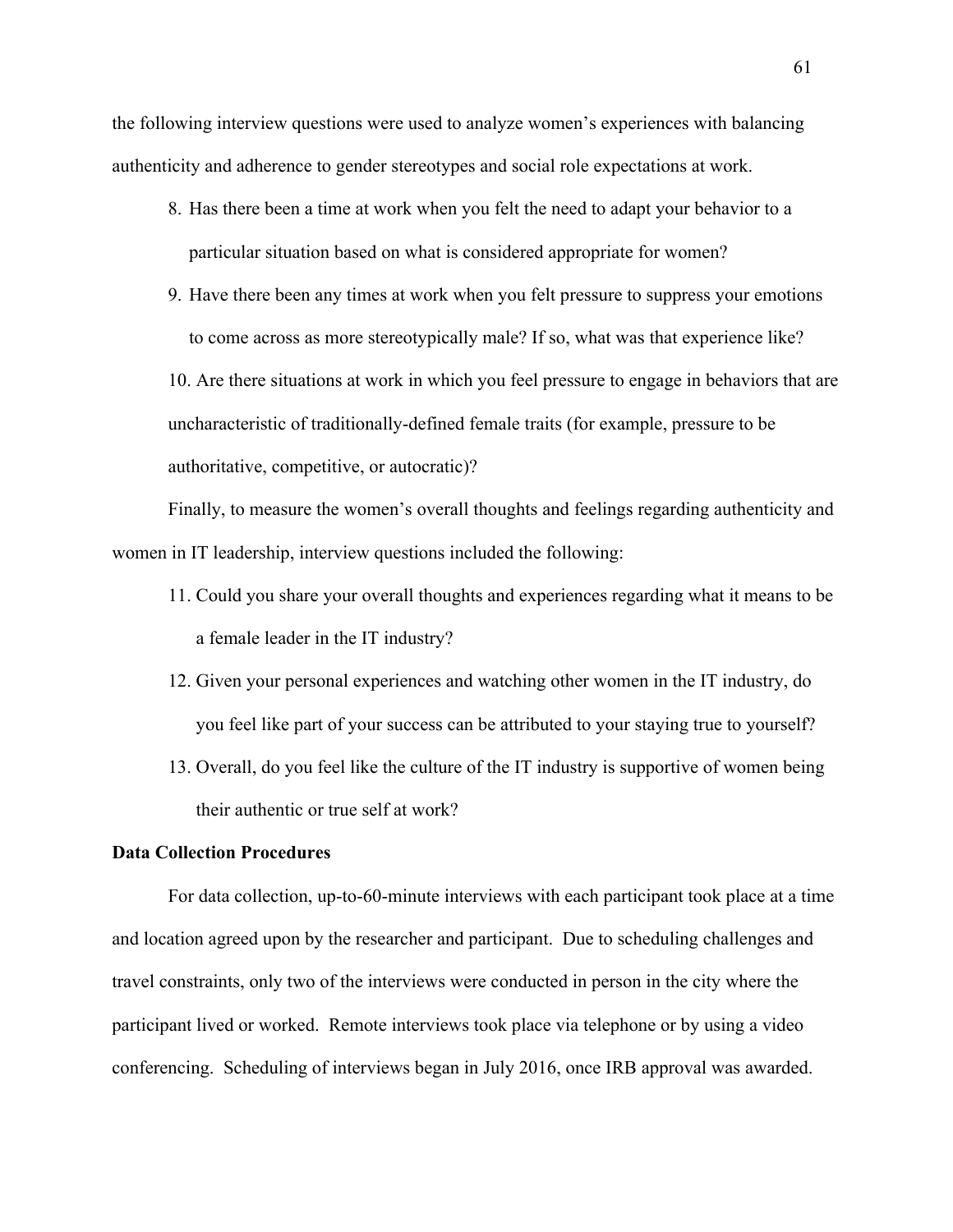the following interview questions were used to analyze women's experiences with balancing authenticity and adherence to gender stereotypes and social role expectations at work.

- 8. Has there been a time at work when you felt the need to adapt your behavior to a particular situation based on what is considered appropriate for women?
- 9. Have there been any times at work when you felt pressure to suppress your emotions to come across as more stereotypically male? If so, what was that experience like?

10. Are there situations at work in which you feel pressure to engage in behaviors that are uncharacteristic of traditionally-defined female traits (for example, pressure to be authoritative, competitive, or autocratic)?

Finally, to measure the women's overall thoughts and feelings regarding authenticity and women in IT leadership, interview questions included the following:

- 11. Could you share your overall thoughts and experiences regarding what it means to be a female leader in the IT industry?
- 12. Given your personal experiences and watching other women in the IT industry, do you feel like part of your success can be attributed to your staying true to yourself?
- 13. Overall, do you feel like the culture of the IT industry is supportive of women being their authentic or true self at work?

### **Data Collection Procedures**

For data collection, up-to-60-minute interviews with each participant took place at a time and location agreed upon by the researcher and participant. Due to scheduling challenges and travel constraints, only two of the interviews were conducted in person in the city where the participant lived or worked. Remote interviews took place via telephone or by using a video conferencing. Scheduling of interviews began in July 2016, once IRB approval was awarded.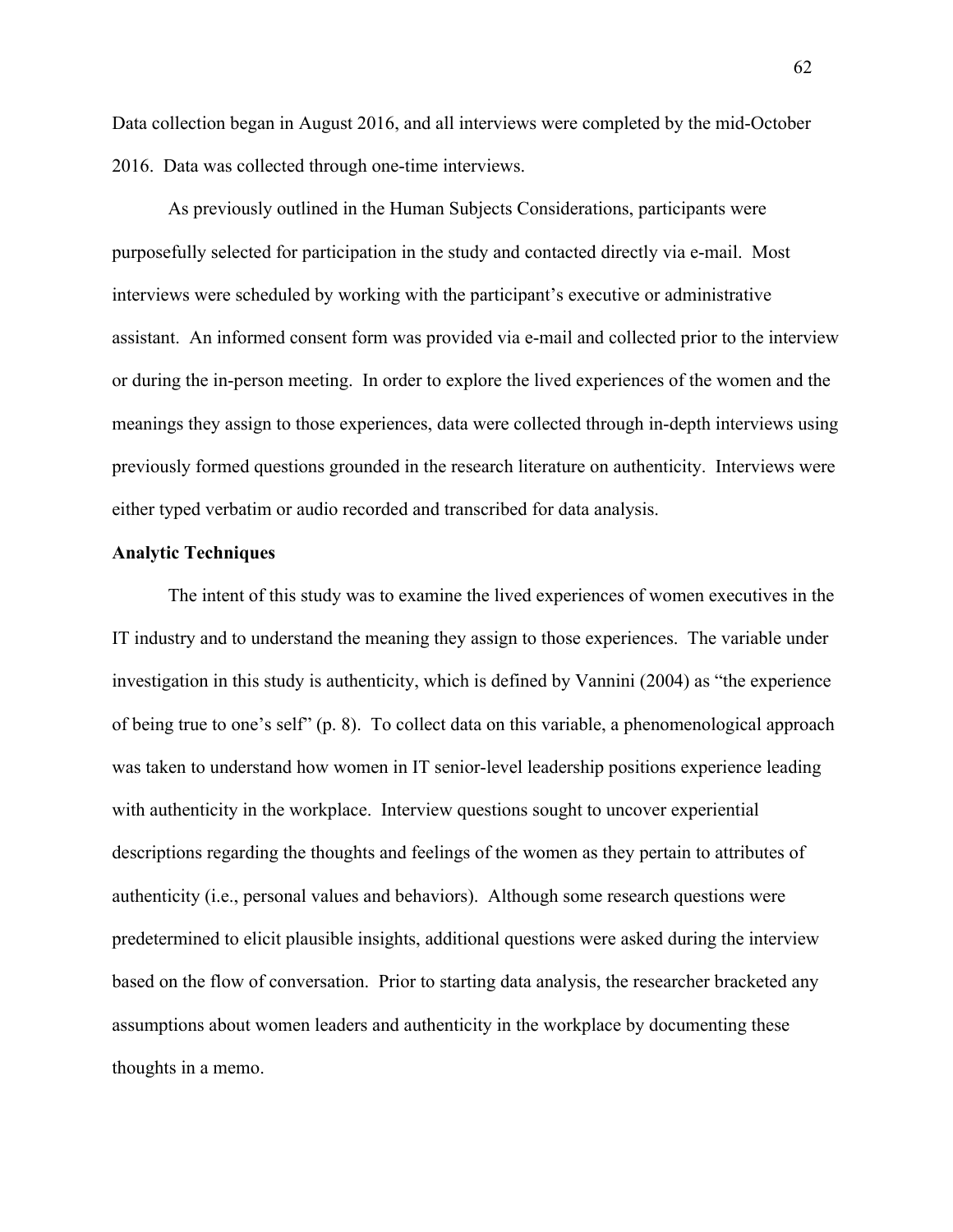Data collection began in August 2016, and all interviews were completed by the mid-October 2016. Data was collected through one-time interviews.

As previously outlined in the Human Subjects Considerations, participants were purposefully selected for participation in the study and contacted directly via e-mail. Most interviews were scheduled by working with the participant's executive or administrative assistant. An informed consent form was provided via e-mail and collected prior to the interview or during the in-person meeting. In order to explore the lived experiences of the women and the meanings they assign to those experiences, data were collected through in-depth interviews using previously formed questions grounded in the research literature on authenticity. Interviews were either typed verbatim or audio recorded and transcribed for data analysis.

### **Analytic Techniques**

The intent of this study was to examine the lived experiences of women executives in the IT industry and to understand the meaning they assign to those experiences. The variable under investigation in this study is authenticity, which is defined by Vannini (2004) as "the experience of being true to one's self" (p. 8). To collect data on this variable, a phenomenological approach was taken to understand how women in IT senior-level leadership positions experience leading with authenticity in the workplace. Interview questions sought to uncover experiential descriptions regarding the thoughts and feelings of the women as they pertain to attributes of authenticity (i.e., personal values and behaviors). Although some research questions were predetermined to elicit plausible insights, additional questions were asked during the interview based on the flow of conversation. Prior to starting data analysis, the researcher bracketed any assumptions about women leaders and authenticity in the workplace by documenting these thoughts in a memo.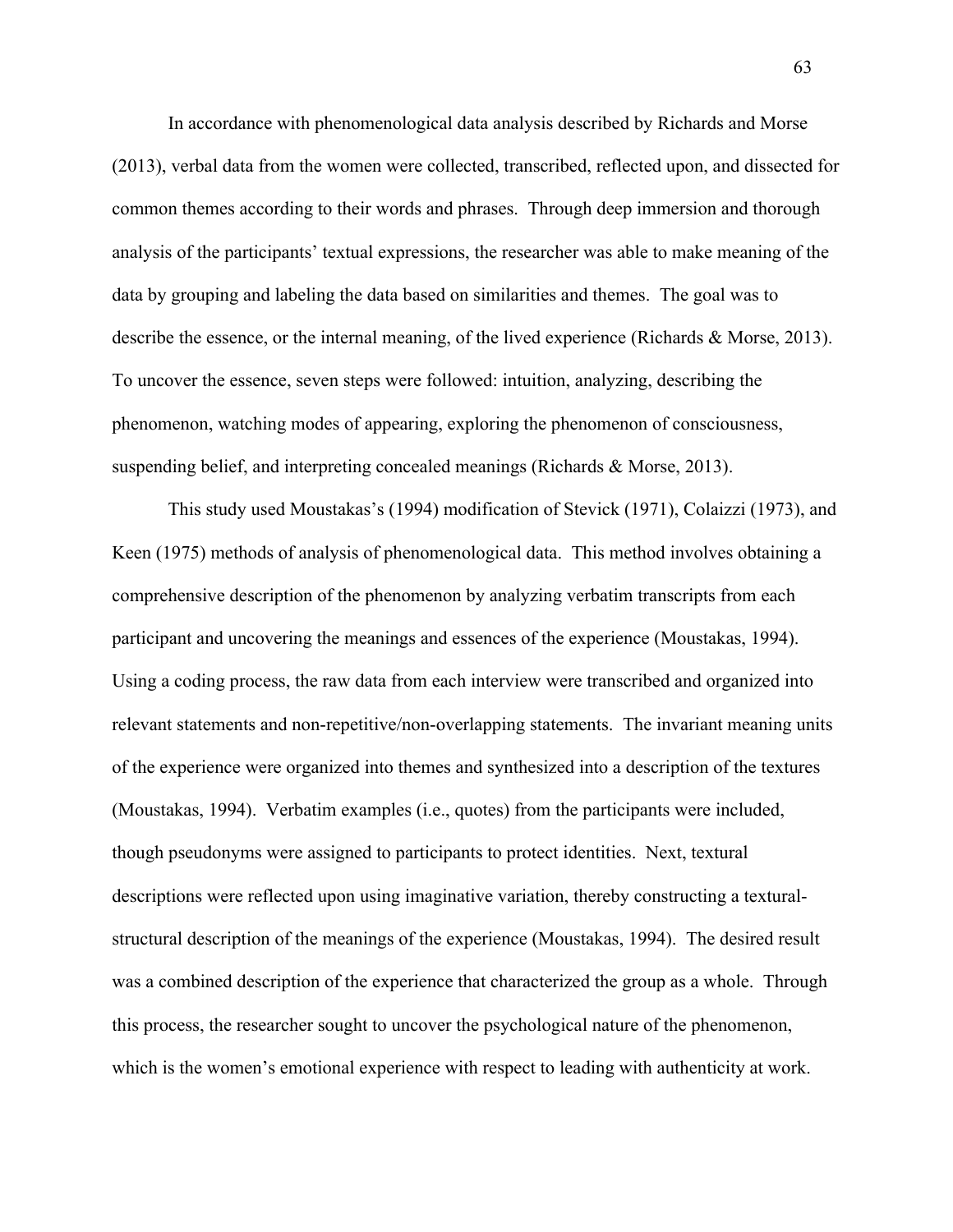In accordance with phenomenological data analysis described by Richards and Morse (2013), verbal data from the women were collected, transcribed, reflected upon, and dissected for common themes according to their words and phrases. Through deep immersion and thorough analysis of the participants' textual expressions, the researcher was able to make meaning of the data by grouping and labeling the data based on similarities and themes. The goal was to describe the essence, or the internal meaning, of the lived experience (Richards & Morse, 2013). To uncover the essence, seven steps were followed: intuition, analyzing, describing the phenomenon, watching modes of appearing, exploring the phenomenon of consciousness, suspending belief, and interpreting concealed meanings (Richards & Morse, 2013).

This study used Moustakas's (1994) modification of Stevick (1971), Colaizzi (1973), and Keen (1975) methods of analysis of phenomenological data. This method involves obtaining a comprehensive description of the phenomenon by analyzing verbatim transcripts from each participant and uncovering the meanings and essences of the experience (Moustakas, 1994). Using a coding process, the raw data from each interview were transcribed and organized into relevant statements and non-repetitive/non-overlapping statements. The invariant meaning units of the experience were organized into themes and synthesized into a description of the textures (Moustakas, 1994). Verbatim examples (i.e., quotes) from the participants were included, though pseudonyms were assigned to participants to protect identities. Next, textural descriptions were reflected upon using imaginative variation, thereby constructing a texturalstructural description of the meanings of the experience (Moustakas, 1994). The desired result was a combined description of the experience that characterized the group as a whole. Through this process, the researcher sought to uncover the psychological nature of the phenomenon, which is the women's emotional experience with respect to leading with authenticity at work.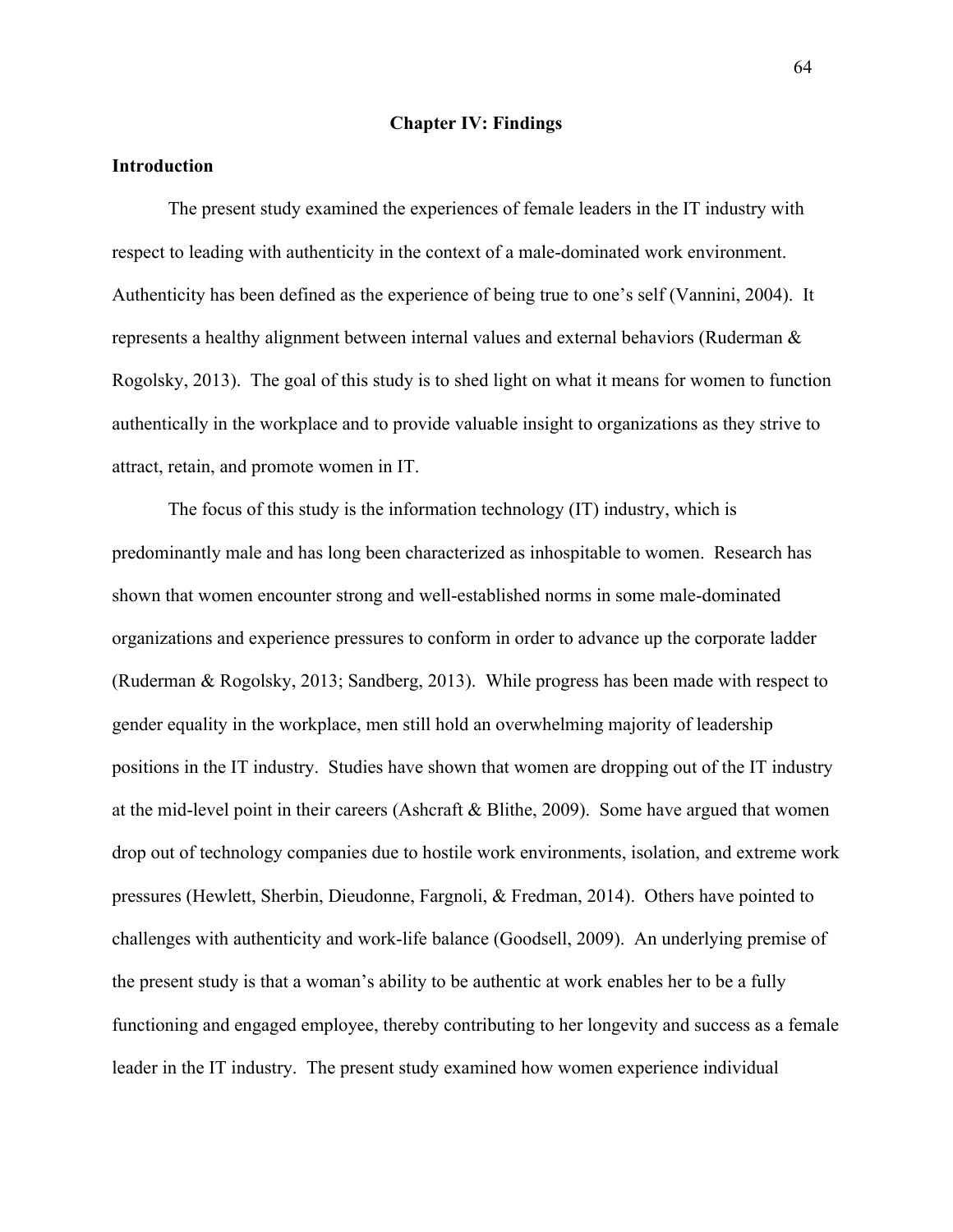### **Chapter IV: Findings**

### **Introduction**

The present study examined the experiences of female leaders in the IT industry with respect to leading with authenticity in the context of a male-dominated work environment. Authenticity has been defined as the experience of being true to one's self (Vannini, 2004). It represents a healthy alignment between internal values and external behaviors (Ruderman & Rogolsky, 2013). The goal of this study is to shed light on what it means for women to function authentically in the workplace and to provide valuable insight to organizations as they strive to attract, retain, and promote women in IT.

The focus of this study is the information technology (IT) industry, which is predominantly male and has long been characterized as inhospitable to women. Research has shown that women encounter strong and well-established norms in some male-dominated organizations and experience pressures to conform in order to advance up the corporate ladder (Ruderman & Rogolsky, 2013; Sandberg, 2013). While progress has been made with respect to gender equality in the workplace, men still hold an overwhelming majority of leadership positions in the IT industry. Studies have shown that women are dropping out of the IT industry at the mid-level point in their careers (Ashcraft & Blithe, 2009). Some have argued that women drop out of technology companies due to hostile work environments, isolation, and extreme work pressures (Hewlett, Sherbin, Dieudonne, Fargnoli, & Fredman, 2014). Others have pointed to challenges with authenticity and work-life balance (Goodsell, 2009). An underlying premise of the present study is that a woman's ability to be authentic at work enables her to be a fully functioning and engaged employee, thereby contributing to her longevity and success as a female leader in the IT industry. The present study examined how women experience individual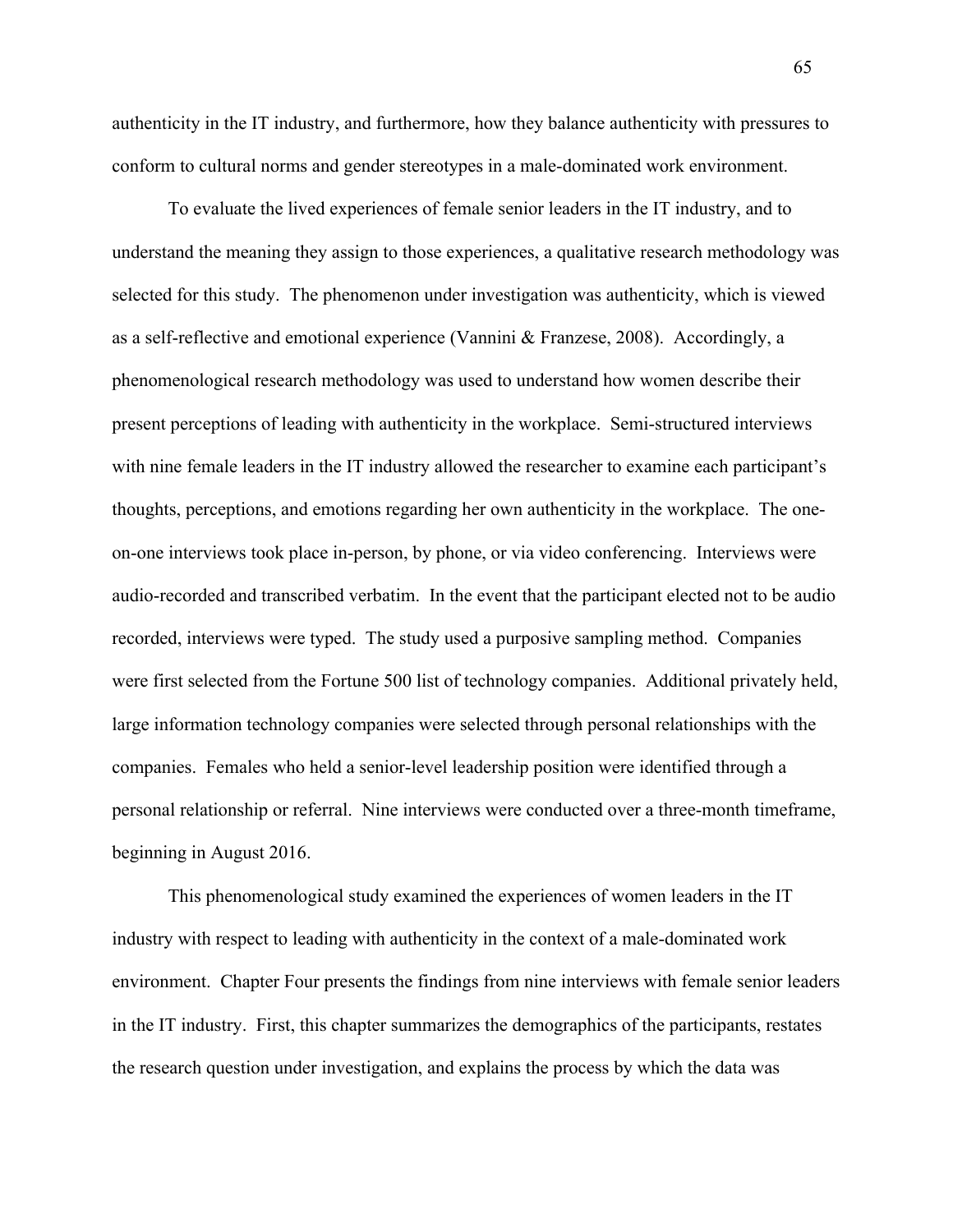authenticity in the IT industry, and furthermore, how they balance authenticity with pressures to conform to cultural norms and gender stereotypes in a male-dominated work environment.

To evaluate the lived experiences of female senior leaders in the IT industry, and to understand the meaning they assign to those experiences, a qualitative research methodology was selected for this study. The phenomenon under investigation was authenticity, which is viewed as a self-reflective and emotional experience (Vannini & Franzese, 2008). Accordingly, a phenomenological research methodology was used to understand how women describe their present perceptions of leading with authenticity in the workplace. Semi-structured interviews with nine female leaders in the IT industry allowed the researcher to examine each participant's thoughts, perceptions, and emotions regarding her own authenticity in the workplace. The oneon-one interviews took place in-person, by phone, or via video conferencing. Interviews were audio-recorded and transcribed verbatim. In the event that the participant elected not to be audio recorded, interviews were typed. The study used a purposive sampling method. Companies were first selected from the Fortune 500 list of technology companies. Additional privately held, large information technology companies were selected through personal relationships with the companies. Females who held a senior-level leadership position were identified through a personal relationship or referral. Nine interviews were conducted over a three-month timeframe, beginning in August 2016.

This phenomenological study examined the experiences of women leaders in the IT industry with respect to leading with authenticity in the context of a male-dominated work environment. Chapter Four presents the findings from nine interviews with female senior leaders in the IT industry. First, this chapter summarizes the demographics of the participants, restates the research question under investigation, and explains the process by which the data was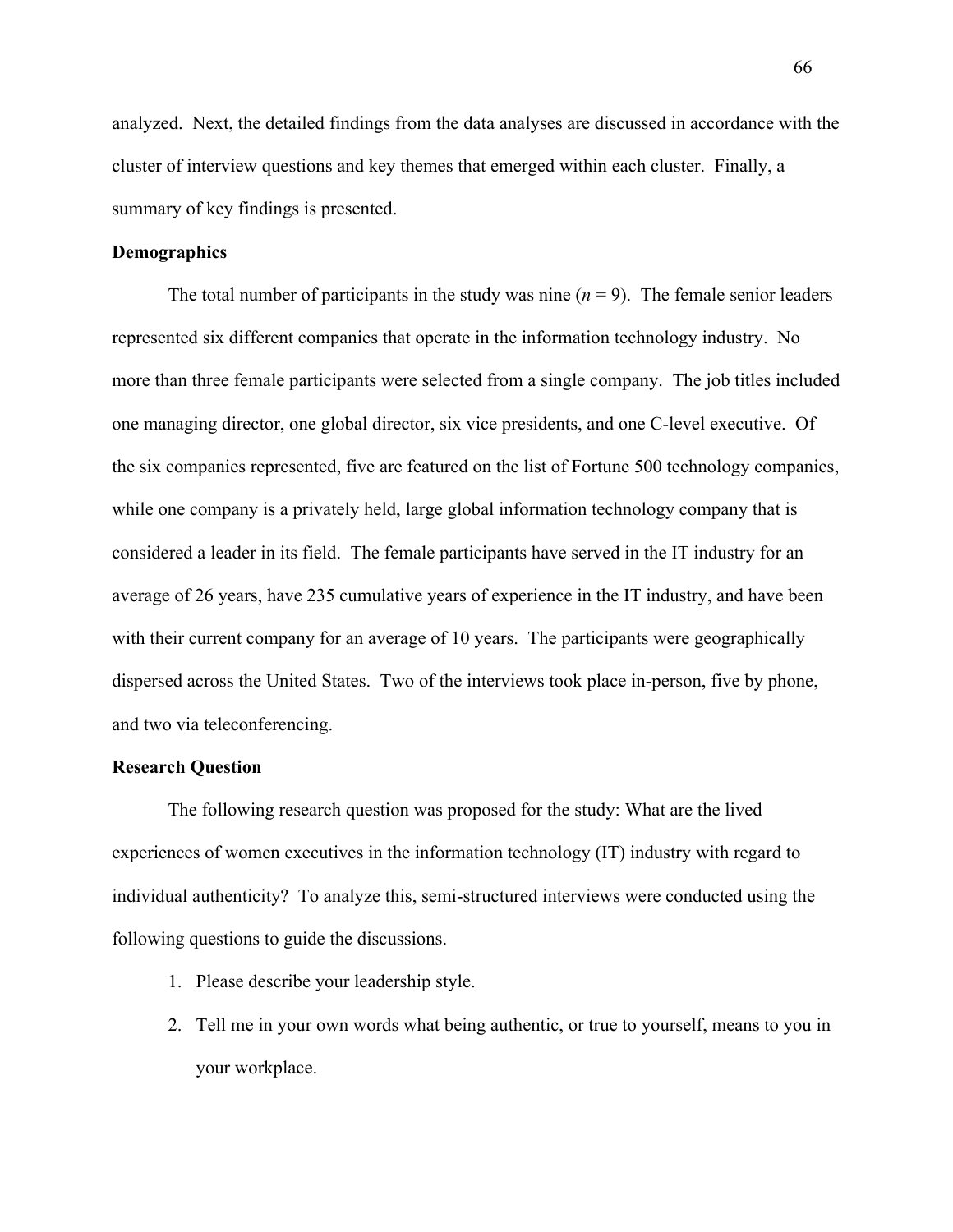analyzed. Next, the detailed findings from the data analyses are discussed in accordance with the cluster of interview questions and key themes that emerged within each cluster. Finally, a summary of key findings is presented.

### **Demographics**

The total number of participants in the study was nine  $(n = 9)$ . The female senior leaders represented six different companies that operate in the information technology industry. No more than three female participants were selected from a single company. The job titles included one managing director, one global director, six vice presidents, and one C-level executive. Of the six companies represented, five are featured on the list of Fortune 500 technology companies, while one company is a privately held, large global information technology company that is considered a leader in its field. The female participants have served in the IT industry for an average of 26 years, have 235 cumulative years of experience in the IT industry, and have been with their current company for an average of 10 years. The participants were geographically dispersed across the United States. Two of the interviews took place in-person, five by phone, and two via teleconferencing.

### **Research Question**

The following research question was proposed for the study: What are the lived experiences of women executives in the information technology (IT) industry with regard to individual authenticity?To analyze this, semi-structured interviews were conducted using the following questions to guide the discussions.

- 1. Please describe your leadership style.
- 2. Tell me in your own words what being authentic, or true to yourself, means to you in your workplace.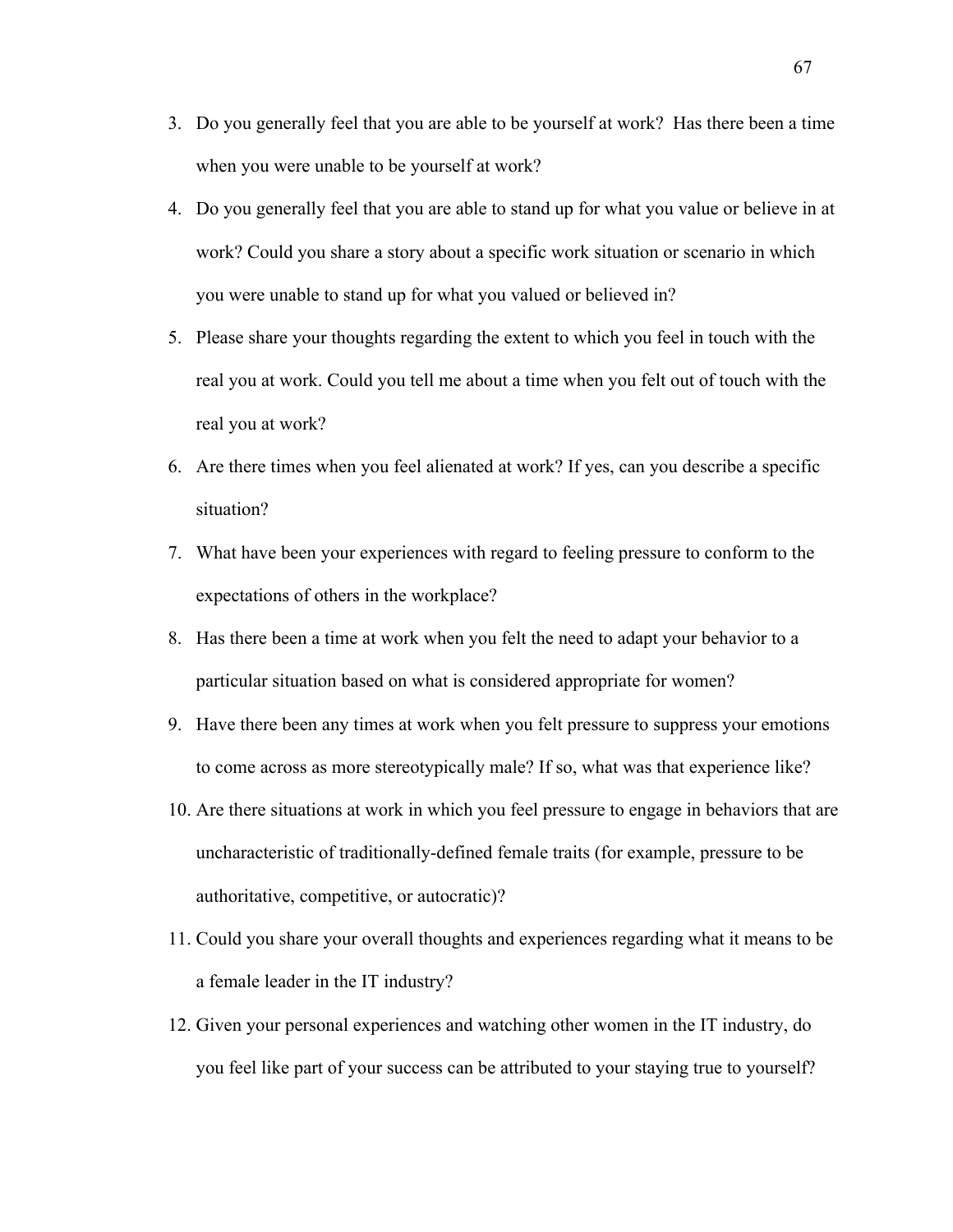- 3. Do you generally feel that you are able to be yourself at work? Has there been a time when you were unable to be yourself at work?
- 4. Do you generally feel that you are able to stand up for what you value or believe in at work? Could you share a story about a specific work situation or scenario in which you were unable to stand up for what you valued or believed in?
- 5. Please share your thoughts regarding the extent to which you feel in touch with the real you at work. Could you tell me about a time when you felt out of touch with the real you at work?
- 6. Are there times when you feel alienated at work? If yes, can you describe a specific situation?
- 7. What have been your experiences with regard to feeling pressure to conform to the expectations of others in the workplace?
- 8. Has there been a time at work when you felt the need to adapt your behavior to a particular situation based on what is considered appropriate for women?
- 9. Have there been any times at work when you felt pressure to suppress your emotions to come across as more stereotypically male? If so, what was that experience like?
- 10. Are there situations at work in which you feel pressure to engage in behaviors that are uncharacteristic of traditionally-defined female traits (for example, pressure to be authoritative, competitive, or autocratic)?
- 11. Could you share your overall thoughts and experiences regarding what it means to be a female leader in the IT industry?
- 12. Given your personal experiences and watching other women in the IT industry, do you feel like part of your success can be attributed to your staying true to yourself?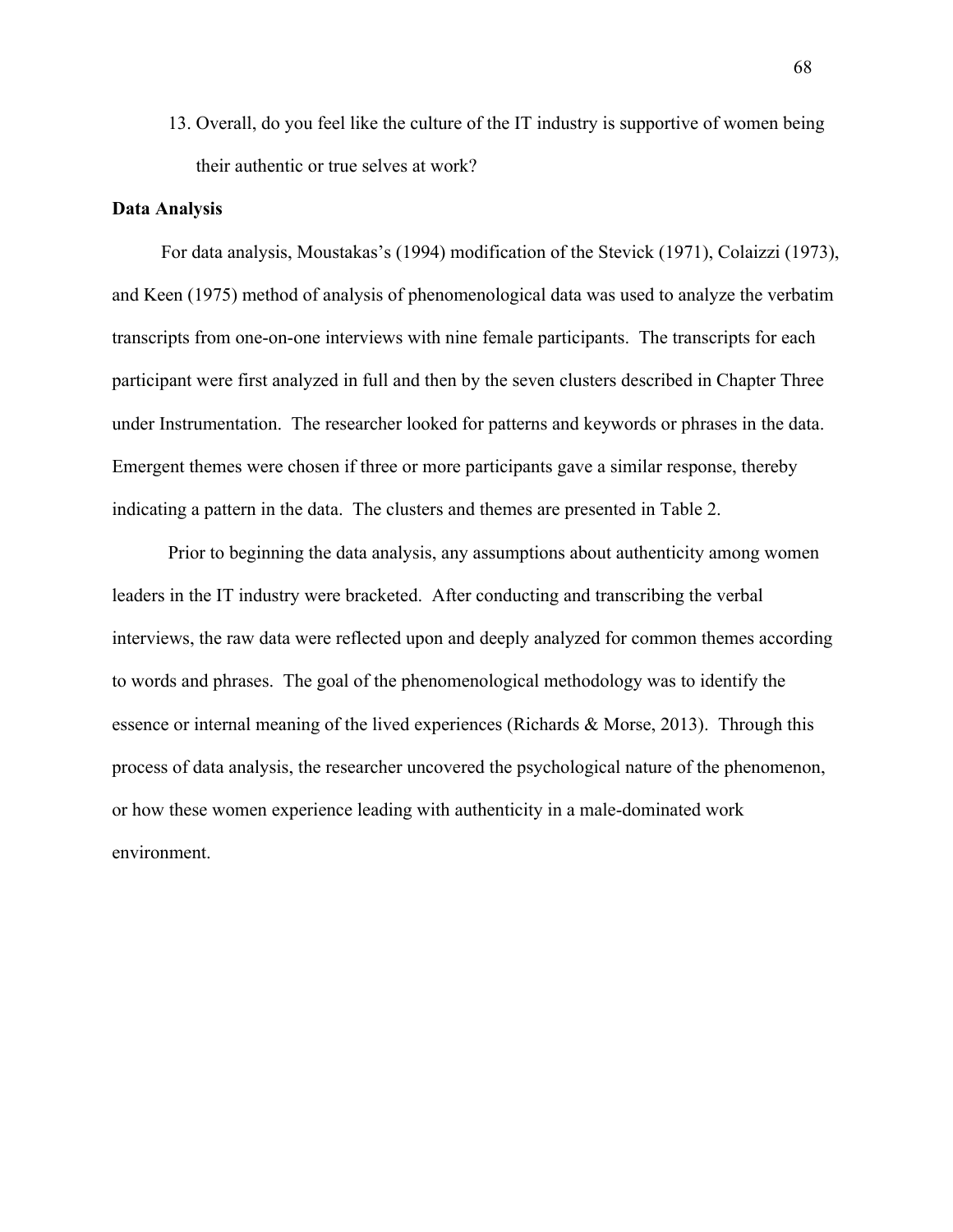13. Overall, do you feel like the culture of the IT industry is supportive of women being their authentic or true selves at work?

#### **Data Analysis**

For data analysis, Moustakas's (1994) modification of the Stevick (1971), Colaizzi (1973), and Keen (1975) method of analysis of phenomenological data was used to analyze the verbatim transcripts from one-on-one interviews with nine female participants. The transcripts for each participant were first analyzed in full and then by the seven clusters described in Chapter Three under Instrumentation. The researcher looked for patterns and keywords or phrases in the data. Emergent themes were chosen if three or more participants gave a similar response, thereby indicating a pattern in the data. The clusters and themes are presented in Table 2.

Prior to beginning the data analysis, any assumptions about authenticity among women leaders in the IT industry were bracketed. After conducting and transcribing the verbal interviews, the raw data were reflected upon and deeply analyzed for common themes according to words and phrases. The goal of the phenomenological methodology was to identify the essence or internal meaning of the lived experiences (Richards & Morse, 2013). Through this process of data analysis, the researcher uncovered the psychological nature of the phenomenon, or how these women experience leading with authenticity in a male-dominated work environment.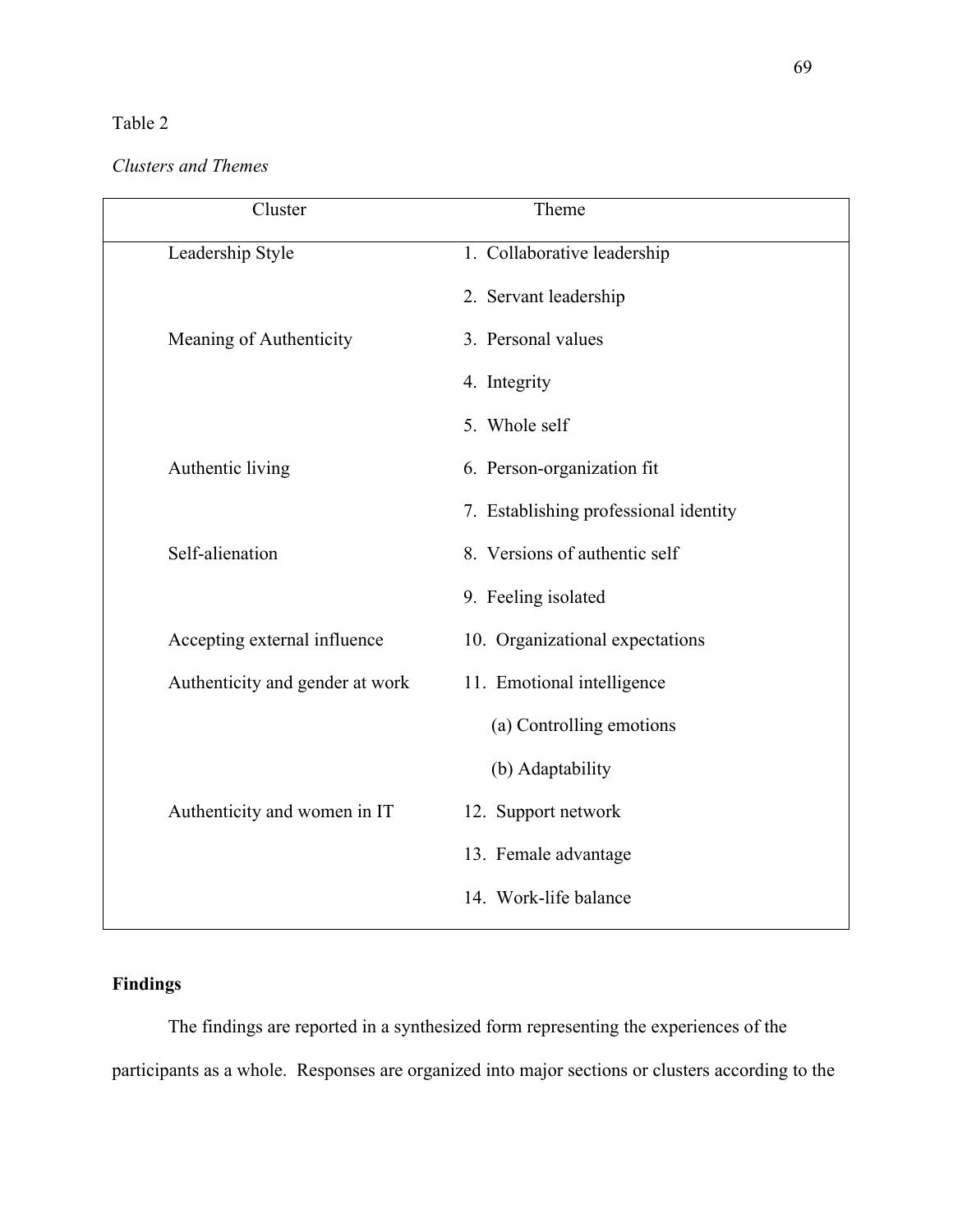# Table 2

# *Clusters and Themes*

| Cluster                         | Theme                                 |
|---------------------------------|---------------------------------------|
| Leadership Style                | 1. Collaborative leadership           |
|                                 | 2. Servant leadership                 |
| Meaning of Authenticity         | 3. Personal values                    |
|                                 | 4. Integrity                          |
|                                 | 5. Whole self                         |
| Authentic living                | 6. Person-organization fit            |
|                                 | 7. Establishing professional identity |
| Self-alienation                 | 8. Versions of authentic self         |
|                                 | 9. Feeling isolated                   |
| Accepting external influence    | 10. Organizational expectations       |
| Authenticity and gender at work | 11. Emotional intelligence            |
|                                 | (a) Controlling emotions              |
|                                 | (b) Adaptability                      |
| Authenticity and women in IT    | 12. Support network                   |
|                                 | 13. Female advantage                  |
|                                 | 14. Work-life balance                 |
|                                 |                                       |

# **Findings**

The findings are reported in a synthesized form representing the experiences of the participants as a whole. Responses are organized into major sections or clusters according to the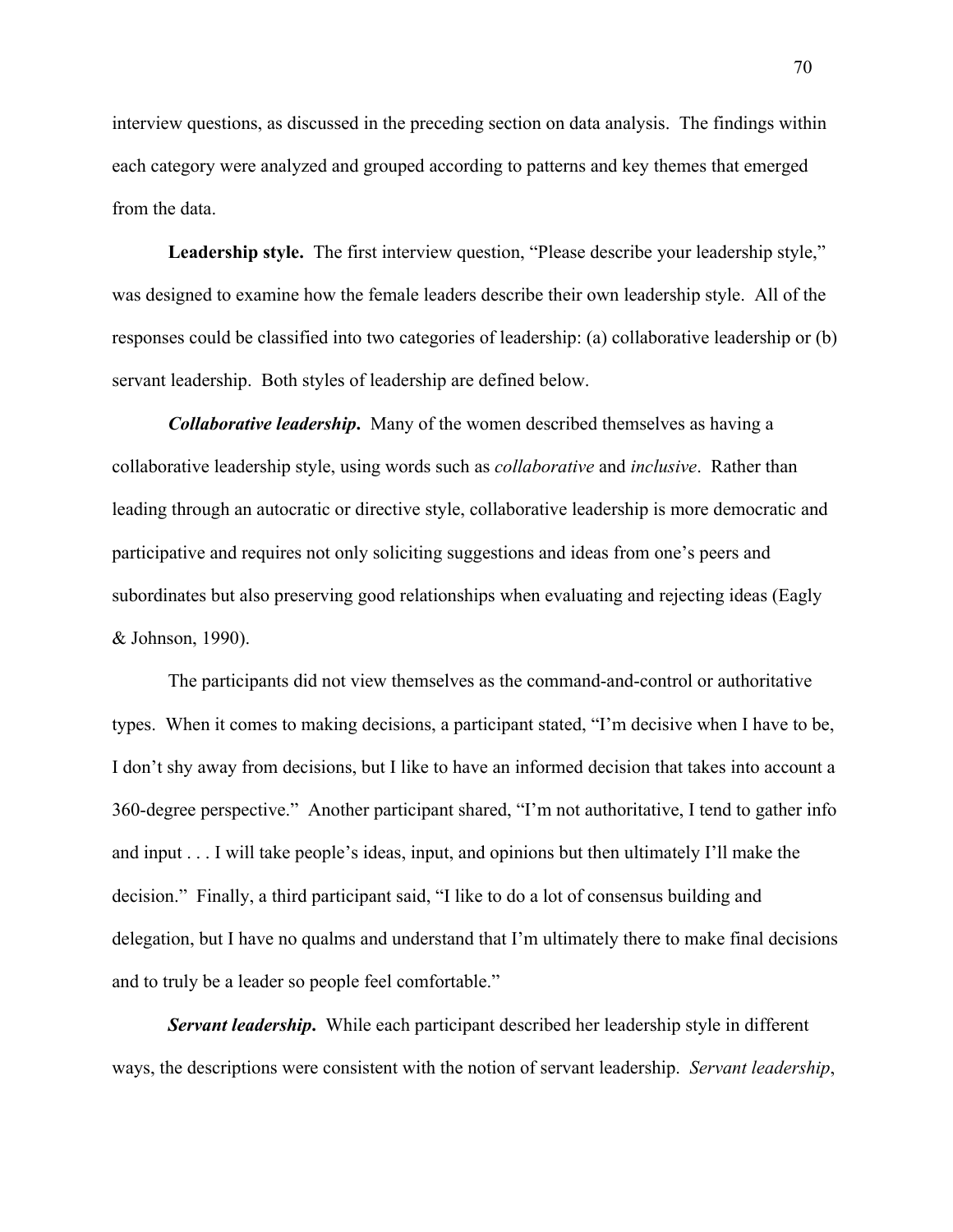interview questions, as discussed in the preceding section on data analysis. The findings within each category were analyzed and grouped according to patterns and key themes that emerged from the data.

Leadership style. The first interview question, "Please describe your leadership style," was designed to examine how the female leaders describe their own leadership style. All of the responses could be classified into two categories of leadership: (a) collaborative leadership or (b) servant leadership. Both styles of leadership are defined below.

*Collaborative leadership***.** Many of the women described themselves as having a collaborative leadership style, using words such as *collaborative* and *inclusive*. Rather than leading through an autocratic or directive style, collaborative leadership is more democratic and participative and requires not only soliciting suggestions and ideas from one's peers and subordinates but also preserving good relationships when evaluating and rejecting ideas (Eagly & Johnson, 1990).

The participants did not view themselves as the command-and-control or authoritative types. When it comes to making decisions, a participant stated, "I'm decisive when I have to be, I don't shy away from decisions, but I like to have an informed decision that takes into account a 360-degree perspective." Another participant shared, "I'm not authoritative, I tend to gather info and input . . . I will take people's ideas, input, and opinions but then ultimately I'll make the decision." Finally, a third participant said, "I like to do a lot of consensus building and delegation, but I have no qualms and understand that I'm ultimately there to make final decisions and to truly be a leader so people feel comfortable."

*Servant leadership***.** While each participant described her leadership style in different ways, the descriptions were consistent with the notion of servant leadership. *Servant leadership*,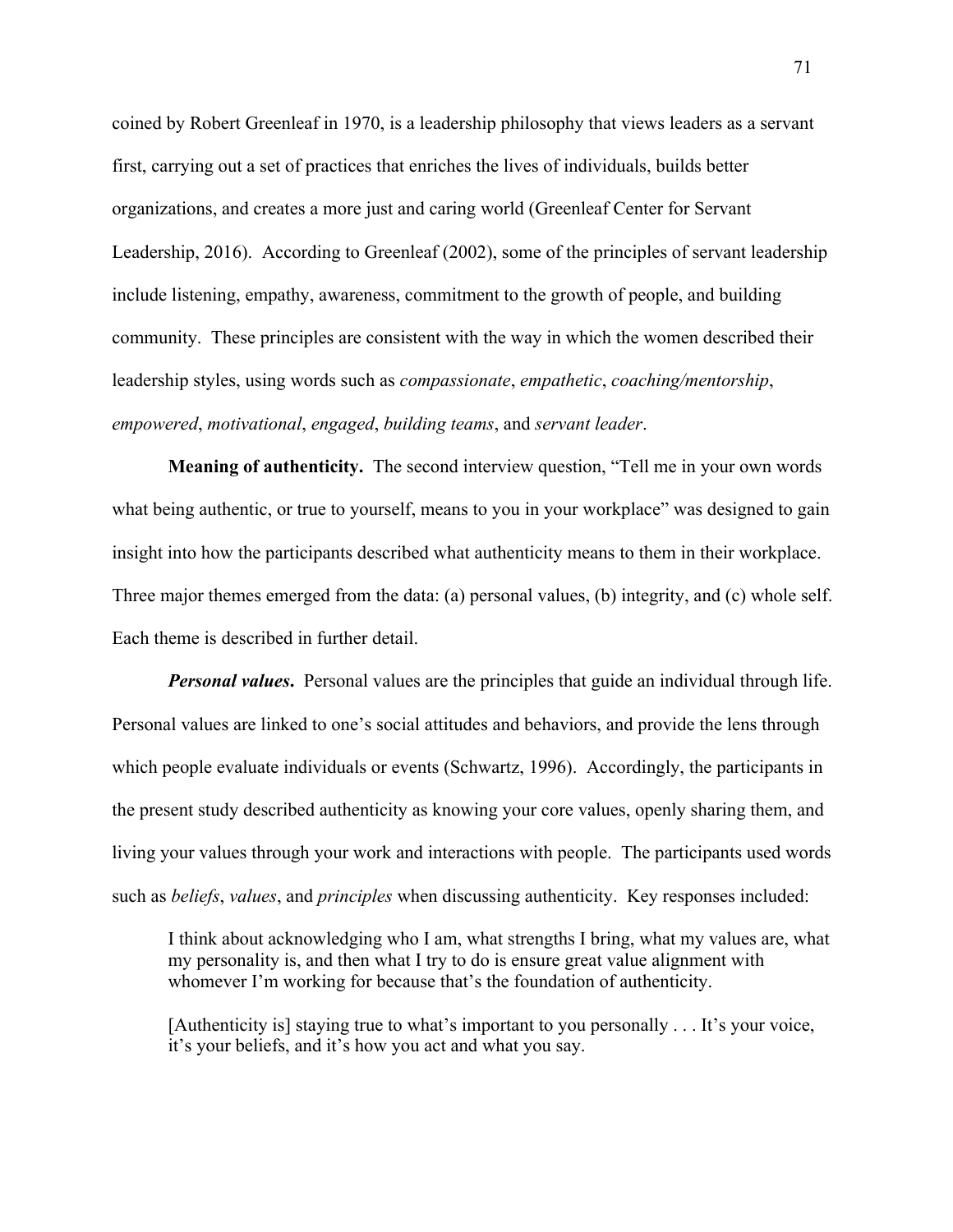coined by Robert Greenleaf in 1970, is a leadership philosophy that views leaders as a servant first, carrying out a set of practices that enriches the lives of individuals, builds better organizations, and creates a more just and caring world (Greenleaf Center for Servant Leadership, 2016). According to Greenleaf (2002), some of the principles of servant leadership include listening, empathy, awareness, commitment to the growth of people, and building community. These principles are consistent with the way in which the women described their leadership styles, using words such as *compassionate*, *empathetic*, *coaching/mentorship*, *empowered*, *motivational*, *engaged*, *building teams*, and *servant leader*.

**Meaning of authenticity.** The second interview question, "Tell me in your own words what being authentic, or true to yourself, means to you in your workplace" was designed to gain insight into how the participants described what authenticity means to them in their workplace. Three major themes emerged from the data: (a) personal values, (b) integrity, and (c) whole self. Each theme is described in further detail.

*Personal values***.** Personal values are the principles that guide an individual through life. Personal values are linked to one's social attitudes and behaviors, and provide the lens through which people evaluate individuals or events (Schwartz, 1996). Accordingly, the participants in the present study described authenticity as knowing your core values, openly sharing them, and living your values through your work and interactions with people. The participants used words such as *beliefs*, *values*, and *principles* when discussing authenticity. Key responses included:

I think about acknowledging who I am, what strengths I bring, what my values are, what my personality is, and then what I try to do is ensure great value alignment with whomever I'm working for because that's the foundation of authenticity.

[Authenticity is] staying true to what's important to you personally . . . It's your voice, it's your beliefs, and it's how you act and what you say.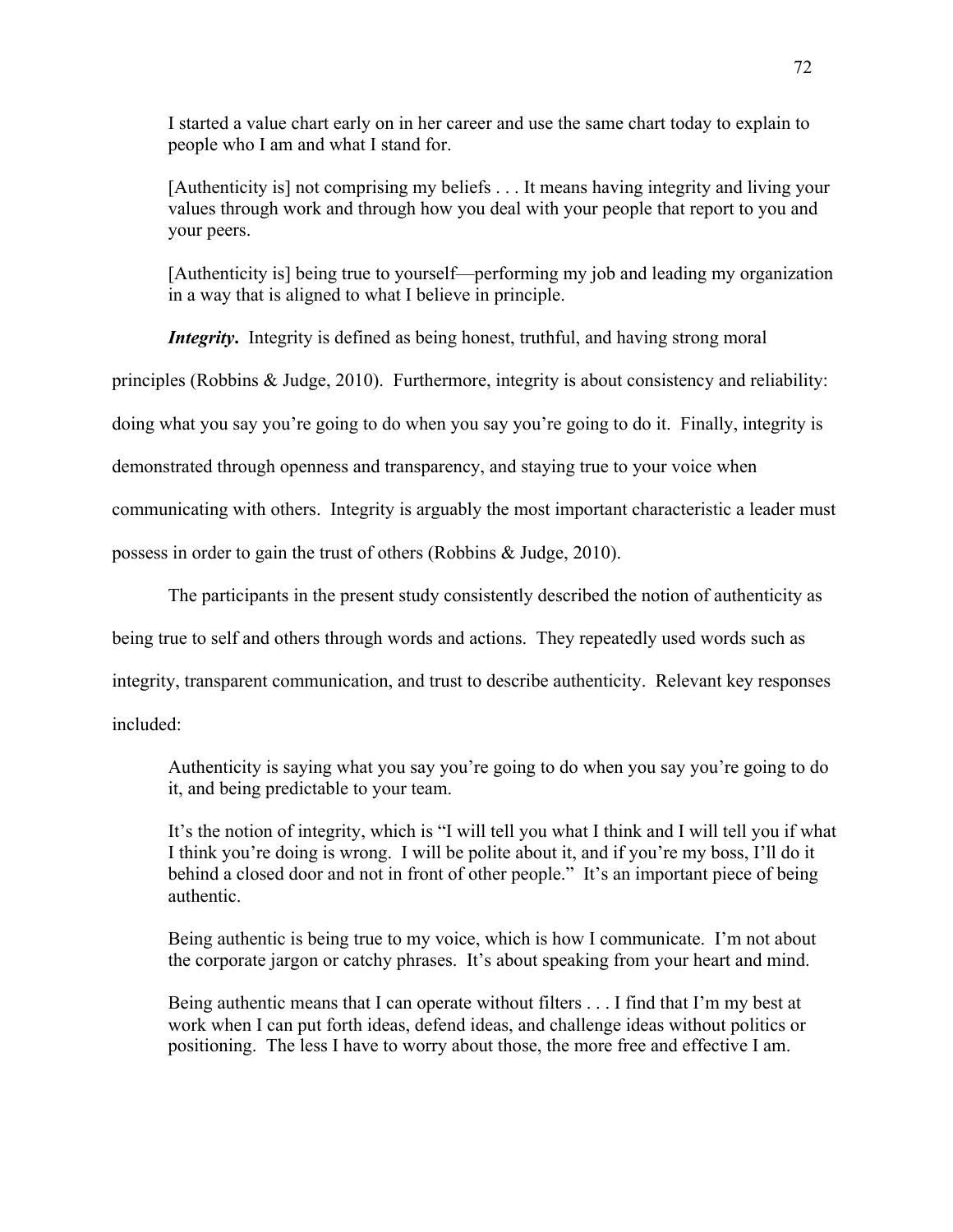I started a value chart early on in her career and use the same chart today to explain to people who I am and what I stand for.

[Authenticity is] not comprising my beliefs . . . It means having integrity and living your values through work and through how you deal with your people that report to you and your peers.

[Authenticity is] being true to yourself—performing my job and leading my organization in a way that is aligned to what I believe in principle.

*Integrity*. Integrity is defined as being honest, truthful, and having strong moral

principles (Robbins & Judge, 2010). Furthermore, integrity is about consistency and reliability:

doing what you say you're going to do when you say you're going to do it. Finally, integrity is

demonstrated through openness and transparency, and staying true to your voice when

communicating with others. Integrity is arguably the most important characteristic a leader must

possess in order to gain the trust of others (Robbins & Judge, 2010).

The participants in the present study consistently described the notion of authenticity as

being true to self and others through words and actions. They repeatedly used words such as

integrity, transparent communication, and trust to describe authenticity. Relevant key responses

included:

Authenticity is saying what you say you're going to do when you say you're going to do it, and being predictable to your team.

It's the notion of integrity, which is "I will tell you what I think and I will tell you if what I think you're doing is wrong. I will be polite about it, and if you're my boss, I'll do it behind a closed door and not in front of other people." It's an important piece of being authentic.

Being authentic is being true to my voice, which is how I communicate. I'm not about the corporate jargon or catchy phrases. It's about speaking from your heart and mind.

Being authentic means that I can operate without filters . . . I find that I'm my best at work when I can put forth ideas, defend ideas, and challenge ideas without politics or positioning. The less I have to worry about those, the more free and effective I am.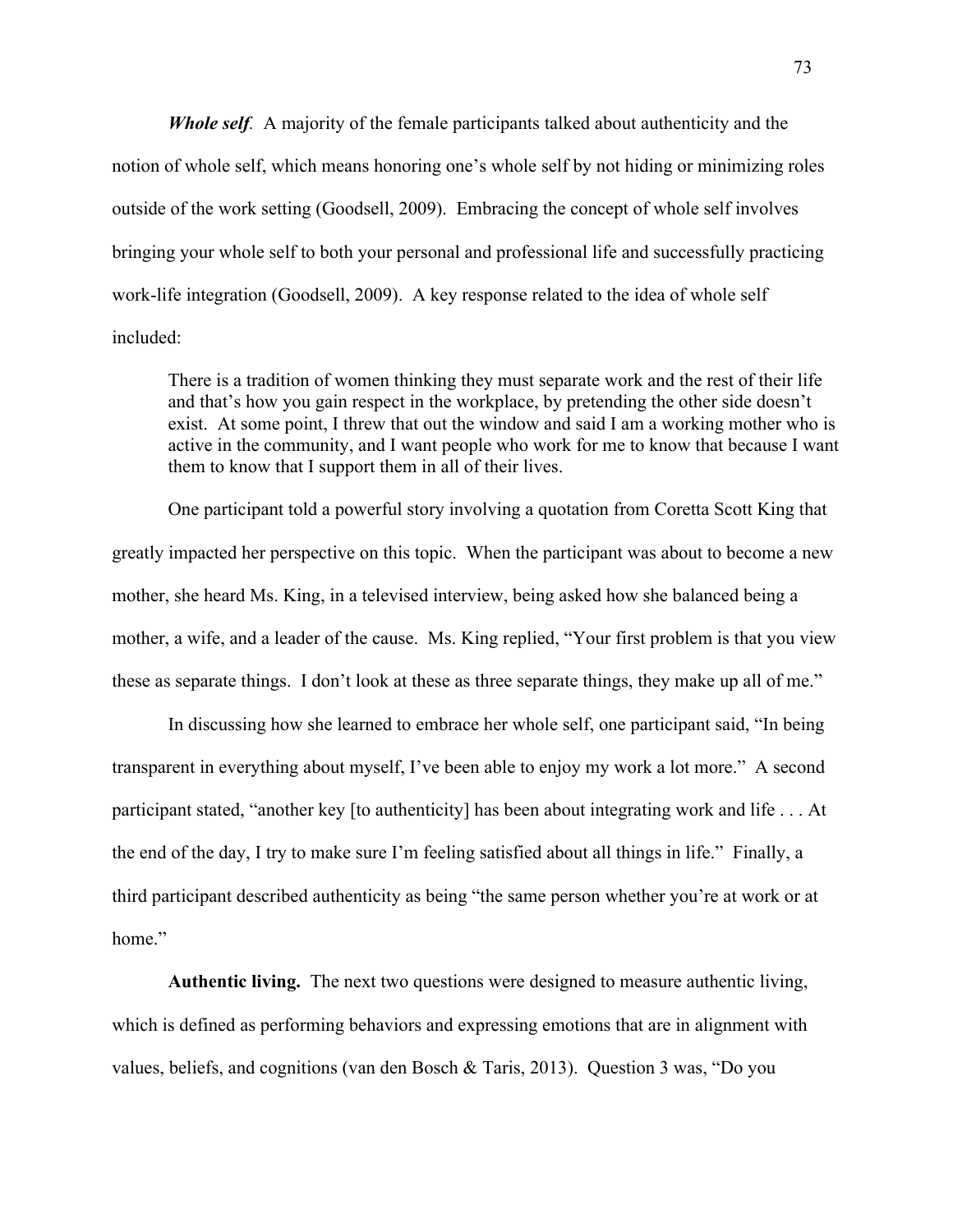*Whole self.* A majority of the female participants talked about authenticity and the notion of whole self, which means honoring one's whole self by not hiding or minimizing roles outside of the work setting (Goodsell, 2009). Embracing the concept of whole self involves bringing your whole self to both your personal and professional life and successfully practicing work-life integration (Goodsell, 2009). A key response related to the idea of whole self included:

There is a tradition of women thinking they must separate work and the rest of their life and that's how you gain respect in the workplace, by pretending the other side doesn't exist. At some point, I threw that out the window and said I am a working mother who is active in the community, and I want people who work for me to know that because I want them to know that I support them in all of their lives.

One participant told a powerful story involving a quotation from Coretta Scott King that greatly impacted her perspective on this topic. When the participant was about to become a new mother, she heard Ms. King, in a televised interview, being asked how she balanced being a mother, a wife, and a leader of the cause. Ms. King replied, "Your first problem is that you view these as separate things. I don't look at these as three separate things, they make up all of me."

In discussing how she learned to embrace her whole self, one participant said, "In being transparent in everything about myself, I've been able to enjoy my work a lot more." A second participant stated, "another key [to authenticity] has been about integrating work and life . . . At the end of the day, I try to make sure I'm feeling satisfied about all things in life." Finally, a third participant described authenticity as being "the same person whether you're at work or at home"

**Authentic living.** The next two questions were designed to measure authentic living, which is defined as performing behaviors and expressing emotions that are in alignment with values, beliefs, and cognitions (van den Bosch & Taris, 2013). Question 3 was, "Do you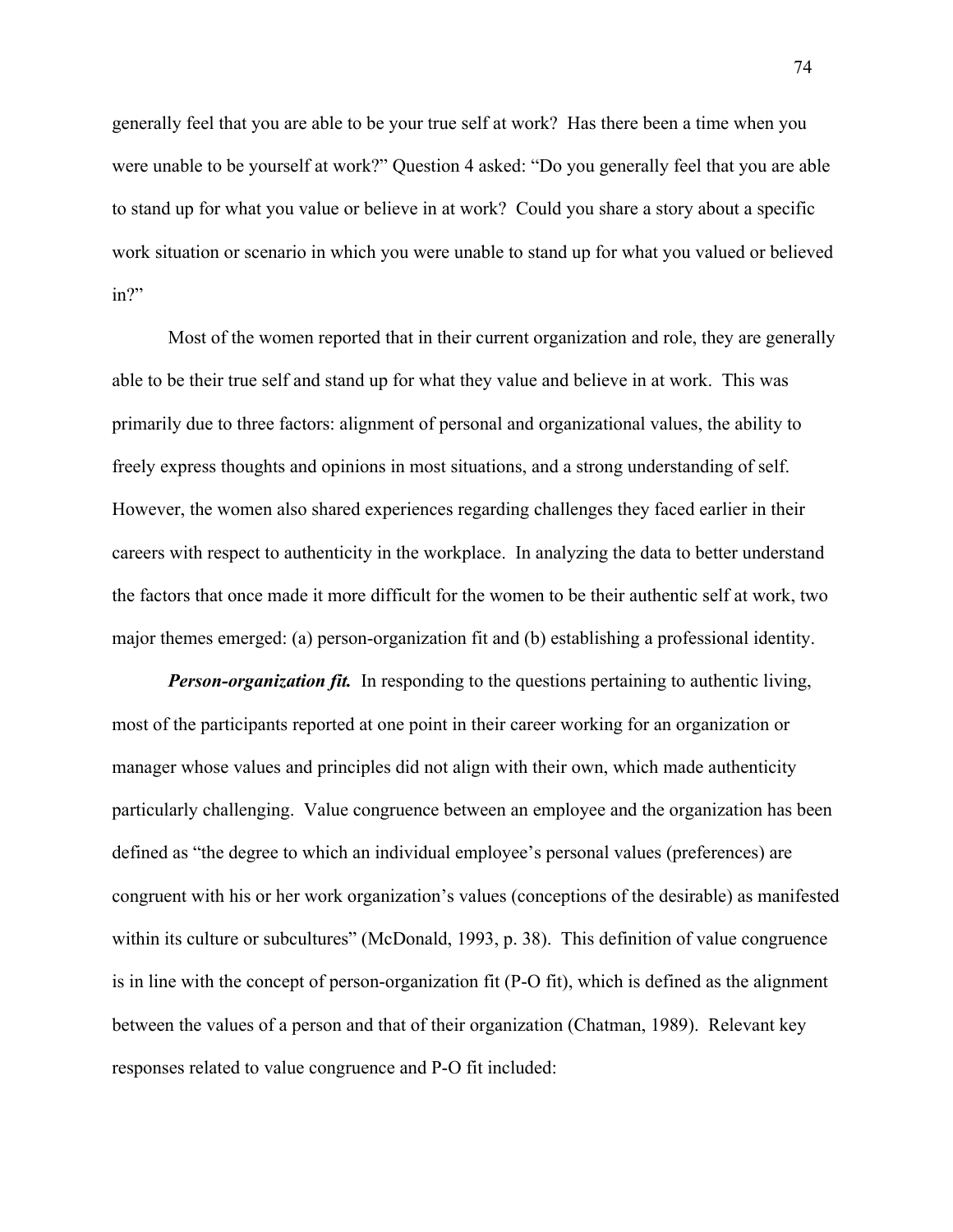generally feel that you are able to be your true self at work? Has there been a time when you were unable to be yourself at work?" Question 4 asked: "Do you generally feel that you are able to stand up for what you value or believe in at work? Could you share a story about a specific work situation or scenario in which you were unable to stand up for what you valued or believed in?"

Most of the women reported that in their current organization and role, they are generally able to be their true self and stand up for what they value and believe in at work. This was primarily due to three factors: alignment of personal and organizational values, the ability to freely express thoughts and opinions in most situations, and a strong understanding of self. However, the women also shared experiences regarding challenges they faced earlier in their careers with respect to authenticity in the workplace. In analyzing the data to better understand the factors that once made it more difficult for the women to be their authentic self at work, two major themes emerged: (a) person-organization fit and (b) establishing a professional identity.

*Person-organization fit.* In responding to the questions pertaining to authentic living, most of the participants reported at one point in their career working for an organization or manager whose values and principles did not align with their own, which made authenticity particularly challenging. Value congruence between an employee and the organization has been defined as "the degree to which an individual employee's personal values (preferences) are congruent with his or her work organization's values (conceptions of the desirable) as manifested within its culture or subcultures" (McDonald, 1993, p. 38). This definition of value congruence is in line with the concept of person-organization fit (P-O fit), which is defined as the alignment between the values of a person and that of their organization (Chatman, 1989). Relevant key responses related to value congruence and P-O fit included: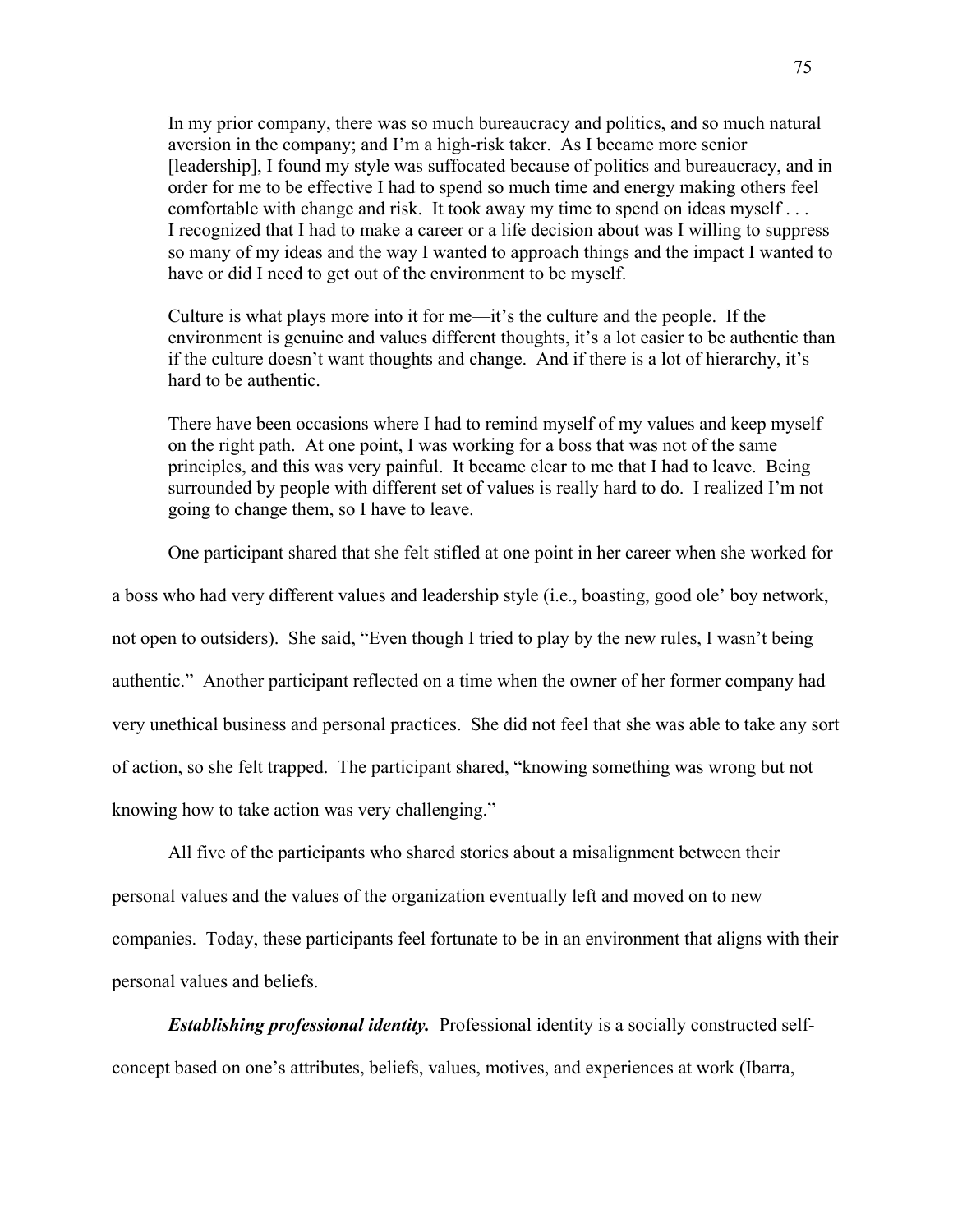In my prior company, there was so much bureaucracy and politics, and so much natural aversion in the company; and I'm a high-risk taker. As I became more senior [leadership], I found my style was suffocated because of politics and bureaucracy, and in order for me to be effective I had to spend so much time and energy making others feel comfortable with change and risk. It took away my time to spend on ideas myself . . . I recognized that I had to make a career or a life decision about was I willing to suppress so many of my ideas and the way I wanted to approach things and the impact I wanted to have or did I need to get out of the environment to be myself.

Culture is what plays more into it for me—it's the culture and the people. If the environment is genuine and values different thoughts, it's a lot easier to be authentic than if the culture doesn't want thoughts and change. And if there is a lot of hierarchy, it's hard to be authentic.

There have been occasions where I had to remind myself of my values and keep myself on the right path. At one point, I was working for a boss that was not of the same principles, and this was very painful. It became clear to me that I had to leave. Being surrounded by people with different set of values is really hard to do. I realized I'm not going to change them, so I have to leave.

One participant shared that she felt stifled at one point in her career when she worked for

a boss who had very different values and leadership style (i.e., boasting, good ole' boy network, not open to outsiders). She said, "Even though I tried to play by the new rules, I wasn't being authentic." Another participant reflected on a time when the owner of her former company had very unethical business and personal practices. She did not feel that she was able to take any sort of action, so she felt trapped. The participant shared, "knowing something was wrong but not knowing how to take action was very challenging."

All five of the participants who shared stories about a misalignment between their personal values and the values of the organization eventually left and moved on to new companies. Today, these participants feel fortunate to be in an environment that aligns with their personal values and beliefs.

*Establishing professional identity.* Professional identity is a socially constructed selfconcept based on one's attributes, beliefs, values, motives, and experiences at work (Ibarra,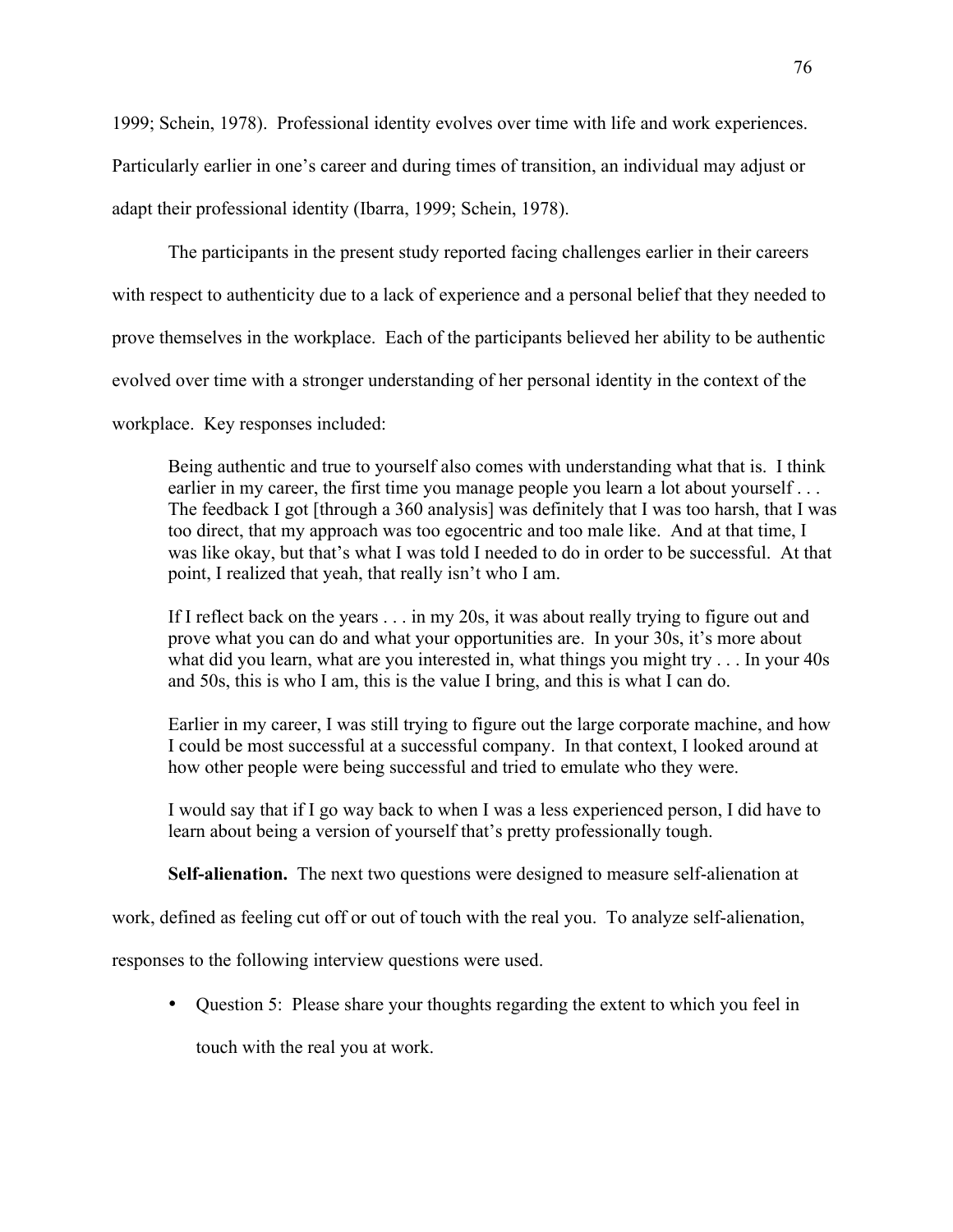1999; Schein, 1978). Professional identity evolves over time with life and work experiences. Particularly earlier in one's career and during times of transition, an individual may adjust or adapt their professional identity (Ibarra, 1999; Schein, 1978).

The participants in the present study reported facing challenges earlier in their careers with respect to authenticity due to a lack of experience and a personal belief that they needed to prove themselves in the workplace. Each of the participants believed her ability to be authentic evolved over time with a stronger understanding of her personal identity in the context of the

workplace. Key responses included:

Being authentic and true to yourself also comes with understanding what that is. I think earlier in my career, the first time you manage people you learn a lot about yourself . . . The feedback I got [through a 360 analysis] was definitely that I was too harsh, that I was too direct, that my approach was too egocentric and too male like. And at that time, I was like okay, but that's what I was told I needed to do in order to be successful. At that point, I realized that yeah, that really isn't who I am.

If I reflect back on the years . . . in my 20s, it was about really trying to figure out and prove what you can do and what your opportunities are. In your 30s, it's more about what did you learn, what are you interested in, what things you might try . . . In your 40s and 50s, this is who I am, this is the value I bring, and this is what I can do.

Earlier in my career, I was still trying to figure out the large corporate machine, and how I could be most successful at a successful company. In that context, I looked around at how other people were being successful and tried to emulate who they were.

I would say that if I go way back to when I was a less experienced person, I did have to learn about being a version of yourself that's pretty professionally tough.

**Self-alienation.** The next two questions were designed to measure self-alienation at

work, defined as feeling cut off or out of touch with the real you. To analyze self-alienation,

responses to the following interview questions were used.

• Question 5: Please share your thoughts regarding the extent to which you feel in

touch with the real you at work.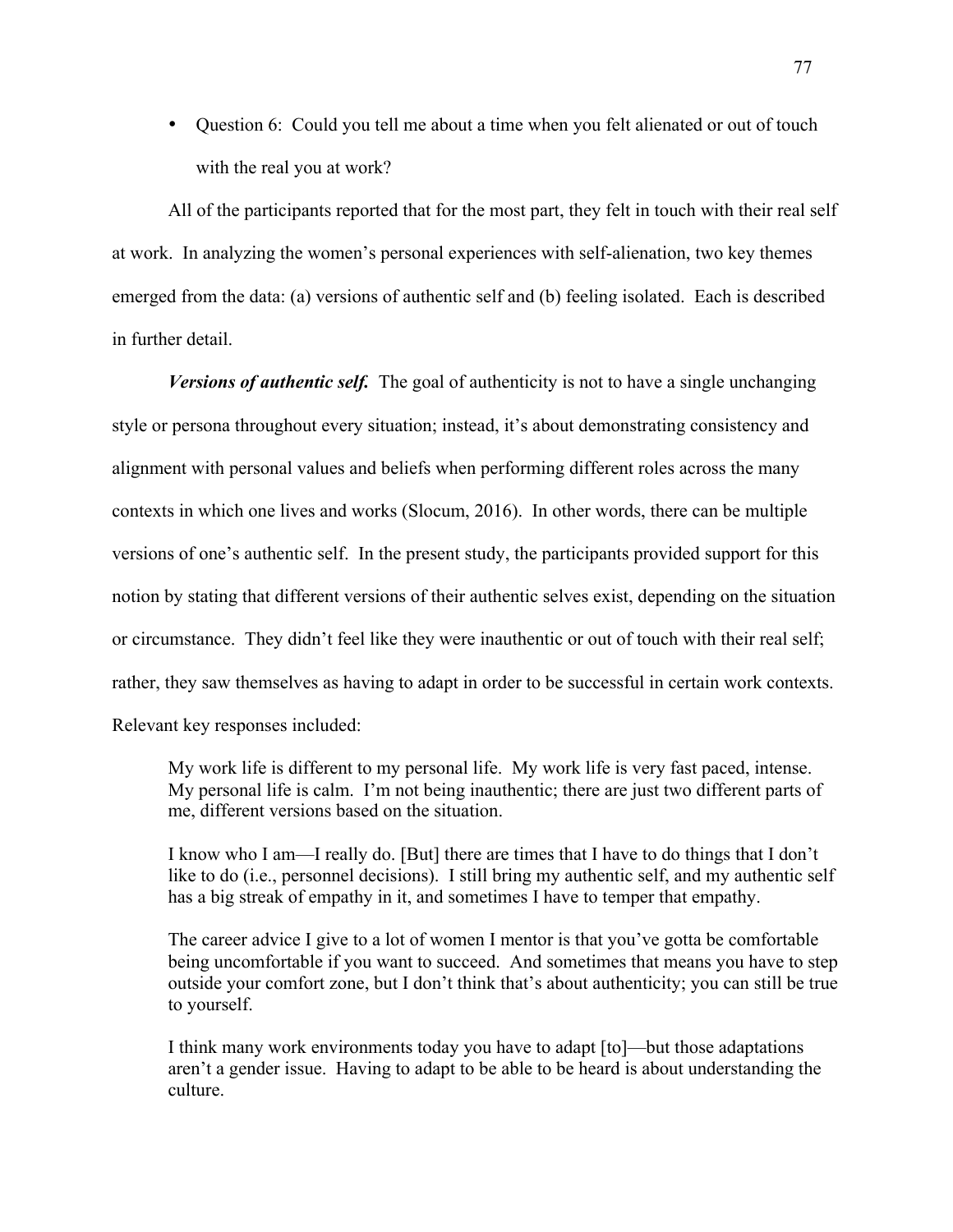• Question 6: Could you tell me about a time when you felt alienated or out of touch with the real you at work?

All of the participants reported that for the most part, they felt in touch with their real self at work. In analyzing the women's personal experiences with self-alienation, two key themes emerged from the data: (a) versions of authentic self and (b) feeling isolated. Each is described in further detail.

*Versions of authentic self.* The goal of authenticity is not to have a single unchanging style or persona throughout every situation; instead, it's about demonstrating consistency and alignment with personal values and beliefs when performing different roles across the many contexts in which one lives and works (Slocum, 2016). In other words, there can be multiple versions of one's authentic self. In the present study, the participants provided support for this notion by stating that different versions of their authentic selves exist, depending on the situation or circumstance. They didn't feel like they were inauthentic or out of touch with their real self; rather, they saw themselves as having to adapt in order to be successful in certain work contexts. Relevant key responses included:

My work life is different to my personal life. My work life is very fast paced, intense. My personal life is calm. I'm not being inauthentic; there are just two different parts of me, different versions based on the situation.

I know who I am—I really do. [But] there are times that I have to do things that I don't like to do (i.e., personnel decisions). I still bring my authentic self, and my authentic self has a big streak of empathy in it, and sometimes I have to temper that empathy.

The career advice I give to a lot of women I mentor is that you've gotta be comfortable being uncomfortable if you want to succeed. And sometimes that means you have to step outside your comfort zone, but I don't think that's about authenticity; you can still be true to yourself.

I think many work environments today you have to adapt [to]—but those adaptations aren't a gender issue. Having to adapt to be able to be heard is about understanding the culture.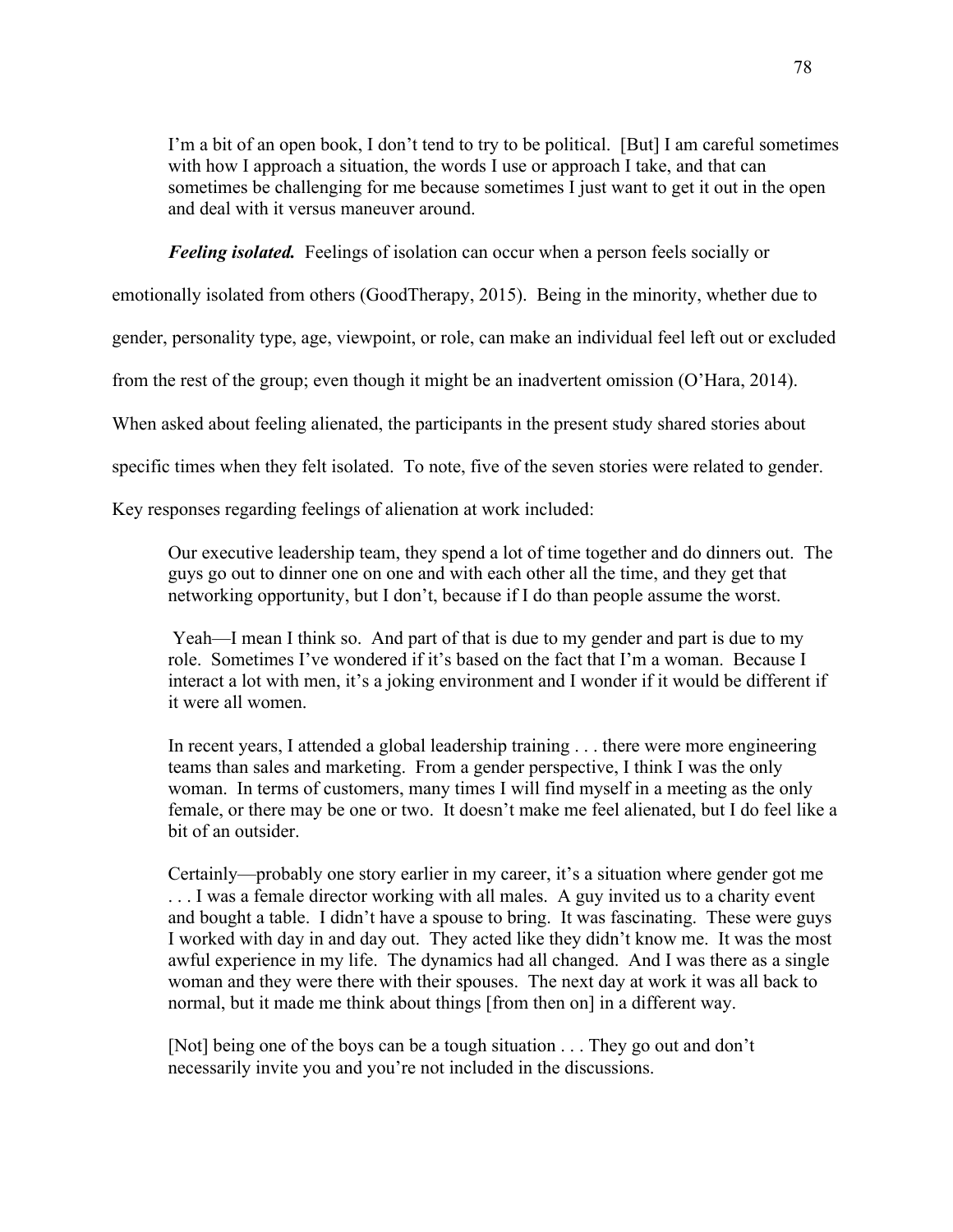I'm a bit of an open book, I don't tend to try to be political. [But] I am careful sometimes with how I approach a situation, the words I use or approach I take, and that can sometimes be challenging for me because sometimes I just want to get it out in the open and deal with it versus maneuver around.

*Feeling isolated.* Feelings of isolation can occur when a person feels socially or

emotionally isolated from others (GoodTherapy, 2015). Being in the minority, whether due to

gender, personality type, age, viewpoint, or role, can make an individual feel left out or excluded

from the rest of the group; even though it might be an inadvertent omission (O'Hara, 2014).

When asked about feeling alienated, the participants in the present study shared stories about

specific times when they felt isolated. To note, five of the seven stories were related to gender.

Key responses regarding feelings of alienation at work included:

Our executive leadership team, they spend a lot of time together and do dinners out. The guys go out to dinner one on one and with each other all the time, and they get that networking opportunity, but I don't, because if I do than people assume the worst.

Yeah—I mean I think so. And part of that is due to my gender and part is due to my role. Sometimes I've wondered if it's based on the fact that I'm a woman. Because I interact a lot with men, it's a joking environment and I wonder if it would be different if it were all women.

In recent years, I attended a global leadership training . . . there were more engineering teams than sales and marketing. From a gender perspective, I think I was the only woman. In terms of customers, many times I will find myself in a meeting as the only female, or there may be one or two. It doesn't make me feel alienated, but I do feel like a bit of an outsider.

Certainly—probably one story earlier in my career, it's a situation where gender got me . . . I was a female director working with all males. A guy invited us to a charity event and bought a table. I didn't have a spouse to bring. It was fascinating. These were guys I worked with day in and day out. They acted like they didn't know me. It was the most awful experience in my life. The dynamics had all changed. And I was there as a single woman and they were there with their spouses. The next day at work it was all back to normal, but it made me think about things [from then on] in a different way.

[Not] being one of the boys can be a tough situation . . . They go out and don't necessarily invite you and you're not included in the discussions.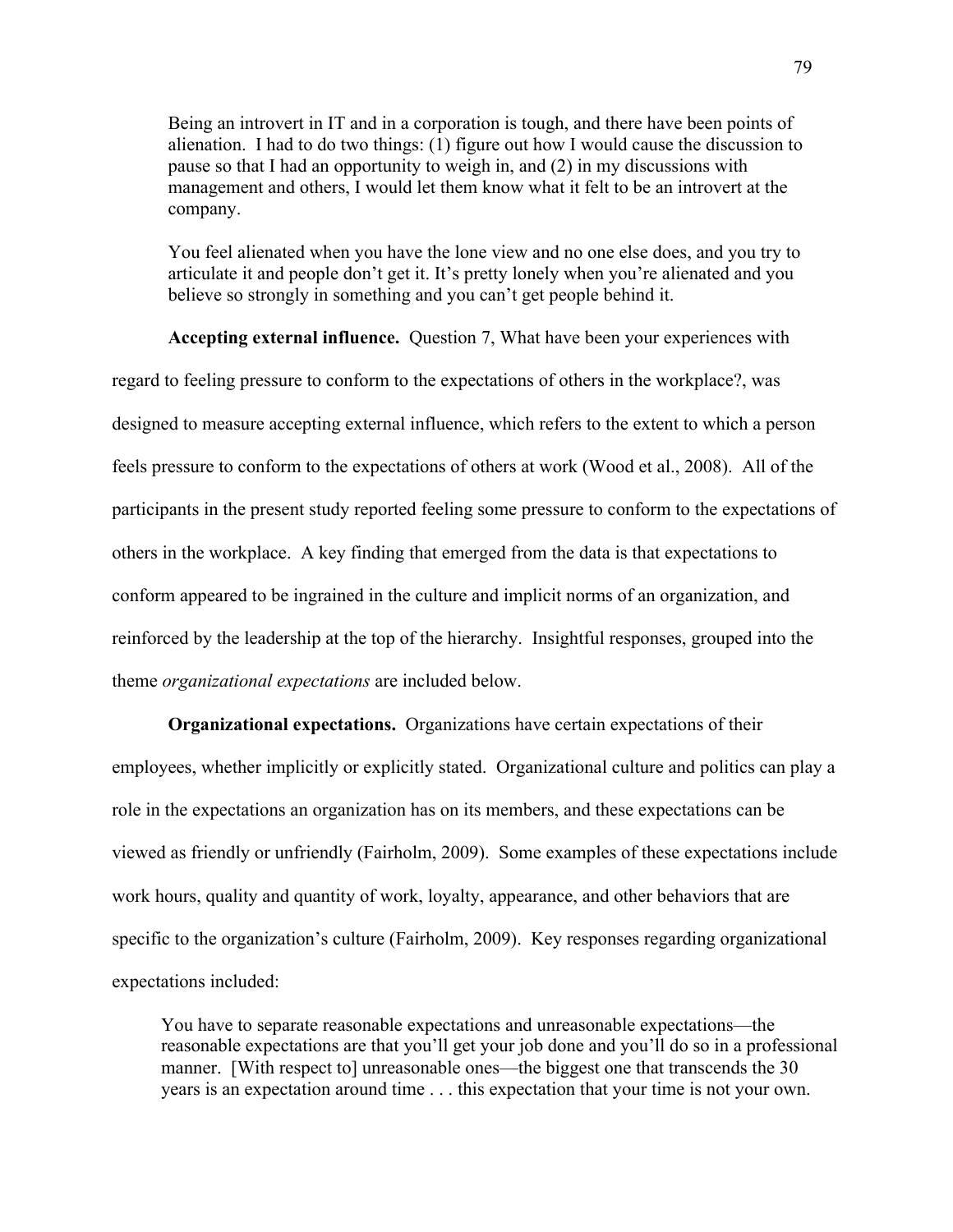Being an introvert in IT and in a corporation is tough, and there have been points of alienation. I had to do two things: (1) figure out how I would cause the discussion to pause so that I had an opportunity to weigh in, and (2) in my discussions with management and others, I would let them know what it felt to be an introvert at the company.

You feel alienated when you have the lone view and no one else does, and you try to articulate it and people don't get it. It's pretty lonely when you're alienated and you believe so strongly in something and you can't get people behind it.

**Accepting external influence.** Question 7, What have been your experiences with regard to feeling pressure to conform to the expectations of others in the workplace?, was designed to measure accepting external influence, which refers to the extent to which a person feels pressure to conform to the expectations of others at work (Wood et al., 2008). All of the participants in the present study reported feeling some pressure to conform to the expectations of others in the workplace. A key finding that emerged from the data is that expectations to conform appeared to be ingrained in the culture and implicit norms of an organization, and reinforced by the leadership at the top of the hierarchy. Insightful responses, grouped into the theme *organizational expectations* are included below.

**Organizational expectations.**Organizations have certain expectations of their employees, whether implicitly or explicitly stated. Organizational culture and politics can play a role in the expectations an organization has on its members, and these expectations can be viewed as friendly or unfriendly (Fairholm, 2009). Some examples of these expectations include work hours, quality and quantity of work, loyalty, appearance, and other behaviors that are specific to the organization's culture (Fairholm, 2009). Key responses regarding organizational expectations included:

You have to separate reasonable expectations and unreasonable expectations—the reasonable expectations are that you'll get your job done and you'll do so in a professional manner. [With respect to] unreasonable ones—the biggest one that transcends the 30 years is an expectation around time . . . this expectation that your time is not your own.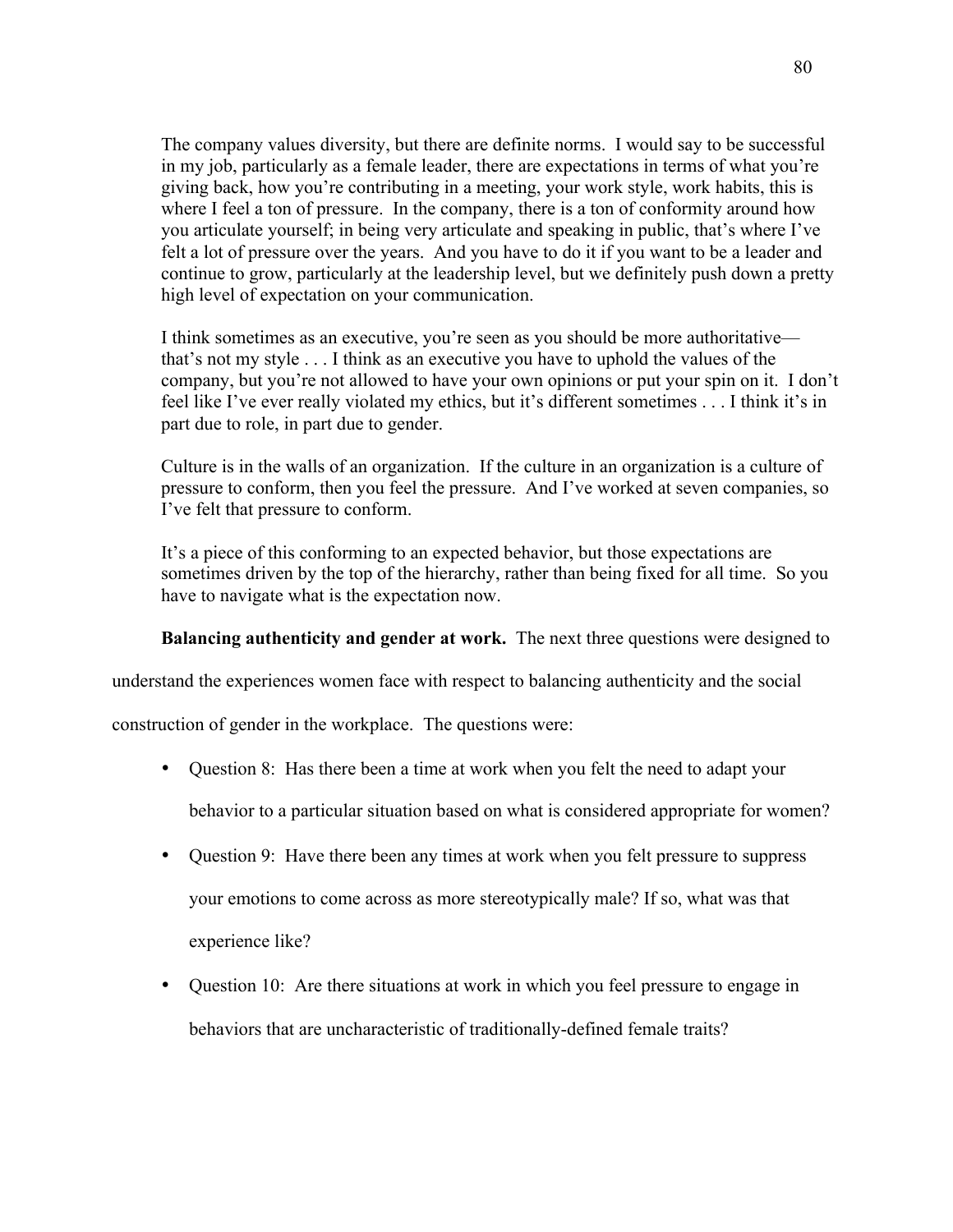The company values diversity, but there are definite norms. I would say to be successful in my job, particularly as a female leader, there are expectations in terms of what you're giving back, how you're contributing in a meeting, your work style, work habits, this is where I feel a ton of pressure. In the company, there is a ton of conformity around how you articulate yourself; in being very articulate and speaking in public, that's where I've felt a lot of pressure over the years. And you have to do it if you want to be a leader and continue to grow, particularly at the leadership level, but we definitely push down a pretty high level of expectation on your communication.

I think sometimes as an executive, you're seen as you should be more authoritative that's not my style . . . I think as an executive you have to uphold the values of the company, but you're not allowed to have your own opinions or put your spin on it. I don't feel like I've ever really violated my ethics, but it's different sometimes . . . I think it's in part due to role, in part due to gender.

Culture is in the walls of an organization. If the culture in an organization is a culture of pressure to conform, then you feel the pressure. And I've worked at seven companies, so I've felt that pressure to conform.

It's a piece of this conforming to an expected behavior, but those expectations are sometimes driven by the top of the hierarchy, rather than being fixed for all time. So you have to navigate what is the expectation now.

### **Balancing authenticity and gender at work.** The next three questions were designed to

understand the experiences women face with respect to balancing authenticity and the social

construction of gender in the workplace. The questions were:

- Question 8: Has there been a time at work when you felt the need to adapt your behavior to a particular situation based on what is considered appropriate for women?
- Question 9: Have there been any times at work when you felt pressure to suppress your emotions to come across as more stereotypically male? If so, what was that experience like?
- Question 10: Are there situations at work in which you feel pressure to engage in behaviors that are uncharacteristic of traditionally-defined female traits?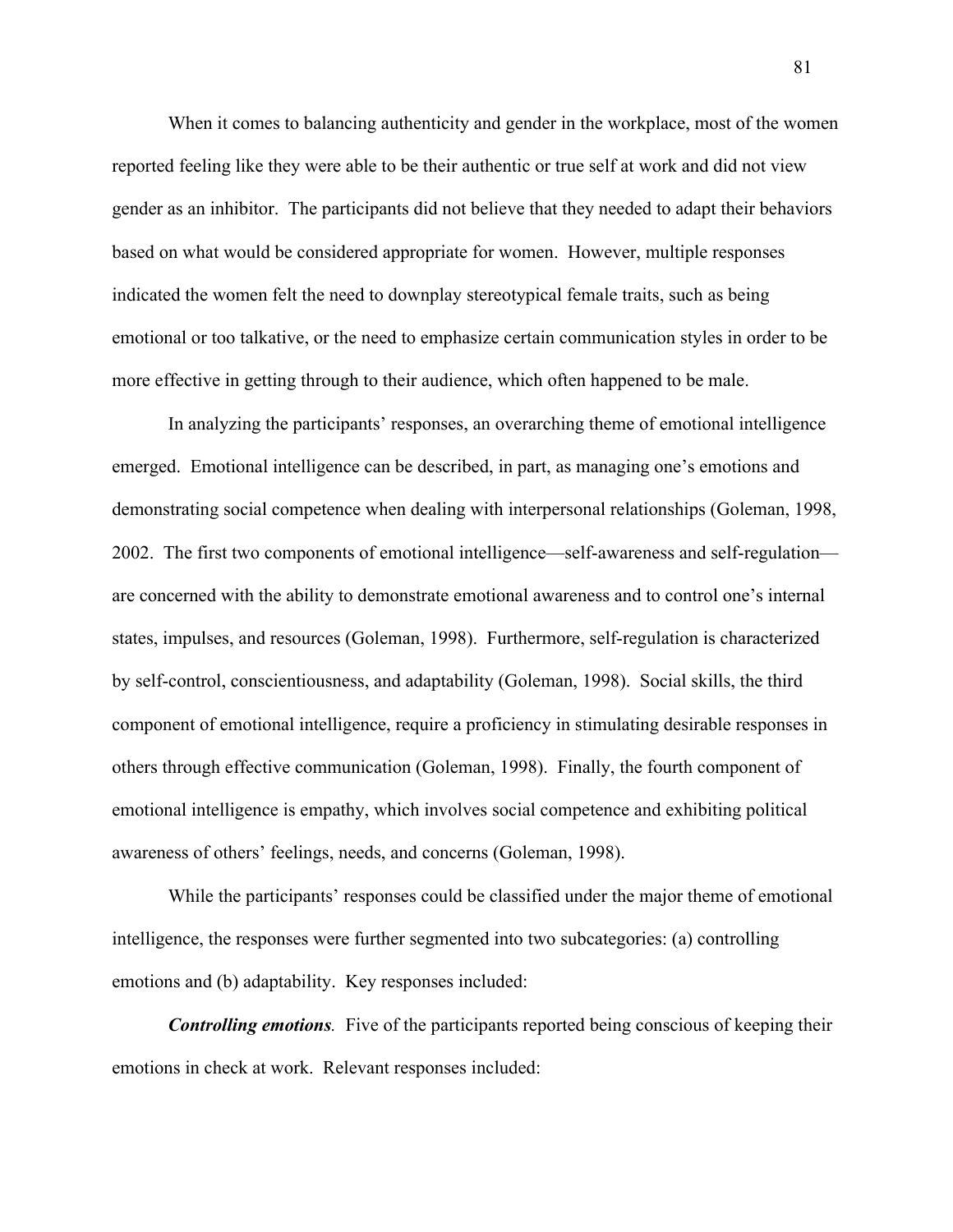When it comes to balancing authenticity and gender in the workplace, most of the women reported feeling like they were able to be their authentic or true self at work and did not view gender as an inhibitor. The participants did not believe that they needed to adapt their behaviors based on what would be considered appropriate for women. However, multiple responses indicated the women felt the need to downplay stereotypical female traits, such as being emotional or too talkative, or the need to emphasize certain communication styles in order to be more effective in getting through to their audience, which often happened to be male.

In analyzing the participants' responses, an overarching theme of emotional intelligence emerged. Emotional intelligence can be described, in part, as managing one's emotions and demonstrating social competence when dealing with interpersonal relationships (Goleman, 1998, 2002. The first two components of emotional intelligence—self-awareness and self-regulation are concerned with the ability to demonstrate emotional awareness and to control one's internal states, impulses, and resources (Goleman, 1998). Furthermore, self-regulation is characterized by self-control, conscientiousness, and adaptability (Goleman, 1998). Social skills, the third component of emotional intelligence, require a proficiency in stimulating desirable responses in others through effective communication (Goleman, 1998). Finally, the fourth component of emotional intelligence is empathy, which involves social competence and exhibiting political awareness of others' feelings, needs, and concerns (Goleman, 1998).

While the participants' responses could be classified under the major theme of emotional intelligence, the responses were further segmented into two subcategories: (a) controlling emotions and (b) adaptability. Key responses included:

*Controlling emotions.* Five of the participants reported being conscious of keeping their emotions in check at work. Relevant responses included: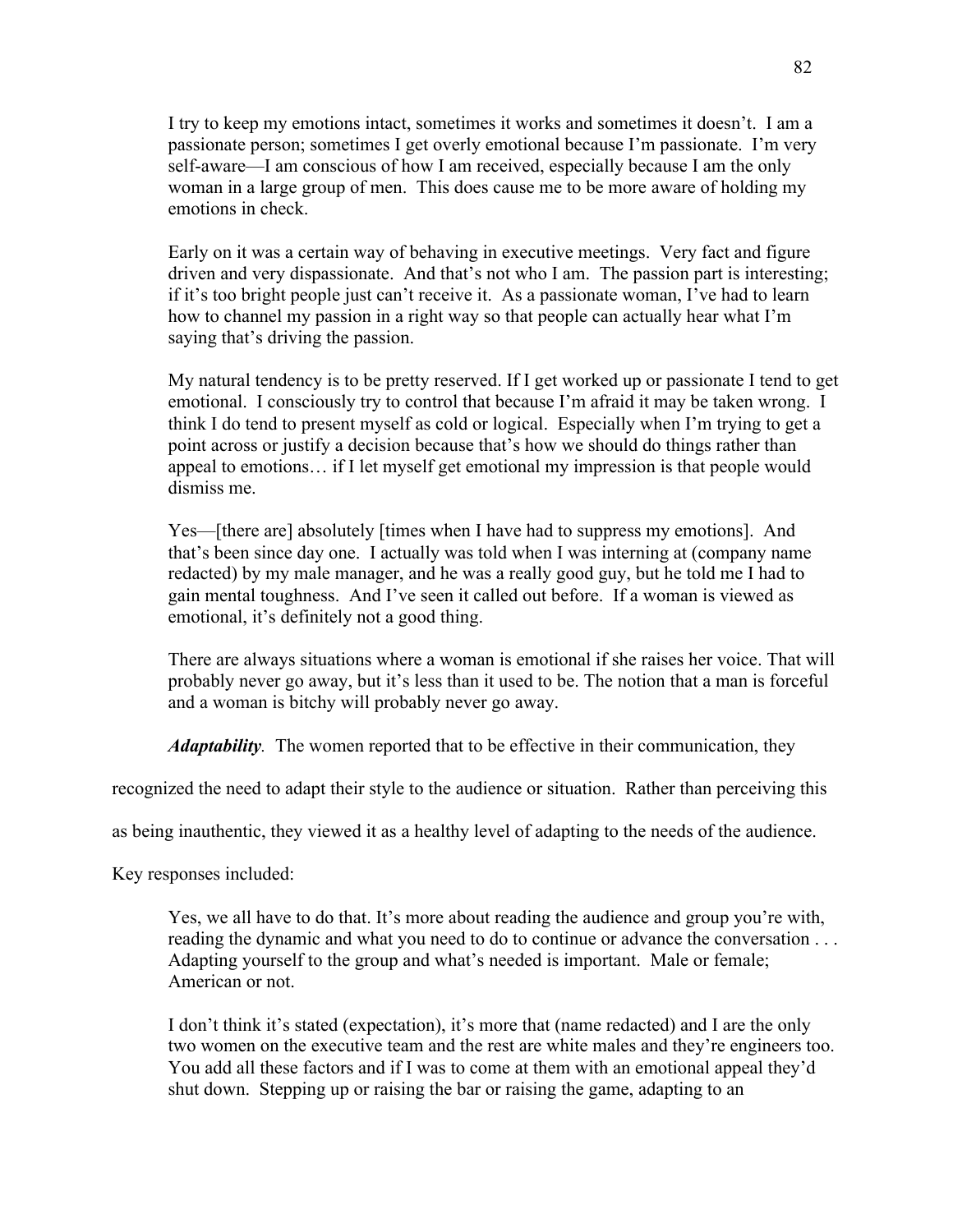I try to keep my emotions intact, sometimes it works and sometimes it doesn't. I am a passionate person; sometimes I get overly emotional because I'm passionate. I'm very self-aware—I am conscious of how I am received, especially because I am the only woman in a large group of men. This does cause me to be more aware of holding my emotions in check.

Early on it was a certain way of behaving in executive meetings. Very fact and figure driven and very dispassionate. And that's not who I am. The passion part is interesting; if it's too bright people just can't receive it. As a passionate woman, I've had to learn how to channel my passion in a right way so that people can actually hear what I'm saying that's driving the passion.

My natural tendency is to be pretty reserved. If I get worked up or passionate I tend to get emotional. I consciously try to control that because I'm afraid it may be taken wrong. I think I do tend to present myself as cold or logical. Especially when I'm trying to get a point across or justify a decision because that's how we should do things rather than appeal to emotions… if I let myself get emotional my impression is that people would dismiss me.

Yes—[there are] absolutely [times when I have had to suppress my emotions]. And that's been since day one. I actually was told when I was interning at (company name redacted) by my male manager, and he was a really good guy, but he told me I had to gain mental toughness. And I've seen it called out before. If a woman is viewed as emotional, it's definitely not a good thing.

There are always situations where a woman is emotional if she raises her voice. That will probably never go away, but it's less than it used to be. The notion that a man is forceful and a woman is bitchy will probably never go away.

*Adaptability.* The women reported that to be effective in their communication, they

recognized the need to adapt their style to the audience or situation. Rather than perceiving this

as being inauthentic, they viewed it as a healthy level of adapting to the needs of the audience.

Key responses included:

Yes, we all have to do that. It's more about reading the audience and group you're with, reading the dynamic and what you need to do to continue or advance the conversation . . . Adapting yourself to the group and what's needed is important. Male or female; American or not.

I don't think it's stated (expectation), it's more that (name redacted) and I are the only two women on the executive team and the rest are white males and they're engineers too. You add all these factors and if I was to come at them with an emotional appeal they'd shut down. Stepping up or raising the bar or raising the game, adapting to an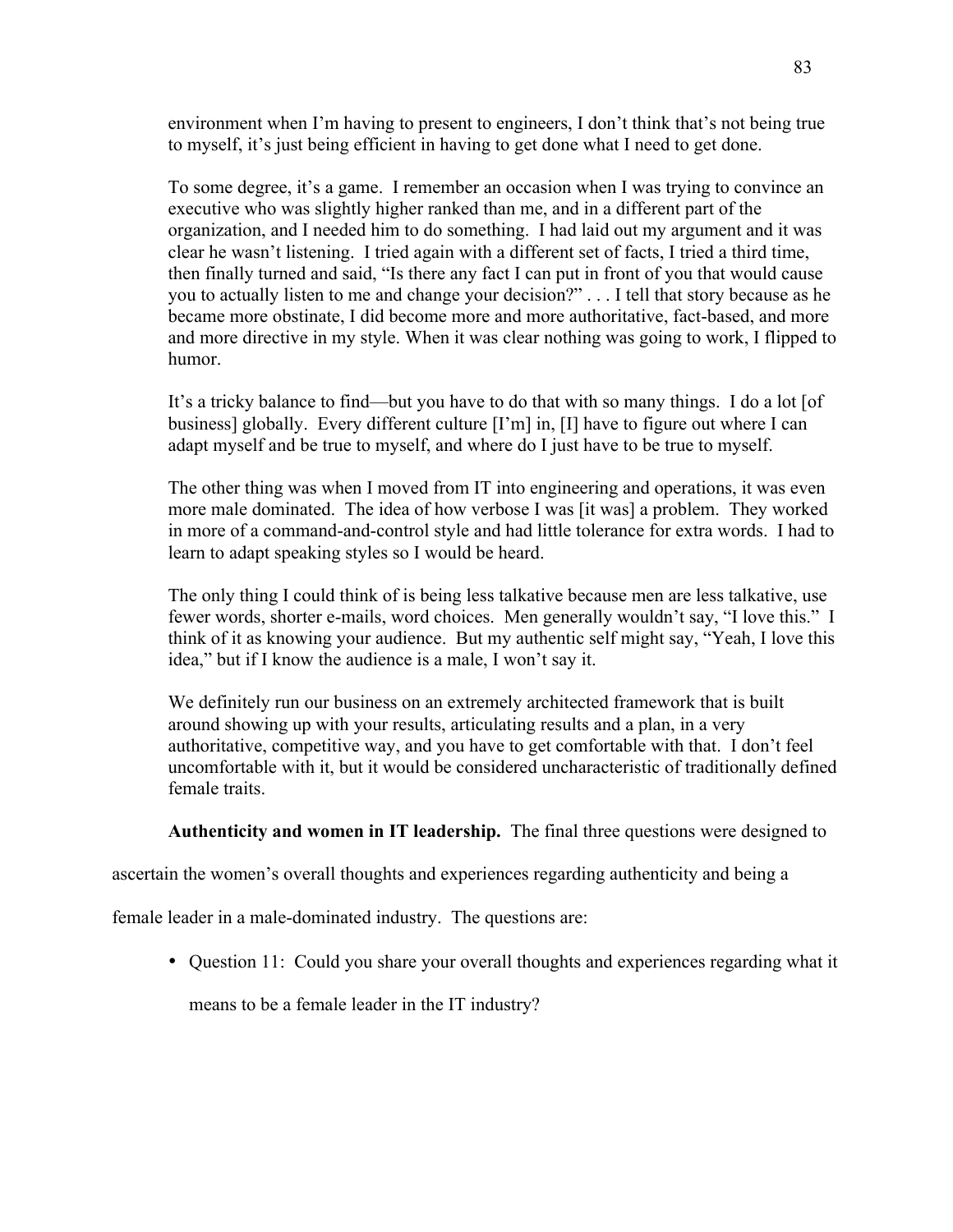environment when I'm having to present to engineers, I don't think that's not being true to myself, it's just being efficient in having to get done what I need to get done.

To some degree, it's a game. I remember an occasion when I was trying to convince an executive who was slightly higher ranked than me, and in a different part of the organization, and I needed him to do something. I had laid out my argument and it was clear he wasn't listening. I tried again with a different set of facts, I tried a third time, then finally turned and said, "Is there any fact I can put in front of you that would cause you to actually listen to me and change your decision?" . . . I tell that story because as he became more obstinate, I did become more and more authoritative, fact-based, and more and more directive in my style. When it was clear nothing was going to work, I flipped to humor.

It's a tricky balance to find—but you have to do that with so many things. I do a lot [of business] globally. Every different culture [I'm] in, [I] have to figure out where I can adapt myself and be true to myself, and where do I just have to be true to myself.

The other thing was when I moved from IT into engineering and operations, it was even more male dominated. The idea of how verbose I was [it was] a problem. They worked in more of a command-and-control style and had little tolerance for extra words. I had to learn to adapt speaking styles so I would be heard.

The only thing I could think of is being less talkative because men are less talkative, use fewer words, shorter e-mails, word choices. Men generally wouldn't say, "I love this." I think of it as knowing your audience. But my authentic self might say, "Yeah, I love this idea," but if I know the audience is a male, I won't say it.

We definitely run our business on an extremely architected framework that is built around showing up with your results, articulating results and a plan, in a very authoritative, competitive way, and you have to get comfortable with that. I don't feel uncomfortable with it, but it would be considered uncharacteristic of traditionally defined female traits.

## **Authenticity and women in IT leadership.** The final three questions were designed to

ascertain the women's overall thoughts and experiences regarding authenticity and being a

female leader in a male-dominated industry.The questions are:

• Ouestion 11: Could you share your overall thoughts and experiences regarding what it

means to be a female leader in the IT industry?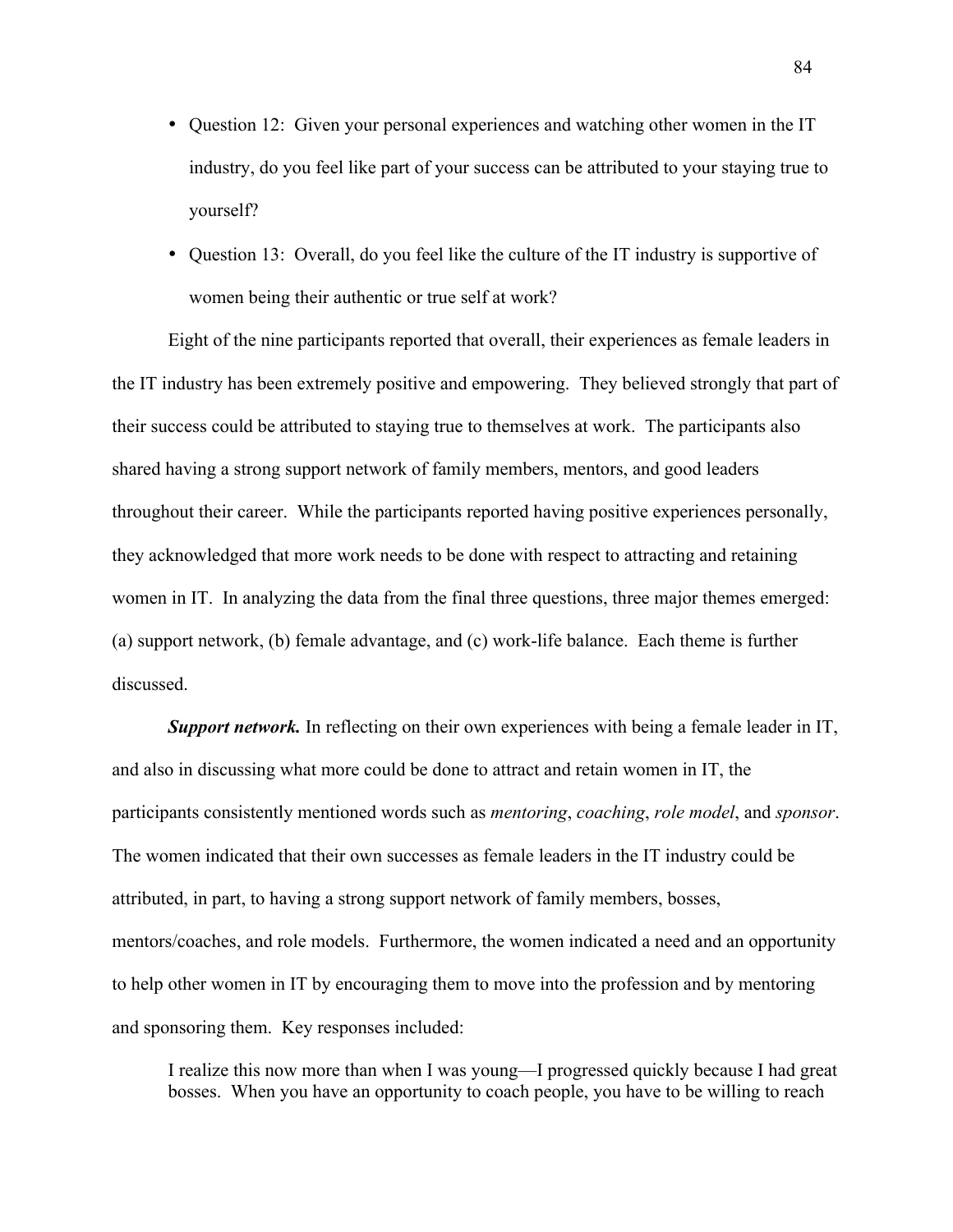- Question 12: Given your personal experiences and watching other women in the IT industry, do you feel like part of your success can be attributed to your staying true to yourself?
- Question 13: Overall, do you feel like the culture of the IT industry is supportive of women being their authentic or true self at work?

Eight of the nine participants reported that overall, their experiences as female leaders in the IT industry has been extremely positive and empowering. They believed strongly that part of their success could be attributed to staying true to themselves at work. The participants also shared having a strong support network of family members, mentors, and good leaders throughout their career. While the participants reported having positive experiences personally, they acknowledged that more work needs to be done with respect to attracting and retaining women in IT. In analyzing the data from the final three questions, three major themes emerged: (a) support network, (b) female advantage, and (c) work-life balance. Each theme is further discussed.

*Support network.* In reflecting on their own experiences with being a female leader in IT, and also in discussing what more could be done to attract and retain women in IT, the participants consistently mentioned words such as *mentoring*, *coaching*, *role model*, and *sponsor*. The women indicated that their own successes as female leaders in the IT industry could be attributed, in part, to having a strong support network of family members, bosses, mentors/coaches, and role models. Furthermore, the women indicated a need and an opportunity to help other women in IT by encouraging them to move into the profession and by mentoring and sponsoring them. Key responses included:

I realize this now more than when I was young—I progressed quickly because I had great bosses. When you have an opportunity to coach people, you have to be willing to reach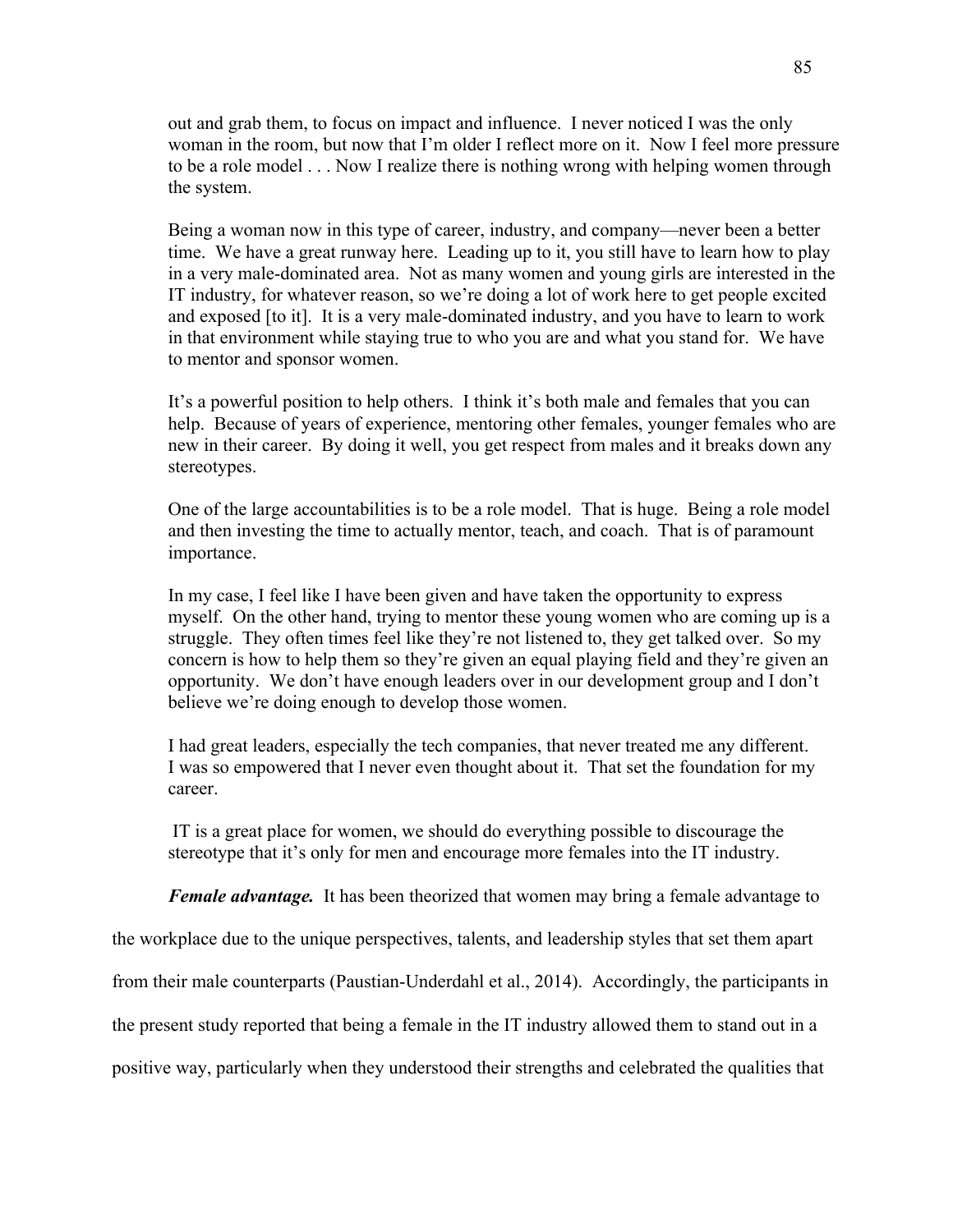out and grab them, to focus on impact and influence. I never noticed I was the only woman in the room, but now that I'm older I reflect more on it. Now I feel more pressure to be a role model . . . Now I realize there is nothing wrong with helping women through the system.

Being a woman now in this type of career, industry, and company—never been a better time. We have a great runway here. Leading up to it, you still have to learn how to play in a very male-dominated area. Not as many women and young girls are interested in the IT industry, for whatever reason, so we're doing a lot of work here to get people excited and exposed [to it]. It is a very male-dominated industry, and you have to learn to work in that environment while staying true to who you are and what you stand for. We have to mentor and sponsor women.

It's a powerful position to help others. I think it's both male and females that you can help. Because of years of experience, mentoring other females, younger females who are new in their career. By doing it well, you get respect from males and it breaks down any stereotypes.

One of the large accountabilities is to be a role model. That is huge. Being a role model and then investing the time to actually mentor, teach, and coach. That is of paramount importance.

In my case, I feel like I have been given and have taken the opportunity to express myself. On the other hand, trying to mentor these young women who are coming up is a struggle. They often times feel like they're not listened to, they get talked over. So my concern is how to help them so they're given an equal playing field and they're given an opportunity. We don't have enough leaders over in our development group and I don't believe we're doing enough to develop those women.

I had great leaders, especially the tech companies, that never treated me any different. I was so empowered that I never even thought about it. That set the foundation for my career.

IT is a great place for women, we should do everything possible to discourage the stereotype that it's only for men and encourage more females into the IT industry.

*Female advantage.* It has been theorized that women may bring a female advantage to

the workplace due to the unique perspectives, talents, and leadership styles that set them apart

from their male counterparts (Paustian-Underdahl et al., 2014). Accordingly, the participants in

the present study reported that being a female in the IT industry allowed them to stand out in a

positive way, particularly when they understood their strengths and celebrated the qualities that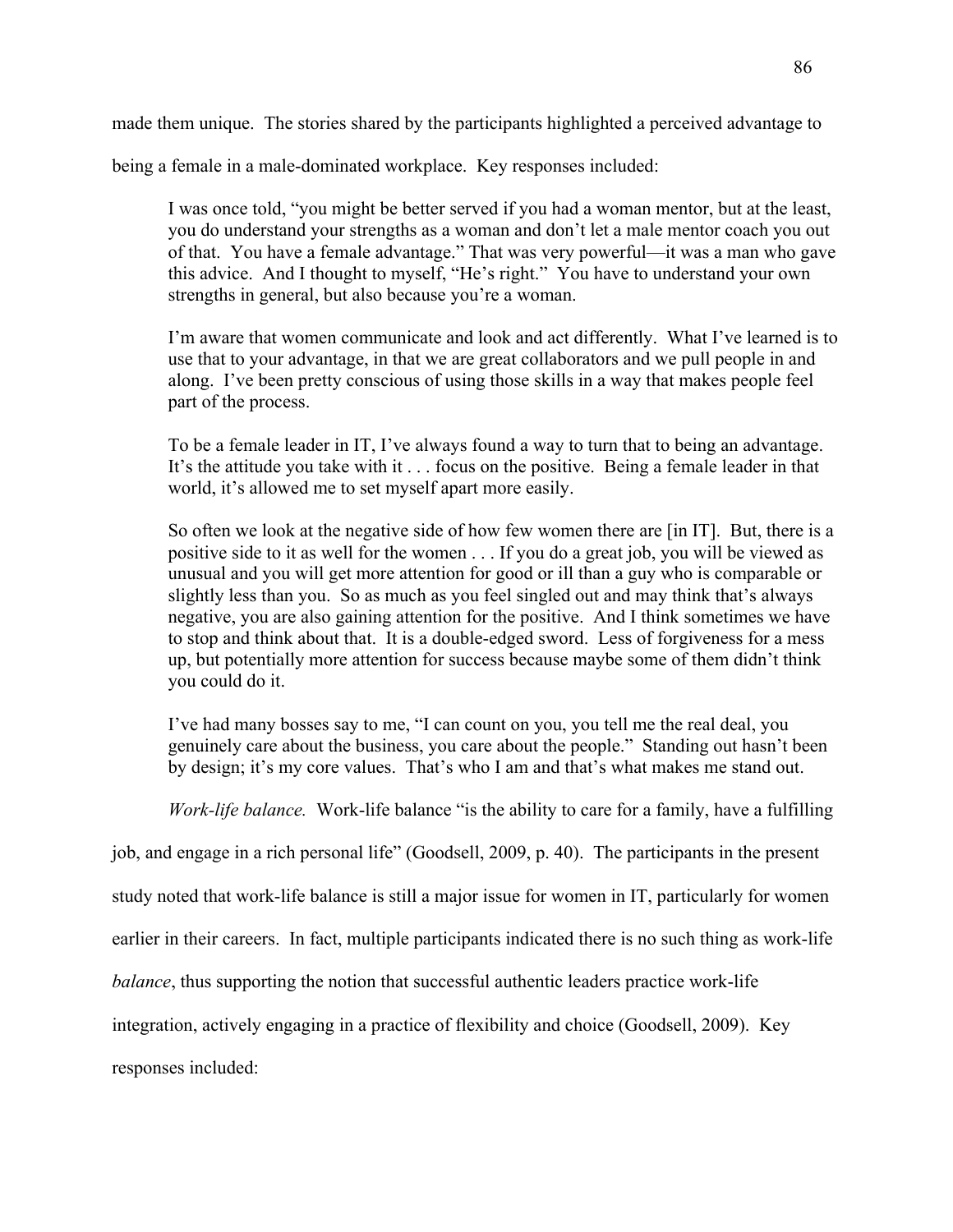made them unique. The stories shared by the participants highlighted a perceived advantage to

being a female in a male-dominated workplace. Key responses included:

I was once told, "you might be better served if you had a woman mentor, but at the least, you do understand your strengths as a woman and don't let a male mentor coach you out of that. You have a female advantage." That was very powerful—it was a man who gave this advice. And I thought to myself, "He's right." You have to understand your own strengths in general, but also because you're a woman.

I'm aware that women communicate and look and act differently. What I've learned is to use that to your advantage, in that we are great collaborators and we pull people in and along. I've been pretty conscious of using those skills in a way that makes people feel part of the process.

To be a female leader in IT, I've always found a way to turn that to being an advantage. It's the attitude you take with it . . . focus on the positive. Being a female leader in that world, it's allowed me to set myself apart more easily.

So often we look at the negative side of how few women there are [in IT]. But, there is a positive side to it as well for the women . . . If you do a great job, you will be viewed as unusual and you will get more attention for good or ill than a guy who is comparable or slightly less than you. So as much as you feel singled out and may think that's always negative, you are also gaining attention for the positive. And I think sometimes we have to stop and think about that. It is a double-edged sword. Less of forgiveness for a mess up, but potentially more attention for success because maybe some of them didn't think you could do it.

I've had many bosses say to me, "I can count on you, you tell me the real deal, you genuinely care about the business, you care about the people." Standing out hasn't been by design; it's my core values. That's who I am and that's what makes me stand out.

*Work-life balance.* Work-life balance "is the ability to care for a family, have a fulfilling

job, and engage in a rich personal life" (Goodsell, 2009, p. 40). The participants in the present

study noted that work-life balance is still a major issue for women in IT, particularly for women

earlier in their careers. In fact, multiple participants indicated there is no such thing as work-life

*balance*, thus supporting the notion that successful authentic leaders practice work-life

integration, actively engaging in a practice of flexibility and choice (Goodsell, 2009). Key

responses included: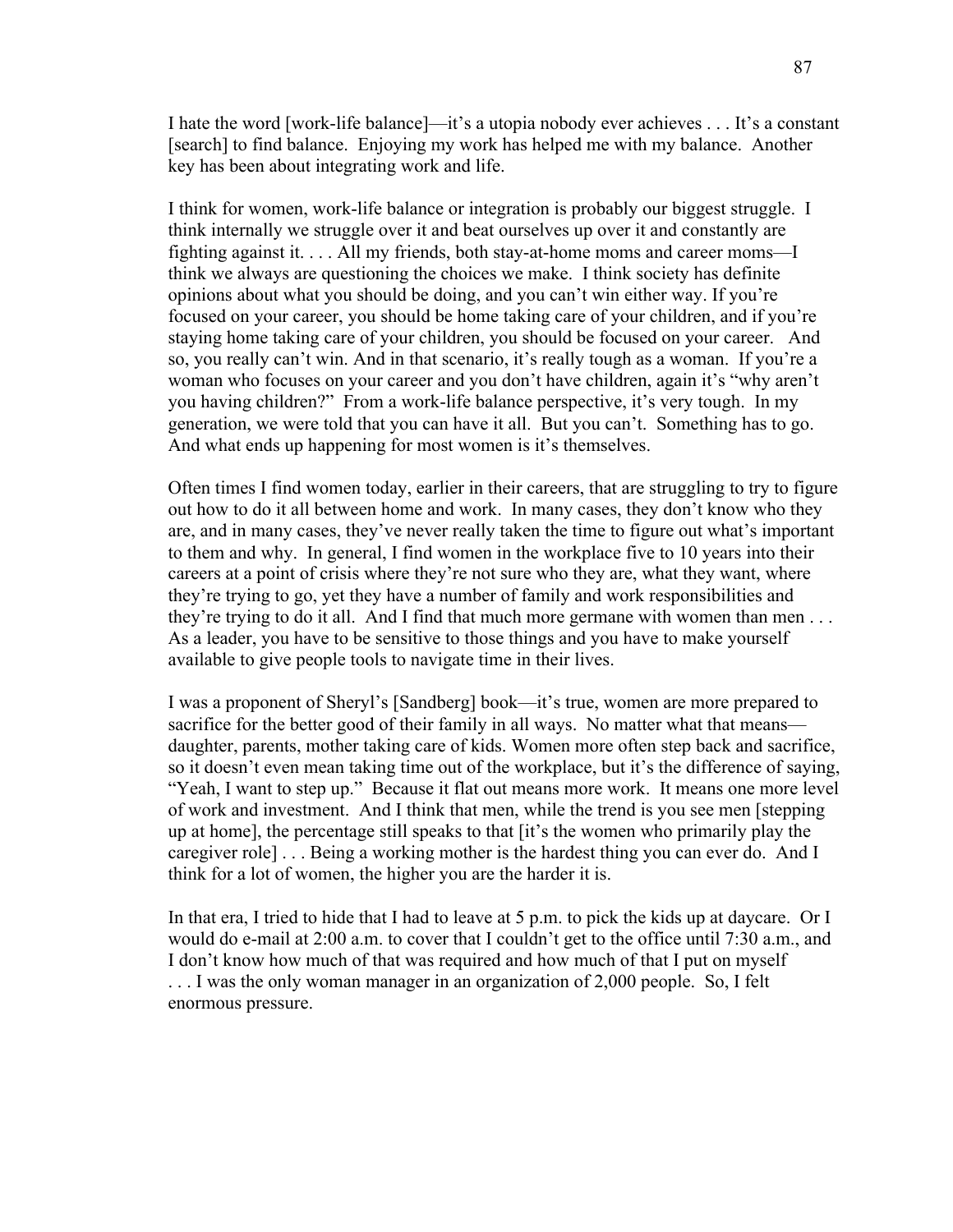I hate the word [work-life balance]—it's a utopia nobody ever achieves . . . It's a constant [search] to find balance. Enjoying my work has helped me with my balance. Another key has been about integrating work and life.

I think for women, work-life balance or integration is probably our biggest struggle. I think internally we struggle over it and beat ourselves up over it and constantly are fighting against it. . . . All my friends, both stay-at-home moms and career moms—I think we always are questioning the choices we make. I think society has definite opinions about what you should be doing, and you can't win either way. If you're focused on your career, you should be home taking care of your children, and if you're staying home taking care of your children, you should be focused on your career. And so, you really can't win. And in that scenario, it's really tough as a woman. If you're a woman who focuses on your career and you don't have children, again it's "why aren't you having children?" From a work-life balance perspective, it's very tough. In my generation, we were told that you can have it all. But you can't. Something has to go. And what ends up happening for most women is it's themselves.

Often times I find women today, earlier in their careers, that are struggling to try to figure out how to do it all between home and work. In many cases, they don't know who they are, and in many cases, they've never really taken the time to figure out what's important to them and why. In general, I find women in the workplace five to 10 years into their careers at a point of crisis where they're not sure who they are, what they want, where they're trying to go, yet they have a number of family and work responsibilities and they're trying to do it all. And I find that much more germane with women than men . . . As a leader, you have to be sensitive to those things and you have to make yourself available to give people tools to navigate time in their lives.

I was a proponent of Sheryl's [Sandberg] book—it's true, women are more prepared to sacrifice for the better good of their family in all ways. No matter what that means daughter, parents, mother taking care of kids. Women more often step back and sacrifice, so it doesn't even mean taking time out of the workplace, but it's the difference of saying, "Yeah, I want to step up." Because it flat out means more work. It means one more level of work and investment. And I think that men, while the trend is you see men [stepping up at home], the percentage still speaks to that [it's the women who primarily play the caregiver role] . . . Being a working mother is the hardest thing you can ever do. And I think for a lot of women, the higher you are the harder it is.

In that era, I tried to hide that I had to leave at 5 p.m. to pick the kids up at daycare. Or I would do e-mail at 2:00 a.m. to cover that I couldn't get to the office until 7:30 a.m., and I don't know how much of that was required and how much of that I put on myself . . . I was the only woman manager in an organization of 2,000 people. So, I felt enormous pressure.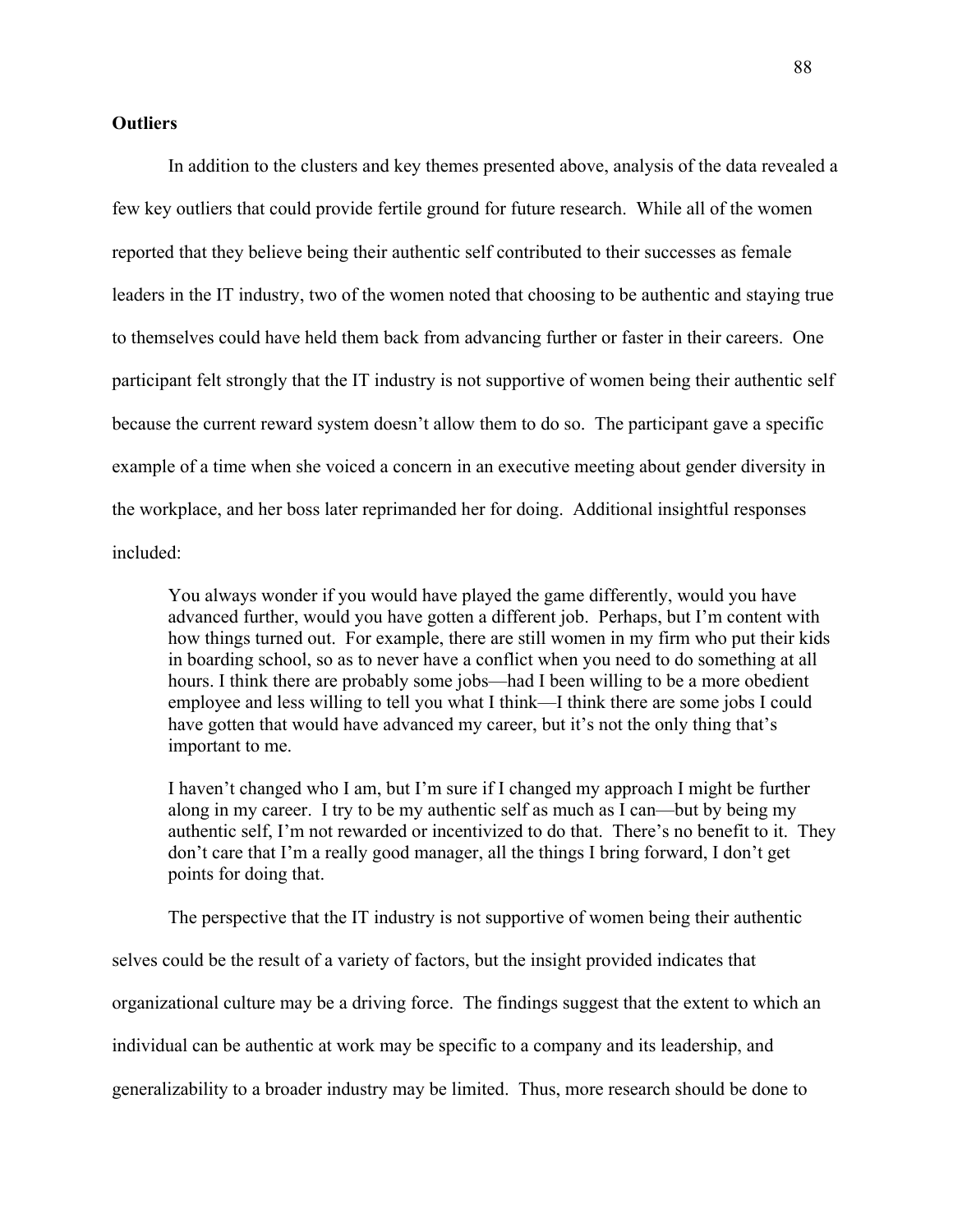### **Outliers**

In addition to the clusters and key themes presented above, analysis of the data revealed a few key outliers that could provide fertile ground for future research. While all of the women reported that they believe being their authentic self contributed to their successes as female leaders in the IT industry, two of the women noted that choosing to be authentic and staying true to themselves could have held them back from advancing further or faster in their careers. One participant felt strongly that the IT industry is not supportive of women being their authentic self because the current reward system doesn't allow them to do so. The participant gave a specific example of a time when she voiced a concern in an executive meeting about gender diversity in the workplace, and her boss later reprimanded her for doing. Additional insightful responses included:

You always wonder if you would have played the game differently, would you have advanced further, would you have gotten a different job. Perhaps, but I'm content with how things turned out. For example, there are still women in my firm who put their kids in boarding school, so as to never have a conflict when you need to do something at all hours. I think there are probably some jobs—had I been willing to be a more obedient employee and less willing to tell you what I think—I think there are some jobs I could have gotten that would have advanced my career, but it's not the only thing that's important to me.

I haven't changed who I am, but I'm sure if I changed my approach I might be further along in my career. I try to be my authentic self as much as I can—but by being my authentic self, I'm not rewarded or incentivized to do that. There's no benefit to it. They don't care that I'm a really good manager, all the things I bring forward, I don't get points for doing that.

The perspective that the IT industry is not supportive of women being their authentic

selves could be the result of a variety of factors, but the insight provided indicates that organizational culture may be a driving force. The findings suggest that the extent to which an individual can be authentic at work may be specific to a company and its leadership, and generalizability to a broader industry may be limited. Thus, more research should be done to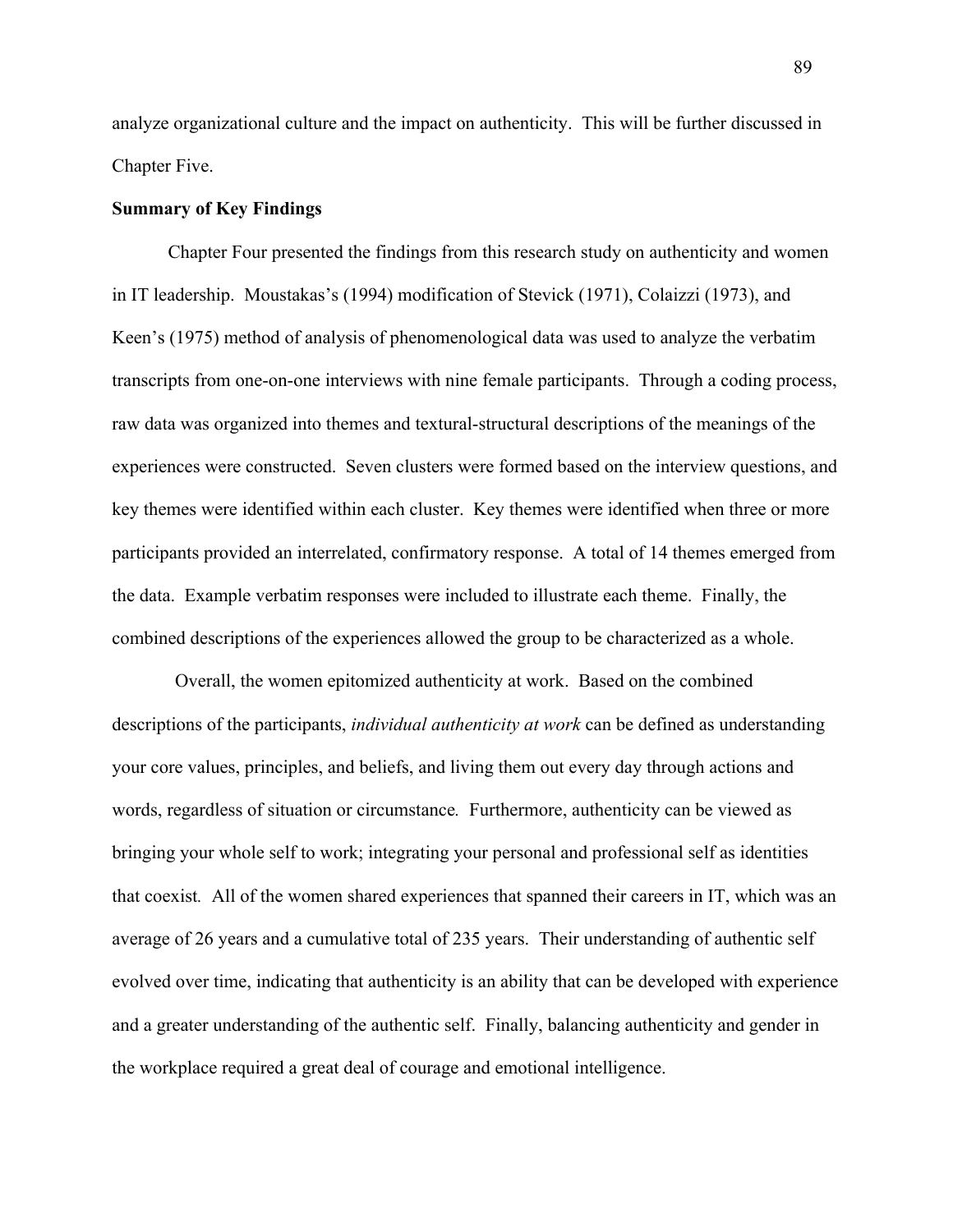analyze organizational culture and the impact on authenticity. This will be further discussed in Chapter Five.

### **Summary of Key Findings**

Chapter Four presented the findings from this research study on authenticity and women in IT leadership. Moustakas's (1994) modification of Stevick (1971), Colaizzi (1973), and Keen's (1975) method of analysis of phenomenological data was used to analyze the verbatim transcripts from one-on-one interviews with nine female participants. Through a coding process, raw data was organized into themes and textural-structural descriptions of the meanings of the experiences were constructed. Seven clusters were formed based on the interview questions, and key themes were identified within each cluster. Key themes were identified when three or more participants provided an interrelated, confirmatory response. A total of 14 themes emerged from the data. Example verbatim responses were included to illustrate each theme. Finally, the combined descriptions of the experiences allowed the group to be characterized as a whole.

Overall, the women epitomized authenticity at work. Based on the combined descriptions of the participants, *individual authenticity at work* can be defined as understanding your core values, principles, and beliefs, and living them out every day through actions and words, regardless of situation or circumstance*.* Furthermore, authenticity can be viewed as bringing your whole self to work; integrating your personal and professional self as identities that coexist*.* All of the women shared experiences that spanned their careers in IT, which was an average of 26 years and a cumulative total of 235 years. Their understanding of authentic self evolved over time, indicating that authenticity is an ability that can be developed with experience and a greater understanding of the authentic self. Finally, balancing authenticity and gender in the workplace required a great deal of courage and emotional intelligence.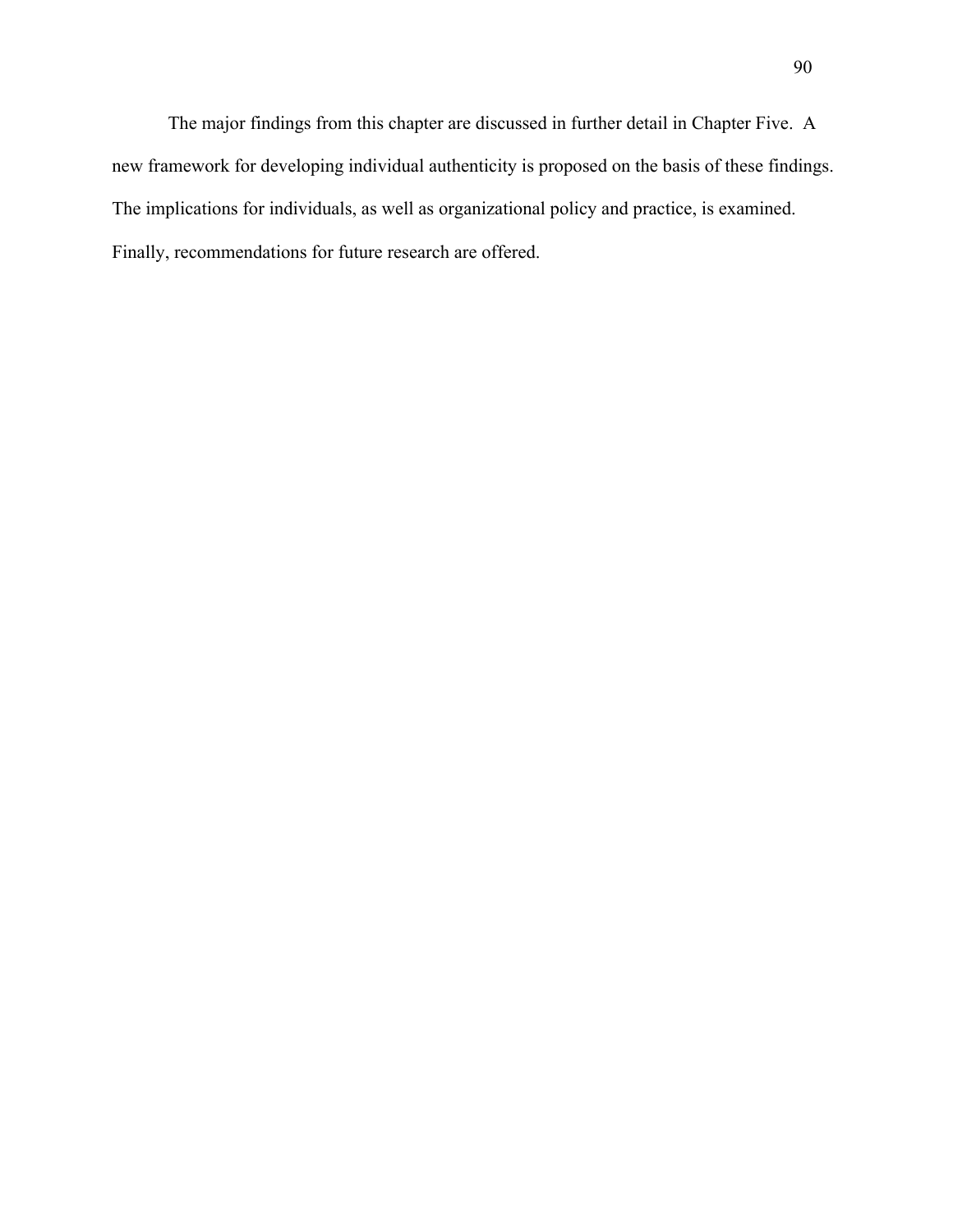The major findings from this chapter are discussed in further detail in Chapter Five. A new framework for developing individual authenticity is proposed on the basis of these findings. The implications for individuals, as well as organizational policy and practice, is examined. Finally, recommendations for future research are offered.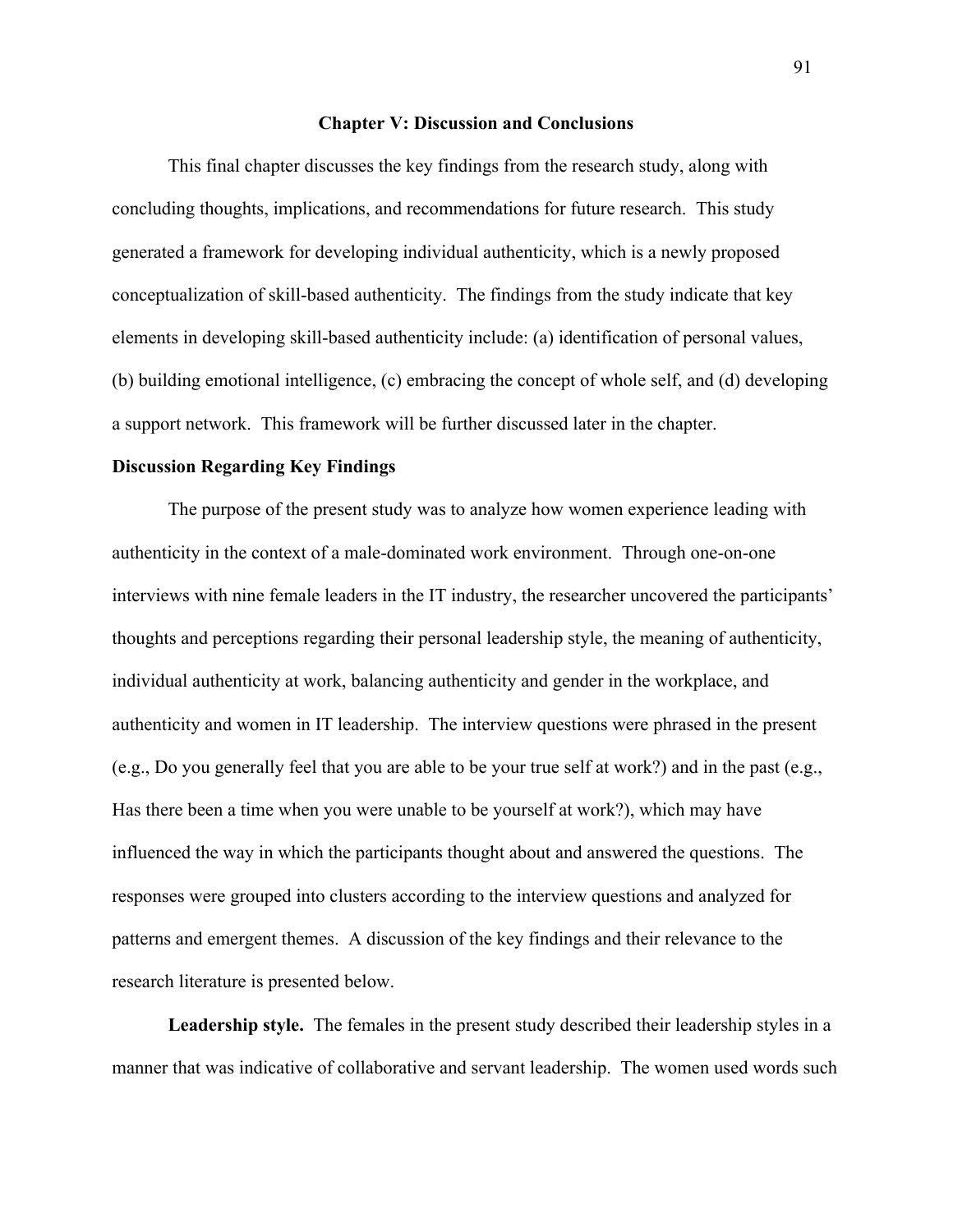#### **Chapter V: Discussion and Conclusions**

This final chapter discusses the key findings from the research study, along with concluding thoughts, implications, and recommendations for future research. This study generated a framework for developing individual authenticity, which is a newly proposed conceptualization of skill-based authenticity. The findings from the study indicate that key elements in developing skill-based authenticity include: (a) identification of personal values, (b) building emotional intelligence, (c) embracing the concept of whole self, and (d) developing a support network. This framework will be further discussed later in the chapter.

### **Discussion Regarding Key Findings**

The purpose of the present study was to analyze how women experience leading with authenticity in the context of a male-dominated work environment. Through one-on-one interviews with nine female leaders in the IT industry, the researcher uncovered the participants' thoughts and perceptions regarding their personal leadership style, the meaning of authenticity, individual authenticity at work, balancing authenticity and gender in the workplace, and authenticity and women in IT leadership. The interview questions were phrased in the present (e.g., Do you generally feel that you are able to be your true self at work?) and in the past (e.g., Has there been a time when you were unable to be yourself at work?), which may have influenced the way in which the participants thought about and answered the questions. The responses were grouped into clusters according to the interview questions and analyzed for patterns and emergent themes. A discussion of the key findings and their relevance to the research literature is presented below.

**Leadership style.** The females in the present study described their leadership styles in a manner that was indicative of collaborative and servant leadership. The women used words such

91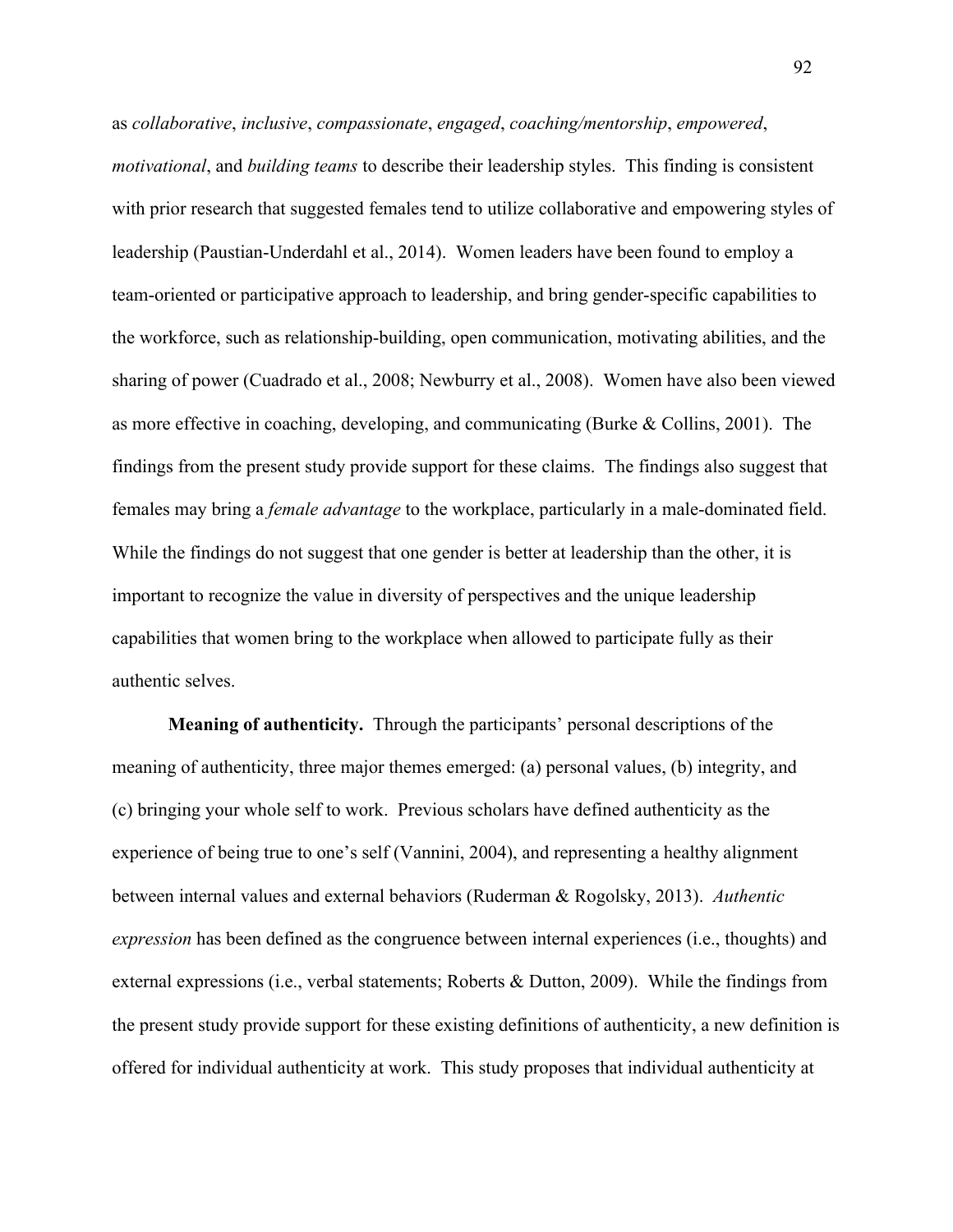as *collaborative*, *inclusive*, *compassionate*, *engaged*, *coaching/mentorship*, *empowered*, *motivational*, and *building teams* to describe their leadership styles. This finding is consistent with prior research that suggested females tend to utilize collaborative and empowering styles of leadership (Paustian-Underdahl et al., 2014). Women leaders have been found to employ a team-oriented or participative approach to leadership, and bring gender-specific capabilities to the workforce, such as relationship-building, open communication, motivating abilities, and the sharing of power (Cuadrado et al., 2008; Newburry et al., 2008). Women have also been viewed as more effective in coaching, developing, and communicating (Burke & Collins, 2001). The findings from the present study provide support for these claims. The findings also suggest that females may bring a *female advantage* to the workplace, particularly in a male-dominated field. While the findings do not suggest that one gender is better at leadership than the other, it is important to recognize the value in diversity of perspectives and the unique leadership capabilities that women bring to the workplace when allowed to participate fully as their authentic selves.

**Meaning of authenticity.** Through the participants' personal descriptions of the meaning of authenticity, three major themes emerged: (a) personal values, (b) integrity, and (c) bringing your whole self to work. Previous scholars have defined authenticity as the experience of being true to one's self (Vannini, 2004), and representing a healthy alignment between internal values and external behaviors (Ruderman & Rogolsky, 2013). *Authentic expression* has been defined as the congruence between internal experiences (i.e., thoughts) and external expressions (i.e., verbal statements; Roberts & Dutton, 2009). While the findings from the present study provide support for these existing definitions of authenticity, a new definition is offered for individual authenticity at work. This study proposes that individual authenticity at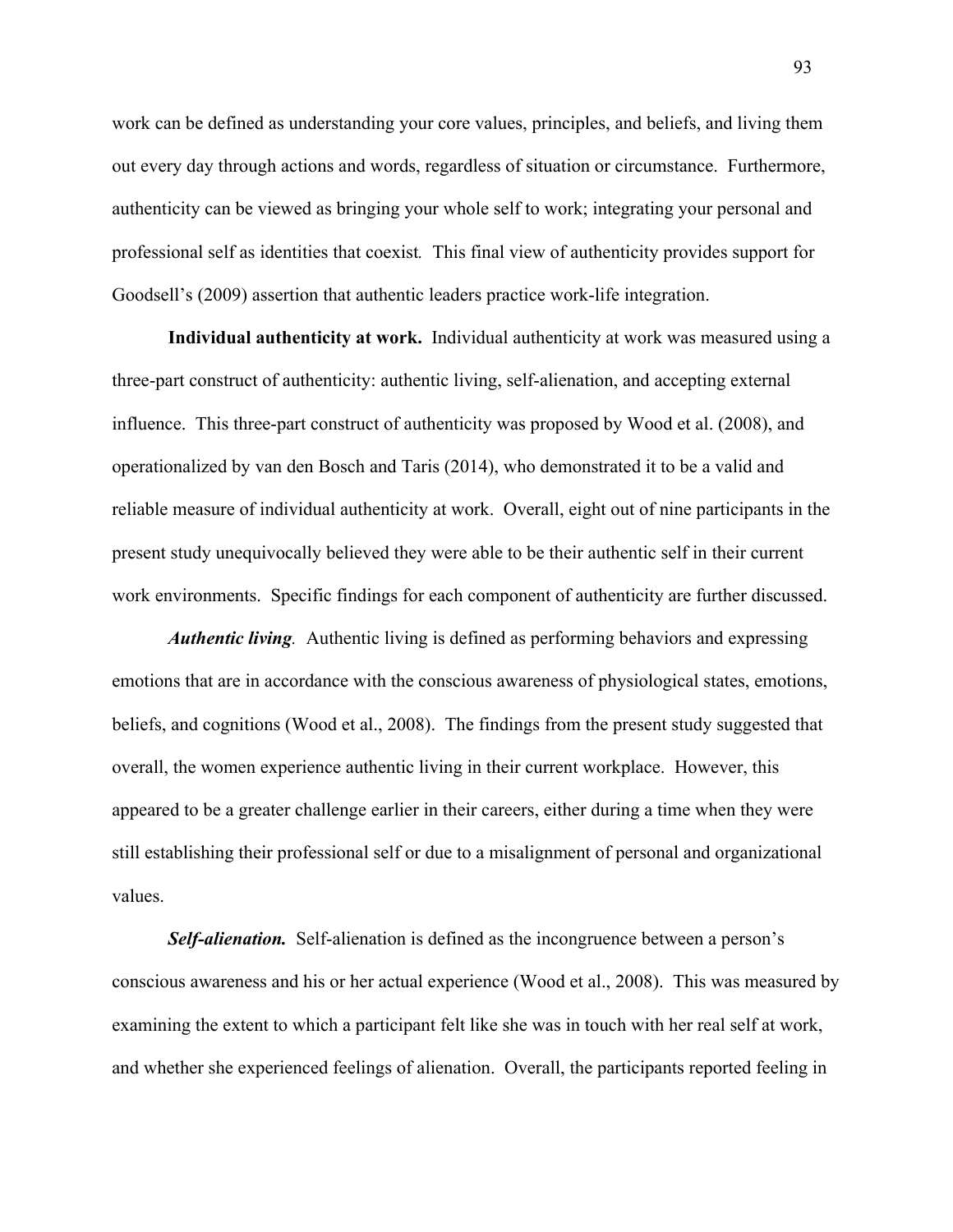work can be defined as understanding your core values, principles, and beliefs, and living them out every day through actions and words, regardless of situation or circumstance. Furthermore, authenticity can be viewed as bringing your whole self to work; integrating your personal and professional self as identities that coexist*.* This final view of authenticity provides support for Goodsell's (2009) assertion that authentic leaders practice work-life integration.

**Individual authenticity at work.** Individual authenticity at work was measured using a three-part construct of authenticity: authentic living, self-alienation, and accepting external influence. This three-part construct of authenticity was proposed by Wood et al. (2008), and operationalized by van den Bosch and Taris (2014), who demonstrated it to be a valid and reliable measure of individual authenticity at work. Overall, eight out of nine participants in the present study unequivocally believed they were able to be their authentic self in their current work environments. Specific findings for each component of authenticity are further discussed.

*Authentic living.* Authentic living is defined as performing behaviors and expressing emotions that are in accordance with the conscious awareness of physiological states, emotions, beliefs, and cognitions (Wood et al., 2008). The findings from the present study suggested that overall, the women experience authentic living in their current workplace. However, this appeared to be a greater challenge earlier in their careers, either during a time when they were still establishing their professional self or due to a misalignment of personal and organizational values.

*Self-alienation.* Self-alienation is defined as the incongruence between a person's conscious awareness and his or her actual experience (Wood et al., 2008). This was measured by examining the extent to which a participant felt like she was in touch with her real self at work, and whether she experienced feelings of alienation. Overall, the participants reported feeling in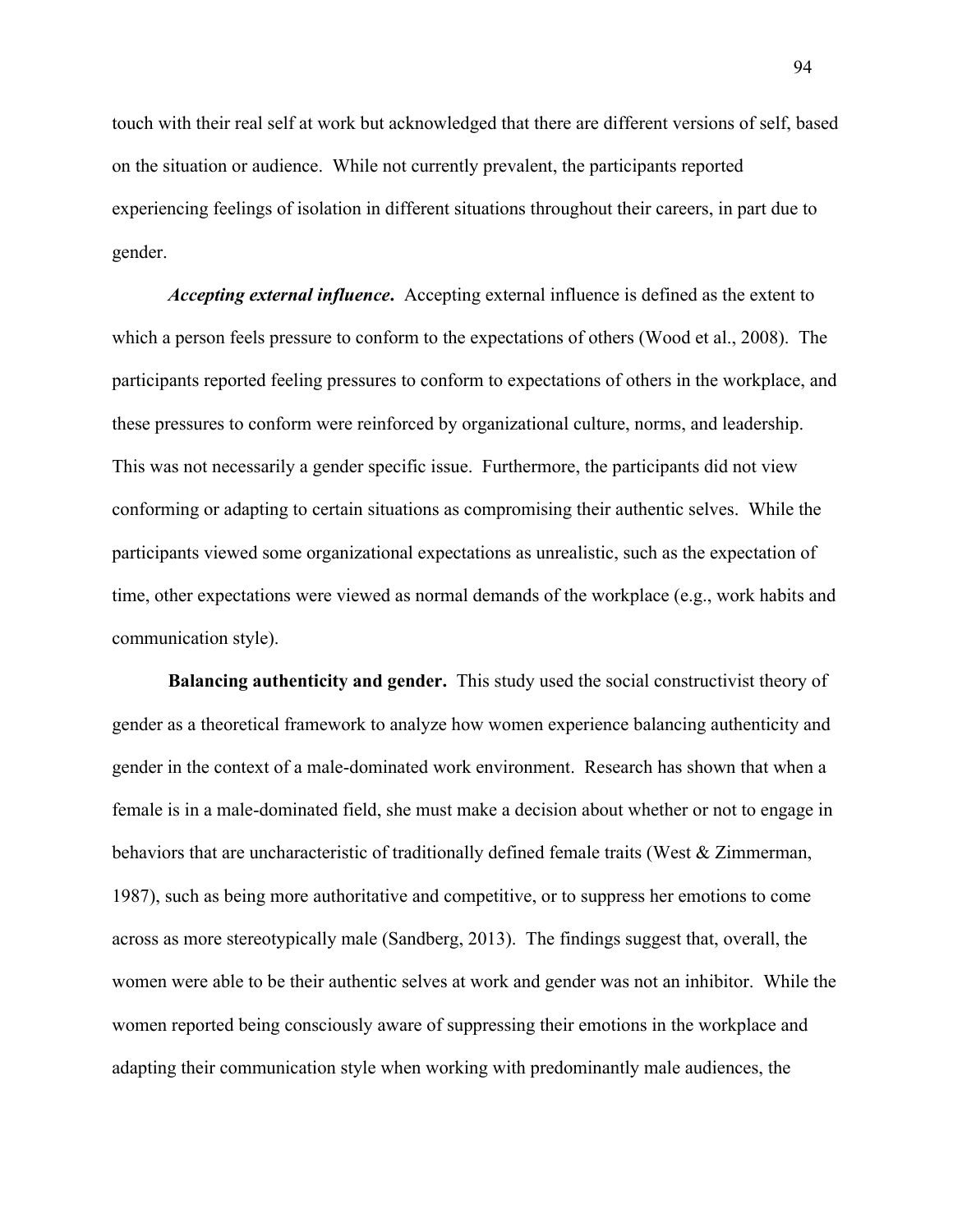touch with their real self at work but acknowledged that there are different versions of self, based on the situation or audience. While not currently prevalent, the participants reported experiencing feelings of isolation in different situations throughout their careers, in part due to gender.

*Accepting external influence***.** Accepting external influence is defined as the extent to which a person feels pressure to conform to the expectations of others (Wood et al., 2008). The participants reported feeling pressures to conform to expectations of others in the workplace, and these pressures to conform were reinforced by organizational culture, norms, and leadership. This was not necessarily a gender specific issue. Furthermore, the participants did not view conforming or adapting to certain situations as compromising their authentic selves. While the participants viewed some organizational expectations as unrealistic, such as the expectation of time, other expectations were viewed as normal demands of the workplace (e.g., work habits and communication style).

**Balancing authenticity and gender.** This study used the social constructivist theory of gender as a theoretical framework to analyze how women experience balancing authenticity and gender in the context of a male-dominated work environment. Research has shown that when a female is in a male-dominated field, she must make a decision about whether or not to engage in behaviors that are uncharacteristic of traditionally defined female traits (West & Zimmerman, 1987), such as being more authoritative and competitive, or to suppress her emotions to come across as more stereotypically male (Sandberg, 2013). The findings suggest that, overall, the women were able to be their authentic selves at work and gender was not an inhibitor. While the women reported being consciously aware of suppressing their emotions in the workplace and adapting their communication style when working with predominantly male audiences, the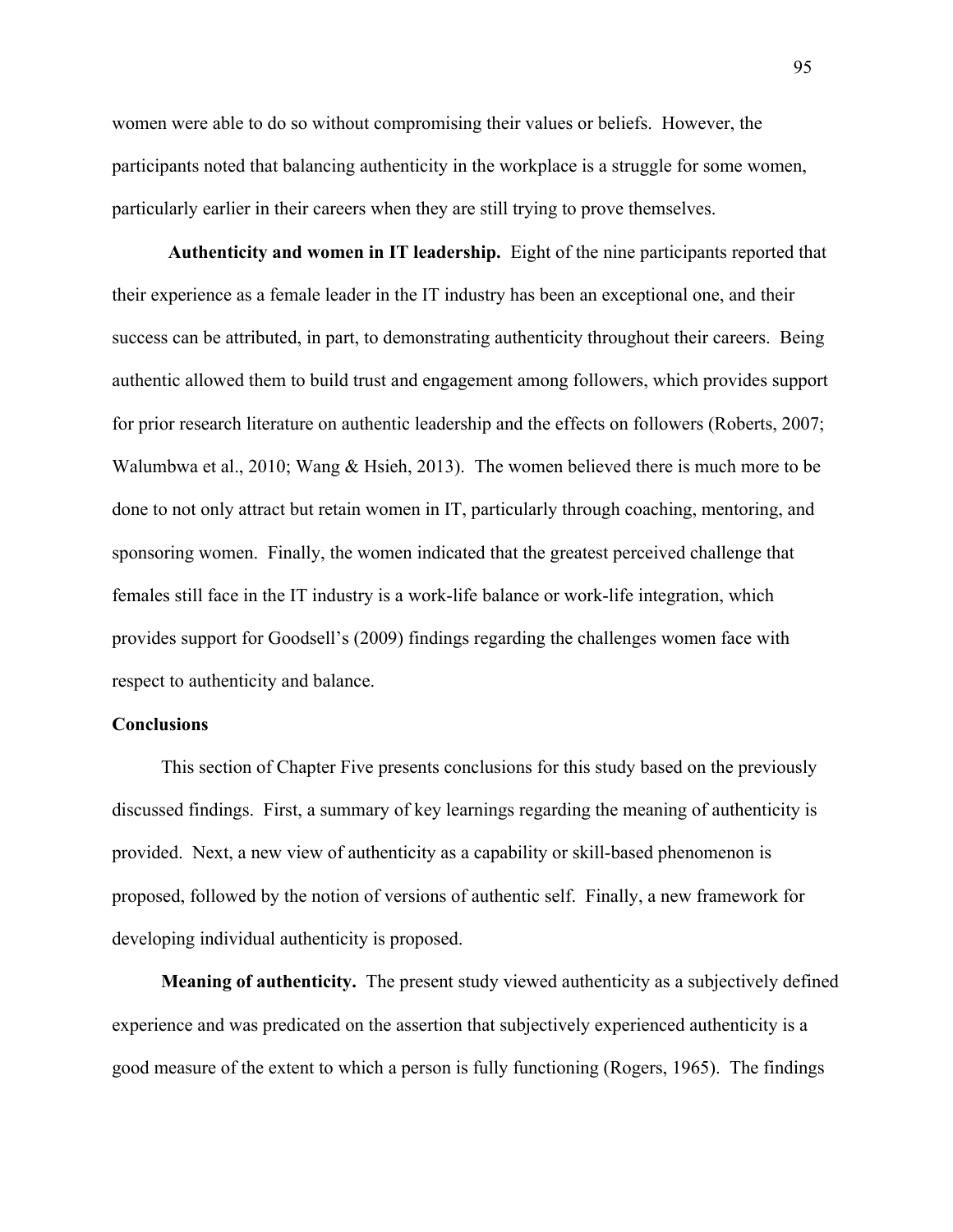women were able to do so without compromising their values or beliefs. However, the participants noted that balancing authenticity in the workplace is a struggle for some women, particularly earlier in their careers when they are still trying to prove themselves.

**Authenticity and women in IT leadership.** Eight of the nine participants reported that their experience as a female leader in the IT industry has been an exceptional one, and their success can be attributed, in part, to demonstrating authenticity throughout their careers. Being authentic allowed them to build trust and engagement among followers, which provides support for prior research literature on authentic leadership and the effects on followers (Roberts, 2007; Walumbwa et al., 2010; Wang & Hsieh, 2013). The women believed there is much more to be done to not only attract but retain women in IT, particularly through coaching, mentoring, and sponsoring women. Finally, the women indicated that the greatest perceived challenge that females still face in the IT industry is a work-life balance or work-life integration, which provides support for Goodsell's (2009) findings regarding the challenges women face with respect to authenticity and balance.

### **Conclusions**

This section of Chapter Five presents conclusions for this study based on the previously discussed findings. First, a summary of key learnings regarding the meaning of authenticity is provided. Next, a new view of authenticity as a capability or skill-based phenomenon is proposed, followed by the notion of versions of authentic self. Finally, a new framework for developing individual authenticity is proposed.

**Meaning of authenticity.** The present study viewed authenticity as a subjectively defined experience and was predicated on the assertion that subjectively experienced authenticity is a good measure of the extent to which a person is fully functioning (Rogers, 1965). The findings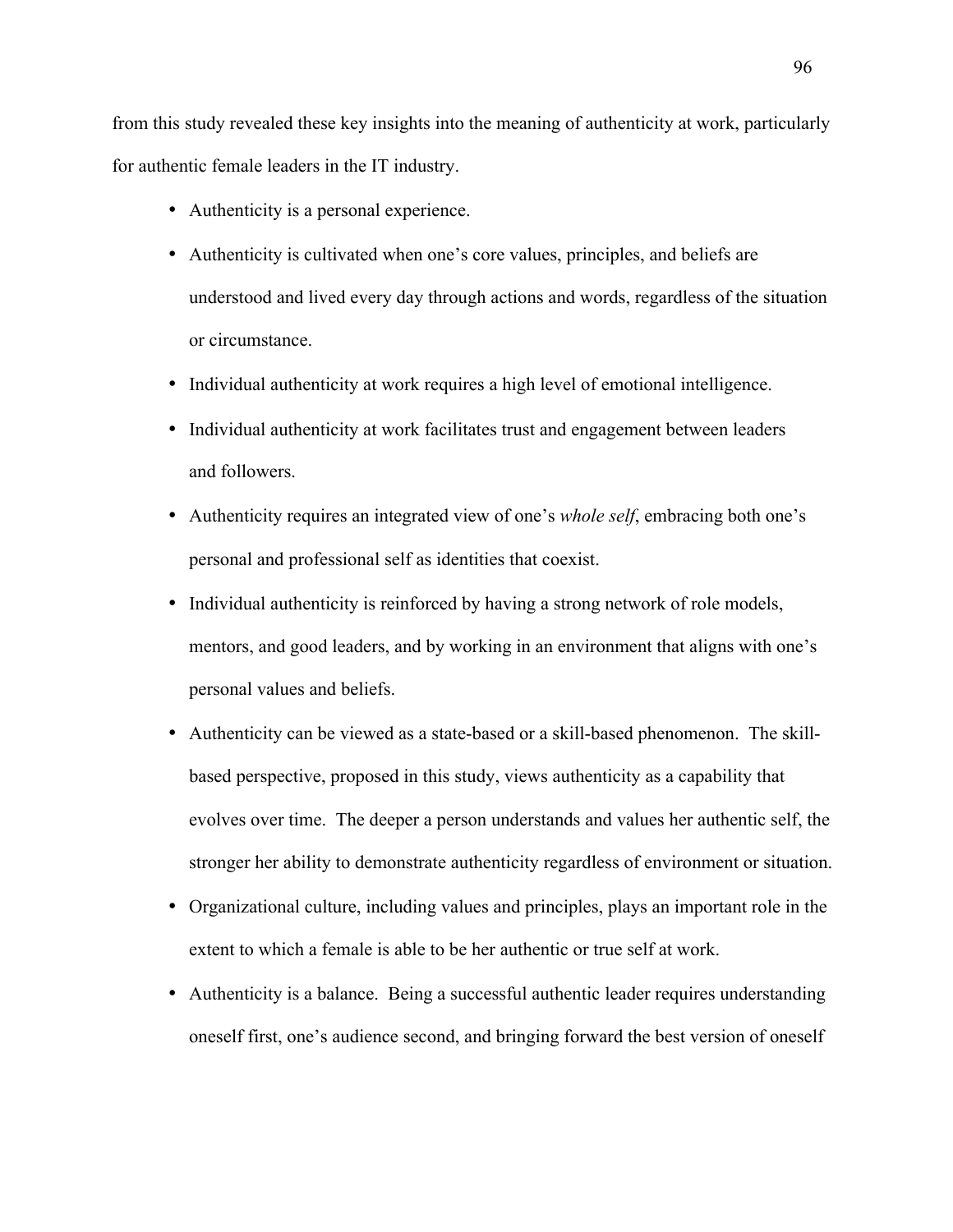from this study revealed these key insights into the meaning of authenticity at work, particularly for authentic female leaders in the IT industry.

- Authenticity is a personal experience.
- Authenticity is cultivated when one's core values, principles, and beliefs are understood and lived every day through actions and words, regardless of the situation or circumstance.
- Individual authenticity at work requires a high level of emotional intelligence.
- Individual authenticity at work facilitates trust and engagement between leaders and followers.
- Authenticity requires an integrated view of one's *whole self*, embracing both one's personal and professional self as identities that coexist.
- Individual authenticity is reinforced by having a strong network of role models, mentors, and good leaders, and by working in an environment that aligns with one's personal values and beliefs.
- Authenticity can be viewed as a state-based or a skill-based phenomenon. The skillbased perspective, proposed in this study, views authenticity as a capability that evolves over time. The deeper a person understands and values her authentic self, the stronger her ability to demonstrate authenticity regardless of environment or situation.
- Organizational culture, including values and principles, plays an important role in the extent to which a female is able to be her authentic or true self at work.
- Authenticity is a balance. Being a successful authentic leader requires understanding oneself first, one's audience second, and bringing forward the best version of oneself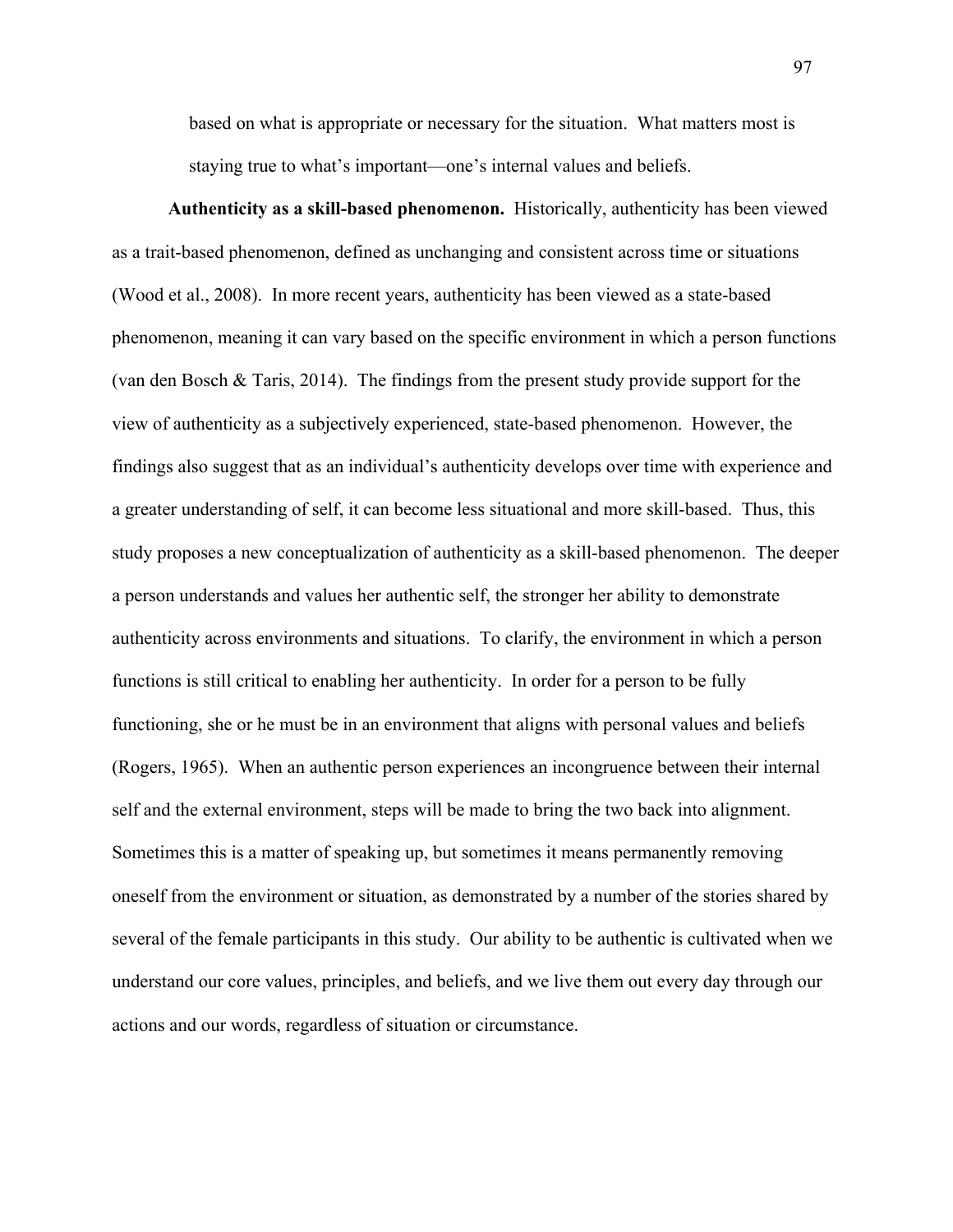based on what is appropriate or necessary for the situation. What matters most is staying true to what's important—one's internal values and beliefs.

**Authenticity as a skill-based phenomenon.** Historically, authenticity has been viewed as a trait-based phenomenon, defined as unchanging and consistent across time or situations (Wood et al., 2008). In more recent years, authenticity has been viewed as a state-based phenomenon, meaning it can vary based on the specific environment in which a person functions (van den Bosch & Taris, 2014). The findings from the present study provide support for the view of authenticity as a subjectively experienced, state-based phenomenon. However, the findings also suggest that as an individual's authenticity develops over time with experience and a greater understanding of self, it can become less situational and more skill-based. Thus, this study proposes a new conceptualization of authenticity as a skill-based phenomenon. The deeper a person understands and values her authentic self, the stronger her ability to demonstrate authenticity across environments and situations. To clarify, the environment in which a person functions is still critical to enabling her authenticity. In order for a person to be fully functioning, she or he must be in an environment that aligns with personal values and beliefs (Rogers, 1965). When an authentic person experiences an incongruence between their internal self and the external environment, steps will be made to bring the two back into alignment. Sometimes this is a matter of speaking up, but sometimes it means permanently removing oneself from the environment or situation, as demonstrated by a number of the stories shared by several of the female participants in this study. Our ability to be authentic is cultivated when we understand our core values, principles, and beliefs, and we live them out every day through our actions and our words, regardless of situation or circumstance.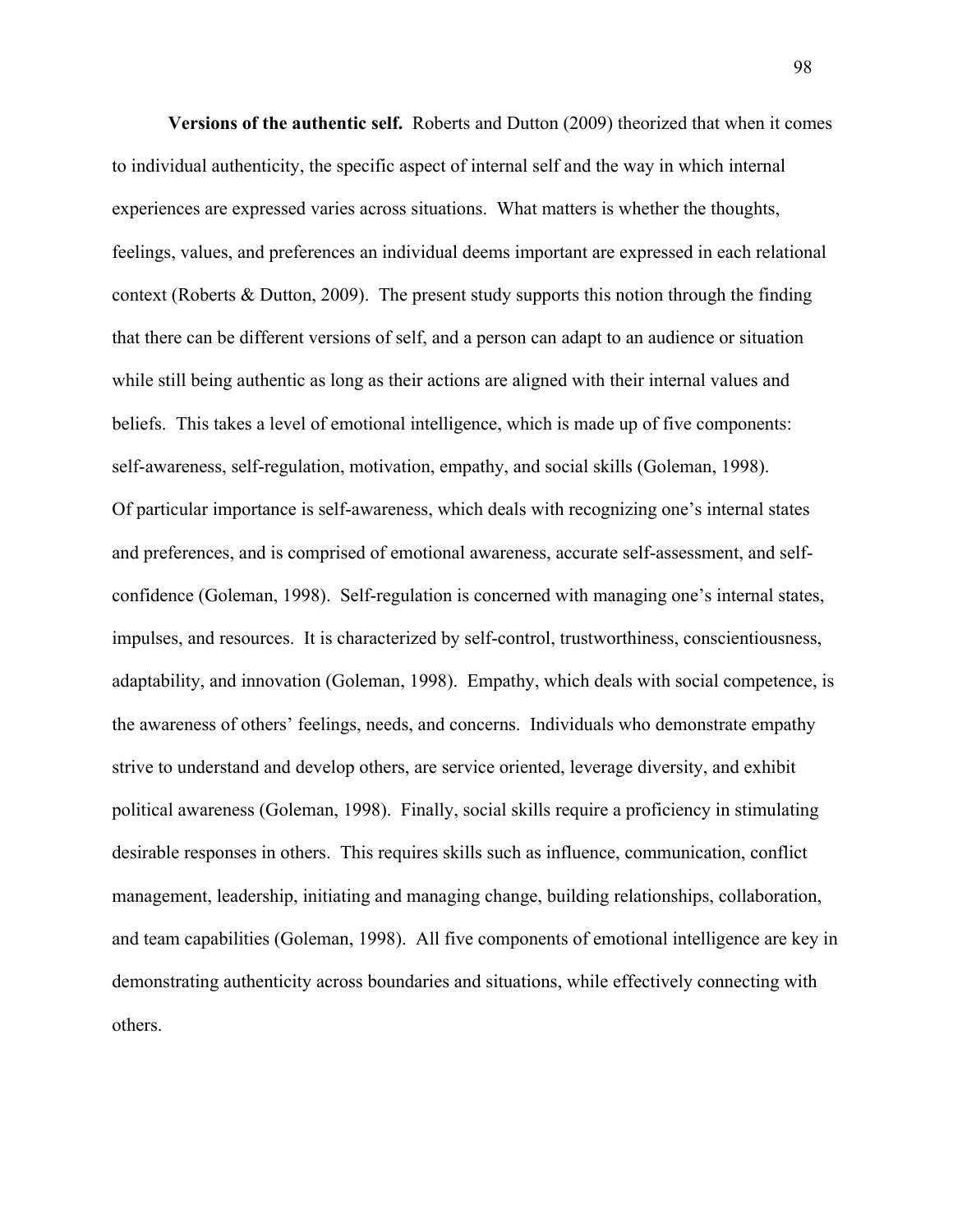**Versions of the authentic self.** Roberts and Dutton (2009) theorized that when it comes to individual authenticity, the specific aspect of internal self and the way in which internal experiences are expressed varies across situations. What matters is whether the thoughts, feelings, values, and preferences an individual deems important are expressed in each relational context (Roberts & Dutton, 2009). The present study supports this notion through the finding that there can be different versions of self, and a person can adapt to an audience or situation while still being authentic as long as their actions are aligned with their internal values and beliefs. This takes a level of emotional intelligence, which is made up of five components: self-awareness, self-regulation, motivation, empathy, and social skills (Goleman, 1998). Of particular importance is self-awareness, which deals with recognizing one's internal states and preferences, and is comprised of emotional awareness, accurate self-assessment, and selfconfidence (Goleman, 1998). Self-regulation is concerned with managing one's internal states, impulses, and resources. It is characterized by self-control, trustworthiness, conscientiousness, adaptability, and innovation (Goleman, 1998). Empathy, which deals with social competence, is the awareness of others' feelings, needs, and concerns. Individuals who demonstrate empathy strive to understand and develop others, are service oriented, leverage diversity, and exhibit political awareness (Goleman, 1998). Finally, social skills require a proficiency in stimulating desirable responses in others. This requires skills such as influence, communication, conflict management, leadership, initiating and managing change, building relationships, collaboration, and team capabilities (Goleman, 1998). All five components of emotional intelligence are key in demonstrating authenticity across boundaries and situations, while effectively connecting with others.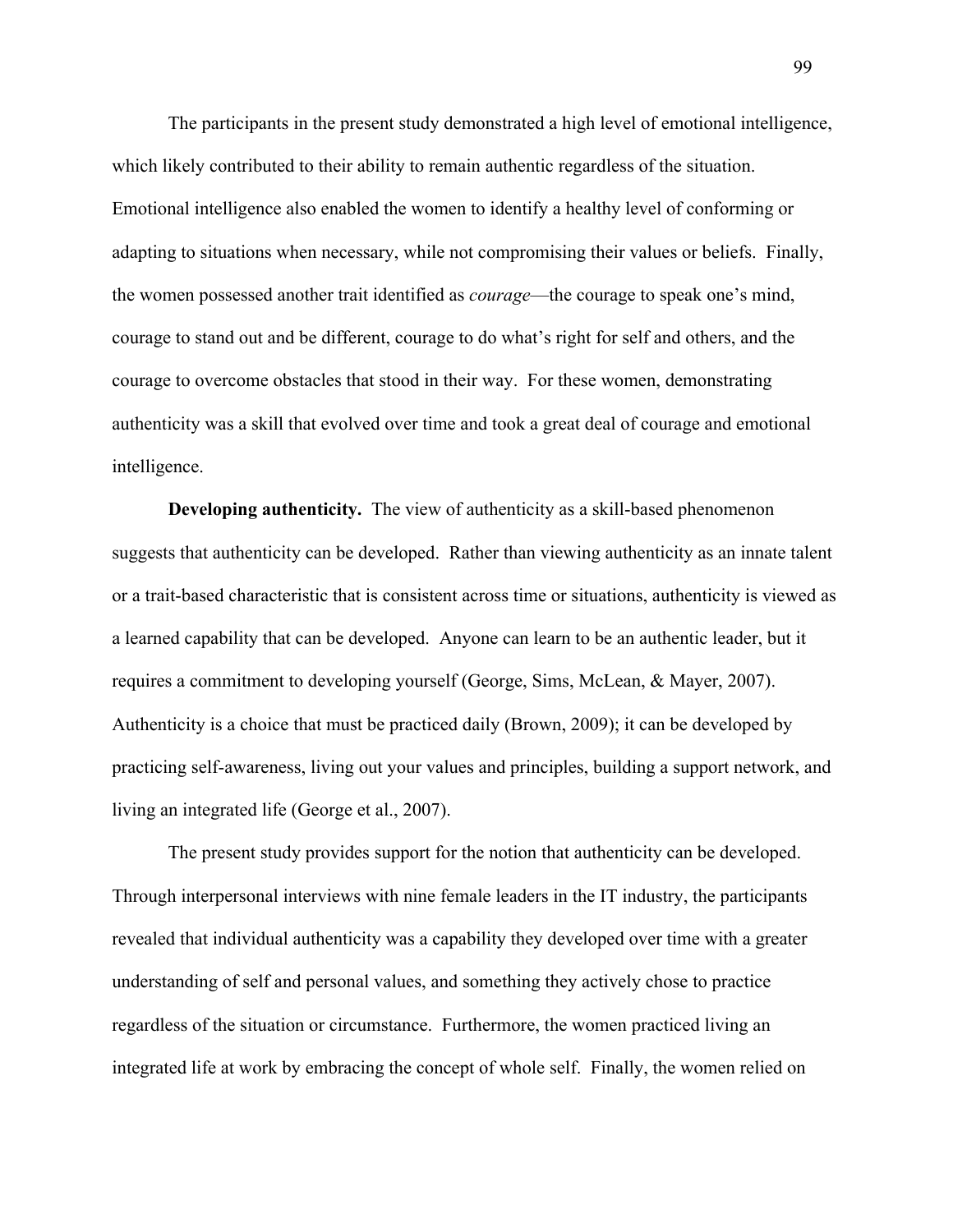The participants in the present study demonstrated a high level of emotional intelligence, which likely contributed to their ability to remain authentic regardless of the situation. Emotional intelligence also enabled the women to identify a healthy level of conforming or adapting to situations when necessary, while not compromising their values or beliefs. Finally, the women possessed another trait identified as *courage*—the courage to speak one's mind, courage to stand out and be different, courage to do what's right for self and others, and the courage to overcome obstacles that stood in their way. For these women, demonstrating authenticity was a skill that evolved over time and took a great deal of courage and emotional intelligence.

**Developing authenticity.** The view of authenticity as a skill-based phenomenon suggests that authenticity can be developed.Rather than viewing authenticity as an innate talent or a trait-based characteristic that is consistent across time or situations, authenticity is viewed as a learned capability that can be developed. Anyone can learn to be an authentic leader, but it requires a commitment to developing yourself (George, Sims, McLean, & Mayer, 2007). Authenticity is a choice that must be practiced daily (Brown, 2009); it can be developed by practicing self-awareness, living out your values and principles, building a support network, and living an integrated life (George et al., 2007).

The present study provides support for the notion that authenticity can be developed. Through interpersonal interviews with nine female leaders in the IT industry, the participants revealed that individual authenticity was a capability they developed over time with a greater understanding of self and personal values, and something they actively chose to practice regardless of the situation or circumstance. Furthermore, the women practiced living an integrated life at work by embracing the concept of whole self. Finally, the women relied on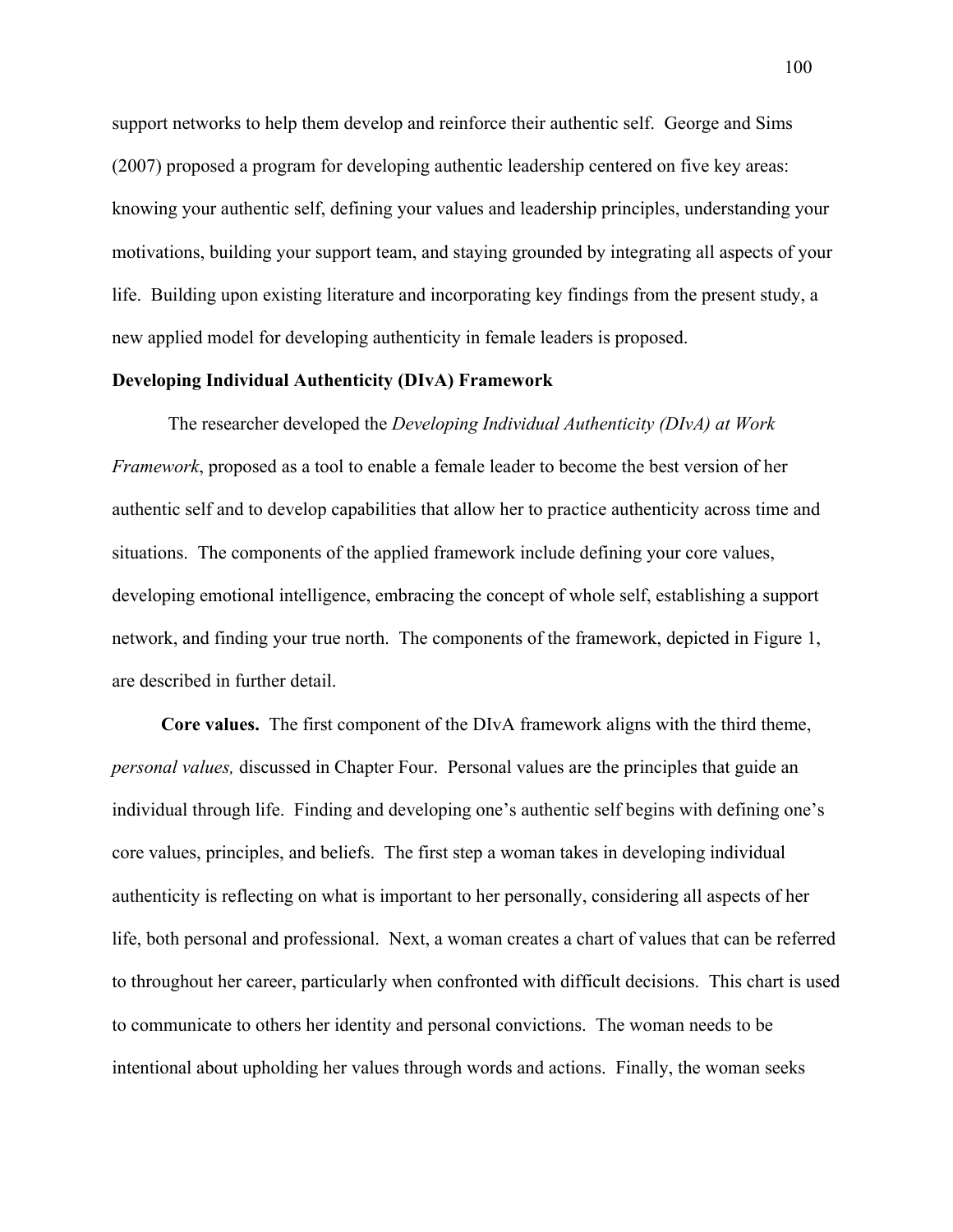support networks to help them develop and reinforce their authentic self. George and Sims (2007) proposed a program for developing authentic leadership centered on five key areas: knowing your authentic self, defining your values and leadership principles, understanding your motivations, building your support team, and staying grounded by integrating all aspects of your life. Building upon existing literature and incorporating key findings from the present study, a new applied model for developing authenticity in female leaders is proposed.

## **Developing Individual Authenticity (DIvA) Framework**

The researcher developed the *Developing Individual Authenticity (DIvA) at Work Framework*, proposed as a tool to enable a female leader to become the best version of her authentic self and to develop capabilities that allow her to practice authenticity across time and situations. The components of the applied framework include defining your core values, developing emotional intelligence, embracing the concept of whole self, establishing a support network, and finding your true north. The components of the framework, depicted in Figure 1, are described in further detail.

**Core values.** The first component of the DIvA framework aligns with the third theme, *personal values,* discussed in Chapter Four. Personal values are the principles that guide an individual through life. Finding and developing one's authentic self begins with defining one's core values, principles, and beliefs. The first step a woman takes in developing individual authenticity is reflecting on what is important to her personally, considering all aspects of her life, both personal and professional. Next, a woman creates a chart of values that can be referred to throughout her career, particularly when confronted with difficult decisions. This chart is used to communicate to others her identity and personal convictions. The woman needs to be intentional about upholding her values through words and actions. Finally, the woman seeks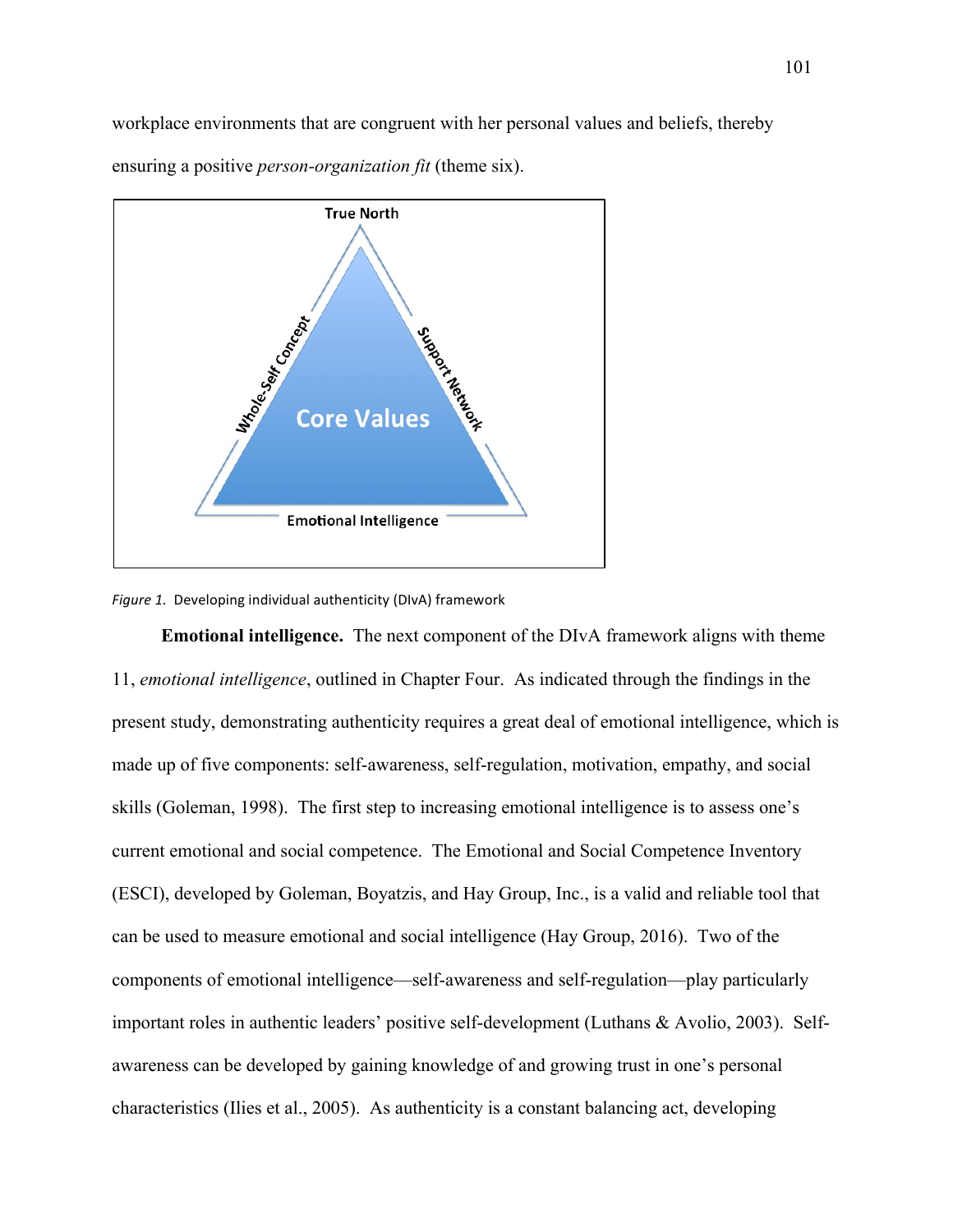workplace environments that are congruent with her personal values and beliefs, thereby ensuring a positive *person-organization fit* (theme six).



#### Figure 1. Developing individual authenticity (DIvA) framework

**Emotional intelligence.** The next component of the DIvA framework aligns with theme 11, *emotional intelligence*, outlined in Chapter Four. As indicated through the findings in the present study, demonstrating authenticity requires a great deal of emotional intelligence, which is made up of five components: self-awareness, self-regulation, motivation, empathy, and social skills (Goleman, 1998). The first step to increasing emotional intelligence is to assess one's current emotional and social competence. The Emotional and Social Competence Inventory (ESCI), developed by Goleman, Boyatzis, and Hay Group, Inc., is a valid and reliable tool that can be used to measure emotional and social intelligence (Hay Group, 2016). Two of the components of emotional intelligence—self-awareness and self-regulation—play particularly important roles in authentic leaders' positive self-development (Luthans & Avolio, 2003). Selfawareness can be developed by gaining knowledge of and growing trust in one's personal characteristics (Ilies et al., 2005). As authenticity is a constant balancing act, developing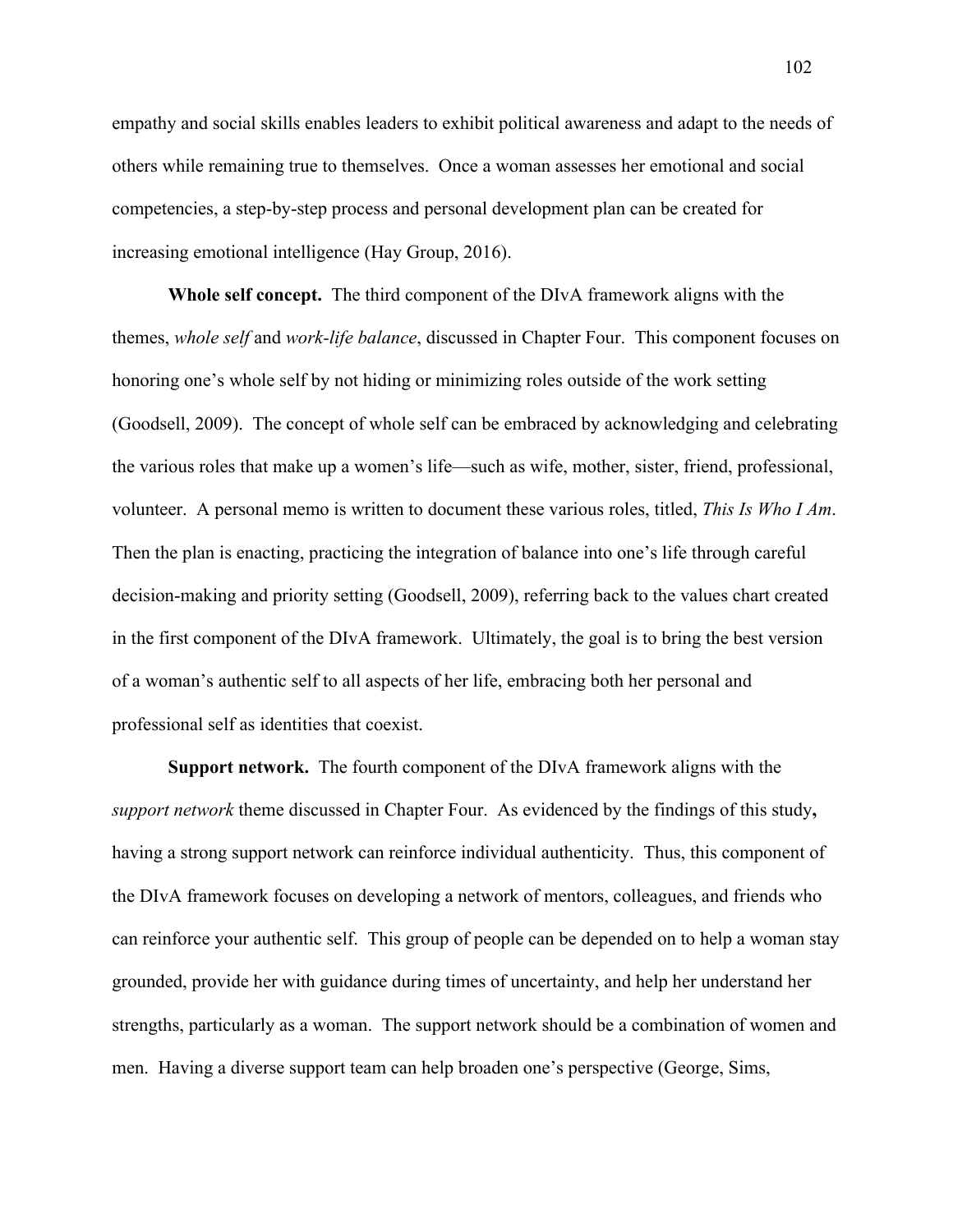empathy and social skills enables leaders to exhibit political awareness and adapt to the needs of others while remaining true to themselves. Once a woman assesses her emotional and social competencies, a step-by-step process and personal development plan can be created for increasing emotional intelligence (Hay Group, 2016).

**Whole self concept.** The third component of the DIvA framework aligns with the themes, *whole self* and *work-life balance*, discussed in Chapter Four. This component focuses on honoring one's whole self by not hiding or minimizing roles outside of the work setting (Goodsell, 2009). The concept of whole self can be embraced by acknowledging and celebrating the various roles that make up a women's life—such as wife, mother, sister, friend, professional, volunteer. A personal memo is written to document these various roles, titled, *This Is Who I Am*. Then the plan is enacting, practicing the integration of balance into one's life through careful decision-making and priority setting (Goodsell, 2009), referring back to the values chart created in the first component of the DIvA framework. Ultimately, the goal is to bring the best version of a woman's authentic self to all aspects of her life, embracing both her personal and professional self as identities that coexist.

**Support network.** The fourth component of the DIvA framework aligns with the *support network* theme discussed in Chapter Four. As evidenced by the findings of this study**,**  having a strong support network can reinforce individual authenticity. Thus, this component of the DIvA framework focuses on developing a network of mentors, colleagues, and friends who can reinforce your authentic self. This group of people can be depended on to help a woman stay grounded, provide her with guidance during times of uncertainty, and help her understand her strengths, particularly as a woman. The support network should be a combination of women and men. Having a diverse support team can help broaden one's perspective (George, Sims,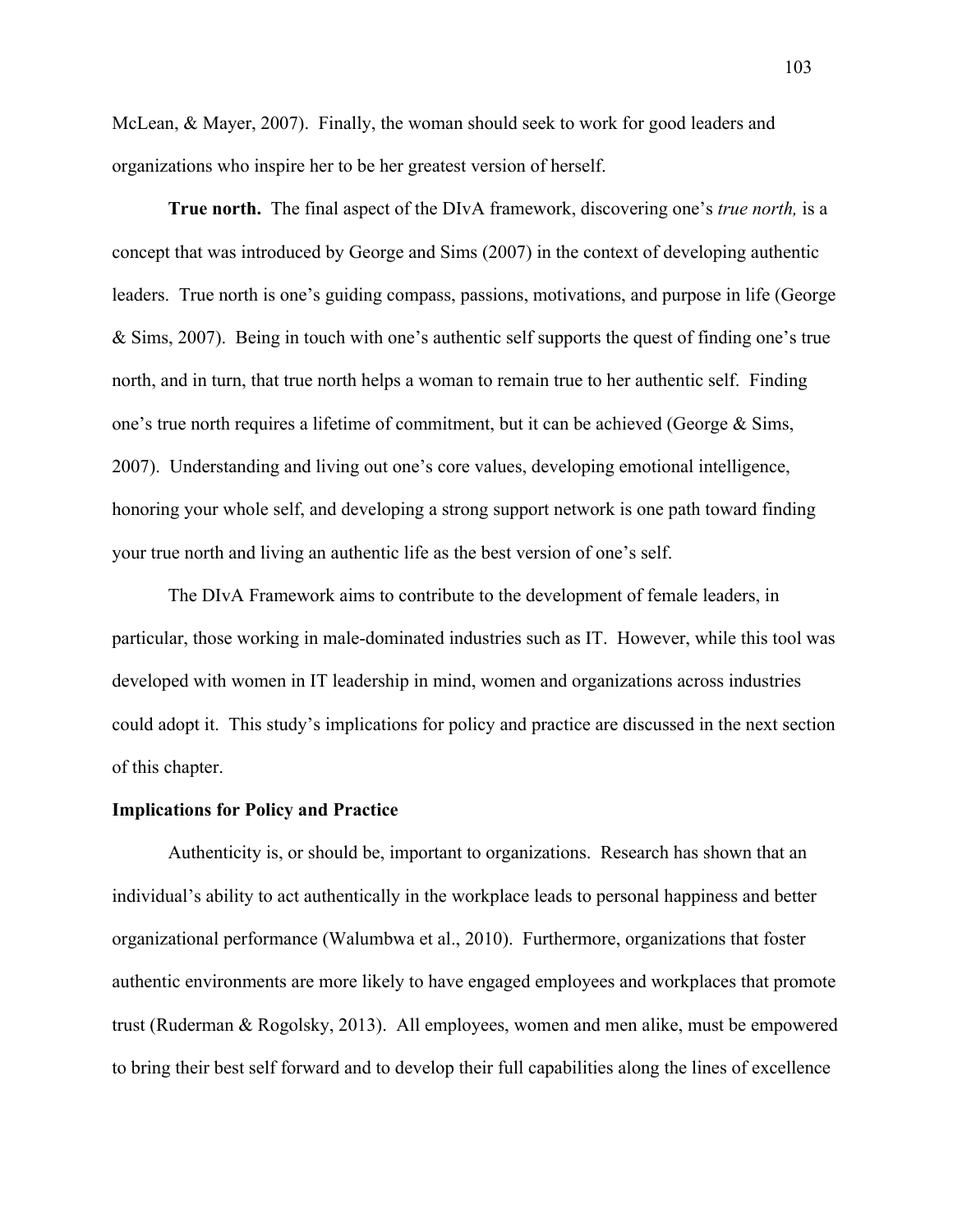McLean, & Mayer, 2007). Finally, the woman should seek to work for good leaders and organizations who inspire her to be her greatest version of herself.

**True north.** The final aspect of the DIvA framework, discovering one's *true north,* is a concept that was introduced by George and Sims (2007) in the context of developing authentic leaders. True north is one's guiding compass, passions, motivations, and purpose in life (George & Sims, 2007). Being in touch with one's authentic self supports the quest of finding one's true north, and in turn, that true north helps a woman to remain true to her authentic self. Finding one's true north requires a lifetime of commitment, but it can be achieved (George & Sims, 2007). Understanding and living out one's core values, developing emotional intelligence, honoring your whole self, and developing a strong support network is one path toward finding your true north and living an authentic life as the best version of one's self.

The DIvA Framework aims to contribute to the development of female leaders, in particular, those working in male-dominated industries such as IT. However, while this tool was developed with women in IT leadership in mind, women and organizations across industries could adopt it. This study's implications for policy and practice are discussed in the next section of this chapter.

### **Implications for Policy and Practice**

Authenticity is, or should be, important to organizations. Research has shown that an individual's ability to act authentically in the workplace leads to personal happiness and better organizational performance (Walumbwa et al., 2010). Furthermore, organizations that foster authentic environments are more likely to have engaged employees and workplaces that promote trust (Ruderman & Rogolsky, 2013). All employees, women and men alike, must be empowered to bring their best self forward and to develop their full capabilities along the lines of excellence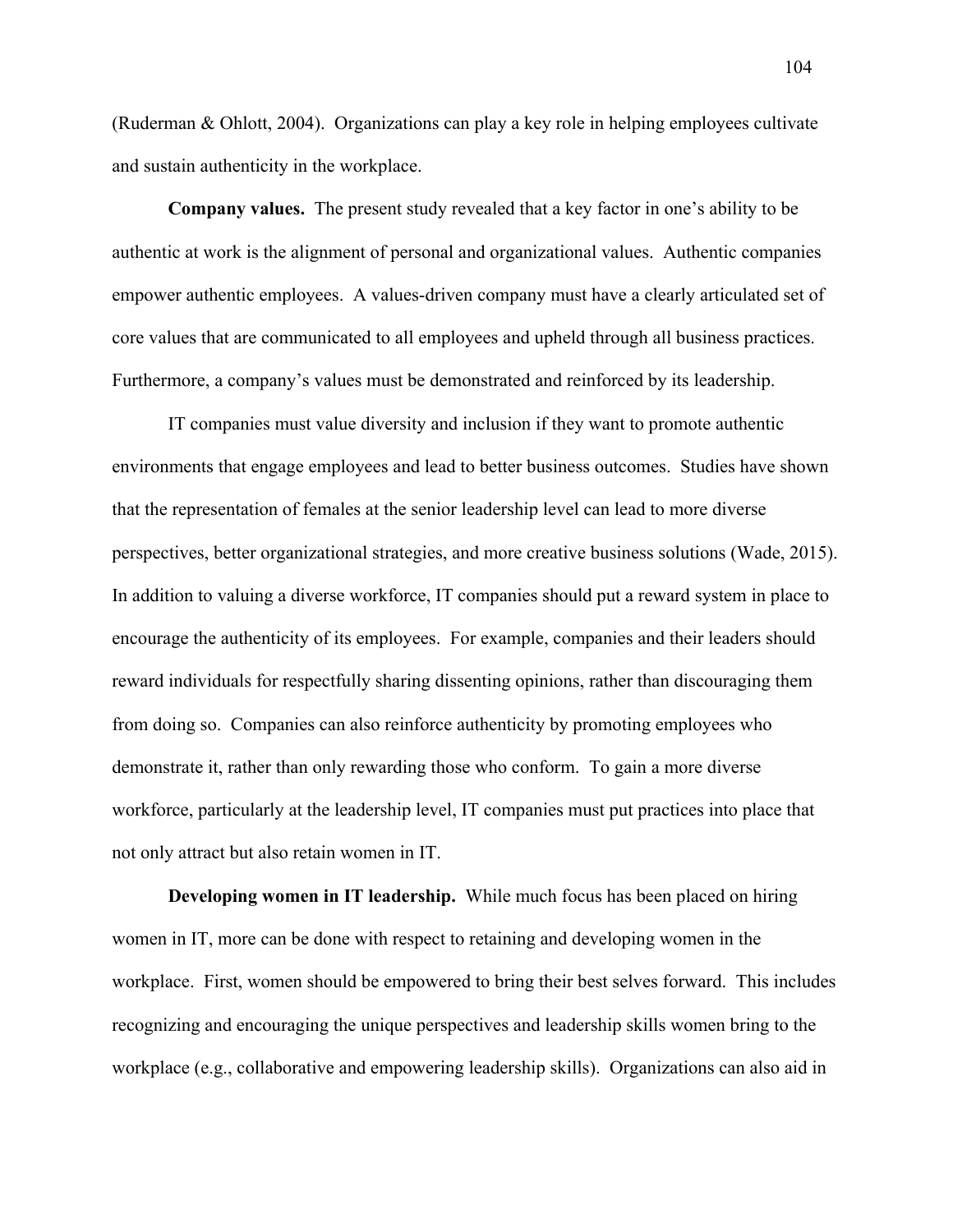(Ruderman & Ohlott, 2004). Organizations can play a key role in helping employees cultivate and sustain authenticity in the workplace.

**Company values.** The present study revealed that a key factor in one's ability to be authentic at work is the alignment of personal and organizational values. Authentic companies empower authentic employees. A values-driven company must have a clearly articulated set of core values that are communicated to all employees and upheld through all business practices. Furthermore, a company's values must be demonstrated and reinforced by its leadership.

IT companies must value diversity and inclusion if they want to promote authentic environments that engage employees and lead to better business outcomes. Studies have shown that the representation of females at the senior leadership level can lead to more diverse perspectives, better organizational strategies, and more creative business solutions (Wade, 2015). In addition to valuing a diverse workforce, IT companies should put a reward system in place to encourage the authenticity of its employees. For example, companies and their leaders should reward individuals for respectfully sharing dissenting opinions, rather than discouraging them from doing so. Companies can also reinforce authenticity by promoting employees who demonstrate it, rather than only rewarding those who conform. To gain a more diverse workforce, particularly at the leadership level, IT companies must put practices into place that not only attract but also retain women in IT.

**Developing women in IT leadership.** While much focus has been placed on hiring women in IT, more can be done with respect to retaining and developing women in the workplace. First, women should be empowered to bring their best selves forward. This includes recognizing and encouraging the unique perspectives and leadership skills women bring to the workplace (e.g., collaborative and empowering leadership skills). Organizations can also aid in

104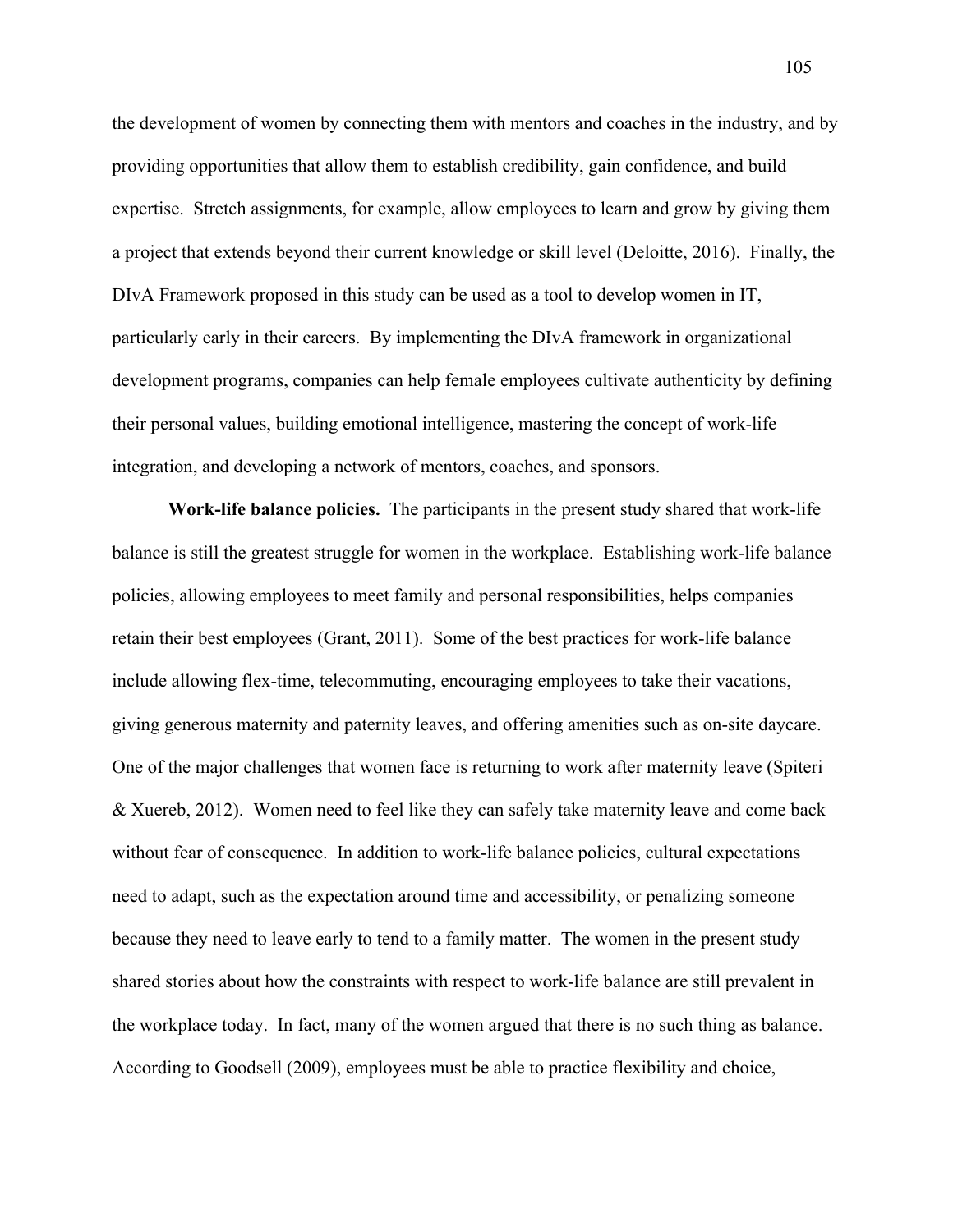the development of women by connecting them with mentors and coaches in the industry, and by providing opportunities that allow them to establish credibility, gain confidence, and build expertise. Stretch assignments, for example, allow employees to learn and grow by giving them a project that extends beyond their current knowledge or skill level (Deloitte, 2016). Finally, the DIvA Framework proposed in this study can be used as a tool to develop women in IT, particularly early in their careers. By implementing the DIvA framework in organizational development programs, companies can help female employees cultivate authenticity by defining their personal values, building emotional intelligence, mastering the concept of work-life integration, and developing a network of mentors, coaches, and sponsors.

**Work-life balance policies.** The participants in the present study shared that work-life balance is still the greatest struggle for women in the workplace. Establishing work-life balance policies, allowing employees to meet family and personal responsibilities, helps companies retain their best employees (Grant, 2011). Some of the best practices for work-life balance include allowing flex-time, telecommuting, encouraging employees to take their vacations, giving generous maternity and paternity leaves, and offering amenities such as on-site daycare. One of the major challenges that women face is returning to work after maternity leave (Spiteri & Xuereb, 2012). Women need to feel like they can safely take maternity leave and come back without fear of consequence. In addition to work-life balance policies, cultural expectations need to adapt, such as the expectation around time and accessibility, or penalizing someone because they need to leave early to tend to a family matter. The women in the present study shared stories about how the constraints with respect to work-life balance are still prevalent in the workplace today. In fact, many of the women argued that there is no such thing as balance. According to Goodsell (2009), employees must be able to practice flexibility and choice,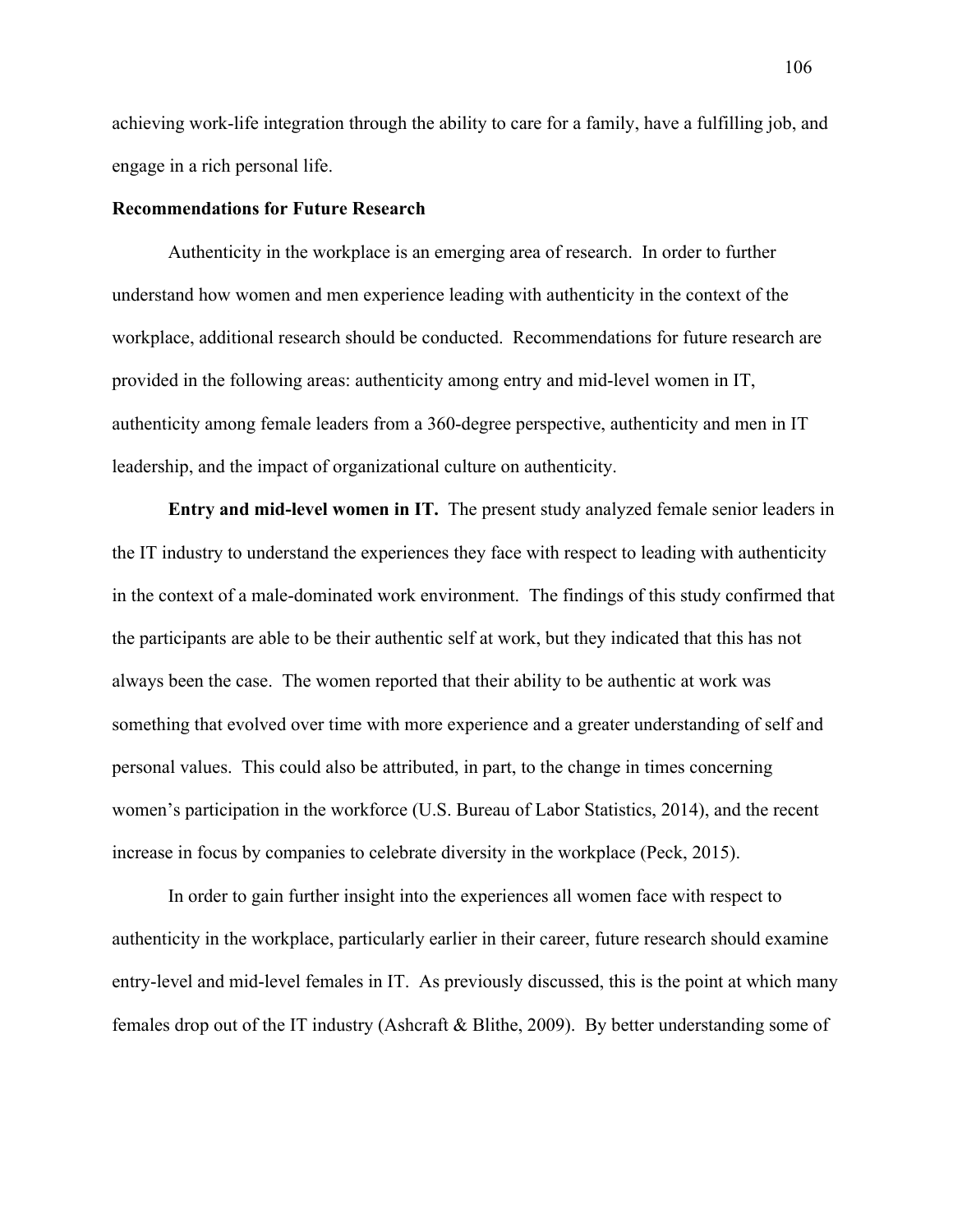achieving work-life integration through the ability to care for a family, have a fulfilling job, and engage in a rich personal life.

### **Recommendations for Future Research**

Authenticity in the workplace is an emerging area of research. In order to further understand how women and men experience leading with authenticity in the context of the workplace, additional research should be conducted. Recommendations for future research are provided in the following areas: authenticity among entry and mid-level women in IT, authenticity among female leaders from a 360-degree perspective, authenticity and men in IT leadership, and the impact of organizational culture on authenticity.

**Entry and mid-level women in IT.** The present study analyzed female senior leaders in the IT industry to understand the experiences they face with respect to leading with authenticity in the context of a male-dominated work environment. The findings of this study confirmed that the participants are able to be their authentic self at work, but they indicated that this has not always been the case. The women reported that their ability to be authentic at work was something that evolved over time with more experience and a greater understanding of self and personal values. This could also be attributed, in part, to the change in times concerning women's participation in the workforce (U.S. Bureau of Labor Statistics, 2014), and the recent increase in focus by companies to celebrate diversity in the workplace (Peck, 2015).

In order to gain further insight into the experiences all women face with respect to authenticity in the workplace, particularly earlier in their career, future research should examine entry-level and mid-level females in IT. As previously discussed, this is the point at which many females drop out of the IT industry (Ashcraft & Blithe, 2009). By better understanding some of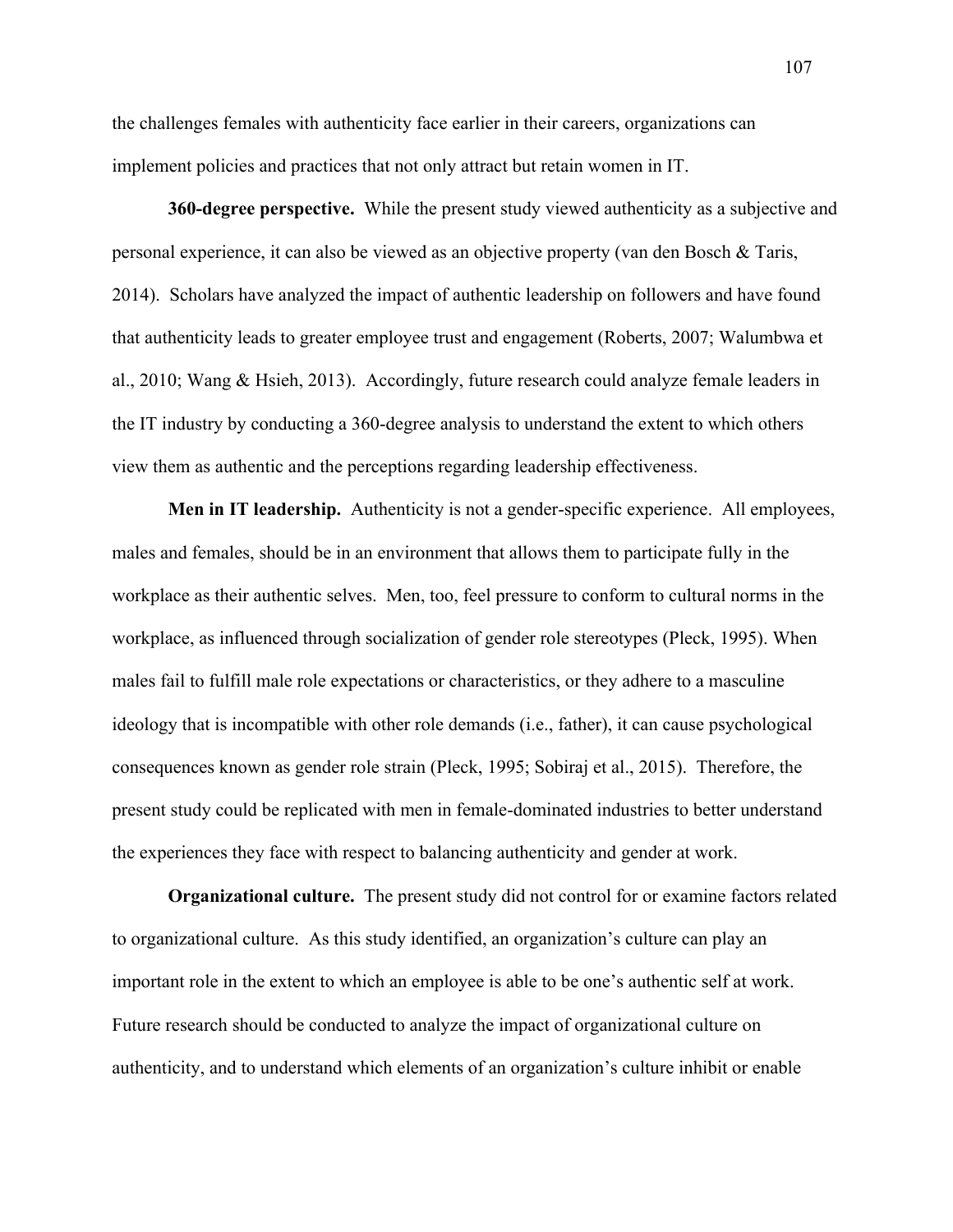the challenges females with authenticity face earlier in their careers, organizations can implement policies and practices that not only attract but retain women in IT.

**360-degree perspective.** While the present study viewed authenticity as a subjective and personal experience, it can also be viewed as an objective property (van den Bosch & Taris, 2014). Scholars have analyzed the impact of authentic leadership on followers and have found that authenticity leads to greater employee trust and engagement (Roberts, 2007; Walumbwa et al., 2010; Wang & Hsieh, 2013). Accordingly, future research could analyze female leaders in the IT industry by conducting a 360-degree analysis to understand the extent to which others view them as authentic and the perceptions regarding leadership effectiveness.

**Men in IT leadership.** Authenticity is not a gender-specific experience. All employees, males and females, should be in an environment that allows them to participate fully in the workplace as their authentic selves. Men, too, feel pressure to conform to cultural norms in the workplace, as influenced through socialization of gender role stereotypes (Pleck, 1995). When males fail to fulfill male role expectations or characteristics, or they adhere to a masculine ideology that is incompatible with other role demands (i.e., father), it can cause psychological consequences known as gender role strain (Pleck, 1995; Sobiraj et al., 2015). Therefore, the present study could be replicated with men in female-dominated industries to better understand the experiences they face with respect to balancing authenticity and gender at work.

**Organizational culture.** The present study did not control for or examine factors related to organizational culture. As this study identified, an organization's culture can play an important role in the extent to which an employee is able to be one's authentic self at work. Future research should be conducted to analyze the impact of organizational culture on authenticity, and to understand which elements of an organization's culture inhibit or enable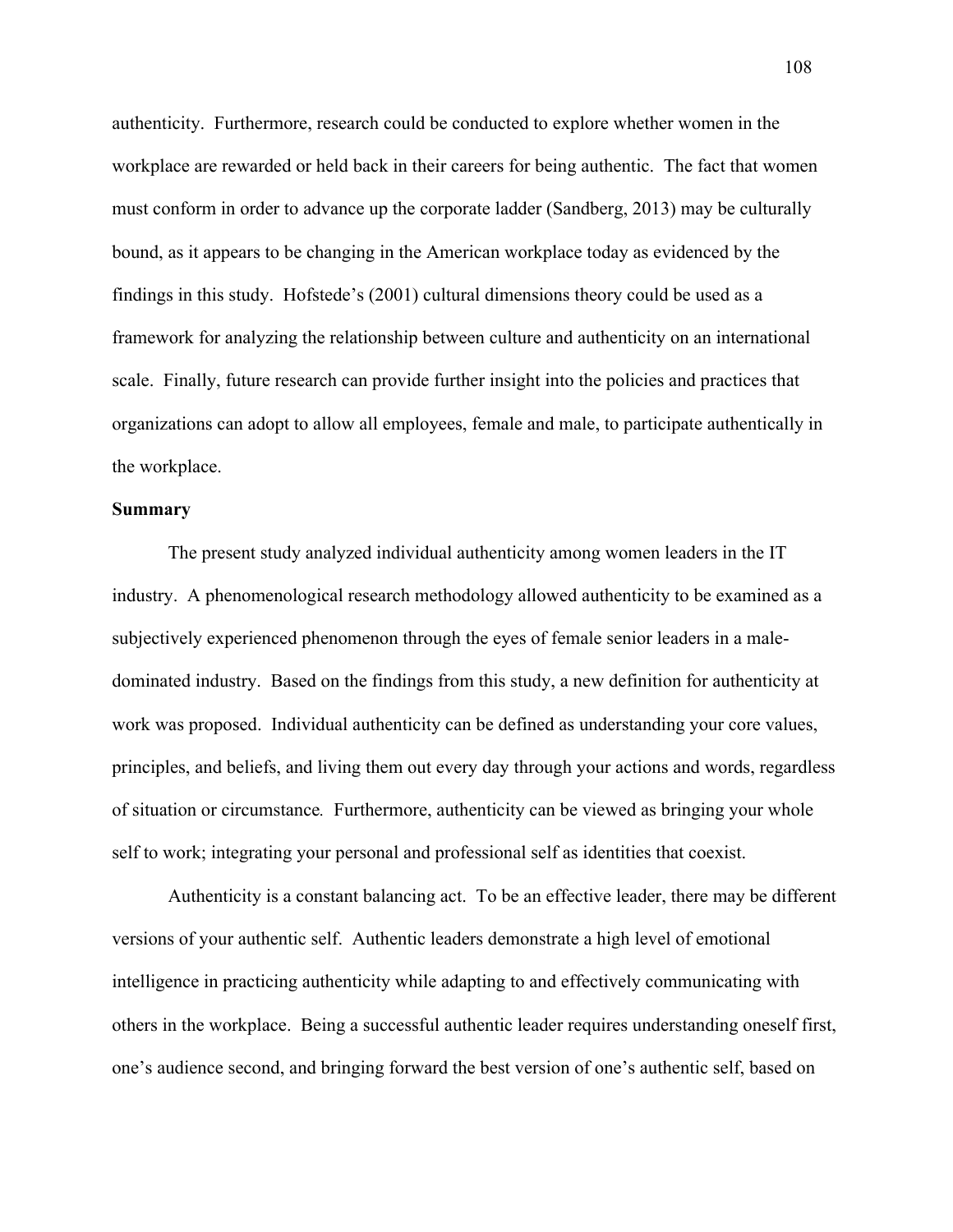authenticity. Furthermore, research could be conducted to explore whether women in the workplace are rewarded or held back in their careers for being authentic. The fact that women must conform in order to advance up the corporate ladder (Sandberg, 2013) may be culturally bound, as it appears to be changing in the American workplace today as evidenced by the findings in this study. Hofstede's (2001) cultural dimensions theory could be used as a framework for analyzing the relationship between culture and authenticity on an international scale. Finally, future research can provide further insight into the policies and practices that organizations can adopt to allow all employees, female and male, to participate authentically in the workplace.

### **Summary**

The present study analyzed individual authenticity among women leaders in the IT industry. A phenomenological research methodology allowed authenticity to be examined as a subjectively experienced phenomenon through the eyes of female senior leaders in a maledominated industry. Based on the findings from this study, a new definition for authenticity at work was proposed. Individual authenticity can be defined as understanding your core values, principles, and beliefs, and living them out every day through your actions and words, regardless of situation or circumstance*.* Furthermore, authenticity can be viewed as bringing your whole self to work; integrating your personal and professional self as identities that coexist.

Authenticity is a constant balancing act. To be an effective leader, there may be different versions of your authentic self. Authentic leaders demonstrate a high level of emotional intelligence in practicing authenticity while adapting to and effectively communicating with others in the workplace. Being a successful authentic leader requires understanding oneself first, one's audience second, and bringing forward the best version of one's authentic self, based on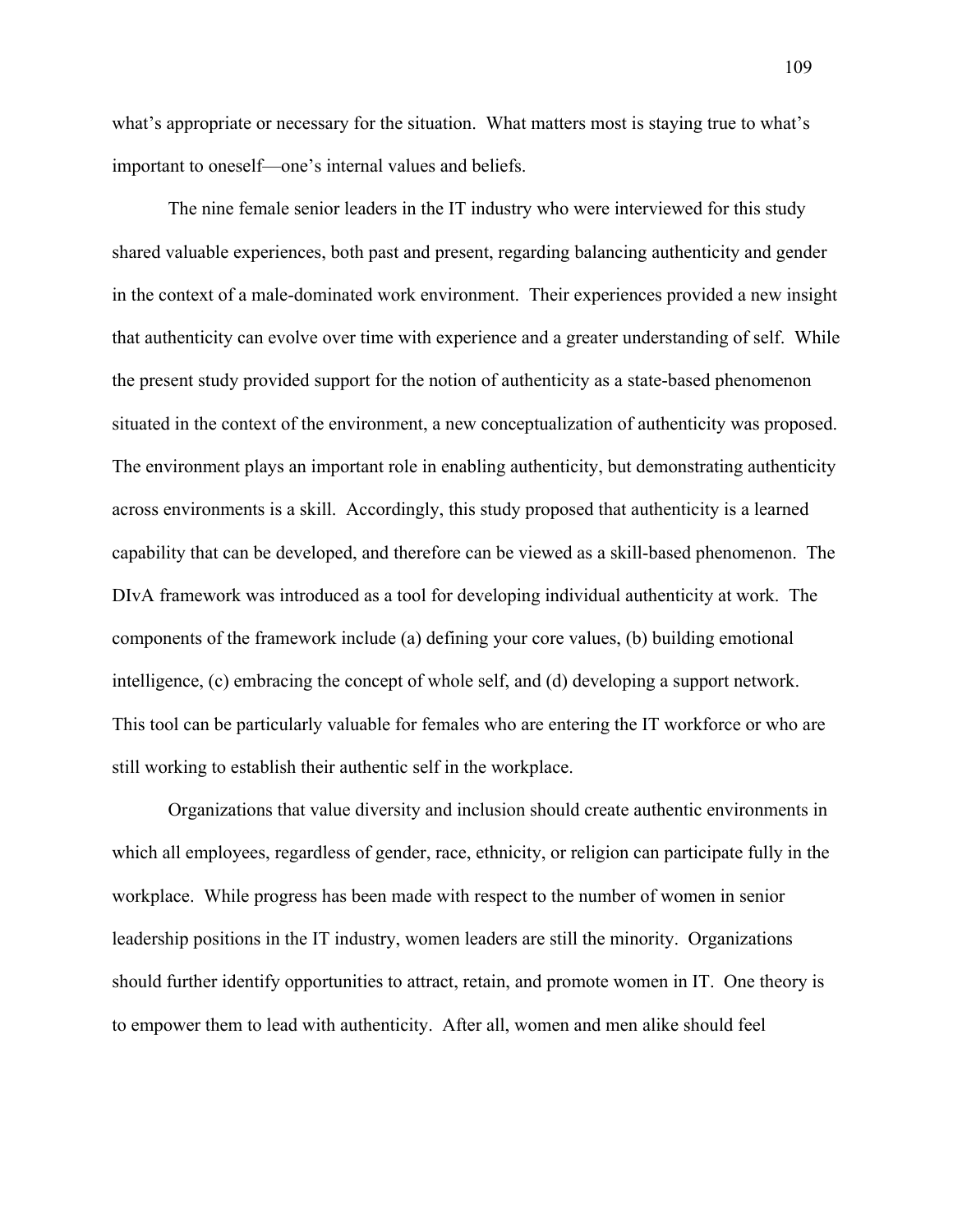what's appropriate or necessary for the situation. What matters most is staying true to what's important to oneself—one's internal values and beliefs.

The nine female senior leaders in the IT industry who were interviewed for this study shared valuable experiences, both past and present, regarding balancing authenticity and gender in the context of a male-dominated work environment. Their experiences provided a new insight that authenticity can evolve over time with experience and a greater understanding of self. While the present study provided support for the notion of authenticity as a state-based phenomenon situated in the context of the environment, a new conceptualization of authenticity was proposed. The environment plays an important role in enabling authenticity, but demonstrating authenticity across environments is a skill. Accordingly, this study proposed that authenticity is a learned capability that can be developed, and therefore can be viewed as a skill-based phenomenon. The DIvA framework was introduced as a tool for developing individual authenticity at work. The components of the framework include (a) defining your core values, (b) building emotional intelligence, (c) embracing the concept of whole self, and (d) developing a support network. This tool can be particularly valuable for females who are entering the IT workforce or who are still working to establish their authentic self in the workplace.

Organizations that value diversity and inclusion should create authentic environments in which all employees, regardless of gender, race, ethnicity, or religion can participate fully in the workplace. While progress has been made with respect to the number of women in senior leadership positions in the IT industry, women leaders are still the minority. Organizations should further identify opportunities to attract, retain, and promote women in IT. One theory is to empower them to lead with authenticity. After all, women and men alike should feel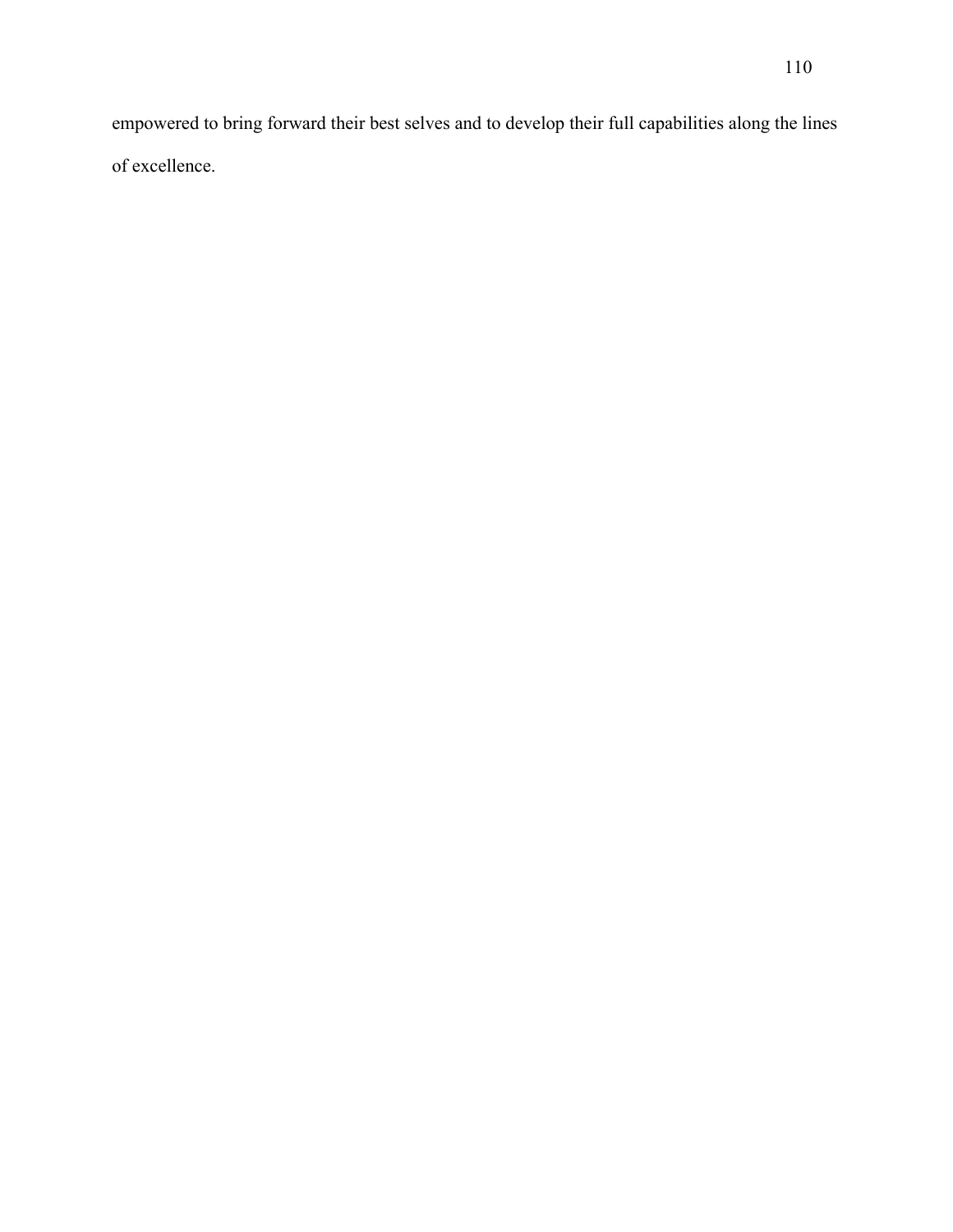empowered to bring forward their best selves and to develop their full capabilities along the lines of excellence.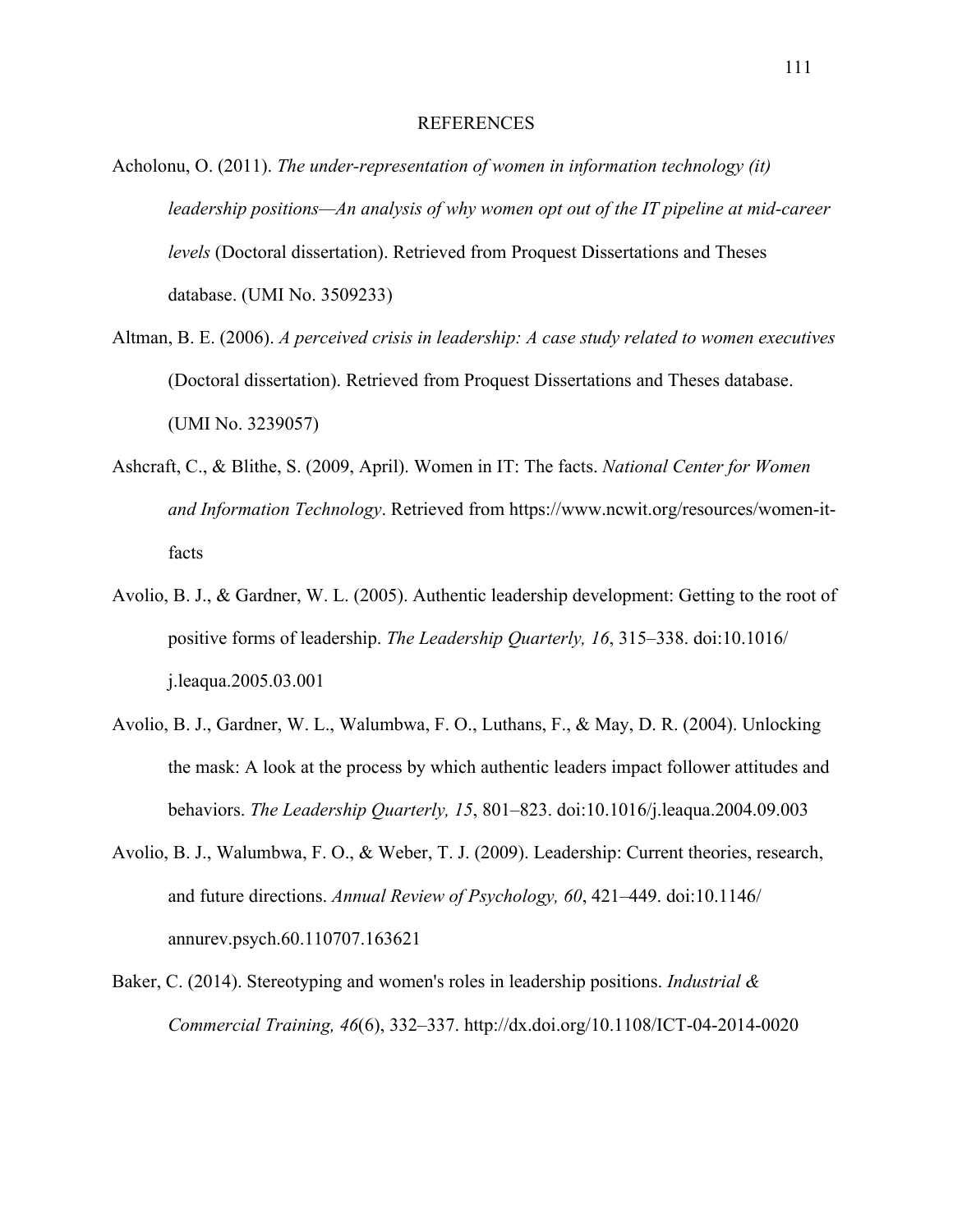### REFERENCES

- Acholonu, O. (2011). *The under-representation of women in information technology (it) leadership positions—An analysis of why women opt out of the IT pipeline at mid-career levels* (Doctoral dissertation). Retrieved from Proquest Dissertations and Theses database. (UMI No. 3509233)
- Altman, B. E. (2006). *A perceived crisis in leadership: A case study related to women executives*  (Doctoral dissertation). Retrieved from Proquest Dissertations and Theses database. (UMI No. 3239057)
- Ashcraft, C., & Blithe, S. (2009, April). Women in IT: The facts. *National Center for Women and Information Technology*. Retrieved from https://www.ncwit.org/resources/women-itfacts
- Avolio, B. J., & Gardner, W. L. (2005). Authentic leadership development: Getting to the root of positive forms of leadership. *The Leadership Quarterly, 16*, 315–338. doi:10.1016/ j.leaqua.2005.03.001
- Avolio, B. J., Gardner, W. L., Walumbwa, F. O., Luthans, F., & May, D. R. (2004). Unlocking the mask: A look at the process by which authentic leaders impact follower attitudes and behaviors. *The Leadership Quarterly, 15*, 801–823. doi:10.1016/j.leaqua.2004.09.003
- Avolio, B. J., Walumbwa, F. O., & Weber, T. J. (2009). Leadership: Current theories, research, and future directions. *Annual Review of Psychology, 60*, 421–449. doi:10.1146/ annurev.psych.60.110707.163621
- Baker, C. (2014). Stereotyping and women's roles in leadership positions. *Industrial & Commercial Training, 46*(6), 332–337. http://dx.doi.org/10.1108/ICT-04-2014-0020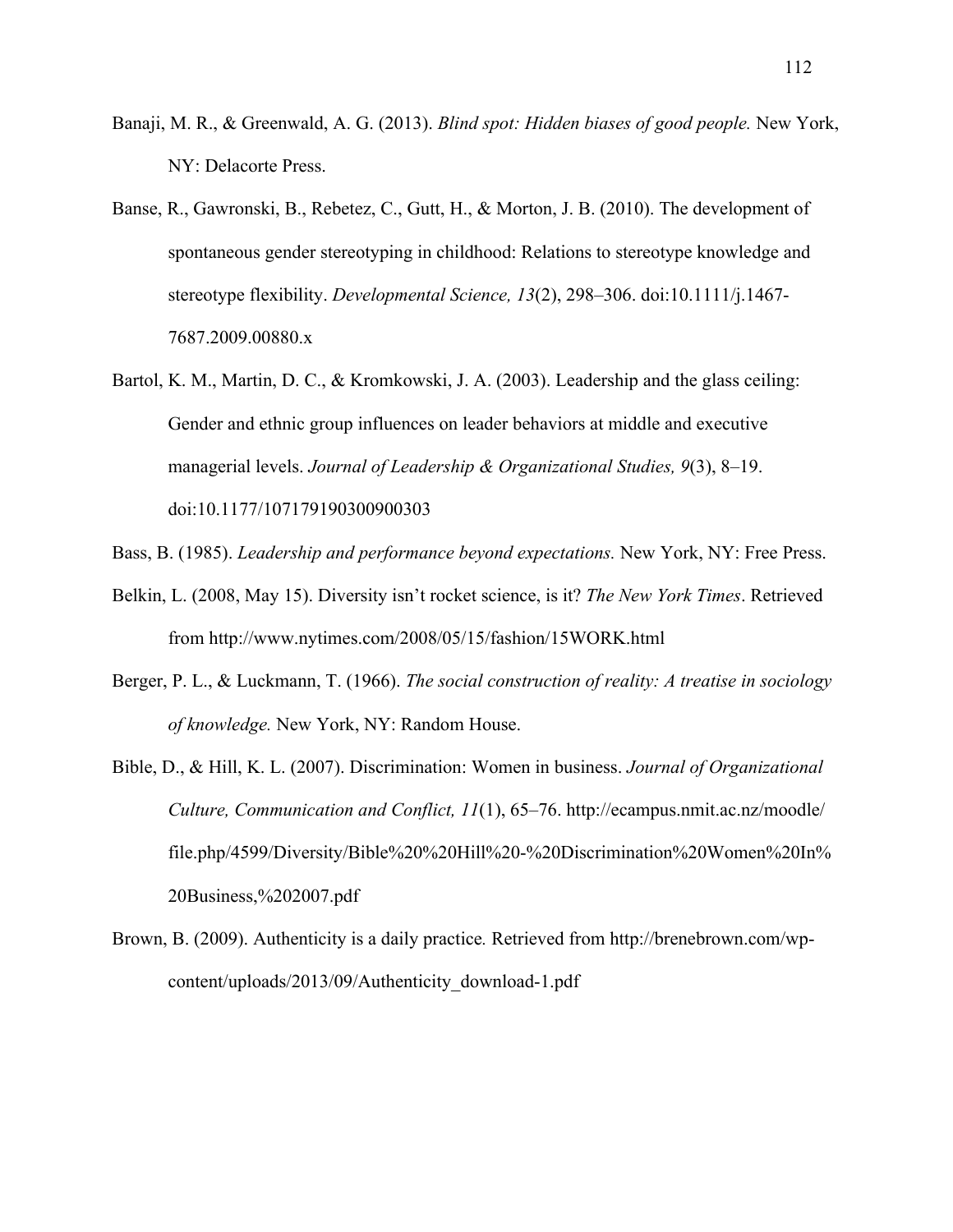- Banaji, M. R., & Greenwald, A. G. (2013). *Blind spot: Hidden biases of good people.* New York, NY: Delacorte Press.
- Banse, R., Gawronski, B., Rebetez, C., Gutt, H., & Morton, J. B. (2010). The development of spontaneous gender stereotyping in childhood: Relations to stereotype knowledge and stereotype flexibility. *Developmental Science, 13*(2), 298–306. doi:10.1111/j.1467- 7687.2009.00880.x
- Bartol, K. M., Martin, D. C., & Kromkowski, J. A. (2003). Leadership and the glass ceiling: Gender and ethnic group influences on leader behaviors at middle and executive managerial levels. *Journal of Leadership & Organizational Studies, 9*(3), 8–19. doi:10.1177/107179190300900303
- Bass, B. (1985). *Leadership and performance beyond expectations.* New York, NY: Free Press.
- Belkin, L. (2008, May 15). Diversity isn't rocket science, is it? *The New York Times*. Retrieved from http://www.nytimes.com/2008/05/15/fashion/15WORK.html
- Berger, P. L., & Luckmann, T. (1966). *The social construction of reality: A treatise in sociology of knowledge.* New York, NY: Random House.
- Bible, D., & Hill, K. L. (2007). Discrimination: Women in business. *Journal of Organizational Culture, Communication and Conflict, 11*(1), 65–76. http://ecampus.nmit.ac.nz/moodle/ file.php/4599/Diversity/Bible%20%20Hill%20-%20Discrimination%20Women%20In% 20Business,%202007.pdf
- Brown, B. (2009). Authenticity is a daily practice*.* Retrieved from http://brenebrown.com/wpcontent/uploads/2013/09/Authenticity\_download-1.pdf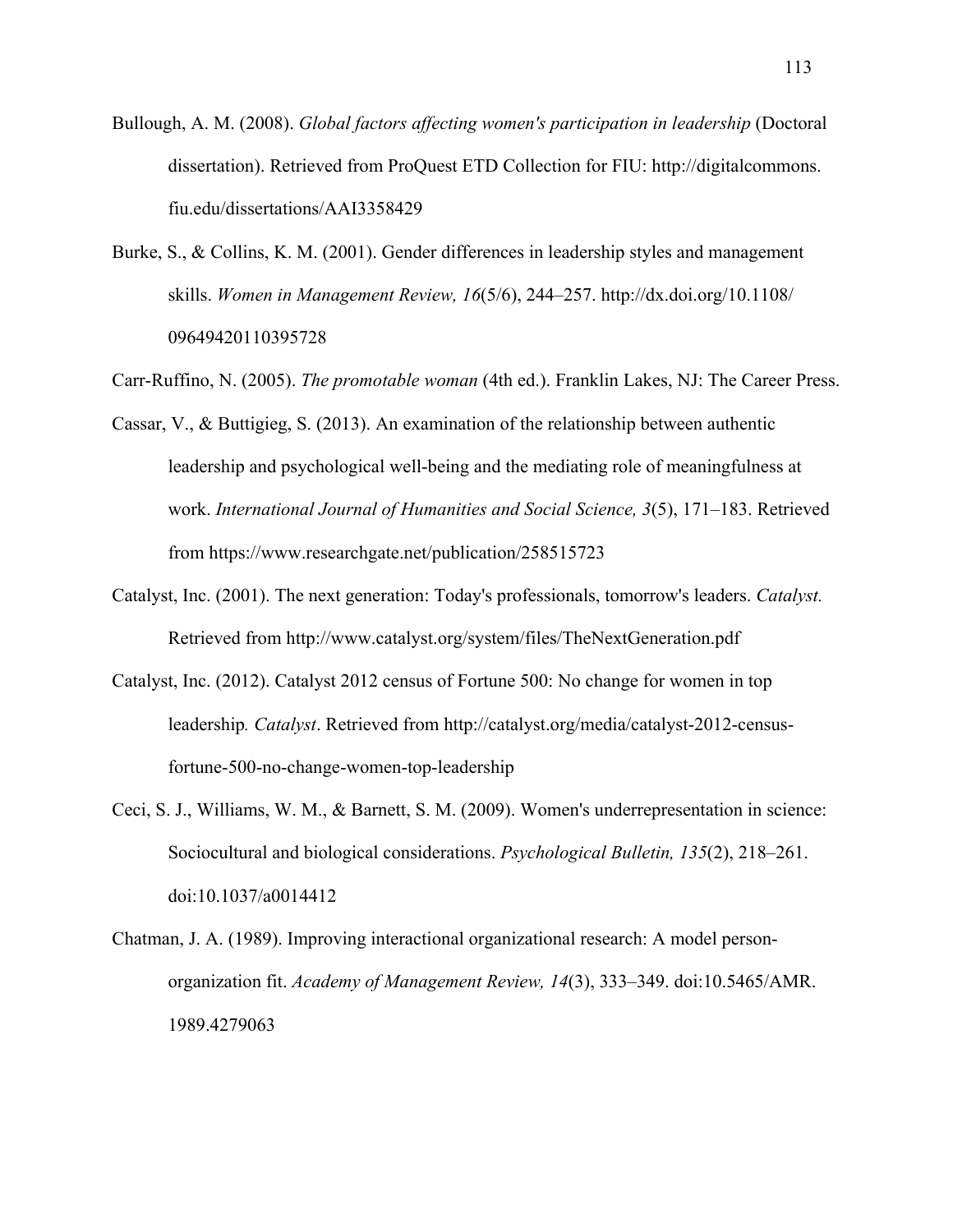Bullough, A. M. (2008). *Global factors affecting women's participation in leadership* (Doctoral dissertation). Retrieved from ProQuest ETD Collection for FIU: http://digitalcommons. fiu.edu/dissertations/AAI3358429

Burke, S., & Collins, K. M. (2001). Gender differences in leadership styles and management skills. *Women in Management Review, 16*(5/6), 244–257. http://dx.doi.org/10.1108/ 09649420110395728

Carr-Ruffino, N. (2005). *The promotable woman* (4th ed.). Franklin Lakes, NJ: The Career Press.

- Cassar, V., & Buttigieg, S. (2013). An examination of the relationship between authentic leadership and psychological well-being and the mediating role of meaningfulness at work. *International Journal of Humanities and Social Science, 3*(5), 171–183. Retrieved from https://www.researchgate.net/publication/258515723
- Catalyst, Inc. (2001). The next generation: Today's professionals, tomorrow's leaders. *Catalyst.* Retrieved from http://www.catalyst.org/system/files/TheNextGeneration.pdf
- Catalyst, Inc. (2012). Catalyst 2012 census of Fortune 500: No change for women in top leadership*. Catalyst*. Retrieved from http://catalyst.org/media/catalyst-2012-censusfortune-500-no-change-women-top-leadership
- Ceci, S. J., Williams, W. M., & Barnett, S. M. (2009). Women's underrepresentation in science: Sociocultural and biological considerations. *Psychological Bulletin, 135*(2), 218–261. doi:10.1037/a0014412
- Chatman, J. A. (1989). Improving interactional organizational research: A model personorganization fit. *Academy of Management Review, 14*(3), 333–349. doi:10.5465/AMR. 1989.4279063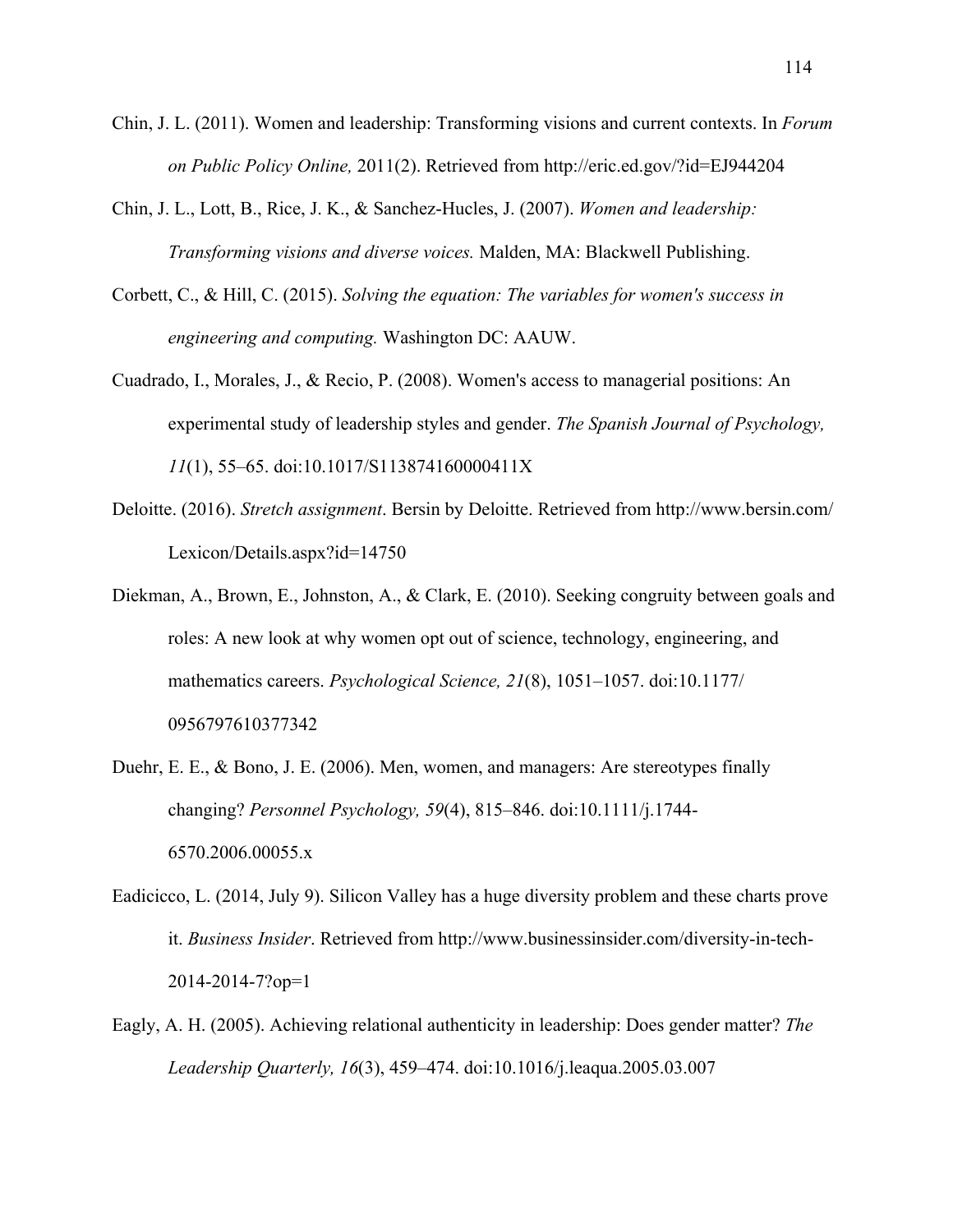- Chin, J. L. (2011). Women and leadership: Transforming visions and current contexts. In *Forum on Public Policy Online,* 2011(2). Retrieved from http://eric.ed.gov/?id=EJ944204
- Chin, J. L., Lott, B., Rice, J. K., & Sanchez-Hucles, J. (2007). *Women and leadership: Transforming visions and diverse voices.* Malden, MA: Blackwell Publishing.
- Corbett, C., & Hill, C. (2015). *Solving the equation: The variables for women's success in engineering and computing.* Washington DC: AAUW.
- Cuadrado, I., Morales, J., & Recio, P. (2008). Women's access to managerial positions: An experimental study of leadership styles and gender. *The Spanish Journal of Psychology, 11*(1), 55–65. doi:10.1017/S113874160000411X
- Deloitte. (2016). *Stretch assignment*. Bersin by Deloitte. Retrieved from http://www.bersin.com/ Lexicon/Details.aspx?id=14750
- Diekman, A., Brown, E., Johnston, A., & Clark, E. (2010). Seeking congruity between goals and roles: A new look at why women opt out of science, technology, engineering, and mathematics careers. *Psychological Science, 21*(8), 1051–1057. doi:10.1177/ 0956797610377342
- Duehr, E. E., & Bono, J. E. (2006). Men, women, and managers: Are stereotypes finally changing? *Personnel Psychology, 59*(4), 815–846. doi:10.1111/j.1744- 6570.2006.00055.x
- Eadicicco, L. (2014, July 9). Silicon Valley has a huge diversity problem and these charts prove it. *Business Insider*. Retrieved from http://www.businessinsider.com/diversity-in-tech-2014-2014-7?op=1
- Eagly, A. H. (2005). Achieving relational authenticity in leadership: Does gender matter? *The Leadership Quarterly, 16*(3), 459–474. doi:10.1016/j.leaqua.2005.03.007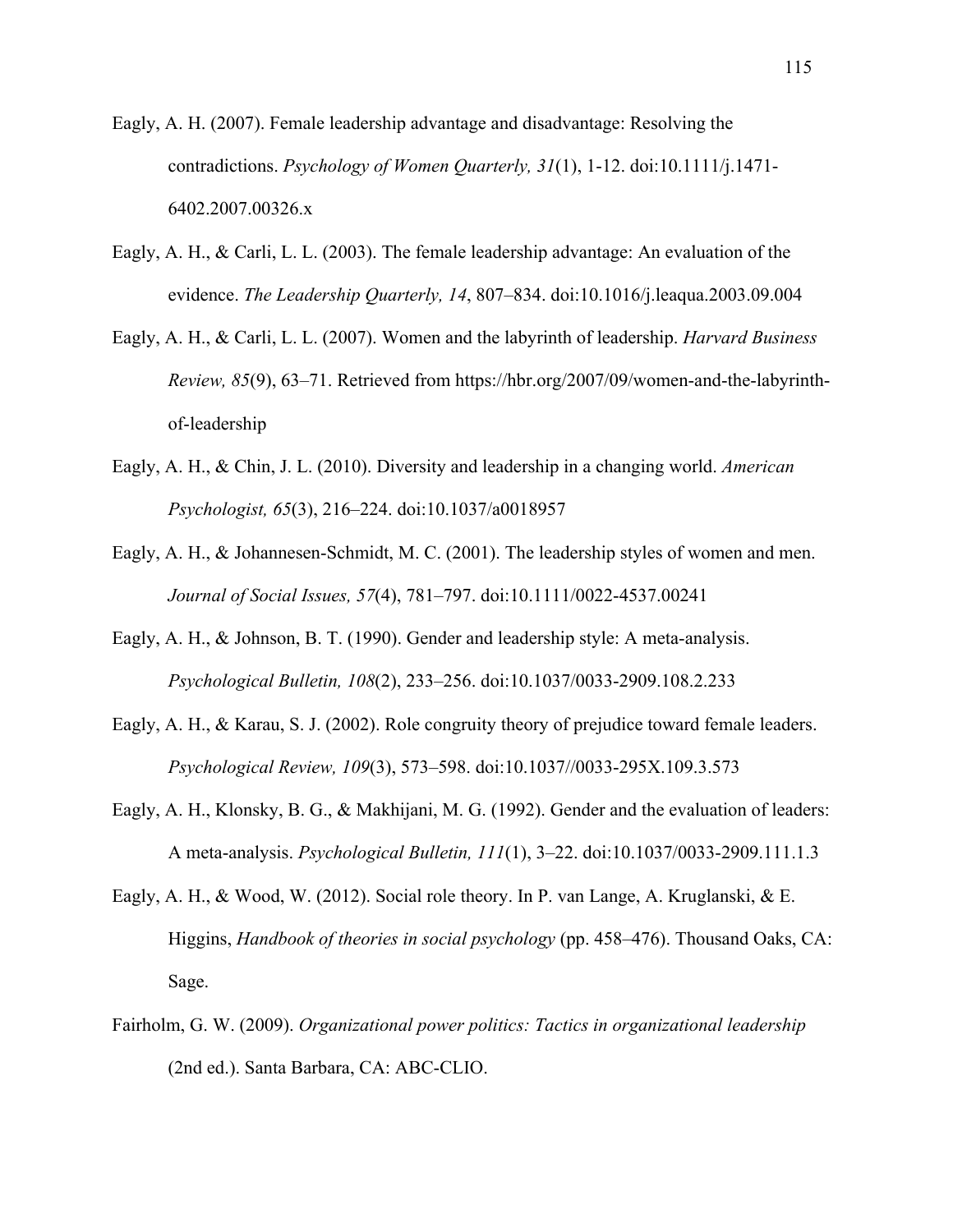- Eagly, A. H. (2007). Female leadership advantage and disadvantage: Resolving the contradictions. *Psychology of Women Quarterly, 31*(1), 1-12. doi:10.1111/j.1471- 6402.2007.00326.x
- Eagly, A. H., & Carli, L. L. (2003). The female leadership advantage: An evaluation of the evidence. *The Leadership Quarterly, 14*, 807–834. doi:10.1016/j.leaqua.2003.09.004
- Eagly, A. H., & Carli, L. L. (2007). Women and the labyrinth of leadership. *Harvard Business Review, 85*(9), 63–71. Retrieved from https://hbr.org/2007/09/women-and-the-labyrinthof-leadership
- Eagly, A. H., & Chin, J. L. (2010). Diversity and leadership in a changing world. *American Psychologist, 65*(3), 216–224. doi:10.1037/a0018957
- Eagly, A. H., & Johannesen-Schmidt, M. C. (2001). The leadership styles of women and men. *Journal of Social Issues, 57*(4), 781–797. doi:10.1111/0022-4537.00241
- Eagly, A. H., & Johnson, B. T. (1990). Gender and leadership style: A meta-analysis. *Psychological Bulletin, 108*(2), 233–256. doi:10.1037/0033-2909.108.2.233
- Eagly, A. H., & Karau, S. J. (2002). Role congruity theory of prejudice toward female leaders. *Psychological Review, 109*(3), 573–598. doi:10.1037//0033-295X.109.3.573
- Eagly, A. H., Klonsky, B. G., & Makhijani, M. G. (1992). Gender and the evaluation of leaders: A meta-analysis. *Psychological Bulletin, 111*(1), 3–22. doi:10.1037/0033-2909.111.1.3
- Eagly, A. H., & Wood, W. (2012). Social role theory. In P. van Lange, A. Kruglanski, & E. Higgins, *Handbook of theories in social psychology* (pp. 458–476). Thousand Oaks, CA: Sage.
- Fairholm, G. W. (2009). *Organizational power politics: Tactics in organizational leadership* (2nd ed.). Santa Barbara, CA: ABC-CLIO.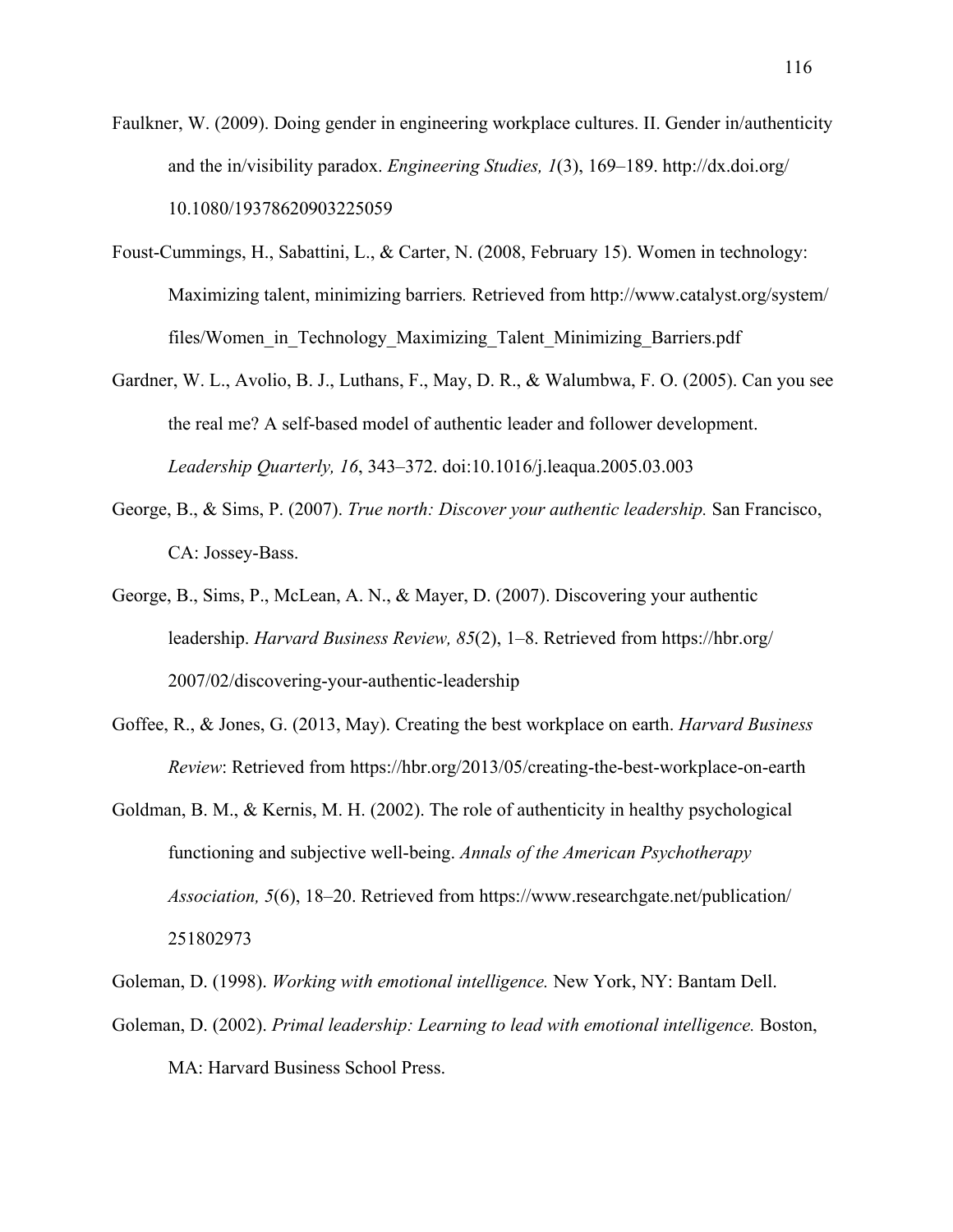- Faulkner, W. (2009). Doing gender in engineering workplace cultures. II. Gender in/authenticity and the in/visibility paradox. *Engineering Studies, 1*(3), 169–189. http://dx.doi.org/ 10.1080/19378620903225059
- Foust-Cummings, H., Sabattini, L., & Carter, N. (2008, February 15). Women in technology: Maximizing talent, minimizing barriers*.* Retrieved from http://www.catalyst.org/system/ files/Women in Technology Maximizing Talent Minimizing Barriers.pdf
- Gardner, W. L., Avolio, B. J., Luthans, F., May, D. R., & Walumbwa, F. O. (2005). Can you see the real me? A self-based model of authentic leader and follower development. *Leadership Quarterly, 16*, 343–372. doi:10.1016/j.leaqua.2005.03.003
- George, B., & Sims, P. (2007). *True north: Discover your authentic leadership.* San Francisco, CA: Jossey-Bass.
- George, B., Sims, P., McLean, A. N., & Mayer, D. (2007). Discovering your authentic leadership. *Harvard Business Review, 85*(2), 1–8. Retrieved from https://hbr.org/ 2007/02/discovering-your-authentic-leadership
- Goffee, R., & Jones, G. (2013, May). Creating the best workplace on earth. *Harvard Business Review*: Retrieved from https://hbr.org/2013/05/creating-the-best-workplace-on-earth
- Goldman, B. M., & Kernis, M. H. (2002). The role of authenticity in healthy psychological functioning and subjective well-being. *Annals of the American Psychotherapy Association, 5*(6), 18–20. Retrieved from https://www.researchgate.net/publication/ 251802973
- Goleman, D. (1998). *Working with emotional intelligence.* New York, NY: Bantam Dell.
- Goleman, D. (2002). *Primal leadership: Learning to lead with emotional intelligence.* Boston, MA: Harvard Business School Press.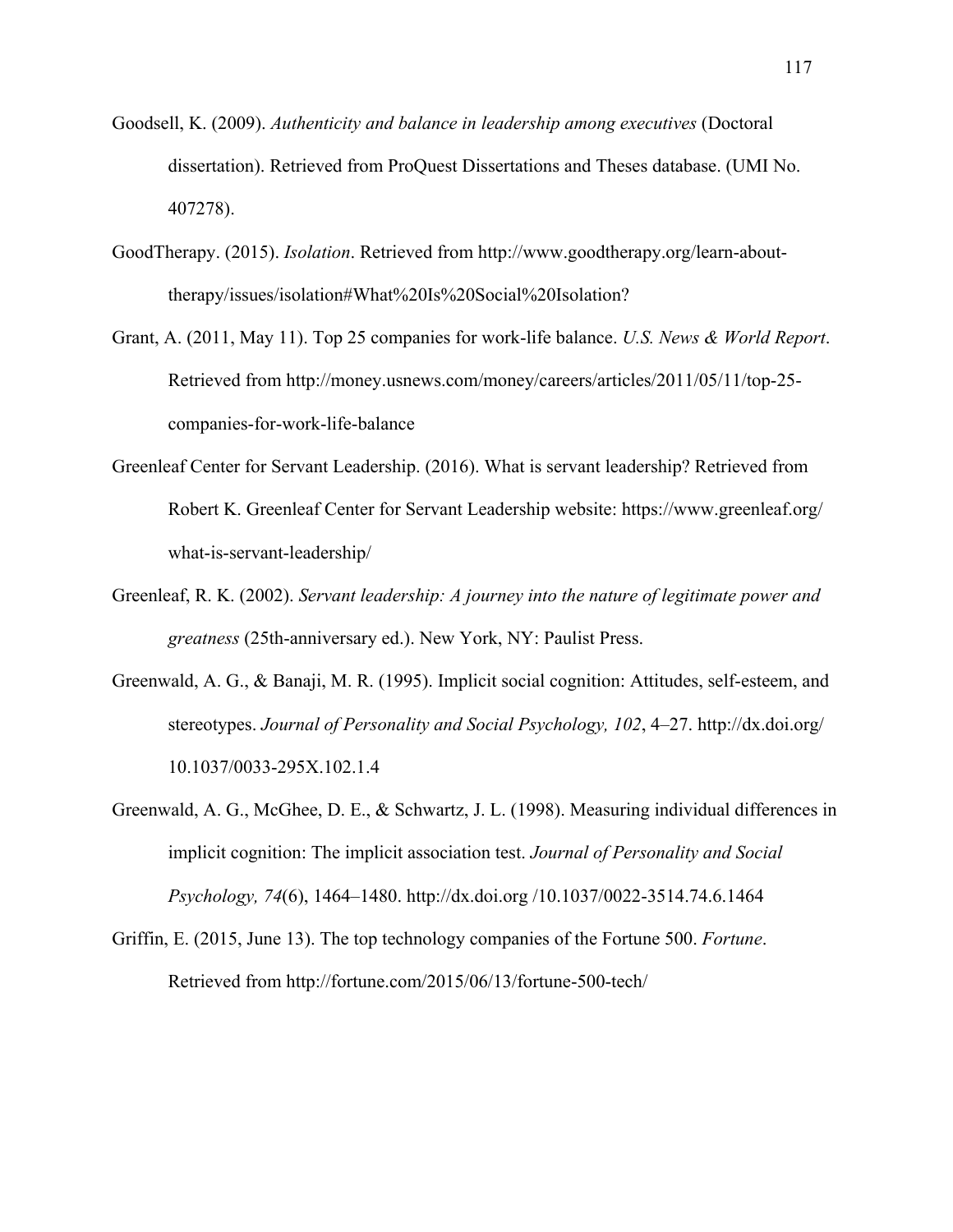- Goodsell, K. (2009). *Authenticity and balance in leadership among executives* (Doctoral dissertation). Retrieved from ProQuest Dissertations and Theses database. (UMI No. 407278).
- GoodTherapy. (2015). *Isolation*. Retrieved from http://www.goodtherapy.org/learn-abouttherapy/issues/isolation#What%20Is%20Social%20Isolation?
- Grant, A. (2011, May 11). Top 25 companies for work-life balance. *U.S. News & World Report*. Retrieved from http://money.usnews.com/money/careers/articles/2011/05/11/top-25 companies-for-work-life-balance
- Greenleaf Center for Servant Leadership. (2016). What is servant leadership? Retrieved from Robert K. Greenleaf Center for Servant Leadership website: https://www.greenleaf.org/ what-is-servant-leadership/
- Greenleaf, R. K. (2002). *Servant leadership: A journey into the nature of legitimate power and greatness* (25th-anniversary ed.). New York, NY: Paulist Press.
- Greenwald, A. G., & Banaji, M. R. (1995). Implicit social cognition: Attitudes, self-esteem, and stereotypes. *Journal of Personality and Social Psychology, 102*, 4–27. http://dx.doi.org/ 10.1037/0033-295X.102.1.4
- Greenwald, A. G., McGhee, D. E., & Schwartz, J. L. (1998). Measuring individual differences in implicit cognition: The implicit association test. *Journal of Personality and Social Psychology, 74*(6), 1464–1480. http://dx.doi.org /10.1037/0022-3514.74.6.1464
- Griffin, E. (2015, June 13). The top technology companies of the Fortune 500. *Fortune*. Retrieved from http://fortune.com/2015/06/13/fortune-500-tech/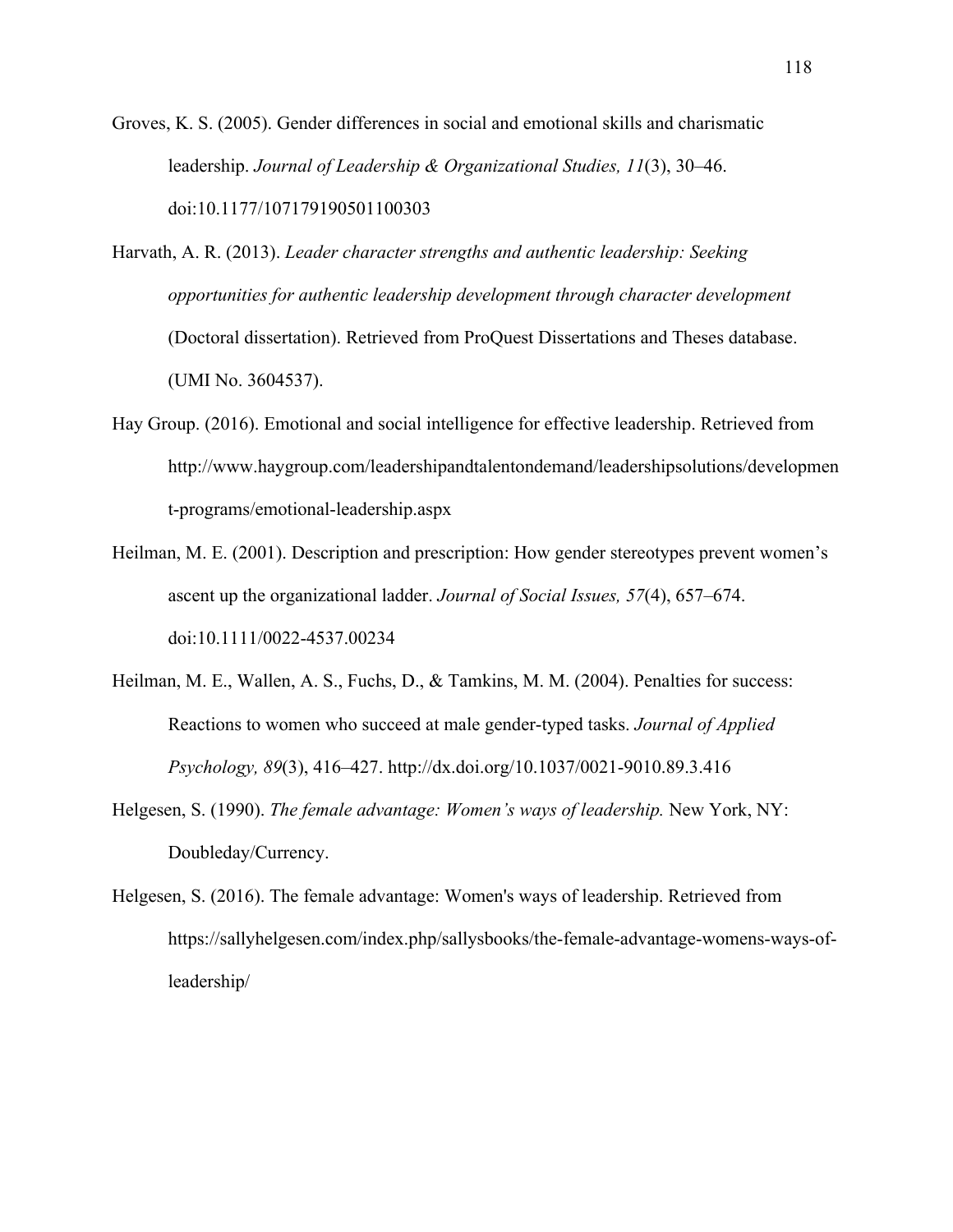Groves, K. S. (2005). Gender differences in social and emotional skills and charismatic leadership. *Journal of Leadership & Organizational Studies, 11*(3), 30–46. doi:10.1177/107179190501100303

- Harvath, A. R. (2013). *Leader character strengths and authentic leadership: Seeking opportunities for authentic leadership development through character development* (Doctoral dissertation). Retrieved from ProQuest Dissertations and Theses database. (UMI No. 3604537).
- Hay Group. (2016). Emotional and social intelligence for effective leadership. Retrieved from http://www.haygroup.com/leadershipandtalentondemand/leadershipsolutions/developmen t-programs/emotional-leadership.aspx
- Heilman, M. E. (2001). Description and prescription: How gender stereotypes prevent women's ascent up the organizational ladder. *Journal of Social Issues, 57*(4), 657–674. doi:10.1111/0022-4537.00234
- Heilman, M. E., Wallen, A. S., Fuchs, D., & Tamkins, M. M. (2004). Penalties for success: Reactions to women who succeed at male gender-typed tasks. *Journal of Applied Psychology, 89*(3), 416–427. http://dx.doi.org/10.1037/0021-9010.89.3.416
- Helgesen, S. (1990). *The female advantage: Women's ways of leadership.* New York, NY: Doubleday/Currency.
- Helgesen, S. (2016). The female advantage: Women's ways of leadership. Retrieved from https://sallyhelgesen.com/index.php/sallysbooks/the-female-advantage-womens-ways-ofleadership/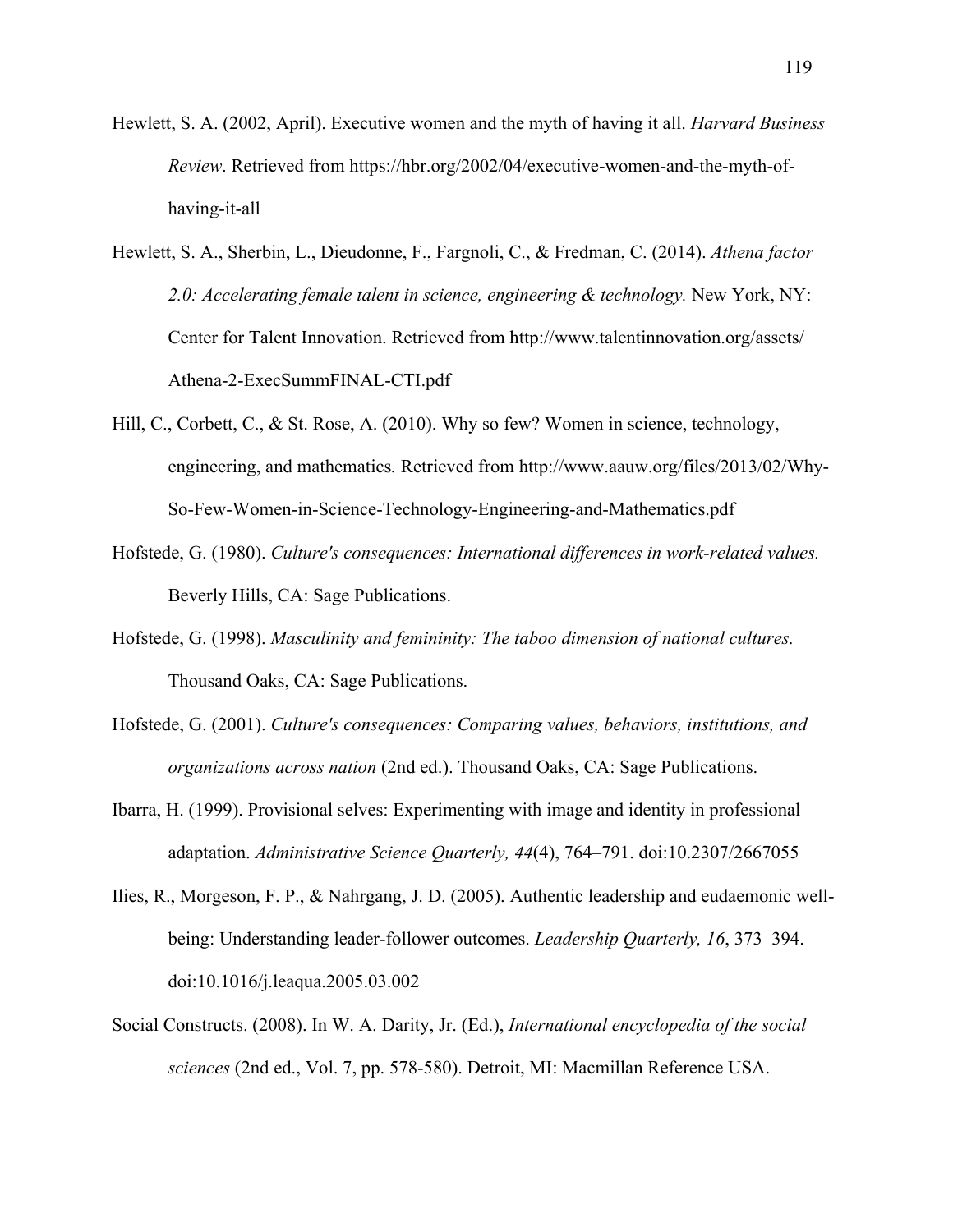- Hewlett, S. A. (2002, April). Executive women and the myth of having it all. *Harvard Business Review*. Retrieved from https://hbr.org/2002/04/executive-women-and-the-myth-ofhaving-it-all
- Hewlett, S. A., Sherbin, L., Dieudonne, F., Fargnoli, C., & Fredman, C. (2014). *Athena factor 2.0: Accelerating female talent in science, engineering & technology.* New York, NY: Center for Talent Innovation. Retrieved from http://www.talentinnovation.org/assets/ Athena-2-ExecSummFINAL-CTI.pdf
- Hill, C., Corbett, C., & St. Rose, A. (2010). Why so few? Women in science, technology, engineering, and mathematics*.* Retrieved from http://www.aauw.org/files/2013/02/Why-So-Few-Women-in-Science-Technology-Engineering-and-Mathematics.pdf
- Hofstede, G. (1980). *Culture's consequences: International differences in work-related values.* Beverly Hills, CA: Sage Publications.
- Hofstede, G. (1998). *Masculinity and femininity: The taboo dimension of national cultures.* Thousand Oaks, CA: Sage Publications.
- Hofstede, G. (2001). *Culture's consequences: Comparing values, behaviors, institutions, and organizations across nation* (2nd ed.). Thousand Oaks, CA: Sage Publications.
- Ibarra, H. (1999). Provisional selves: Experimenting with image and identity in professional adaptation. *Administrative Science Quarterly, 44*(4), 764–791. doi:10.2307/2667055
- Ilies, R., Morgeson, F. P., & Nahrgang, J. D. (2005). Authentic leadership and eudaemonic wellbeing: Understanding leader-follower outcomes. *Leadership Quarterly, 16*, 373–394. doi:10.1016/j.leaqua.2005.03.002
- Social Constructs. (2008). In W. A. Darity, Jr. (Ed.), *International encyclopedia of the social sciences* (2nd ed., Vol. 7, pp. 578-580). Detroit, MI: Macmillan Reference USA.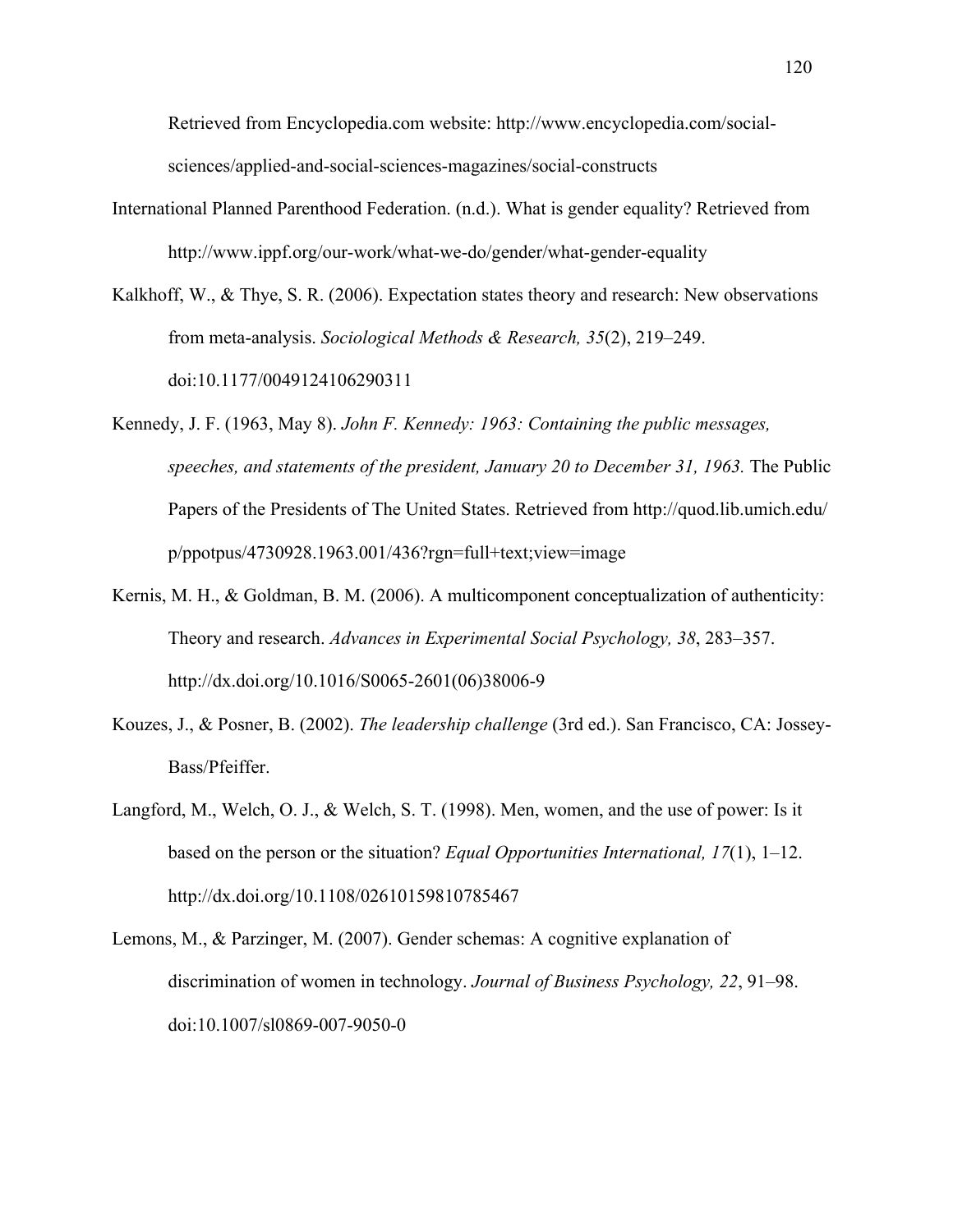Retrieved from Encyclopedia.com website: http://www.encyclopedia.com/socialsciences/applied-and-social-sciences-magazines/social-constructs

- International Planned Parenthood Federation. (n.d.). What is gender equality? Retrieved from http://www.ippf.org/our-work/what-we-do/gender/what-gender-equality
- Kalkhoff, W., & Thye, S. R. (2006). Expectation states theory and research: New observations from meta-analysis. *Sociological Methods & Research, 35*(2), 219–249. doi:10.1177/0049124106290311
- Kennedy, J. F. (1963, May 8). *John F. Kennedy: 1963: Containing the public messages, speeches, and statements of the president, January 20 to December 31, 1963.* The Public Papers of the Presidents of The United States. Retrieved from http://quod.lib.umich.edu/ p/ppotpus/4730928.1963.001/436?rgn=full+text;view=image
- Kernis, M. H., & Goldman, B. M. (2006). A multicomponent conceptualization of authenticity: Theory and research. *Advances in Experimental Social Psychology, 38*, 283–357. http://dx.doi.org/10.1016/S0065-2601(06)38006-9
- Kouzes, J., & Posner, B. (2002). *The leadership challenge* (3rd ed.). San Francisco, CA: Jossey-Bass/Pfeiffer.
- Langford, M., Welch, O. J., & Welch, S. T. (1998). Men, women, and the use of power: Is it based on the person or the situation? *Equal Opportunities International, 17*(1), 1–12. http://dx.doi.org/10.1108/02610159810785467
- Lemons, M., & Parzinger, M. (2007). Gender schemas: A cognitive explanation of discrimination of women in technology. *Journal of Business Psychology, 22*, 91–98. doi:10.1007/sl0869-007-9050-0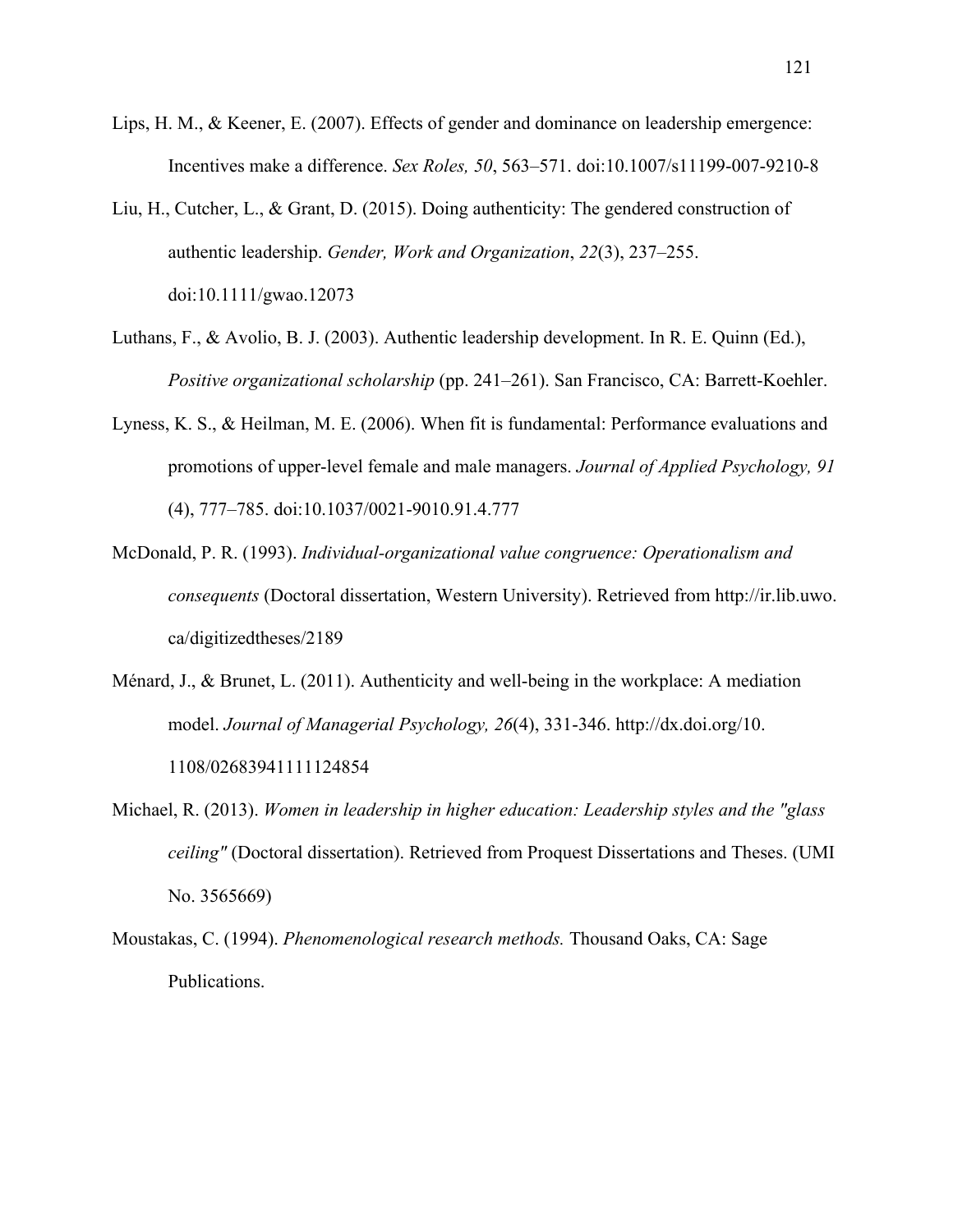- Lips, H. M., & Keener, E. (2007). Effects of gender and dominance on leadership emergence: Incentives make a difference. *Sex Roles, 50*, 563–571. doi:10.1007/s11199-007-9210-8
- Liu, H., Cutcher, L., & Grant, D. (2015). Doing authenticity: The gendered construction of authentic leadership. *Gender, Work and Organization*, *22*(3), 237–255. doi:10.1111/gwao.12073
- Luthans, F., & Avolio, B. J. (2003). Authentic leadership development. In R. E. Quinn (Ed.), *Positive organizational scholarship* (pp. 241–261). San Francisco, CA: Barrett-Koehler.
- Lyness, K. S., & Heilman, M. E. (2006). When fit is fundamental: Performance evaluations and promotions of upper-level female and male managers. *Journal of Applied Psychology, 91* (4), 777–785. doi:10.1037/0021-9010.91.4.777
- McDonald, P. R. (1993). *Individual-organizational value congruence: Operationalism and consequents* (Doctoral dissertation, Western University). Retrieved from http://ir.lib.uwo. ca/digitizedtheses/2189
- Ménard, J., & Brunet, L. (2011). Authenticity and well-being in the workplace: A mediation model. *Journal of Managerial Psychology, 26*(4), 331-346. http://dx.doi.org/10. 1108/02683941111124854
- Michael, R. (2013). *Women in leadership in higher education: Leadership styles and the "glass ceiling"* (Doctoral dissertation). Retrieved from Proquest Dissertations and Theses. (UMI No. 3565669)
- Moustakas, C. (1994). *Phenomenological research methods.* Thousand Oaks, CA: Sage Publications.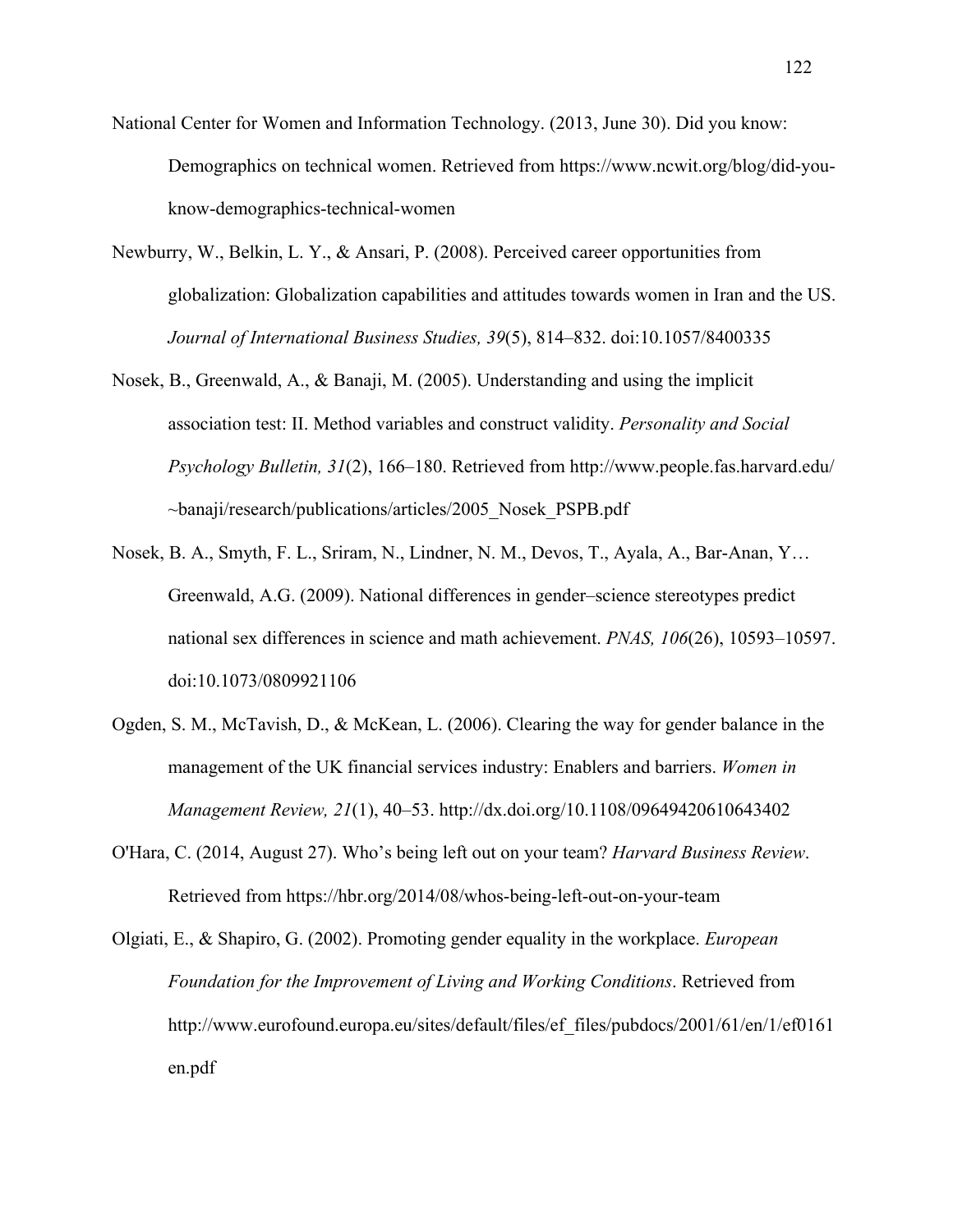- National Center for Women and Information Technology. (2013, June 30). Did you know: Demographics on technical women. Retrieved from https://www.ncwit.org/blog/did-youknow-demographics-technical-women
- Newburry, W., Belkin, L. Y., & Ansari, P. (2008). Perceived career opportunities from globalization: Globalization capabilities and attitudes towards women in Iran and the US. *Journal of International Business Studies, 39*(5), 814–832. doi:10.1057/8400335
- Nosek, B., Greenwald, A., & Banaji, M. (2005). Understanding and using the implicit association test: II. Method variables and construct validity. *Personality and Social Psychology Bulletin, 31*(2), 166–180. Retrieved from http://www.people.fas.harvard.edu/ ~banaji/research/publications/articles/2005\_Nosek\_PSPB.pdf
- Nosek, B. A., Smyth, F. L., Sriram, N., Lindner, N. M., Devos, T., Ayala, A., Bar-Anan, Y… Greenwald, A.G. (2009). National differences in gender–science stereotypes predict national sex differences in science and math achievement. *PNAS, 106*(26), 10593–10597. doi:10.1073/0809921106
- Ogden, S. M., McTavish, D., & McKean, L. (2006). Clearing the way for gender balance in the management of the UK financial services industry: Enablers and barriers. *Women in Management Review, 21*(1), 40–53. http://dx.doi.org/10.1108/09649420610643402
- O'Hara, C. (2014, August 27). Who's being left out on your team? *Harvard Business Review*. Retrieved from https://hbr.org/2014/08/whos-being-left-out-on-your-team

Olgiati, E., & Shapiro, G. (2002). Promoting gender equality in the workplace. *European Foundation for the Improvement of Living and Working Conditions*. Retrieved from http://www.eurofound.europa.eu/sites/default/files/ef\_files/pubdocs/2001/61/en/1/ef0161 en.pdf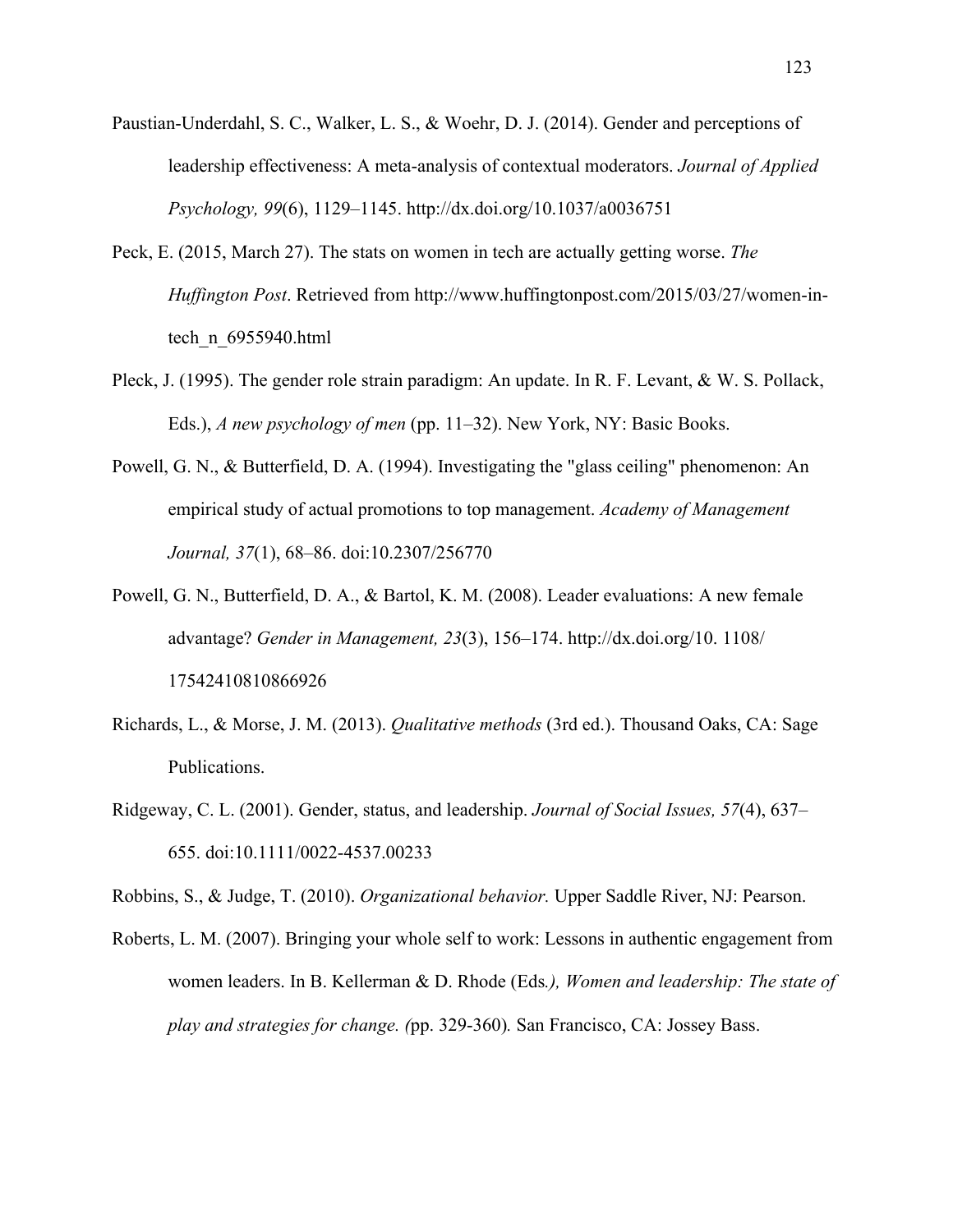- Paustian-Underdahl, S. C., Walker, L. S., & Woehr, D. J. (2014). Gender and perceptions of leadership effectiveness: A meta-analysis of contextual moderators. *Journal of Applied Psychology, 99*(6), 1129–1145. http://dx.doi.org/10.1037/a0036751
- Peck, E. (2015, March 27). The stats on women in tech are actually getting worse. *The Huffington Post*. Retrieved from http://www.huffingtonpost.com/2015/03/27/women-intech\_n\_6955940.html
- Pleck, J. (1995). The gender role strain paradigm: An update. In R. F. Levant, & W. S. Pollack, Eds.), *A new psychology of men* (pp. 11–32). New York, NY: Basic Books.
- Powell, G. N., & Butterfield, D. A. (1994). Investigating the "glass ceiling" phenomenon: An empirical study of actual promotions to top management. *Academy of Management Journal, 37*(1), 68–86. doi:10.2307/256770
- Powell, G. N., Butterfield, D. A., & Bartol, K. M. (2008). Leader evaluations: A new female advantage? *Gender in Management, 23*(3), 156–174. http://dx.doi.org/10. 1108/ 17542410810866926
- Richards, L., & Morse, J. M. (2013). *Qualitative methods* (3rd ed.). Thousand Oaks, CA: Sage Publications.
- Ridgeway, C. L. (2001). Gender, status, and leadership. *Journal of Social Issues, 57*(4), 637– 655. doi:10.1111/0022-4537.00233

Robbins, S., & Judge, T. (2010). *Organizational behavior.* Upper Saddle River, NJ: Pearson.

Roberts, L. M. (2007). Bringing your whole self to work: Lessons in authentic engagement from women leaders. In B. Kellerman & D. Rhode (Eds*.), Women and leadership: The state of play and strategies for change. (*pp. 329-360)*.* San Francisco, CA: Jossey Bass.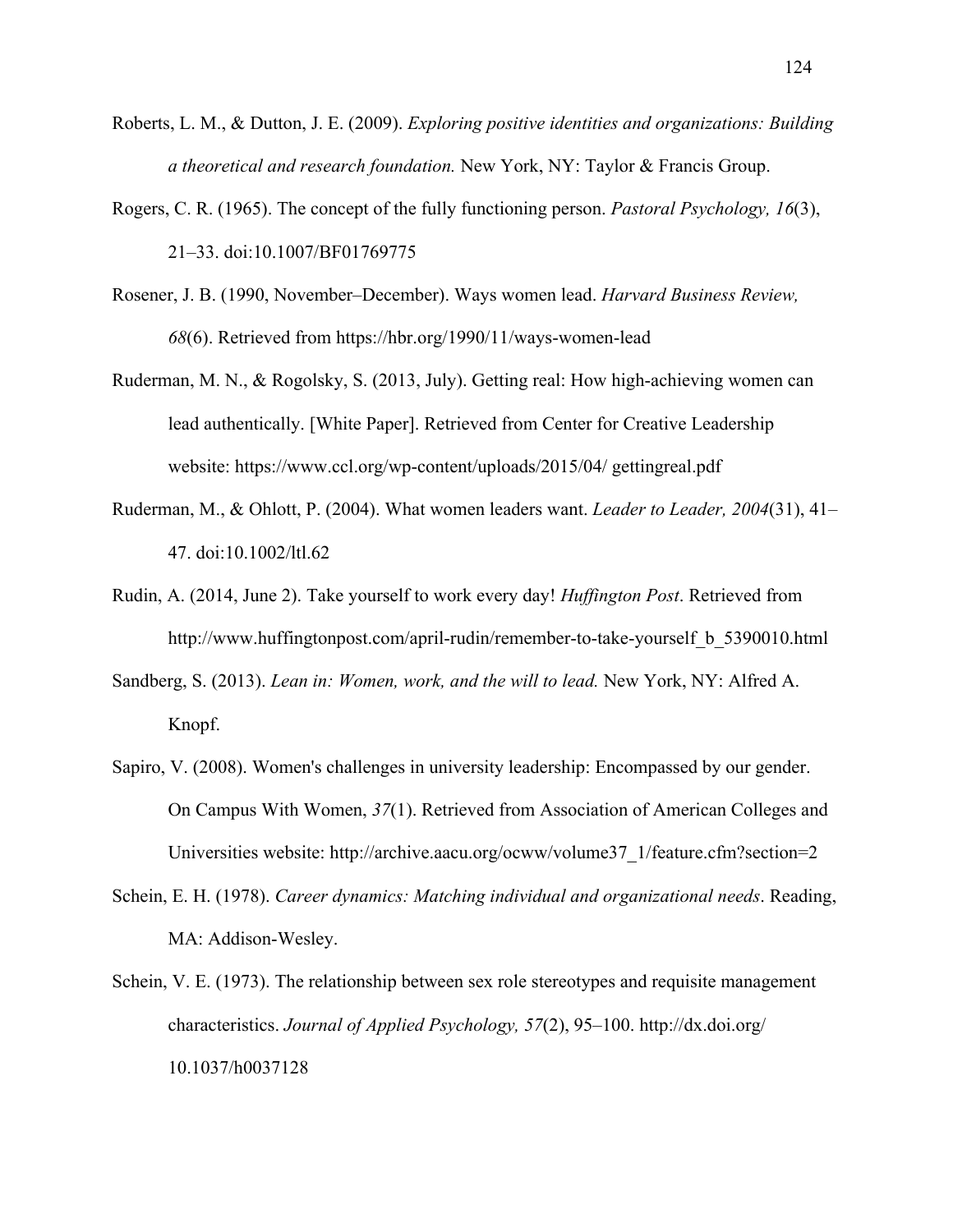- Roberts, L. M., & Dutton, J. E. (2009). *Exploring positive identities and organizations: Building a theoretical and research foundation.* New York, NY: Taylor & Francis Group.
- Rogers, C. R. (1965). The concept of the fully functioning person. *Pastoral Psychology, 16*(3), 21–33. doi:10.1007/BF01769775
- Rosener, J. B. (1990, November–December). Ways women lead. *Harvard Business Review, 68*(6). Retrieved from https://hbr.org/1990/11/ways-women-lead
- Ruderman, M. N., & Rogolsky, S. (2013, July). Getting real: How high-achieving women can lead authentically. [White Paper]. Retrieved from Center for Creative Leadership website: https://www.ccl.org/wp-content/uploads/2015/04/ gettingreal.pdf
- Ruderman, M., & Ohlott, P. (2004). What women leaders want. *Leader to Leader, 2004*(31), 41– 47. doi:10.1002/ltl.62
- Rudin, A. (2014, June 2). Take yourself to work every day! *Huffington Post*. Retrieved from http://www.huffingtonpost.com/april-rudin/remember-to-take-yourself\_b\_5390010.html
- Sandberg, S. (2013). *Lean in: Women, work, and the will to lead.* New York, NY: Alfred A. Knopf.
- Sapiro, V. (2008). Women's challenges in university leadership: Encompassed by our gender. On Campus With Women, *37*(1). Retrieved from Association of American Colleges and Universities website: http://archive.aacu.org/ocww/volume37\_1/feature.cfm?section=2
- Schein, E. H. (1978). *Career dynamics: Matching individual and organizational needs*. Reading, MA: Addison-Wesley.
- Schein, V. E. (1973). The relationship between sex role stereotypes and requisite management characteristics. *Journal of Applied Psychology, 57*(2), 95–100. http://dx.doi.org/ 10.1037/h0037128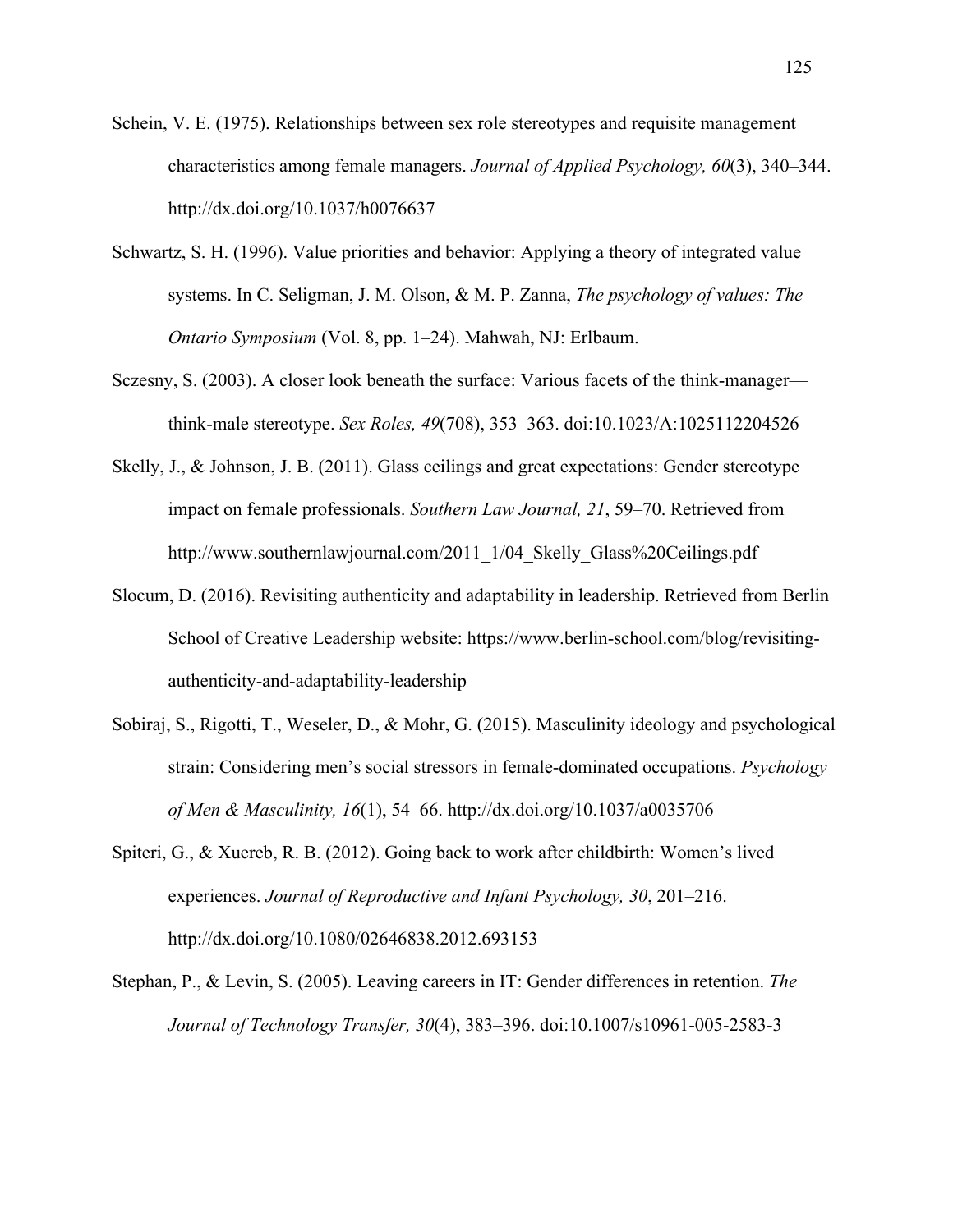Schein, V. E. (1975). Relationships between sex role stereotypes and requisite management characteristics among female managers. *Journal of Applied Psychology, 60*(3), 340–344. http://dx.doi.org/10.1037/h0076637

- Schwartz, S. H. (1996). Value priorities and behavior: Applying a theory of integrated value systems. In C. Seligman, J. M. Olson, & M. P. Zanna, *The psychology of values: The Ontario Symposium* (Vol. 8, pp. 1–24). Mahwah, NJ: Erlbaum.
- Sczesny, S. (2003). A closer look beneath the surface: Various facets of the think-manager think-male stereotype. *Sex Roles, 49*(708), 353–363. doi:10.1023/A:1025112204526
- Skelly, J., & Johnson, J. B. (2011). Glass ceilings and great expectations: Gender stereotype impact on female professionals. *Southern Law Journal, 21*, 59–70. Retrieved from http://www.southernlawjournal.com/2011\_1/04\_Skelly\_Glass%20Ceilings.pdf
- Slocum, D. (2016). Revisiting authenticity and adaptability in leadership. Retrieved from Berlin School of Creative Leadership website: https://www.berlin-school.com/blog/revisitingauthenticity-and-adaptability-leadership
- Sobiraj, S., Rigotti, T., Weseler, D., & Mohr, G. (2015). Masculinity ideology and psychological strain: Considering men's social stressors in female-dominated occupations. *Psychology of Men & Masculinity, 16*(1), 54–66. http://dx.doi.org/10.1037/a0035706
- Spiteri, G., & Xuereb, R. B. (2012). Going back to work after childbirth: Women's lived experiences. *Journal of Reproductive and Infant Psychology, 30*, 201–216. http://dx.doi.org/10.1080/02646838.2012.693153
- Stephan, P., & Levin, S. (2005). Leaving careers in IT: Gender differences in retention. *The Journal of Technology Transfer, 30*(4), 383–396. doi:10.1007/s10961-005-2583-3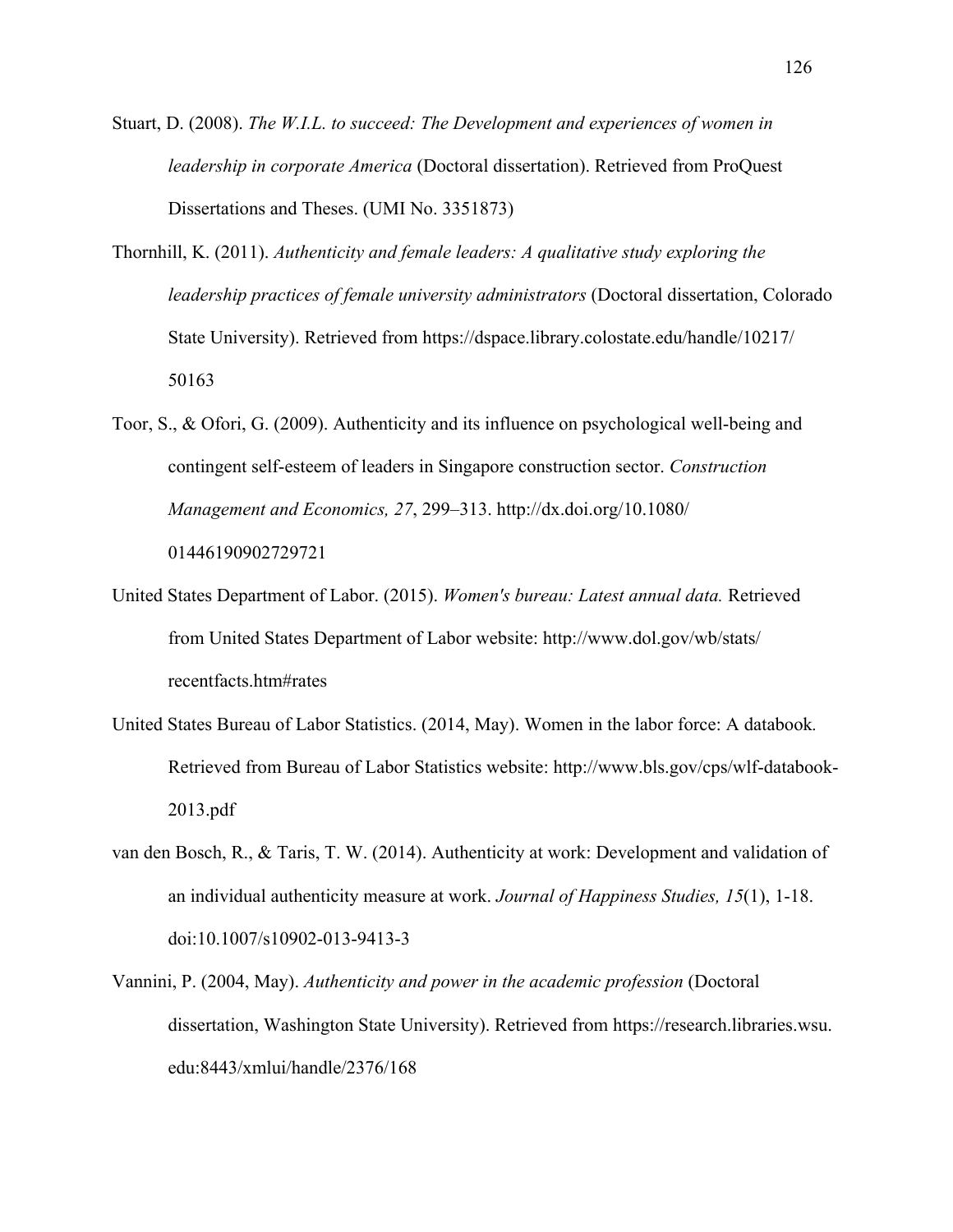- Stuart, D. (2008). *The W.I.L. to succeed: The Development and experiences of women in leadership in corporate America* (Doctoral dissertation). Retrieved from ProQuest Dissertations and Theses. (UMI No. 3351873)
- Thornhill, K. (2011). *Authenticity and female leaders: A qualitative study exploring the leadership practices of female university administrators* (Doctoral dissertation, Colorado State University). Retrieved from https://dspace.library.colostate.edu/handle/10217/ 50163
- Toor, S., & Ofori, G. (2009). Authenticity and its influence on psychological well-being and contingent self-esteem of leaders in Singapore construction sector. *Construction Management and Economics, 27*, 299–313. http://dx.doi.org/10.1080/ 01446190902729721
- United States Department of Labor. (2015). *Women's bureau: Latest annual data.* Retrieved from United States Department of Labor website: http://www.dol.gov/wb/stats/ recentfacts.htm#rates
- United States Bureau of Labor Statistics. (2014, May). Women in the labor force: A databook*.* Retrieved from Bureau of Labor Statistics website: http://www.bls.gov/cps/wlf-databook-2013.pdf
- van den Bosch, R., & Taris, T. W. (2014). Authenticity at work: Development and validation of an individual authenticity measure at work. *Journal of Happiness Studies, 15*(1), 1-18. doi:10.1007/s10902-013-9413-3
- Vannini, P. (2004, May). *Authenticity and power in the academic profession* (Doctoral dissertation, Washington State University). Retrieved from https://research.libraries.wsu. edu:8443/xmlui/handle/2376/168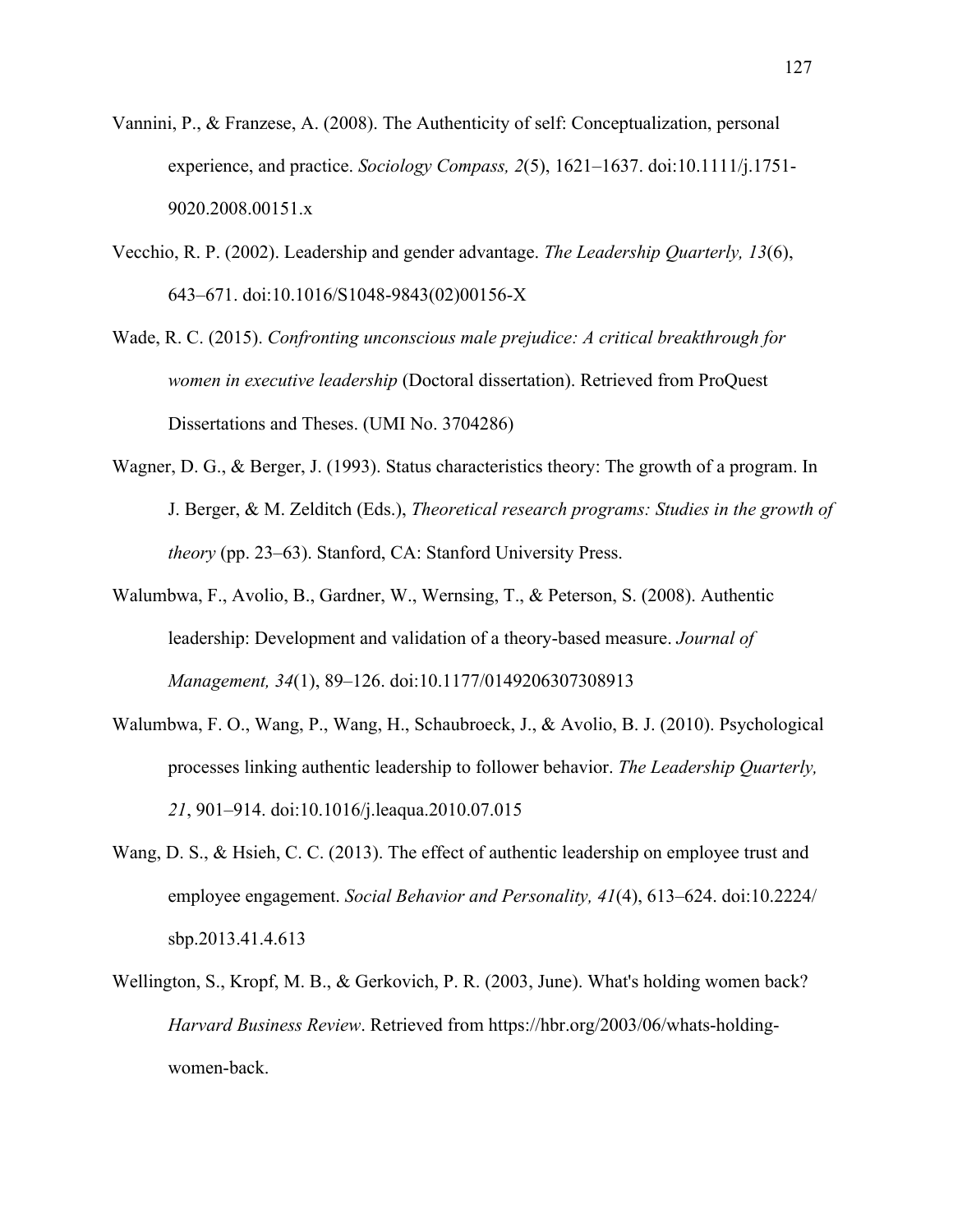- Vannini, P., & Franzese, A. (2008). The Authenticity of self: Conceptualization, personal experience, and practice. *Sociology Compass, 2*(5), 1621–1637. doi:10.1111/j.1751- 9020.2008.00151.x
- Vecchio, R. P. (2002). Leadership and gender advantage. *The Leadership Quarterly, 13*(6), 643–671. doi:10.1016/S1048-9843(02)00156-X
- Wade, R. C. (2015). *Confronting unconscious male prejudice: A critical breakthrough for women in executive leadership* (Doctoral dissertation). Retrieved from ProQuest Dissertations and Theses. (UMI No. 3704286)
- Wagner, D. G., & Berger, J. (1993). Status characteristics theory: The growth of a program. In J. Berger, & M. Zelditch (Eds.), *Theoretical research programs: Studies in the growth of theory* (pp. 23–63). Stanford, CA: Stanford University Press.
- Walumbwa, F., Avolio, B., Gardner, W., Wernsing, T., & Peterson, S. (2008). Authentic leadership: Development and validation of a theory-based measure. *Journal of Management, 34*(1), 89–126. doi:10.1177/0149206307308913
- Walumbwa, F. O., Wang, P., Wang, H., Schaubroeck, J., & Avolio, B. J. (2010). Psychological processes linking authentic leadership to follower behavior. *The Leadership Quarterly, 21*, 901–914. doi:10.1016/j.leaqua.2010.07.015
- Wang, D. S., & Hsieh, C. C. (2013). The effect of authentic leadership on employee trust and employee engagement. *Social Behavior and Personality, 41*(4), 613–624. doi:10.2224/ sbp.2013.41.4.613
- Wellington, S., Kropf, M. B., & Gerkovich, P. R. (2003, June). What's holding women back? *Harvard Business Review*. Retrieved from https://hbr.org/2003/06/whats-holdingwomen-back.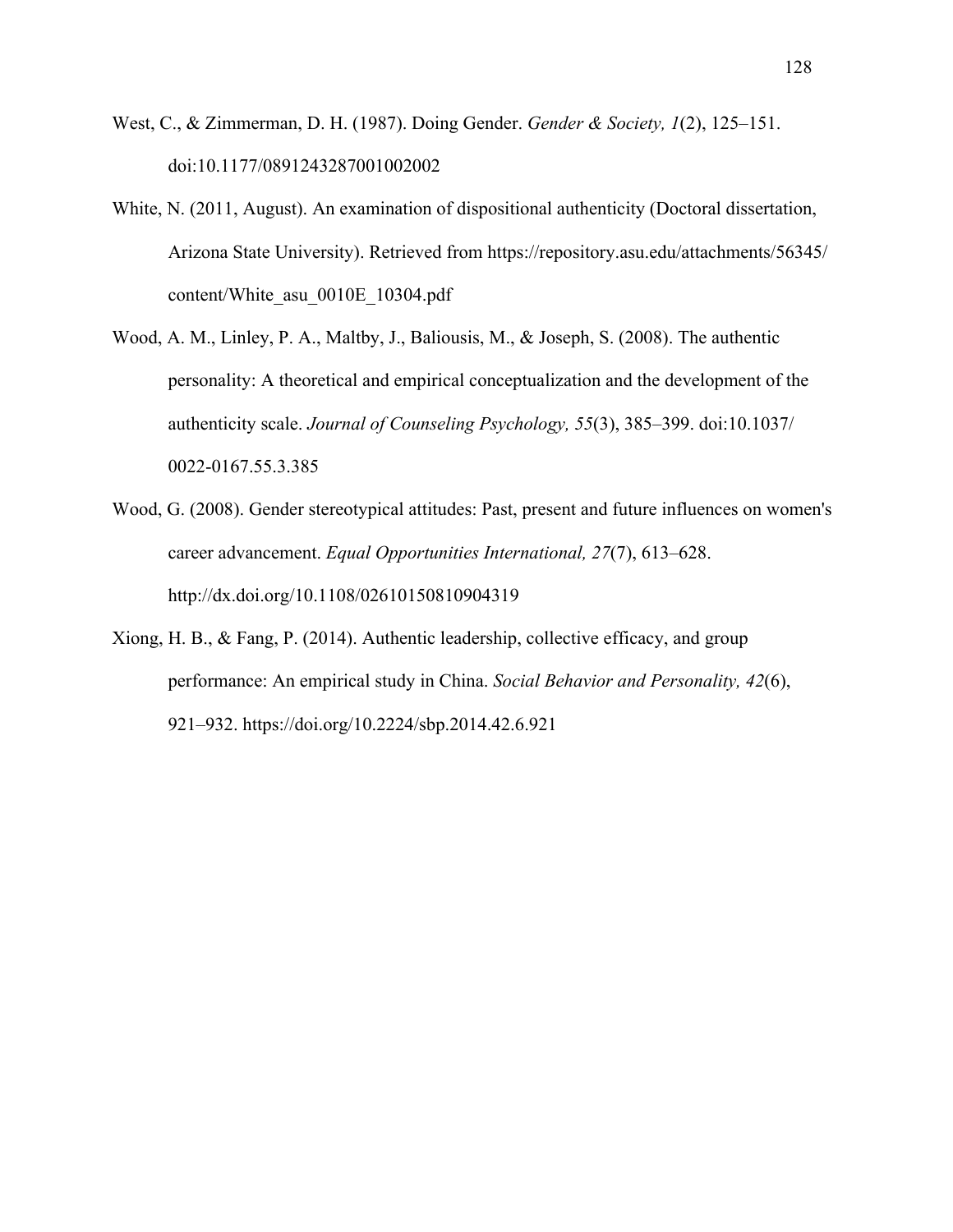- West, C., & Zimmerman, D. H. (1987). Doing Gender. *Gender & Society, 1*(2), 125–151. doi:10.1177/0891243287001002002
- White, N. (2011, August). An examination of dispositional authenticity (Doctoral dissertation, Arizona State University). Retrieved from https://repository.asu.edu/attachments/56345/ content/White\_asu\_0010E\_10304.pdf
- Wood, A. M., Linley, P. A., Maltby, J., Baliousis, M., & Joseph, S. (2008). The authentic personality: A theoretical and empirical conceptualization and the development of the authenticity scale. *Journal of Counseling Psychology, 55*(3), 385–399. doi:10.1037/ 0022-0167.55.3.385
- Wood, G. (2008). Gender stereotypical attitudes: Past, present and future influences on women's career advancement. *Equal Opportunities International, 27*(7), 613–628. http://dx.doi.org/10.1108/02610150810904319
- Xiong, H. B., & Fang, P. (2014). Authentic leadership, collective efficacy, and group performance: An empirical study in China. *Social Behavior and Personality, 42*(6), 921–932. https://doi.org/10.2224/sbp.2014.42.6.921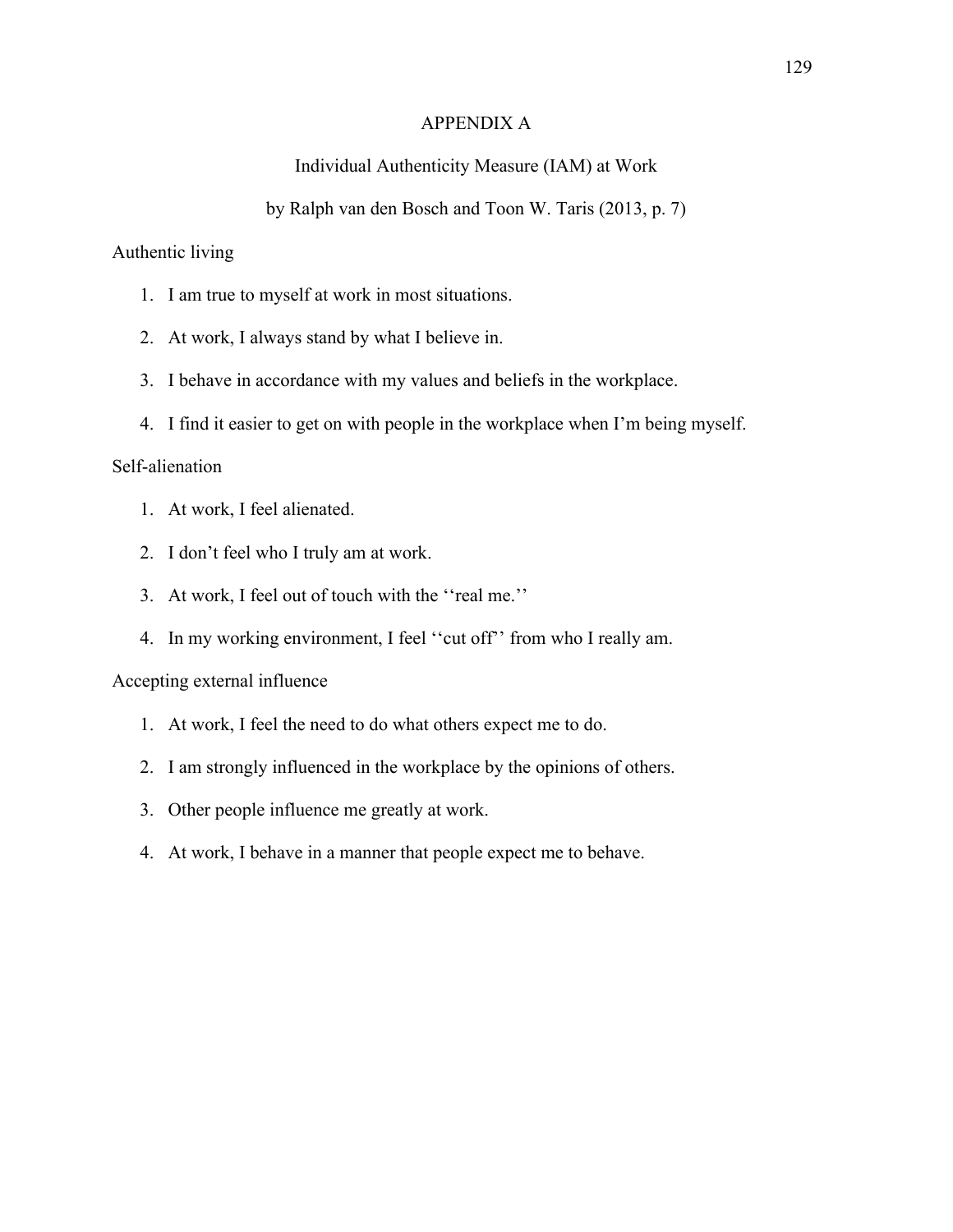## APPENDIX A

# Individual Authenticity Measure (IAM) at Work

# by Ralph van den Bosch and Toon W. Taris (2013, p. 7)

# Authentic living

- 1. I am true to myself at work in most situations.
- 2. At work, I always stand by what I believe in.
- 3. I behave in accordance with my values and beliefs in the workplace.
- 4. I find it easier to get on with people in the workplace when I'm being myself.

## Self-alienation

- 1. At work, I feel alienated.
- 2. I don't feel who I truly am at work.
- 3. At work, I feel out of touch with the ''real me.''
- 4. In my working environment, I feel ''cut off'' from who I really am.

## Accepting external influence

- 1. At work, I feel the need to do what others expect me to do.
- 2. I am strongly influenced in the workplace by the opinions of others.
- 3. Other people influence me greatly at work.
- 4. At work, I behave in a manner that people expect me to behave.